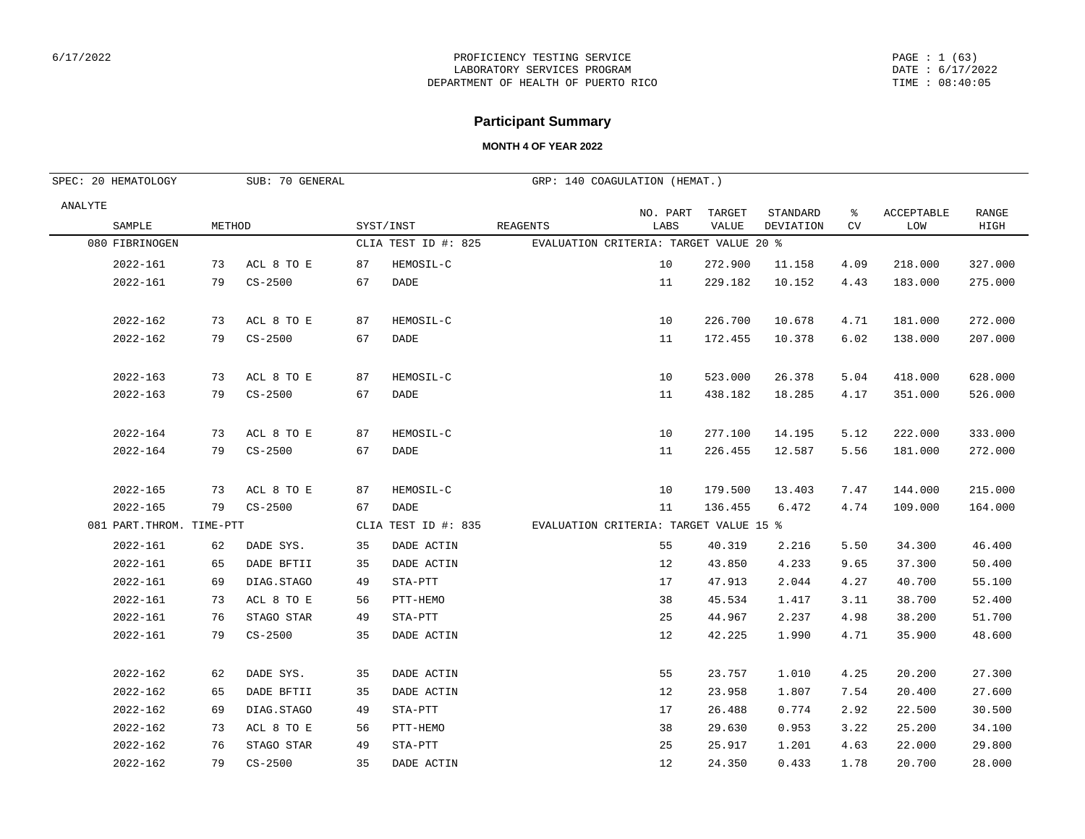PAGE : 1 (63) DATE : 6/17/2022 TIME : 08:40:05

## **Participant Summary**

| SUB: 70 GENERAL<br>SPEC: 20 HEMATOLOGY |                           |        |             |    |                     | GRP: 140 COAGULATION (HEMAT.)          |                  |                        |                       |         |                   |               |
|----------------------------------------|---------------------------|--------|-------------|----|---------------------|----------------------------------------|------------------|------------------------|-----------------------|---------|-------------------|---------------|
| ANALYTE                                | SAMPLE                    | METHOD |             |    | SYST/INST           | <b>REAGENTS</b>                        | NO. PART<br>LABS | TARGET<br><b>VALUE</b> | STANDARD<br>DEVIATION | ៖<br>CV | ACCEPTABLE<br>LOW | RANGE<br>HIGH |
|                                        | 080 FIBRINOGEN            |        |             |    | CLIA TEST ID #: 825 | EVALUATION CRITERIA: TARGET VALUE 20 % |                  |                        |                       |         |                   |               |
|                                        | 2022-161                  | 73     | ACL 8 TO E  | 87 | HEMOSIL-C           |                                        | 10               | 272.900                | 11.158                | 4.09    | 218.000           | 327.000       |
|                                        | $2022 - 161$              | 79     | $CS - 2500$ | 67 | DADE                |                                        | 11               | 229.182                | 10.152                | 4.43    | 183.000           | 275.000       |
|                                        | 2022-162                  | 73     | ACL 8 TO E  | 87 | HEMOSIL-C           |                                        | 10               | 226.700                | 10.678                | 4.71    | 181.000           | 272.000       |
|                                        | $2022 - 162$              | 79     | $CS - 2500$ | 67 | DADE                |                                        | 11               | 172.455                | 10.378                | 6.02    | 138.000           | 207.000       |
|                                        | $2022 - 163$              | 73     | ACL 8 TO E  | 87 | HEMOSIL-C           |                                        | 10               | 523.000                | 26.378                | 5.04    | 418.000           | 628.000       |
|                                        | $2022 - 163$              | 79     | $CS-2500$   | 67 | DADE                |                                        | 11               | 438.182                | 18.285                | 4.17    | 351.000           | 526.000       |
|                                        | $2022 - 164$              | 73     | ACL 8 TO E  | 87 | HEMOSIL-C           |                                        | 10               | 277.100                | 14.195                | 5.12    | 222.000           | 333.000       |
|                                        | 2022-164                  | 79     | $CS - 2500$ | 67 | DADE                |                                        | 11               | 226.455                | 12.587                | 5.56    | 181.000           | 272.000       |
|                                        | $2022 - 165$              | 73     | ACL 8 TO E  | 87 | HEMOSIL-C           |                                        | 10               | 179.500                | 13.403                | 7.47    | 144.000           | 215.000       |
|                                        | 2022-165                  | 79     | $CS - 2500$ | 67 | DADE                |                                        | 11               | 136.455                | 6.472                 | 4.74    | 109.000           | 164.000       |
|                                        | 081 PART. THROM. TIME-PTT |        |             |    | CLIA TEST ID #: 835 | EVALUATION CRITERIA: TARGET VALUE 15 % |                  |                        |                       |         |                   |               |
|                                        | 2022-161                  | 62     | DADE SYS.   | 35 | DADE ACTIN          |                                        | 55               | 40.319                 | 2.216                 | 5.50    | 34.300            | 46.400        |
|                                        | 2022-161                  | 65     | DADE BFTII  | 35 | DADE ACTIN          |                                        | 12               | 43.850                 | 4.233                 | 9.65    | 37.300            | 50.400        |
|                                        | 2022-161                  | 69     | DIAG.STAGO  | 49 | STA-PTT             |                                        | 17               | 47.913                 | 2.044                 | 4.27    | 40.700            | 55.100        |
|                                        | $2022 - 161$              | 73     | ACL 8 TO E  | 56 | PTT-HEMO            |                                        | 38               | 45.534                 | 1.417                 | 3.11    | 38.700            | 52.400        |
|                                        | $2022 - 161$              | 76     | STAGO STAR  | 49 | STA-PTT             |                                        | 25               | 44.967                 | 2.237                 | 4.98    | 38.200            | 51.700        |
|                                        | 2022-161                  | 79     | $CS-2500$   | 35 | DADE ACTIN          |                                        | 12               | 42.225                 | 1.990                 | 4.71    | 35.900            | 48.600        |
|                                        | 2022-162                  | 62     | DADE SYS.   | 35 | DADE ACTIN          |                                        | 55               | 23.757                 | 1.010                 | 4.25    | 20.200            | 27.300        |
|                                        | 2022-162                  | 65     | DADE BFTII  | 35 | DADE ACTIN          |                                        | 12               | 23.958                 | 1.807                 | 7.54    | 20.400            | 27.600        |
|                                        | 2022-162                  | 69     | DIAG.STAGO  | 49 | STA-PTT             |                                        | 17               | 26.488                 | 0.774                 | 2.92    | 22.500            | 30.500        |
|                                        | $2022 - 162$              | 73     | ACL 8 TO E  | 56 | PTT-HEMO            |                                        | 38               | 29.630                 | 0.953                 | 3.22    | 25.200            | 34.100        |
|                                        | 2022-162                  | 76     | STAGO STAR  | 49 | STA-PTT             |                                        | 25               | 25.917                 | 1.201                 | 4.63    | 22.000            | 29.800        |
|                                        | 2022-162                  | 79     | $CS - 2500$ | 35 | DADE ACTIN          |                                        | 12               | 24.350                 | 0.433                 | 1.78    | 20.700            | 28.000        |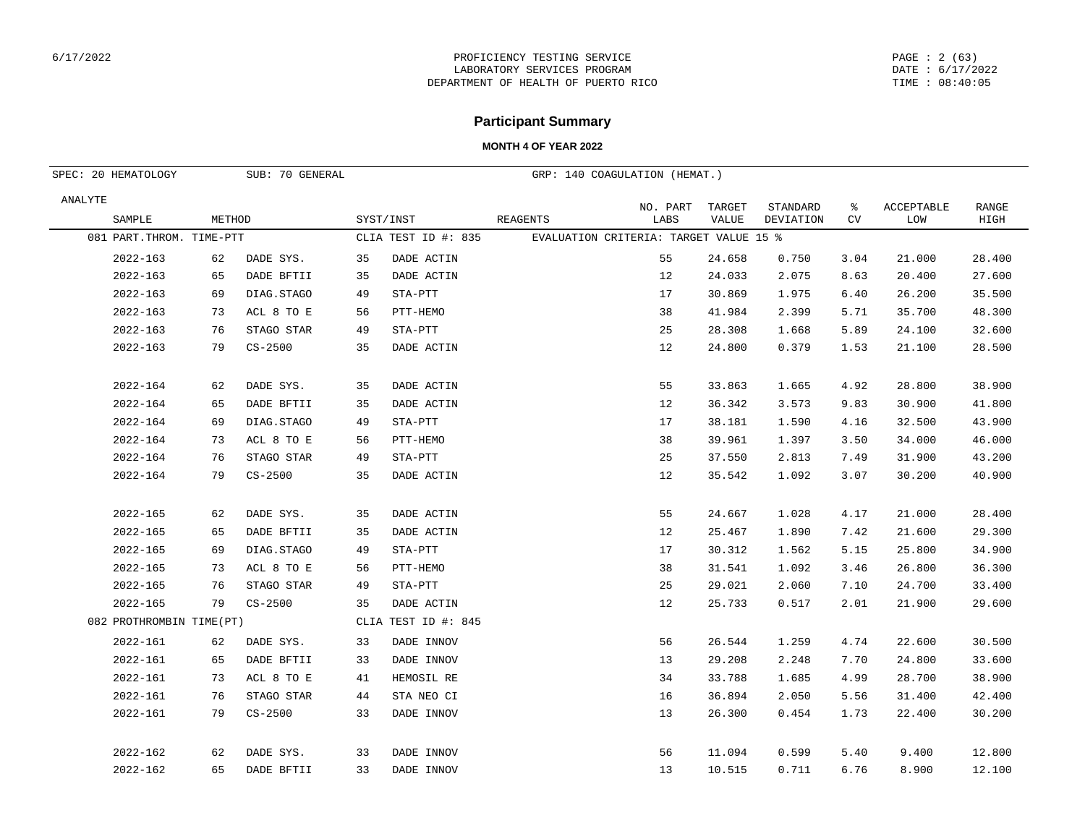## **Participant Summary**

| SPEC: 20 HEMATOLOGY<br>SUB: 70 GENERAL |        |             |    |                     |          | GRP: 140 COAGULATION (HEMAT.)          |                 |                       |          |                   |                      |
|----------------------------------------|--------|-------------|----|---------------------|----------|----------------------------------------|-----------------|-----------------------|----------|-------------------|----------------------|
| ANALYTE                                |        |             |    |                     |          |                                        |                 |                       |          |                   |                      |
| SAMPLE                                 | METHOD |             |    | SYST/INST           | REAGENTS | NO. PART<br>LABS                       | TARGET<br>VALUE | STANDARD<br>DEVIATION | ွေ<br>CV | ACCEPTABLE<br>LOW | <b>RANGE</b><br>HIGH |
| 081 PART. THROM. TIME-PTT              |        |             |    | CLIA TEST ID #: 835 |          | EVALUATION CRITERIA: TARGET VALUE 15 % |                 |                       |          |                   |                      |
| 2022-163                               | 62     | DADE SYS.   | 35 | DADE ACTIN          |          | 55                                     | 24.658          | 0.750                 | 3.04     | 21.000            | 28.400               |
| $2022 - 163$                           | 65     | DADE BFTII  | 35 | DADE ACTIN          |          | 12                                     | 24.033          | 2.075                 | 8.63     | 20.400            | 27.600               |
| $2022 - 163$                           | 69     | DIAG.STAGO  | 49 | STA-PTT             |          | 17                                     | 30.869          | 1.975                 | 6.40     | 26.200            | 35.500               |
| 2022-163                               | 73     | ACL 8 TO E  | 56 | PTT-HEMO            |          | 38                                     | 41.984          | 2.399                 | 5.71     | 35.700            | 48.300               |
| 2022-163                               | 76     | STAGO STAR  | 49 | STA-PTT             |          | 25                                     | 28.308          | 1.668                 | 5.89     | 24.100            | 32.600               |
| 2022-163                               | 79     | $CS-2500$   | 35 | DADE ACTIN          |          | 12                                     | 24.800          | 0.379                 | 1.53     | 21.100            | 28.500               |
|                                        |        |             |    |                     |          |                                        |                 |                       |          |                   |                      |
| 2022-164                               | 62     | DADE SYS.   | 35 | DADE ACTIN          |          | 55                                     | 33.863          | 1.665                 | 4.92     | 28.800            | 38.900               |
| 2022-164                               | 65     | DADE BFTII  | 35 | DADE ACTIN          |          | 12                                     | 36.342          | 3.573                 | 9.83     | 30.900            | 41.800               |
| 2022-164                               | 69     | DIAG.STAGO  | 49 | STA-PTT             |          | 17                                     | 38.181          | 1.590                 | 4.16     | 32.500            | 43.900               |
| 2022-164                               | 73     | ACL 8 TO E  | 56 | PTT-HEMO            |          | 38                                     | 39.961          | 1.397                 | 3.50     | 34.000            | 46.000               |
| 2022-164                               | 76     | STAGO STAR  | 49 | STA-PTT             |          | 25                                     | 37.550          | 2.813                 | 7.49     | 31.900            | 43.200               |
| 2022-164                               | 79     | $CS - 2500$ | 35 | DADE ACTIN          |          | 12                                     | 35.542          | 1.092                 | 3.07     | 30.200            | 40.900               |
|                                        |        |             |    |                     |          |                                        |                 |                       |          |                   |                      |
| 2022-165                               | 62     | DADE SYS.   | 35 | DADE ACTIN          |          | 55                                     | 24.667          | 1.028                 | 4.17     | 21.000            | 28.400               |
| 2022-165                               | 65     | DADE BFTII  | 35 | DADE ACTIN          |          | 12                                     | 25.467          | 1.890                 | 7.42     | 21.600            | 29.300               |
| 2022-165                               | 69     | DIAG.STAGO  | 49 | STA-PTT             |          | 17                                     | 30.312          | 1.562                 | 5.15     | 25.800            | 34.900               |
| 2022-165                               | 73     | ACL 8 TO E  | 56 | PTT-HEMO            |          | 38                                     | 31.541          | 1.092                 | 3.46     | 26.800            | 36.300               |
| 2022-165                               | 76     | STAGO STAR  | 49 | STA-PTT             |          | 25                                     | 29.021          | 2.060                 | 7.10     | 24.700            | 33.400               |
| 2022-165                               | 79     | $CS - 2500$ | 35 | DADE ACTIN          |          | 12                                     | 25.733          | 0.517                 | 2.01     | 21.900            | 29.600               |
| 082 PROTHROMBIN TIME(PT)               |        |             |    | CLIA TEST ID #: 845 |          |                                        |                 |                       |          |                   |                      |
| 2022-161                               | 62     | DADE SYS.   | 33 | DADE INNOV          |          | 56                                     | 26.544          | 1.259                 | 4.74     | 22.600            | 30.500               |
| 2022-161                               | 65     | DADE BFTII  | 33 | DADE INNOV          |          | 13                                     | 29.208          | 2.248                 | 7.70     | 24.800            | 33.600               |
| 2022-161                               | 73     | ACL 8 TO E  | 41 | HEMOSIL RE          |          | 34                                     | 33.788          | 1.685                 | 4.99     | 28.700            | 38.900               |
| 2022-161                               | 76     | STAGO STAR  | 44 | STA NEO CI          |          | 16                                     | 36.894          | 2.050                 | 5.56     | 31.400            | 42.400               |
| 2022-161                               | 79     | $CS - 2500$ | 33 | DADE INNOV          |          | 13                                     | 26.300          | 0.454                 | 1.73     | 22.400            | 30.200               |
|                                        |        |             |    |                     |          |                                        |                 |                       |          |                   |                      |
| 2022-162                               | 62     | DADE SYS.   | 33 | DADE INNOV          |          | 56                                     | 11.094          | 0.599                 | 5.40     | 9.400             | 12.800               |
| $2022 - 162$                           | 65     | DADE BFTII  | 33 | DADE INNOV          |          | 13                                     | 10.515          | 0.711                 | 6.76     | 8.900             | 12.100               |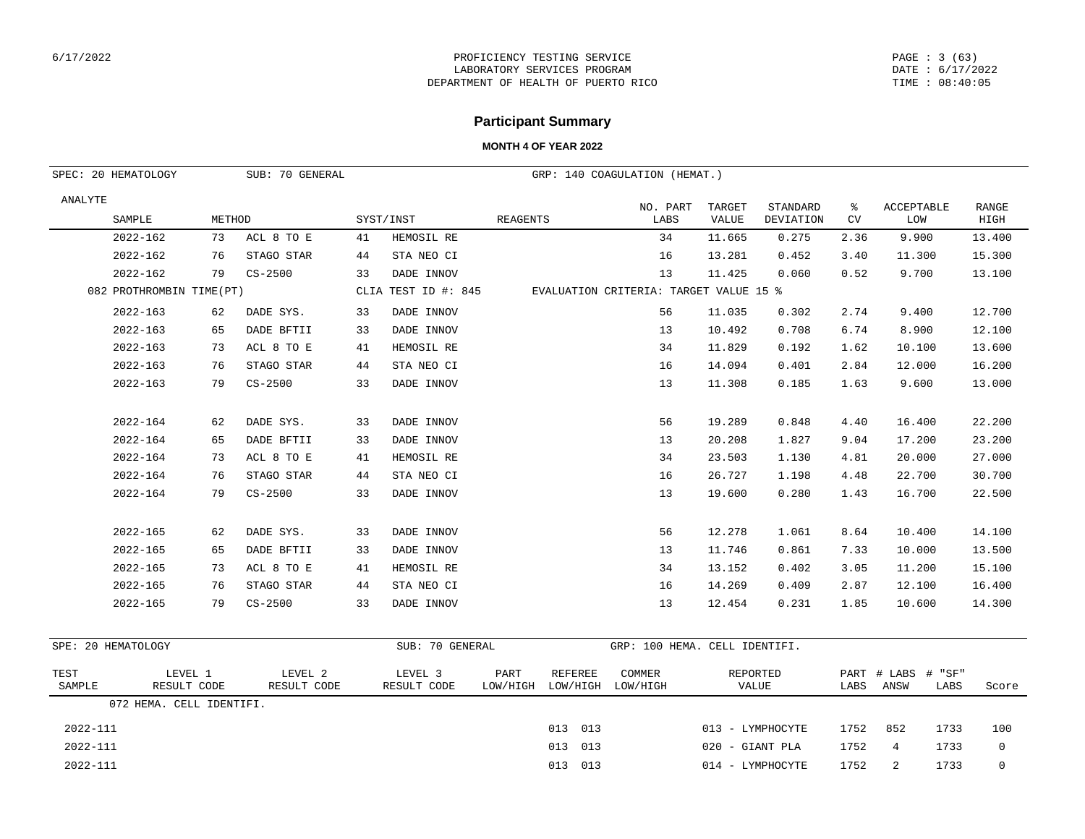#### PAGE : 3 (63) DATE : 6/17/2022 TIME : 08:40:05

## **Participant Summary**

| SPEC: 20 HEMATOLOGY |                          |        | SUB: 70 GENERAL        |    |                        |                  |                            | GRP: 140 COAGULATION (HEMAT.)          |                 |                       |         |                                       |                      |
|---------------------|--------------------------|--------|------------------------|----|------------------------|------------------|----------------------------|----------------------------------------|-----------------|-----------------------|---------|---------------------------------------|----------------------|
| ANALYTE             | SAMPLE                   | METHOD |                        |    | SYST/INST              | <b>REAGENTS</b>  |                            | NO. PART<br>LABS                       | TARGET<br>VALUE | STANDARD<br>DEVIATION | ႜ<br>CV | ACCEPTABLE<br>LOW                     | <b>RANGE</b><br>HIGH |
|                     | 2022-162                 | 73     | ACL 8 TO E             | 41 | HEMOSIL RE             |                  |                            | 34                                     | 11.665          | 0.275                 | 2.36    | 9.900                                 | 13.400               |
|                     | $2022 - 162$             | 76     | STAGO STAR             | 44 | STA NEO CI             |                  |                            | 16                                     | 13.281          | 0.452                 | 3.40    | 11.300                                | 15.300               |
|                     | 2022-162                 | 79     | $CS - 2500$            | 33 | DADE INNOV             |                  |                            | 13                                     | 11.425          | 0.060                 | 0.52    | 9.700                                 | 13.100               |
|                     | 082 PROTHROMBIN TIME(PT) |        |                        |    | CLIA TEST ID #: 845    |                  |                            | EVALUATION CRITERIA: TARGET VALUE 15 % |                 |                       |         |                                       |                      |
|                     | 2022-163                 | 62     | DADE SYS.              | 33 | DADE INNOV             |                  |                            | 56                                     | 11.035          | 0.302                 | 2.74    | 9.400                                 | 12.700               |
|                     | $2022 - 163$             | 65     | DADE BFTII             | 33 | DADE INNOV             |                  |                            | 13                                     | 10.492          | 0.708                 | 6.74    | 8.900                                 | 12.100               |
|                     | $2022 - 163$             | 73     | ACL 8 TO E             | 41 | HEMOSIL RE             |                  |                            | 34                                     | 11.829          | 0.192                 | 1.62    | 10.100                                | 13.600               |
|                     | $2022 - 163$             | 76     | STAGO STAR             | 44 | STA NEO CI             |                  |                            | 16                                     | 14.094          | 0.401                 | 2.84    | 12.000                                | 16.200               |
|                     | $2022 - 163$             | 79     | $CS - 2500$            | 33 | DADE INNOV             |                  |                            | 13                                     | 11.308          | 0.185                 | 1.63    | 9.600                                 | 13.000               |
|                     | 2022-164                 | 62     | DADE SYS.              | 33 | DADE INNOV             |                  |                            | 56                                     | 19.289          | 0.848                 | 4.40    | 16.400                                | 22.200               |
|                     | $2022 - 164$             | 65     | DADE BFTII             | 33 | DADE INNOV             |                  |                            | 13                                     | 20.208          | 1.827                 | 9.04    | 17.200                                | 23.200               |
|                     | $2022 - 164$             | 73     | ACL 8 TO E             | 41 | HEMOSIL RE             |                  |                            | 34                                     | 23.503          | 1.130                 | 4.81    | 20.000                                | 27.000               |
|                     | $2022 - 164$             | 76     | STAGO STAR             | 44 | STA NEO CI             |                  |                            | 16                                     | 26.727          | 1.198                 | 4.48    | 22.700                                | 30.700               |
|                     | 2022-164                 | 79     | $CS - 2500$            | 33 | DADE INNOV             |                  |                            | 13                                     | 19.600          | 0.280                 | 1.43    | 16.700                                | 22.500               |
|                     | 2022-165                 | 62     | DADE SYS.              | 33 | DADE INNOV             |                  |                            | 56                                     | 12.278          | 1.061                 | 8.64    | 10.400                                | 14.100               |
|                     | 2022-165                 | 65     | DADE BFTII             | 33 | DADE INNOV             |                  |                            | 13                                     | 11.746          | 0.861                 | 7.33    | 10.000                                | 13.500               |
|                     | 2022-165                 | 73     | ACL 8 TO E             | 41 | HEMOSIL RE             |                  |                            | 34                                     | 13.152          | 0.402                 | 3.05    | 11.200                                | 15.100               |
|                     | 2022-165                 | 76     | STAGO STAR             | 44 | STA NEO CI             |                  |                            | 16                                     | 14.269          | 0.409                 | 2.87    | 12.100                                | 16.400               |
|                     | 2022-165                 | 79     | $CS - 2500$            | 33 | DADE INNOV             |                  |                            | 13                                     | 12.454          | 0.231                 | 1.85    | 10.600                                | 14.300               |
| SPE: 20 HEMATOLOGY  |                          |        |                        |    | SUB: 70 GENERAL        |                  |                            | GRP: 100 HEMA. CELL IDENTIFI.          |                 |                       |         |                                       |                      |
| TEST<br>SAMPLE      | LEVEL 1<br>RESULT CODE   |        | LEVEL 2<br>RESULT CODE |    | LEVEL 3<br>RESULT CODE | PART<br>LOW/HIGH | <b>REFEREE</b><br>LOW/HIGH | COMMER<br>LOW/HIGH                     | VALUE           | REPORTED              | LABS    | PART # LABS<br># "SF"<br>ANSW<br>LABS | Score                |
|                     | 072 HEMA. CELL IDENTIFI. |        |                        |    |                        |                  |                            |                                        |                 |                       |         |                                       |                      |
| 2022-111            |                          |        |                        |    |                        |                  | 013 013                    |                                        |                 | 013 - LYMPHOCYTE      | 1752    | 852<br>1733                           | 100                  |
| 2022-111            |                          |        |                        |    |                        |                  | 013<br>013                 |                                        | 020 - GIANT PLA |                       | 1752    | 4<br>1733                             | $\mathbf 0$          |
| 2022-111            |                          |        |                        |    |                        |                  | 013 013                    |                                        |                 | 014 - LYMPHOCYTE      | 1752    | 2<br>1733                             | $\mathbf 0$          |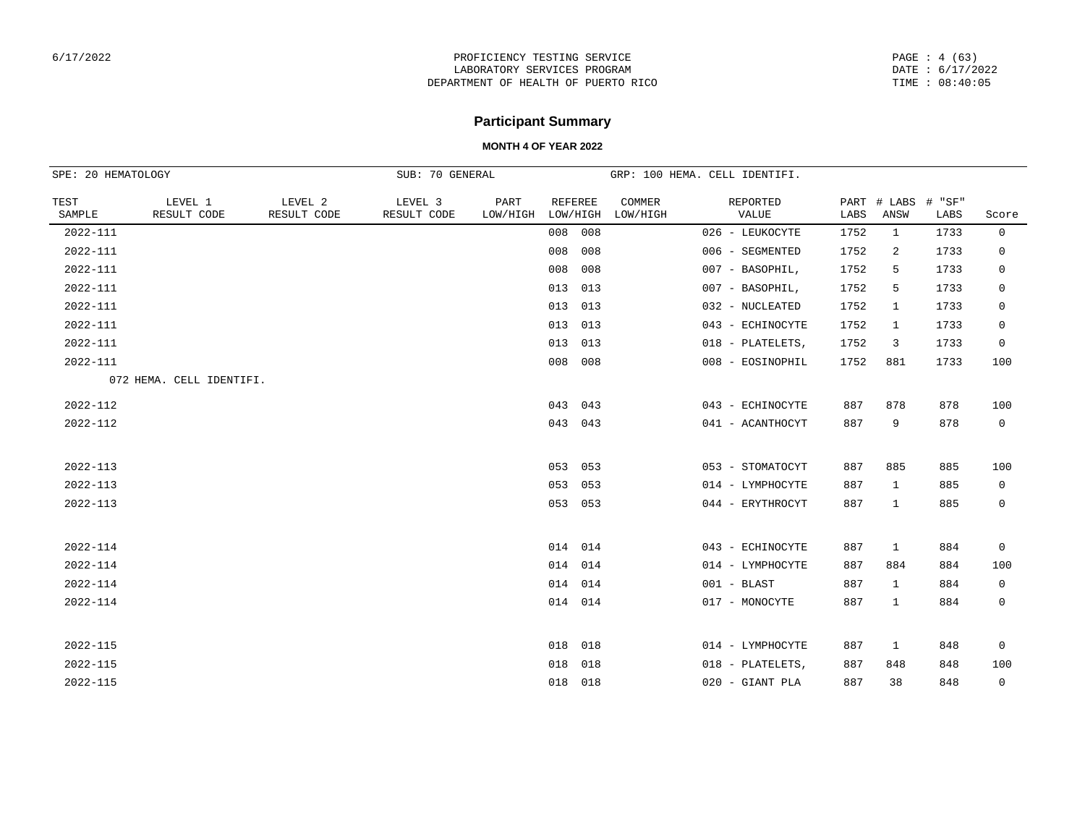PAGE : 4 (63) DATE : 6/17/2022 TIME : 08:40:05

# **Participant Summary**

|                | SPE: 20 HEMATOLOGY<br>SUB: 70 GENERAL<br>GRP: 100 HEMA. CELL IDENTIFI. |                        |                        |                  |                            |                    |                      |      |                     |                |             |
|----------------|------------------------------------------------------------------------|------------------------|------------------------|------------------|----------------------------|--------------------|----------------------|------|---------------------|----------------|-------------|
| TEST<br>SAMPLE | LEVEL 1<br>RESULT CODE                                                 | LEVEL 2<br>RESULT CODE | LEVEL 3<br>RESULT CODE | PART<br>LOW/HIGH | <b>REFEREE</b><br>LOW/HIGH | COMMER<br>LOW/HIGH | REPORTED<br>VALUE    | LABS | PART # LABS<br>ANSW | # "SF"<br>LABS | Score       |
| 2022-111       |                                                                        |                        |                        |                  | 008 008                    |                    | 026 - LEUKOCYTE      | 1752 | $\mathbf{1}$        | 1733           | $\mathbf 0$ |
| 2022-111       |                                                                        |                        |                        |                  | 008<br>008                 |                    | 006 - SEGMENTED      | 1752 | 2                   | 1733           | 0           |
| 2022-111       |                                                                        |                        |                        |                  | 008<br>008                 |                    | 007 - BASOPHIL,      | 1752 | 5                   | 1733           | 0           |
| 2022-111       |                                                                        |                        |                        |                  | 013<br>013                 |                    | 007 - BASOPHIL,      | 1752 | 5                   | 1733           | 0           |
| 2022-111       |                                                                        |                        |                        |                  | 013<br>013                 |                    | 032 - NUCLEATED      | 1752 | 1                   | 1733           | 0           |
| 2022-111       |                                                                        |                        |                        |                  | 013<br>013                 |                    | 043 - ECHINOCYTE     | 1752 | $\mathbf{1}$        | 1733           | 0           |
| 2022-111       |                                                                        |                        |                        |                  | 013<br>013                 |                    | 018 - PLATELETS,     | 1752 | 3                   | 1733           | $\mathbf 0$ |
| 2022-111       |                                                                        |                        |                        |                  | 008<br>008                 |                    | 008 - EOSINOPHIL     | 1752 | 881                 | 1733           | 100         |
|                | 072 HEMA. CELL IDENTIFI.                                               |                        |                        |                  |                            |                    |                      |      |                     |                |             |
| 2022-112       |                                                                        |                        |                        |                  | 043<br>043                 |                    | 043 - ECHINOCYTE     | 887  | 878                 | 878            | 100         |
| 2022-112       |                                                                        |                        |                        |                  | 043 043                    |                    | 041 - ACANTHOCYT     | 887  | 9                   | 878            | $\mathbf 0$ |
|                |                                                                        |                        |                        |                  |                            |                    |                      |      |                     |                |             |
| $2022 - 113$   |                                                                        |                        |                        |                  | 053 053                    |                    | 053 - STOMATOCYT     | 887  | 885                 | 885            | 100         |
| $2022 - 113$   |                                                                        |                        |                        |                  | 053<br>053                 |                    | 014 - LYMPHOCYTE     | 887  | $\mathbf{1}$        | 885            | 0           |
| $2022 - 113$   |                                                                        |                        |                        |                  | 053<br>053                 |                    | 044 - ERYTHROCYT     | 887  | $\mathbf{1}$        | 885            | $\mathbf 0$ |
|                |                                                                        |                        |                        |                  |                            |                    |                      |      |                     |                |             |
| 2022-114       |                                                                        |                        |                        |                  | 014 014                    |                    | 043 - ECHINOCYTE     | 887  | $\mathbf{1}$        | 884            | $\mathbf 0$ |
| 2022-114       |                                                                        |                        |                        |                  | 014<br>014                 |                    | 014 - LYMPHOCYTE     | 887  | 884                 | 884            | 100         |
| 2022-114       |                                                                        |                        |                        |                  | 014 014                    |                    | $001 - \text{BLAST}$ | 887  | $\mathbf{1}$        | 884            | $\mathbf 0$ |
| 2022-114       |                                                                        |                        |                        |                  | 014 014                    |                    | 017 - MONOCYTE       | 887  | $\mathbf{1}$        | 884            | 0           |
|                |                                                                        |                        |                        |                  |                            |                    |                      |      |                     |                |             |
| $2022 - 115$   |                                                                        |                        |                        |                  | 018<br>018                 |                    | 014 - LYMPHOCYTE     | 887  | $\mathbf{1}$        | 848            | $\mathbf 0$ |
| 2022-115       |                                                                        |                        |                        |                  | 018<br>018                 |                    | 018 - PLATELETS,     | 887  | 848                 | 848            | 100         |
| $2022 - 115$   |                                                                        |                        |                        |                  | 018 018                    |                    | 020 - GIANT PLA      | 887  | 38                  | 848            | 0           |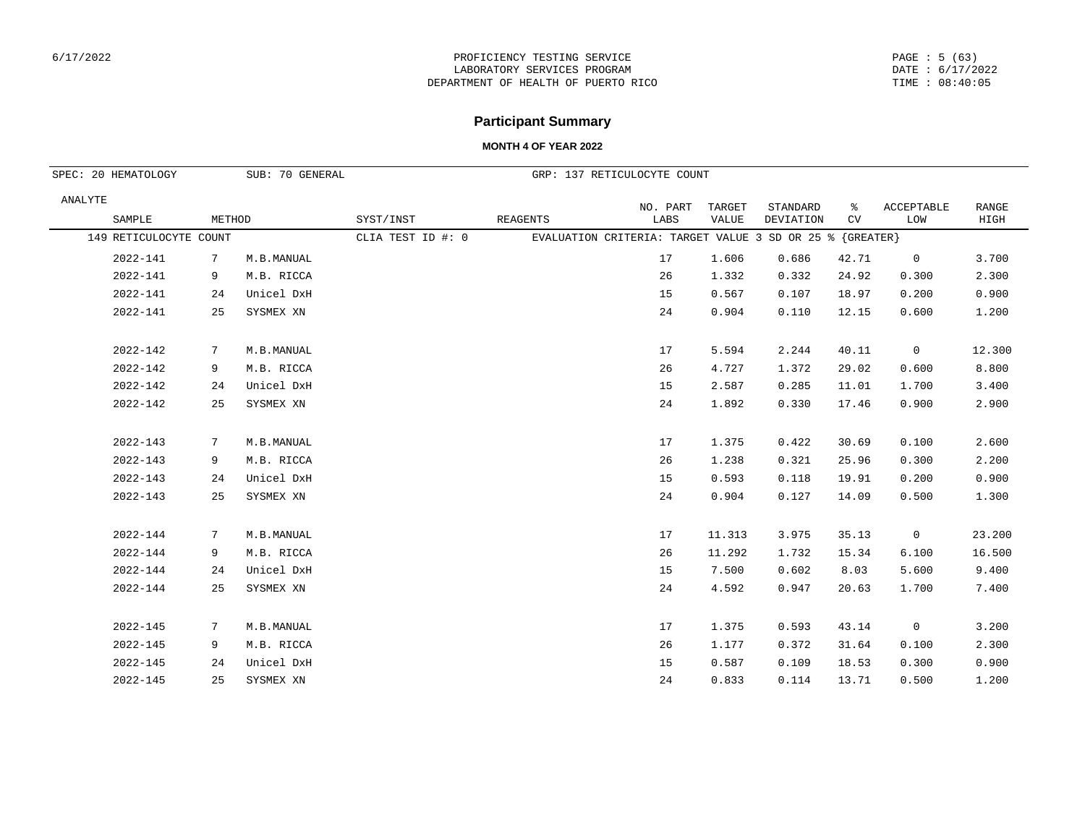#### PAGE : 5 (63) DATE : 6/17/2022 TIME : 08:40:05

# **Participant Summary**

|         | SPEC: 20 HEMATOLOGY    |        | SUB: 70 GENERAL |                   |                 | GRP: 137 RETICULOCYTE COUNT                              |                 |                       |         |                   |               |
|---------|------------------------|--------|-----------------|-------------------|-----------------|----------------------------------------------------------|-----------------|-----------------------|---------|-------------------|---------------|
| ANALYTE | SAMPLE                 | METHOD |                 | SYST/INST         | <b>REAGENTS</b> | NO. PART<br>LABS                                         | TARGET<br>VALUE | STANDARD<br>DEVIATION | ႜ<br>CV | ACCEPTABLE<br>LOW | RANGE<br>HIGH |
|         | 149 RETICULOCYTE COUNT |        |                 | CLIA TEST ID #: 0 |                 | EVALUATION CRITERIA: TARGET VALUE 3 SD OR 25 % {GREATER} |                 |                       |         |                   |               |
|         | 2022-141               | 7      | M.B.MANUAL      |                   |                 | 17                                                       | 1.606           | 0.686                 | 42.71   | $\mathsf{O}$      | 3.700         |
|         | 2022-141               | 9      | M.B. RICCA      |                   |                 | 26                                                       | 1.332           | 0.332                 | 24.92   | 0.300             | 2.300         |
|         | 2022-141               | 24     | Unicel DxH      |                   |                 | 15                                                       | 0.567           | 0.107                 | 18.97   | 0.200             | 0.900         |
|         | 2022-141               | 25     | SYSMEX XN       |                   |                 | 24                                                       | 0.904           | 0.110                 | 12.15   | 0.600             | 1,200         |
|         | 2022-142               | 7      | M.B.MANUAL      |                   |                 | 17                                                       | 5.594           | 2.244                 | 40.11   | $\overline{0}$    | 12.300        |
|         | 2022-142               | 9      | M.B. RICCA      |                   |                 | 26                                                       | 4.727           | 1.372                 | 29.02   | 0.600             | 8.800         |
|         | 2022-142               | 24     | Unicel DxH      |                   |                 | 15                                                       | 2.587           | 0.285                 | 11.01   | 1.700             | 3.400         |
|         | 2022-142               | 25     | SYSMEX XN       |                   |                 | 24                                                       | 1.892           | 0.330                 | 17.46   | 0.900             | 2.900         |
|         | 2022-143               | 7      | M.B.MANUAL      |                   |                 | 17                                                       | 1.375           | 0.422                 | 30.69   | 0.100             | 2.600         |
|         | 2022-143               | 9      | M.B. RICCA      |                   |                 | 26                                                       | 1.238           | 0.321                 | 25.96   | 0.300             | 2.200         |
|         | 2022-143               | 24     | Unicel DxH      |                   |                 | 15                                                       | 0.593           | 0.118                 | 19.91   | 0.200             | 0.900         |
|         | 2022-143               | 25     | SYSMEX XN       |                   |                 | 24                                                       | 0.904           | 0.127                 | 14.09   | 0.500             | 1.300         |
|         | 2022-144               | 7      | M.B.MANUAL      |                   |                 | 17                                                       | 11.313          | 3.975                 | 35.13   | $\overline{0}$    | 23.200        |
|         | 2022-144               | 9      | M.B. RICCA      |                   |                 | 26                                                       | 11.292          | 1.732                 | 15.34   | 6.100             | 16.500        |
|         | 2022-144               | 24     | Unicel DxH      |                   |                 | 15                                                       | 7.500           | 0.602                 | 8.03    | 5.600             | 9.400         |
|         | 2022-144               | 25     | SYSMEX XN       |                   |                 | 24                                                       | 4.592           | 0.947                 | 20.63   | 1.700             | 7.400         |
|         | 2022-145               | 7      | M.B.MANUAL      |                   |                 | 17                                                       | 1.375           | 0.593                 | 43.14   | $\overline{0}$    | 3.200         |
|         | 2022-145               | 9      | M.B. RICCA      |                   |                 | 26                                                       | 1.177           | 0.372                 | 31.64   | 0.100             | 2.300         |
|         | 2022-145               | 24     | Unicel DxH      |                   |                 | 15                                                       | 0.587           | 0.109                 | 18.53   | 0.300             | 0.900         |
|         | 2022-145               | 25     | SYSMEX XN       |                   |                 | 24                                                       | 0.833           | 0.114                 | 13.71   | 0.500             | 1.200         |
|         |                        |        |                 |                   |                 |                                                          |                 |                       |         |                   |               |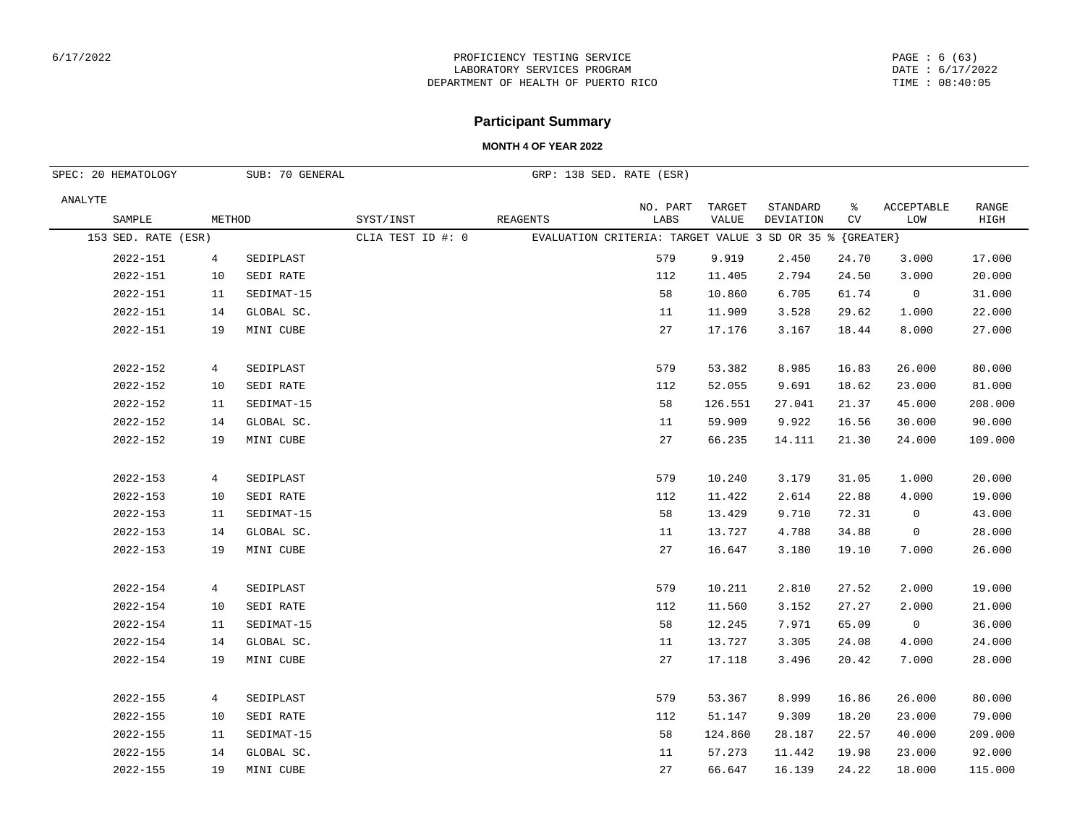#### PAGE : 6 (63) DATE : 6/17/2022 TIME : 08:40:05

# **Participant Summary**

| SPEC: 20 HEMATOLOGY |                | SUB: 70 GENERAL |                   |                 | GRP: 138 SED. RATE (ESR)                                 |         |           |       |                |         |
|---------------------|----------------|-----------------|-------------------|-----------------|----------------------------------------------------------|---------|-----------|-------|----------------|---------|
| ANALYTE             |                |                 |                   |                 | NO. PART                                                 | TARGET  | STANDARD  | ႜ     | ACCEPTABLE     | RANGE   |
| SAMPLE              | METHOD         |                 | SYST/INST         | <b>REAGENTS</b> | LABS                                                     | VALUE   | DEVIATION | CV    | LOW            | HIGH    |
| 153 SED. RATE (ESR) |                |                 | CLIA TEST ID #: 0 |                 | EVALUATION CRITERIA: TARGET VALUE 3 SD OR 35 % {GREATER} |         |           |       |                |         |
| 2022-151            | $\overline{4}$ | SEDIPLAST       |                   |                 | 579                                                      | 9.919   | 2.450     | 24.70 | 3.000          | 17.000  |
| 2022-151            | 10             | SEDI RATE       |                   |                 | 112                                                      | 11.405  | 2.794     | 24.50 | 3.000          | 20.000  |
| 2022-151            | 11             | SEDIMAT-15      |                   |                 | 58                                                       | 10.860  | 6.705     | 61.74 | $\mathsf{O}$   | 31.000  |
| 2022-151            | 14             | GLOBAL SC.      |                   |                 | 11                                                       | 11.909  | 3.528     | 29.62 | 1.000          | 22.000  |
| 2022-151            | 19             | MINI CUBE       |                   |                 | 27                                                       | 17.176  | 3.167     | 18.44 | 8.000          | 27.000  |
| 2022-152            | $\overline{4}$ | SEDIPLAST       |                   |                 | 579                                                      | 53.382  | 8.985     | 16.83 | 26.000         | 80.000  |
| 2022-152            | 10             | SEDI RATE       |                   |                 | 112                                                      | 52.055  | 9.691     | 18.62 | 23.000         | 81.000  |
| 2022-152            | 11             | SEDIMAT-15      |                   |                 | 58                                                       | 126.551 | 27.041    | 21.37 | 45.000         | 208.000 |
| 2022-152            | 14             | GLOBAL SC.      |                   |                 | 11                                                       | 59.909  | 9.922     | 16.56 | 30.000         | 90.000  |
| 2022-152            | 19             | MINI CUBE       |                   |                 | 27                                                       | 66.235  | 14.111    | 21.30 | 24.000         | 109.000 |
| 2022-153            | $\overline{4}$ | SEDIPLAST       |                   |                 | 579                                                      | 10.240  | 3.179     | 31.05 | 1.000          | 20.000  |
| 2022-153            | 10             | SEDI RATE       |                   |                 | 112                                                      | 11.422  | 2.614     | 22.88 | 4.000          | 19.000  |
| 2022-153            | 11             | SEDIMAT-15      |                   |                 | 58                                                       | 13.429  | 9.710     | 72.31 | $\mathbf 0$    | 43.000  |
| 2022-153            | 14             | GLOBAL SC.      |                   |                 | 11                                                       | 13.727  | 4.788     | 34.88 | $\overline{0}$ | 28.000  |
| 2022-153            | 19             | MINI CUBE       |                   |                 | 27                                                       | 16.647  | 3.180     | 19.10 | 7.000          | 26.000  |
| 2022-154            | $\overline{4}$ | SEDIPLAST       |                   |                 | 579                                                      | 10.211  | 2.810     | 27.52 | 2.000          | 19.000  |
| 2022-154            | 10             | SEDI RATE       |                   |                 | 112                                                      | 11.560  | 3.152     | 27.27 | 2.000          | 21.000  |
| 2022-154            | 11             | SEDIMAT-15      |                   |                 | 58                                                       | 12.245  | 7.971     | 65.09 | $\overline{0}$ | 36.000  |
| 2022-154            | 14             | GLOBAL SC.      |                   |                 | 11                                                       | 13.727  | 3.305     | 24.08 | 4.000          | 24.000  |
| 2022-154            | 19             | MINI CUBE       |                   |                 | 27                                                       | 17.118  | 3.496     | 20.42 | 7.000          | 28.000  |
| 2022-155            | $\overline{4}$ | SEDIPLAST       |                   |                 | 579                                                      | 53.367  | 8.999     | 16.86 | 26.000         | 80.000  |
| 2022-155            | 10             | SEDI RATE       |                   |                 | 112                                                      | 51.147  | 9.309     | 18.20 | 23.000         | 79.000  |
| 2022-155            | 11             | SEDIMAT-15      |                   |                 | 58                                                       | 124.860 | 28.187    | 22.57 | 40.000         | 209.000 |
| 2022-155            | 14             | GLOBAL SC.      |                   |                 | 11                                                       | 57.273  | 11.442    | 19.98 | 23.000         | 92.000  |
| 2022-155            | 19             | MINI CUBE       |                   |                 | 27                                                       | 66.647  | 16.139    | 24.22 | 18.000         | 115.000 |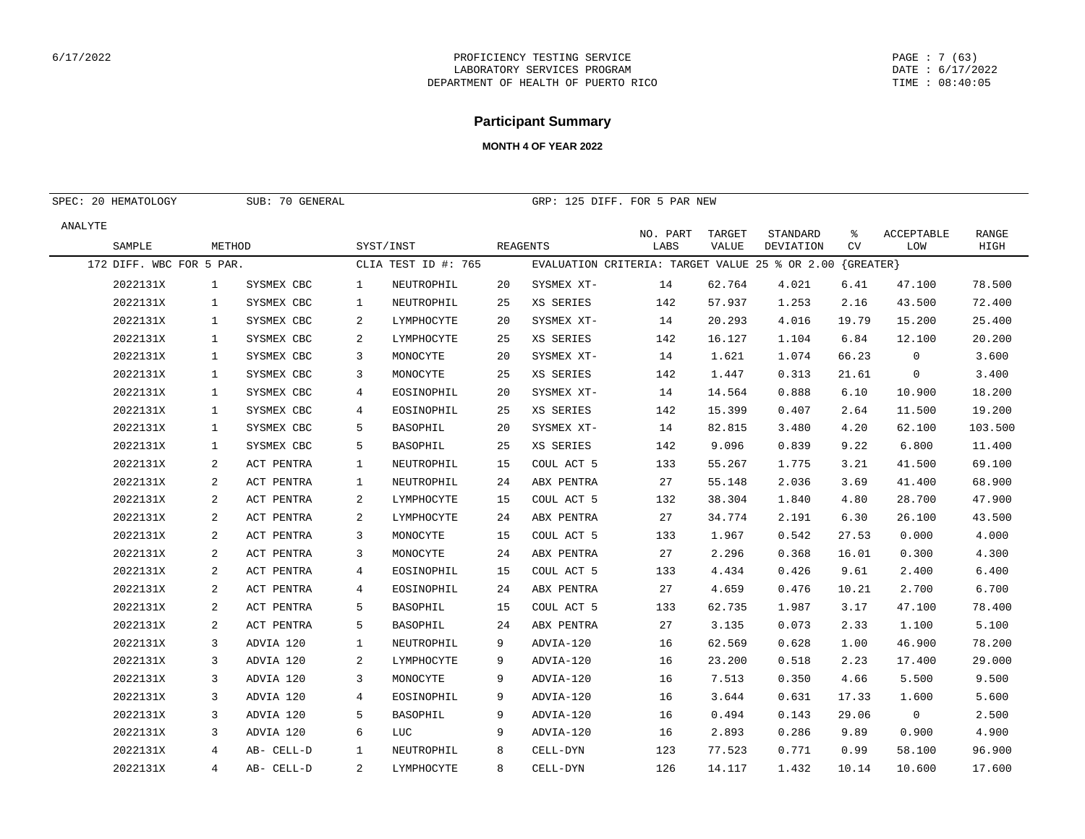## **Participant Summary**

| SPEC: 20 HEMATOLOGY      |              | SUB: 70 GENERAL |                |                     |    | GRP: 125 DIFF. FOR 5 PAR NEW                   |                  |                        |                       |                   |                   |               |
|--------------------------|--------------|-----------------|----------------|---------------------|----|------------------------------------------------|------------------|------------------------|-----------------------|-------------------|-------------------|---------------|
| ANALYTE<br>SAMPLE        | METHOD       |                 |                | SYST/INST           |    | <b>REAGENTS</b>                                | NO. PART<br>LABS | TARGET<br><b>VALUE</b> | STANDARD<br>DEVIATION | နွ<br>CV          | ACCEPTABLE<br>LOW | RANGE<br>HIGH |
| 172 DIFF. WBC FOR 5 PAR. |              |                 |                | CLIA TEST ID #: 765 |    | EVALUATION CRITERIA: TARGET VALUE 25 % OR 2.00 |                  |                        |                       | $\{$ GREATER $\}$ |                   |               |
| 2022131X                 | 1            | SYSMEX CBC      | 1              | NEUTROPHIL          | 20 | SYSMEX XT-                                     | 14               | 62.764                 | 4.021                 | 6.41              | 47.100            | 78.500        |
| 2022131X                 | $\mathbf{1}$ | SYSMEX CBC      | 1              | NEUTROPHIL          | 25 | XS SERIES                                      | 142              | 57.937                 | 1.253                 | 2.16              | 43.500            | 72.400        |
| 2022131X                 | $\mathbf{1}$ | SYSMEX CBC      | 2              | LYMPHOCYTE          | 20 | SYSMEX XT-                                     | 14               | 20.293                 | 4.016                 | 19.79             | 15.200            | 25.400        |
| 2022131X                 | $\mathbf{1}$ | SYSMEX CBC      | 2              | LYMPHOCYTE          | 25 | XS SERIES                                      | 142              | 16.127                 | 1.104                 | 6.84              | 12.100            | 20.200        |
| 2022131X                 | $\mathbf{1}$ | SYSMEX CBC      | 3              | MONOCYTE            | 20 | SYSMEX XT-                                     | 14               | 1.621                  | 1.074                 | 66.23             | 0                 | 3.600         |
| 2022131X                 | 1            | SYSMEX CBC      | 3              | MONOCYTE            | 25 | XS SERIES                                      | 142              | 1.447                  | 0.313                 | 21.61             | $\mathbf 0$       | 3.400         |
| 2022131X                 | $\mathbf{1}$ | SYSMEX CBC      | 4              | EOSINOPHIL          | 20 | SYSMEX XT-                                     | 14               | 14.564                 | 0.888                 | 6.10              | 10.900            | 18.200        |
| 2022131X                 | $\mathbf{1}$ | SYSMEX CBC      | 4              | EOSINOPHIL          | 25 | XS SERIES                                      | 142              | 15.399                 | 0.407                 | 2.64              | 11.500            | 19.200        |
| 2022131X                 | $\mathbf{1}$ | SYSMEX CBC      | 5              | <b>BASOPHIL</b>     | 20 | SYSMEX XT-                                     | 14               | 82.815                 | 3.480                 | 4.20              | 62.100            | 103.500       |
| 2022131X                 | $\mathbf{1}$ | SYSMEX CBC      | 5              | <b>BASOPHIL</b>     | 25 | XS SERIES                                      | 142              | 9.096                  | 0.839                 | 9.22              | 6.800             | 11,400        |
| 2022131X                 | 2            | ACT PENTRA      | 1              | NEUTROPHIL          | 15 | COUL ACT 5                                     | 133              | 55.267                 | 1.775                 | 3.21              | 41.500            | 69.100        |
| 2022131X                 | $\sqrt{2}$   | ACT PENTRA      | $\mathbf{1}$   | NEUTROPHIL          | 24 | ABX PENTRA                                     | 27               | 55.148                 | 2.036                 | 3.69              | 41.400            | 68.900        |
| 2022131X                 | 2            | ACT PENTRA      | 2              | LYMPHOCYTE          | 15 | COUL ACT 5                                     | 132              | 38.304                 | 1.840                 | 4.80              | 28.700            | 47.900        |
| 2022131X                 | 2            | ACT PENTRA      | 2              | LYMPHOCYTE          | 24 | ABX PENTRA                                     | 27               | 34.774                 | 2.191                 | 6.30              | 26.100            | 43.500        |
| 2022131X                 | $\sqrt{2}$   | ACT PENTRA      | 3              | MONOCYTE            | 15 | COUL ACT 5                                     | 133              | 1.967                  | 0.542                 | 27.53             | 0.000             | 4.000         |
| 2022131X                 | 2            | ACT PENTRA      | 3              | MONOCYTE            | 24 | ABX PENTRA                                     | 27               | 2.296                  | 0.368                 | 16.01             | 0.300             | 4.300         |
| 2022131X                 | $\sqrt{2}$   | ACT PENTRA      | 4              | EOSINOPHIL          | 15 | COUL ACT 5                                     | 133              | 4.434                  | 0.426                 | 9.61              | 2.400             | 6.400         |
| 2022131X                 | 2            | ACT PENTRA      | 4              | EOSINOPHIL          | 24 | ABX PENTRA                                     | 27               | 4.659                  | 0.476                 | 10.21             | 2.700             | 6.700         |
| 2022131X                 | $\sqrt{2}$   | ACT PENTRA      | 5              | <b>BASOPHIL</b>     | 15 | COUL ACT 5                                     | 133              | 62.735                 | 1.987                 | 3.17              | 47.100            | 78.400        |
| 2022131X                 | 2            | ACT PENTRA      | 5              | BASOPHIL            | 24 | ABX PENTRA                                     | 27               | 3.135                  | 0.073                 | 2.33              | 1.100             | 5.100         |
| 2022131X                 | 3            | ADVIA 120       | 1              | NEUTROPHIL          | 9  | ADVIA-120                                      | 16               | 62.569                 | 0.628                 | 1.00              | 46.900            | 78.200        |
| 2022131X                 | 3            | ADVIA 120       | 2              | LYMPHOCYTE          | 9  | ADVIA-120                                      | 16               | 23.200                 | 0.518                 | 2.23              | 17.400            | 29.000        |
| 2022131X                 | 3            | ADVIA 120       | 3              | MONOCYTE            | 9  | ADVIA-120                                      | 16               | 7.513                  | 0.350                 | 4.66              | 5.500             | 9.500         |
| 2022131X                 | 3            | ADVIA 120       | 4              | EOSINOPHIL          | 9  | ADVIA-120                                      | 16               | 3.644                  | 0.631                 | 17.33             | 1.600             | 5.600         |
| 2022131X                 | 3            | ADVIA 120       | 5              | BASOPHIL            | 9  | ADVIA-120                                      | 16               | 0.494                  | 0.143                 | 29.06             | $\mathsf{O}$      | 2.500         |
| 2022131X                 | 3            | ADVIA 120       | 6              | LUC                 | 9  | ADVIA-120                                      | 16               | 2.893                  | 0.286                 | 9.89              | 0.900             | 4.900         |
| 2022131X                 | 4            | AB- CELL-D      | $\mathbf{1}$   | NEUTROPHIL          | 8  | CELL-DYN                                       | 123              | 77.523                 | 0.771                 | 0.99              | 58.100            | 96.900        |
| 2022131X                 | 4            | AB- CELL-D      | $\overline{a}$ | LYMPHOCYTE          | 8  | CELL-DYN                                       | 126              | 14.117                 | 1.432                 | 10.14             | 10.600            | 17.600        |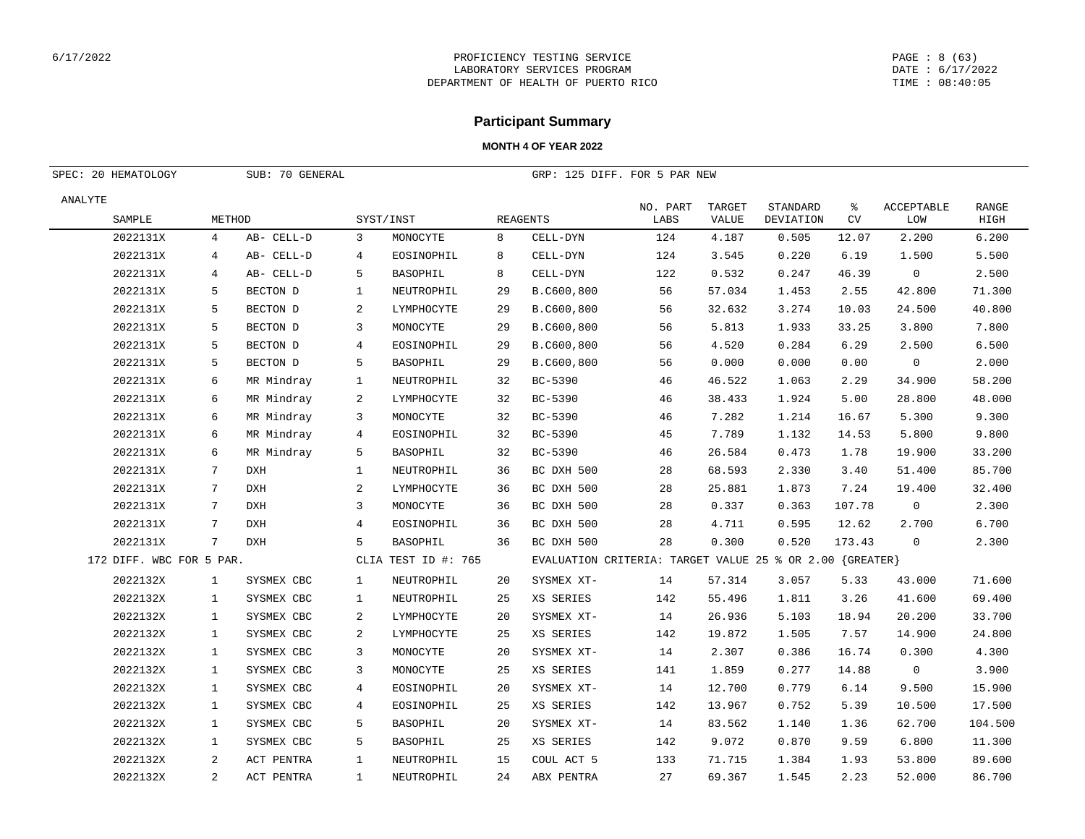#### PAGE : 8 (63) DATE : 6/17/2022 TIME : 08:40:05

## **Participant Summary**

|         | SPEC: 20 HEMATOLOGY      |                 | SUB: 70 GENERAL |                |                     |    | GRP: 125 DIFF. FOR 5 PAR NEW                             |                  |                        |                              |                |                          |               |
|---------|--------------------------|-----------------|-----------------|----------------|---------------------|----|----------------------------------------------------------|------------------|------------------------|------------------------------|----------------|--------------------------|---------------|
| ANALYTE | SAMPLE                   | METHOD          |                 |                | SYST/INST           |    | <b>REAGENTS</b>                                          | NO. PART<br>LABS | TARGET<br><b>VALUE</b> | STANDARD<br><b>DEVIATION</b> | ႜ<br><b>CV</b> | <b>ACCEPTABLE</b><br>LOW | RANGE<br>HIGH |
|         | 2022131X                 | 4               | AB- CELL-D      | 3              | MONOCYTE            | 8  | CELL-DYN                                                 | 124              | 4.187                  | 0.505                        | 12.07          | 2.200                    | 6.200         |
|         | 2022131X                 | $\overline{4}$  | AB- CELL-D      | $\overline{4}$ | EOSINOPHIL          | 8  | CELL-DYN                                                 | 124              | 3.545                  | 0.220                        | 6.19           | 1.500                    | 5.500         |
|         | 2022131X                 | 4               | AB- CELL-D      | 5              | <b>BASOPHIL</b>     | 8  | CELL-DYN                                                 | 122              | 0.532                  | 0.247                        | 46.39          | 0                        | 2.500         |
|         | 2022131X                 | 5               | BECTON D        | $\mathbf{1}$   | NEUTROPHIL          | 29 | B.C600,800                                               | 56               | 57.034                 | 1.453                        | 2.55           | 42.800                   | 71.300        |
|         | 2022131X                 | 5               | BECTON D        | 2              | LYMPHOCYTE          | 29 | B.C600,800                                               | 56               | 32.632                 | 3.274                        | 10.03          | 24.500                   | 40.800        |
|         | 2022131X                 | 5               | BECTON D        | 3              | MONOCYTE            | 29 | B.C600,800                                               | 56               | 5.813                  | 1.933                        | 33.25          | 3.800                    | 7.800         |
|         | 2022131X                 | 5               | BECTON D        | 4              | EOSINOPHIL          | 29 | B.C600,800                                               | 56               | 4.520                  | 0.284                        | 6.29           | 2.500                    | 6.500         |
|         | 2022131X                 | 5               | BECTON D        | 5              | <b>BASOPHIL</b>     | 29 | B.C600,800                                               | 56               | 0.000                  | 0.000                        | 0.00           | $\mathbf 0$              | 2.000         |
|         | 2022131X                 | 6               | MR Mindray      | $\mathbf{1}$   | NEUTROPHIL          | 32 | BC-5390                                                  | 46               | 46.522                 | 1.063                        | 2.29           | 34.900                   | 58.200        |
|         | 2022131X                 | 6               | MR Mindray      | 2              | LYMPHOCYTE          | 32 | BC-5390                                                  | 46               | 38.433                 | 1.924                        | 5.00           | 28.800                   | 48.000        |
|         | 2022131X                 | 6               | MR Mindray      | 3              | MONOCYTE            | 32 | BC-5390                                                  | 46               | 7.282                  | 1.214                        | 16.67          | 5.300                    | 9.300         |
|         | 2022131X                 | 6               | MR Mindray      | 4              | EOSINOPHIL          | 32 | BC-5390                                                  | 45               | 7.789                  | 1.132                        | 14.53          | 5.800                    | 9.800         |
|         | 2022131X                 | 6               | MR Mindray      | 5              | BASOPHIL            | 32 | BC-5390                                                  | 46               | 26.584                 | 0.473                        | 1.78           | 19.900                   | 33.200        |
|         | 2022131X                 | $7\phantom{.0}$ | DXH             | $\mathbf{1}$   | NEUTROPHIL          | 36 | BC DXH 500                                               | 28               | 68.593                 | 2.330                        | 3.40           | 51.400                   | 85.700        |
|         | 2022131X                 | 7               | <b>DXH</b>      | 2              | LYMPHOCYTE          | 36 | BC DXH 500                                               | 28               | 25.881                 | 1.873                        | 7.24           | 19.400                   | 32.400        |
|         | 2022131X                 | $7\phantom{.0}$ | DXH             | 3              | MONOCYTE            | 36 | BC DXH 500                                               | 28               | 0.337                  | 0.363                        | 107.78         | $\mathbf 0$              | 2.300         |
|         | 2022131X                 | 7               | <b>DXH</b>      | $\overline{4}$ | EOSINOPHIL          | 36 | BC DXH 500                                               | 28               | 4.711                  | 0.595                        | 12.62          | 2.700                    | 6.700         |
|         | 2022131X                 | $7\phantom{.0}$ | <b>DXH</b>      | 5              | BASOPHIL            | 36 | BC DXH 500                                               | 28               | 0.300                  | 0.520                        | 173.43         | 0                        | 2.300         |
|         | 172 DIFF. WBC FOR 5 PAR. |                 |                 |                | CLIA TEST ID #: 765 |    | EVALUATION CRITERIA: TARGET VALUE 25 % OR 2.00 {GREATER} |                  |                        |                              |                |                          |               |
|         | 2022132X                 | $\mathbf{1}$    | SYSMEX CBC      | 1              | NEUTROPHIL          | 20 | SYSMEX XT-                                               | 14               | 57.314                 | 3.057                        | 5.33           | 43.000                   | 71.600        |
|         | 2022132X                 | $\mathbf{1}$    | SYSMEX CBC      | $\mathbf{1}$   | NEUTROPHIL          | 25 | XS SERIES                                                | 142              | 55.496                 | 1.811                        | 3.26           | 41.600                   | 69.400        |
|         | 2022132X                 | $\mathbf{1}$    | SYSMEX CBC      | 2              | LYMPHOCYTE          | 20 | SYSMEX XT-                                               | 14               | 26.936                 | 5.103                        | 18.94          | 20.200                   | 33.700        |
|         | 2022132X                 | $\mathbf{1}$    | SYSMEX CBC      | $\overline{a}$ | LYMPHOCYTE          | 25 | XS SERIES                                                | 142              | 19.872                 | 1.505                        | 7.57           | 14.900                   | 24.800        |
|         | 2022132X                 | $\mathbf{1}$    | SYSMEX CBC      | 3              | MONOCYTE            | 20 | SYSMEX XT-                                               | 14               | 2.307                  | 0.386                        | 16.74          | 0.300                    | 4.300         |
|         | 2022132X                 | $\mathbf{1}$    | SYSMEX CBC      | 3              | MONOCYTE            | 25 | XS SERIES                                                | 141              | 1.859                  | 0.277                        | 14.88          | $\mathbf 0$              | 3.900         |
|         | 2022132X                 | $\mathbf{1}$    | SYSMEX CBC      | 4              | EOSINOPHIL          | 20 | SYSMEX XT-                                               | 14               | 12.700                 | 0.779                        | 6.14           | 9.500                    | 15.900        |
|         | 2022132X                 | $\mathbf{1}$    | SYSMEX CBC      | 4              | EOSINOPHIL          | 25 | XS SERIES                                                | 142              | 13.967                 | 0.752                        | 5.39           | 10.500                   | 17.500        |
|         | 2022132X                 | $\mathbf{1}$    | SYSMEX CBC      | 5              | <b>BASOPHIL</b>     | 20 | SYSMEX XT-                                               | 14               | 83.562                 | 1.140                        | 1.36           | 62.700                   | 104.500       |
|         | 2022132X                 | $\mathbf{1}$    | SYSMEX CBC      | 5              | <b>BASOPHIL</b>     | 25 | XS SERIES                                                | 142              | 9.072                  | 0.870                        | 9.59           | 6.800                    | 11.300        |
|         | 2022132X                 | 2               | ACT PENTRA      | 1              | NEUTROPHIL          | 15 | COUL ACT 5                                               | 133              | 71.715                 | 1.384                        | 1.93           | 53.800                   | 89.600        |
|         | 2022132X                 | 2               | ACT PENTRA      | $\mathbf{1}$   | NEUTROPHIL          | 24 | ABX PENTRA                                               | 27               | 69.367                 | 1.545                        | 2.23           | 52.000                   | 86.700        |
|         |                          |                 |                 |                |                     |    |                                                          |                  |                        |                              |                |                          |               |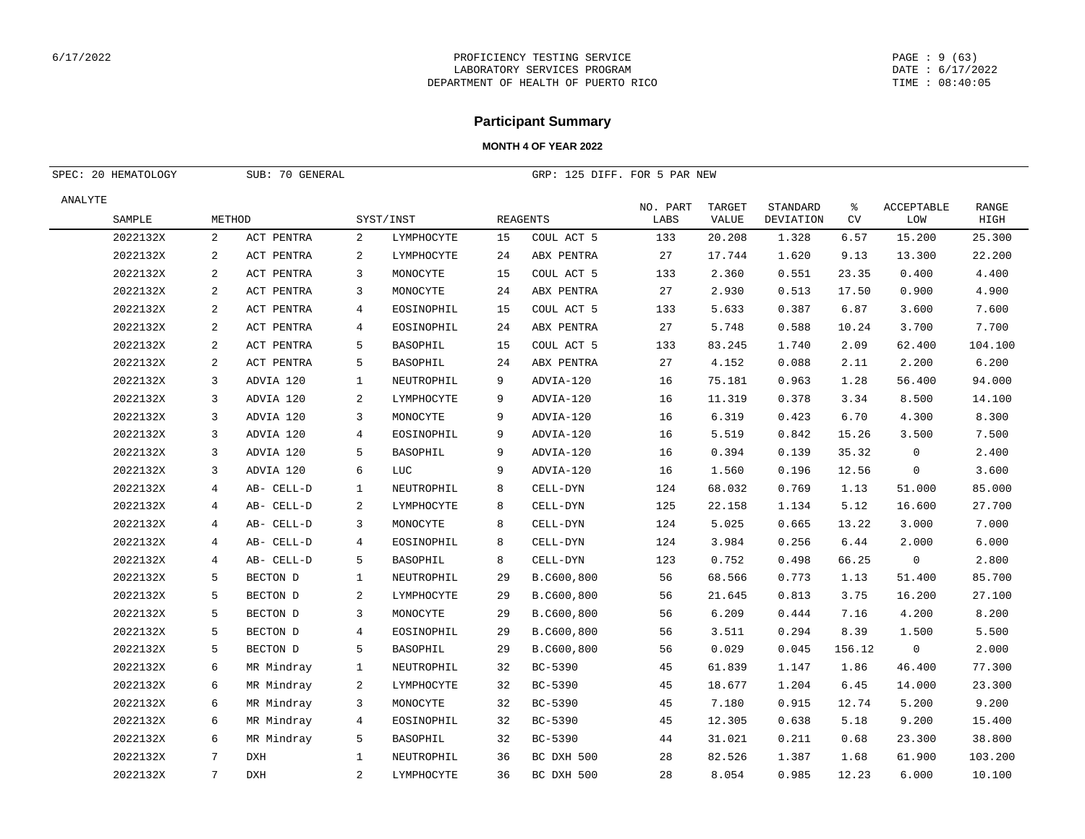#### PAGE : 9 (63) DATE : 6/17/2022 TIME : 08:40:05

## **Participant Summary**

| SPEC: 20 HEMATOLOGY |              | SUB: 70 GENERAL |                |                 |    | GRP: 125 DIFF. FOR 5 PAR NEW |                  |                 |                       |                |                          |                      |
|---------------------|--------------|-----------------|----------------|-----------------|----|------------------------------|------------------|-----------------|-----------------------|----------------|--------------------------|----------------------|
| ANALYTE             |              |                 |                |                 |    |                              |                  |                 |                       |                |                          |                      |
| SAMPLE              | METHOD       |                 |                | SYST/INST       |    | REAGENTS                     | NO. PART<br>LABS | TARGET<br>VALUE | STANDARD<br>DEVIATION | ៖<br><b>CV</b> | <b>ACCEPTABLE</b><br>LOW | <b>RANGE</b><br>HIGH |
| 2022132X            | 2            | ACT PENTRA      | 2              | LYMPHOCYTE      | 15 | COUL ACT 5                   | 133              | 20.208          | 1.328                 | 6.57           | 15.200                   | 25.300               |
| 2022132X            | $\mathbf{2}$ | ACT PENTRA      | $\mathbf{2}$   | LYMPHOCYTE      | 24 | ABX PENTRA                   | 27               | 17.744          | 1.620                 | 9.13           | 13.300                   | 22.200               |
| 2022132X            | 2            | ACT PENTRA      | 3              | MONOCYTE        | 15 | COUL ACT 5                   | 133              | 2.360           | 0.551                 | 23.35          | 0.400                    | 4.400                |
| 2022132X            | 2            | ACT PENTRA      | 3              | MONOCYTE        | 24 | ABX PENTRA                   | 27               | 2.930           | 0.513                 | 17.50          | 0.900                    | 4.900                |
| 2022132X            | 2            | ACT PENTRA      | 4              | EOSINOPHIL      | 15 | COUL ACT 5                   | 133              | 5.633           | 0.387                 | 6.87           | 3.600                    | 7.600                |
| 2022132X            | 2            | ACT PENTRA      | 4              | EOSINOPHIL      | 24 | ABX PENTRA                   | 27               | 5.748           | 0.588                 | 10.24          | 3.700                    | 7.700                |
| 2022132X            | 2            | ACT PENTRA      | 5              | BASOPHIL        | 15 | COUL ACT 5                   | 133              | 83.245          | 1.740                 | 2.09           | 62.400                   | 104.100              |
| 2022132X            | 2            | ACT PENTRA      | 5              | BASOPHIL        | 24 | ABX PENTRA                   | 27               | 4.152           | 0.088                 | 2.11           | 2.200                    | 6.200                |
| 2022132X            | 3            | ADVIA 120       | 1              | NEUTROPHIL      | 9  | ADVIA-120                    | 16               | 75.181          | 0.963                 | 1.28           | 56.400                   | 94.000               |
| 2022132X            | 3            | ADVIA 120       | $\mathbf{2}$   | LYMPHOCYTE      | 9  | ADVIA-120                    | 16               | 11.319          | 0.378                 | 3.34           | 8.500                    | 14.100               |
| 2022132X            | 3            | ADVIA 120       | 3              | MONOCYTE        | 9  | ADVIA-120                    | 16               | 6.319           | 0.423                 | 6.70           | 4.300                    | 8.300                |
| 2022132X            | 3            | ADVIA 120       | 4              | EOSINOPHIL      | 9  | ADVIA-120                    | 16               | 5.519           | 0.842                 | 15.26          | 3.500                    | 7.500                |
| 2022132X            | 3            | ADVIA 120       | 5              | BASOPHIL        | 9  | ADVIA-120                    | 16               | 0.394           | 0.139                 | 35.32          | $\mathbf 0$              | 2.400                |
| 2022132X            | 3            | ADVIA 120       | 6              | LUC             | 9  | ADVIA-120                    | 16               | 1.560           | 0.196                 | 12.56          | $\Omega$                 | 3.600                |
| 2022132X            | 4            | AB- CELL-D      | 1              | NEUTROPHIL      | 8  | CELL-DYN                     | 124              | 68.032          | 0.769                 | 1.13           | 51.000                   | 85.000               |
| 2022132X            | 4            | AB- CELL-D      | 2              | LYMPHOCYTE      | 8  | CELL-DYN                     | 125              | 22.158          | 1.134                 | 5.12           | 16.600                   | 27.700               |
| 2022132X            | 4            | AB- CELL-D      | 3              | MONOCYTE        | 8  | CELL-DYN                     | 124              | 5.025           | 0.665                 | 13.22          | 3.000                    | 7.000                |
| 2022132X            | 4            | AB- CELL-D      | 4              | EOSINOPHIL      | 8  | CELL-DYN                     | 124              | 3.984           | 0.256                 | 6.44           | 2.000                    | 6.000                |
| 2022132X            | 4            | AB- CELL-D      | 5              | BASOPHIL        | 8  | CELL-DYN                     | 123              | 0.752           | 0.498                 | 66.25          | $\mathsf 0$              | 2.800                |
| 2022132X            | 5            | BECTON D        | $\mathbf{1}$   | NEUTROPHIL      | 29 | B.C600,800                   | 56               | 68.566          | 0.773                 | 1.13           | 51.400                   | 85.700               |
| 2022132X            | 5            | BECTON D        | 2              | LYMPHOCYTE      | 29 | B.C600,800                   | 56               | 21.645          | 0.813                 | 3.75           | 16.200                   | 27.100               |
| 2022132X            | 5            | BECTON D        | 3              | MONOCYTE        | 29 | B.C600,800                   | 56               | 6.209           | 0.444                 | 7.16           | 4.200                    | 8.200                |
| 2022132X            | 5            | BECTON D        | 4              | EOSINOPHIL      | 29 | B.C600,800                   | 56               | 3.511           | 0.294                 | 8.39           | 1.500                    | 5.500                |
| 2022132X            | 5            | BECTON D        | 5              | <b>BASOPHIL</b> | 29 | B.C600,800                   | 56               | 0.029           | 0.045                 | 156.12         | $\mathsf 0$              | 2.000                |
| 2022132X            | 6            | MR Mindray      | $\mathbf{1}$   | NEUTROPHIL      | 32 | BC-5390                      | 45               | 61.839          | 1.147                 | 1.86           | 46.400                   | 77.300               |
| 2022132X            | 6            | MR Mindray      | 2              | LYMPHOCYTE      | 32 | BC-5390                      | 45               | 18.677          | 1.204                 | 6.45           | 14.000                   | 23.300               |
| 2022132X            | 6            | MR Mindray      | 3              | MONOCYTE        | 32 | BC-5390                      | 45               | 7.180           | 0.915                 | 12.74          | 5.200                    | 9.200                |
| 2022132X            | 6            | MR Mindray      | 4              | EOSINOPHIL      | 32 | BC-5390                      | 45               | 12.305          | 0.638                 | 5.18           | 9.200                    | 15.400               |
| 2022132X            | 6            | MR Mindray      | 5              | <b>BASOPHIL</b> | 32 | BC-5390                      | 44               | 31.021          | 0.211                 | 0.68           | 23.300                   | 38.800               |
| 2022132X            | 7            | <b>DXH</b>      | $\mathbf{1}$   | NEUTROPHIL      | 36 | BC DXH 500                   | 28               | 82.526          | 1.387                 | 1.68           | 61.900                   | 103.200              |
| 2022132X            | 7            | <b>DXH</b>      | $\overline{a}$ | LYMPHOCYTE      | 36 | BC DXH 500                   | 28               | 8.054           | 0.985                 | 12.23          | 6.000                    | 10.100               |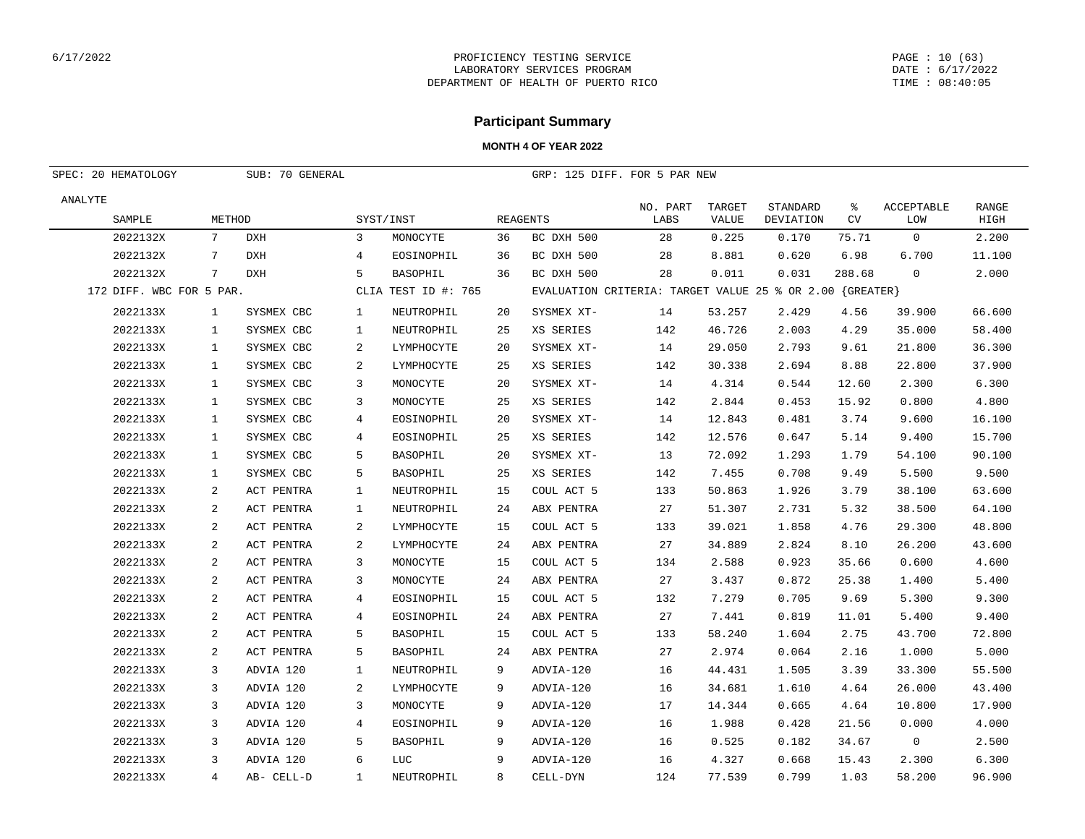#### PAGE : 10 (63) DATE : 6/17/2022 TIME : 08:40:05

## **Participant Summary**

| SPEC: 20 HEMATOLOGY      | SUB: 70 GENERAL |            |                |                     | GRP: 125 DIFF. FOR 5 PAR NEW |                                                          |                  |                 |                       |                |                          |                      |
|--------------------------|-----------------|------------|----------------|---------------------|------------------------------|----------------------------------------------------------|------------------|-----------------|-----------------------|----------------|--------------------------|----------------------|
| ANALYTE<br>SAMPLE        | METHOD          |            |                | SYST/INST           |                              | REAGENTS                                                 | NO. PART<br>LABS | TARGET<br>VALUE | STANDARD<br>DEVIATION | ႜ<br><b>CV</b> | <b>ACCEPTABLE</b><br>LOM | <b>RANGE</b><br>HIGH |
| 2022132X                 | 7               | <b>DXH</b> | 3              | MONOCYTE            | 36                           | BC DXH 500                                               | 28               | 0.225           | 0.170                 | 75.71          | $\mathbf 0$              | 2.200                |
| 2022132X                 | $7\phantom{.0}$ | <b>DXH</b> | $\overline{4}$ | EOSINOPHIL          | 36                           | BC DXH 500                                               | 28               | 8.881           | 0.620                 | 6.98           | 6.700                    | 11.100               |
| 2022132X                 | 7               | <b>DXH</b> | 5              | BASOPHIL            | 36                           | BC DXH 500                                               | 28               | 0.011           | 0.031                 | 288.68         | $\Omega$                 | 2.000                |
| 172 DIFF. WBC FOR 5 PAR. |                 |            |                | CLIA TEST ID #: 765 |                              | EVALUATION CRITERIA: TARGET VALUE 25 % OR 2.00 {GREATER} |                  |                 |                       |                |                          |                      |
| 2022133X                 | $\mathbf{1}$    | SYSMEX CBC | 1              | NEUTROPHIL          | 20                           | SYSMEX XT-                                               | 14               | 53.257          | 2.429                 | 4.56           | 39.900                   | 66.600               |
| 2022133X                 | $\mathbf{1}$    | SYSMEX CBC | 1              | NEUTROPHIL          | 25                           | XS SERIES                                                | 142              | 46.726          | 2.003                 | 4.29           | 35.000                   | 58.400               |
| 2022133X                 | $\mathbf{1}$    | SYSMEX CBC | 2              | LYMPHOCYTE          | 20                           | SYSMEX XT-                                               | 14               | 29.050          | 2.793                 | 9.61           | 21.800                   | 36.300               |
| 2022133X                 | $\mathbf{1}$    | SYSMEX CBC | 2              | LYMPHOCYTE          | 25                           | XS SERIES                                                | 142              | 30.338          | 2.694                 | 8.88           | 22.800                   | 37.900               |
| 2022133X                 | $\mathbf{1}$    | SYSMEX CBC | 3              | MONOCYTE            | 20                           | SYSMEX XT-                                               | 14               | 4.314           | 0.544                 | 12.60          | 2.300                    | 6.300                |
| 2022133X                 | $\mathbf{1}$    | SYSMEX CBC | 3              | MONOCYTE            | 25                           | XS SERIES                                                | 142              | 2.844           | 0.453                 | 15.92          | 0.800                    | 4.800                |
| 2022133X                 | $\mathbf{1}$    | SYSMEX CBC | $\overline{4}$ | EOSINOPHIL          | 20                           | SYSMEX XT-                                               | 14               | 12.843          | 0.481                 | 3.74           | 9.600                    | 16.100               |
| 2022133X                 | $\mathbf{1}$    | SYSMEX CBC | 4              | EOSINOPHIL          | 25                           | XS SERIES                                                | 142              | 12.576          | 0.647                 | 5.14           | 9.400                    | 15.700               |
| 2022133X                 | $\mathbf{1}$    | SYSMEX CBC | 5              | <b>BASOPHIL</b>     | 20                           | SYSMEX XT-                                               | 13               | 72.092          | 1.293                 | 1.79           | 54.100                   | 90.100               |
| 2022133X                 | $\mathbf{1}$    | SYSMEX CBC | 5              | BASOPHIL            | 25                           | XS SERIES                                                | 142              | 7.455           | 0.708                 | 9.49           | 5.500                    | 9.500                |
| 2022133X                 | 2               | ACT PENTRA | 1              | NEUTROPHIL          | 15                           | COUL ACT 5                                               | 133              | 50.863          | 1.926                 | 3.79           | 38.100                   | 63.600               |
| 2022133X                 | 2               | ACT PENTRA | $\mathbf{1}$   | NEUTROPHIL          | 24                           | ABX PENTRA                                               | 27               | 51.307          | 2.731                 | 5.32           | 38.500                   | 64.100               |
| 2022133X                 | 2               | ACT PENTRA | 2              | LYMPHOCYTE          | 15                           | COUL ACT 5                                               | 133              | 39.021          | 1.858                 | 4.76           | 29.300                   | 48.800               |
| 2022133X                 | 2               | ACT PENTRA | 2              | LYMPHOCYTE          | 24                           | ABX PENTRA                                               | 27               | 34.889          | 2.824                 | 8.10           | 26.200                   | 43.600               |
| 2022133X                 | 2               | ACT PENTRA | 3              | MONOCYTE            | 15                           | COUL ACT 5                                               | 134              | 2.588           | 0.923                 | 35.66          | 0.600                    | 4.600                |
| 2022133X                 | 2               | ACT PENTRA | 3              | MONOCYTE            | 24                           | ABX PENTRA                                               | 27               | 3.437           | 0.872                 | 25.38          | 1.400                    | 5.400                |
| 2022133X                 | 2               | ACT PENTRA | 4              | EOSINOPHIL          | 15                           | COUL ACT 5                                               | 132              | 7.279           | 0.705                 | 9.69           | 5.300                    | 9.300                |
| 2022133X                 | 2               | ACT PENTRA | 4              | EOSINOPHIL          | 24                           | ABX PENTRA                                               | 27               | 7.441           | 0.819                 | 11.01          | 5.400                    | 9.400                |
| 2022133X                 | 2               | ACT PENTRA | 5              | BASOPHIL            | 15                           | COUL ACT 5                                               | 133              | 58.240          | 1.604                 | 2.75           | 43.700                   | 72.800               |
| 2022133X                 | 2               | ACT PENTRA | 5              | <b>BASOPHIL</b>     | 24                           | ABX PENTRA                                               | 27               | 2.974           | 0.064                 | 2.16           | 1.000                    | 5.000                |
| 2022133X                 | 3               | ADVIA 120  | 1              | NEUTROPHIL          | 9                            | ADVIA-120                                                | 16               | 44.431          | 1.505                 | 3.39           | 33.300                   | 55.500               |
| 2022133X                 | 3               | ADVIA 120  | 2              | LYMPHOCYTE          | 9                            | ADVIA-120                                                | 16               | 34.681          | 1.610                 | 4.64           | 26.000                   | 43.400               |
| 2022133X                 | 3               | ADVIA 120  | 3              | MONOCYTE            | 9                            | ADVIA-120                                                | 17               | 14.344          | 0.665                 | 4.64           | 10.800                   | 17.900               |
| 2022133X                 | 3               | ADVIA 120  | 4              | EOSINOPHIL          | 9                            | ADVIA-120                                                | 16               | 1.988           | 0.428                 | 21.56          | 0.000                    | 4.000                |
| 2022133X                 | 3               | ADVIA 120  | 5              | BASOPHIL            | 9                            | ADVIA-120                                                | 16               | 0.525           | 0.182                 | 34.67          | 0                        | 2.500                |
| 2022133X                 | 3               | ADVIA 120  | 6              | LUC                 | 9                            | ADVIA-120                                                | 16               | 4.327           | 0.668                 | 15.43          | 2.300                    | 6.300                |
| 2022133X                 | $\overline{4}$  | AB- CELL-D | $\mathbf{1}$   | NEUTROPHIL          | $\mathsf{R}$                 | CELL-DYN                                                 | 124              | 77.539          | 0.799                 | 1.03           | 58.200                   | 96.900               |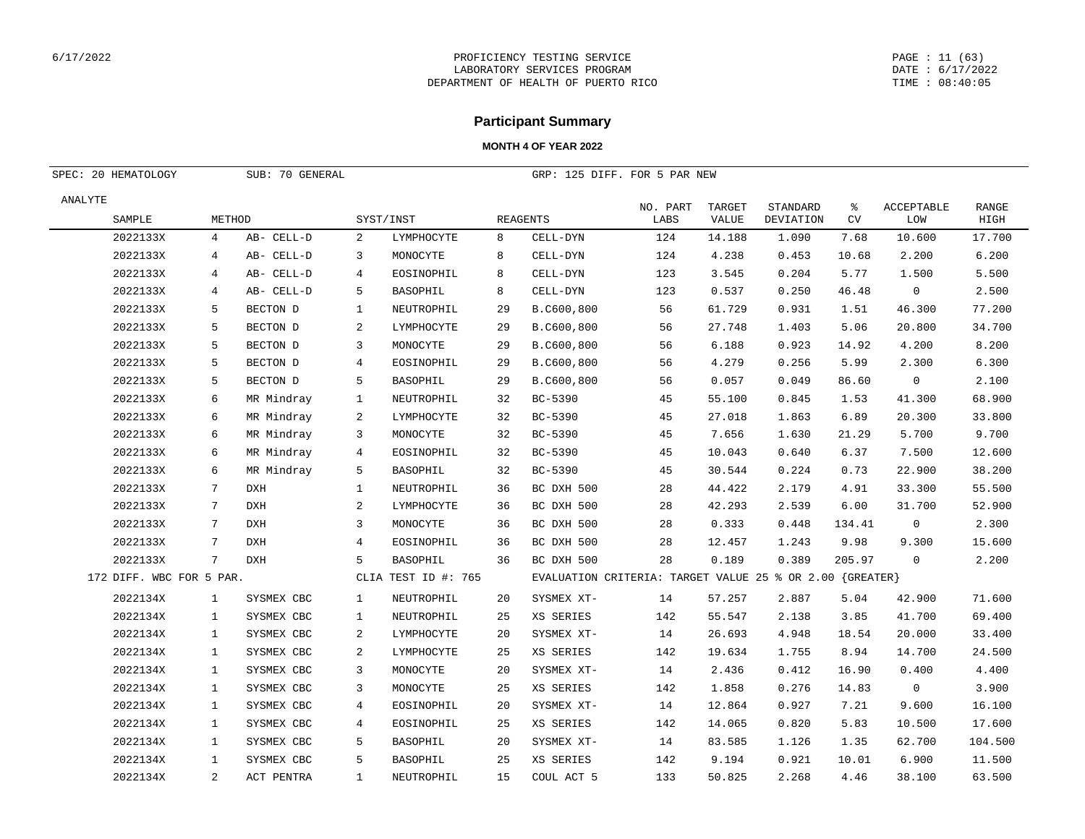#### PAGE : 11 (63) DATE : 6/17/2022 TIME : 08:40:05

## **Participant Summary**

| SPEC: 20 HEMATOLOGY<br>SUB: 70 GENERAL |                          |                |            |              |                     |    | GRP: 125 DIFF. FOR 5 PAR NEW                             |                  |                 |                       |                |                          |                      |
|----------------------------------------|--------------------------|----------------|------------|--------------|---------------------|----|----------------------------------------------------------|------------------|-----------------|-----------------------|----------------|--------------------------|----------------------|
| ANALYTE                                |                          |                |            |              |                     |    |                                                          |                  |                 |                       |                |                          |                      |
|                                        | SAMPLE                   | METHOD         |            |              | SYST/INST           |    | REAGENTS                                                 | NO. PART<br>LABS | TARGET<br>VALUE | STANDARD<br>DEVIATION | ៖<br><b>CV</b> | <b>ACCEPTABLE</b><br>LOW | <b>RANGE</b><br>HIGH |
|                                        | 2022133X                 | 4              | AB- CELL-D | 2            | LYMPHOCYTE          | 8  | CELL-DYN                                                 | 124              | 14.188          | 1.090                 | 7.68           | 10.600                   | 17.700               |
|                                        | 2022133X                 | 4              | AB- CELL-D | 3            | MONOCYTE            | 8  | CELL-DYN                                                 | 124              | 4.238           | 0.453                 | 10.68          | 2.200                    | 6.200                |
|                                        | 2022133X                 | 4              | AB- CELL-D | 4            | EOSINOPHIL          | 8  | CELL-DYN                                                 | 123              | 3.545           | 0.204                 | 5.77           | 1.500                    | 5.500                |
|                                        | 2022133X                 | 4              | AB- CELL-D | 5            | <b>BASOPHIL</b>     | 8  | CELL-DYN                                                 | 123              | 0.537           | 0.250                 | 46.48          | $\mathbf 0$              | 2.500                |
|                                        | 2022133X                 | 5              | BECTON D   | 1            | NEUTROPHIL          | 29 | B.C600,800                                               | 56               | 61.729          | 0.931                 | 1.51           | 46.300                   | 77.200               |
|                                        | 2022133X                 | 5              | BECTON D   | 2            | LYMPHOCYTE          | 29 | B.C600,800                                               | 56               | 27.748          | 1.403                 | 5.06           | 20.800                   | 34.700               |
|                                        | 2022133X                 | 5              | BECTON D   | 3            | MONOCYTE            | 29 | B.C600,800                                               | 56               | 6.188           | 0.923                 | 14.92          | 4.200                    | 8.200                |
|                                        | 2022133X                 | 5              | BECTON D   | 4            | EOSINOPHIL          | 29 | B.C600,800                                               | 56               | 4.279           | 0.256                 | 5.99           | 2.300                    | 6.300                |
|                                        | 2022133X                 | 5              | BECTON D   | 5            | BASOPHIL            | 29 | B.C600,800                                               | 56               | 0.057           | 0.049                 | 86.60          | $\mathbf 0$              | 2.100                |
|                                        | 2022133X                 | 6              | MR Mindray | 1            | NEUTROPHIL          | 32 | BC-5390                                                  | 45               | 55.100          | 0.845                 | 1.53           | 41.300                   | 68.900               |
|                                        | 2022133X                 | 6              | MR Mindray | 2            | LYMPHOCYTE          | 32 | BC-5390                                                  | 45               | 27.018          | 1.863                 | 6.89           | 20.300                   | 33.800               |
|                                        | 2022133X                 | 6              | MR Mindray | 3            | MONOCYTE            | 32 | BC-5390                                                  | 45               | 7.656           | 1.630                 | 21.29          | 5.700                    | 9.700                |
|                                        | 2022133X                 | 6              | MR Mindray | 4            | EOSINOPHIL          | 32 | BC-5390                                                  | 45               | 10.043          | 0.640                 | 6.37           | 7.500                    | 12.600               |
|                                        | 2022133X                 | 6              | MR Mindray | 5            | BASOPHIL            | 32 | BC-5390                                                  | 45               | 30.544          | 0.224                 | 0.73           | 22.900                   | 38.200               |
|                                        | 2022133X                 | 7              | <b>DXH</b> | $\mathbf{1}$ | NEUTROPHIL          | 36 | BC DXH 500                                               | 28               | 44.422          | 2.179                 | 4.91           | 33.300                   | 55.500               |
|                                        | 2022133X                 | 7              | <b>DXH</b> | 2            | LYMPHOCYTE          | 36 | BC DXH 500                                               | 28               | 42.293          | 2.539                 | 6.00           | 31.700                   | 52.900               |
|                                        | 2022133X                 | 7              | <b>DXH</b> | 3            | MONOCYTE            | 36 | BC DXH 500                                               | 28               | 0.333           | 0.448                 | 134.41         | $\mathbf 0$              | 2.300                |
|                                        | 2022133X                 | 7              | <b>DXH</b> | 4            | EOSINOPHIL          | 36 | BC DXH 500                                               | 28               | 12.457          | 1.243                 | 9.98           | 9.300                    | 15.600               |
|                                        | 2022133X                 | 7              | <b>DXH</b> | 5            | BASOPHIL            | 36 | BC DXH 500                                               | 28               | 0.189           | 0.389                 | 205.97         | $\mathbf 0$              | 2.200                |
|                                        | 172 DIFF. WBC FOR 5 PAR. |                |            |              | CLIA TEST ID #: 765 |    | EVALUATION CRITERIA: TARGET VALUE 25 % OR 2.00 {GREATER} |                  |                 |                       |                |                          |                      |
|                                        | 2022134X                 | $\mathbf{1}$   | SYSMEX CBC | 1            | NEUTROPHIL          | 20 | SYSMEX XT-                                               | 14               | 57.257          | 2.887                 | 5.04           | 42.900                   | 71.600               |
|                                        | 2022134X                 | $\mathbf{1}$   | SYSMEX CBC | 1            | NEUTROPHIL          | 25 | XS SERIES                                                | 142              | 55.547          | 2.138                 | 3.85           | 41.700                   | 69.400               |
|                                        | 2022134X                 | 1              | SYSMEX CBC | 2            | LYMPHOCYTE          | 20 | SYSMEX XT-                                               | 14               | 26.693          | 4.948                 | 18.54          | 20.000                   | 33.400               |
|                                        | 2022134X                 | 1              | SYSMEX CBC | 2            | LYMPHOCYTE          | 25 | XS SERIES                                                | 142              | 19.634          | 1.755                 | 8.94           | 14.700                   | 24.500               |
|                                        | 2022134X                 | $\mathbf{1}$   | SYSMEX CBC | 3            | MONOCYTE            | 20 | SYSMEX XT-                                               | 14               | 2.436           | 0.412                 | 16.90          | 0.400                    | 4.400                |
|                                        | 2022134X                 | 1              | SYSMEX CBC | 3            | MONOCYTE            | 25 | XS SERIES                                                | 142              | 1.858           | 0.276                 | 14.83          | $\mathbf 0$              | 3.900                |
|                                        | 2022134X                 | 1              | SYSMEX CBC | 4            | EOSINOPHIL          | 20 | SYSMEX XT-                                               | 14               | 12.864          | 0.927                 | 7.21           | 9.600                    | 16.100               |
|                                        | 2022134X                 | 1              | SYSMEX CBC | 4            | EOSINOPHIL          | 25 | XS SERIES                                                | 142              | 14.065          | 0.820                 | 5.83           | 10.500                   | 17.600               |
|                                        | 2022134X                 | $\mathbf{1}$   | SYSMEX CBC | 5            | BASOPHIL            | 20 | SYSMEX XT-                                               | 14               | 83.585          | 1.126                 | 1.35           | 62.700                   | 104.500              |
|                                        | 2022134X                 | 1              | SYSMEX CBC | 5            | <b>BASOPHIL</b>     | 25 | XS SERIES                                                | 142              | 9.194           | 0.921                 | 10.01          | 6.900                    | 11.500               |
|                                        | 2022134X                 | $\overline{a}$ | ACT PENTRA | $\mathbf{1}$ | NEUTROPHIL          | 15 | COUL ACT 5                                               | 133              | 50.825          | 2.268                 | 4.46           | 38.100                   | 63.500               |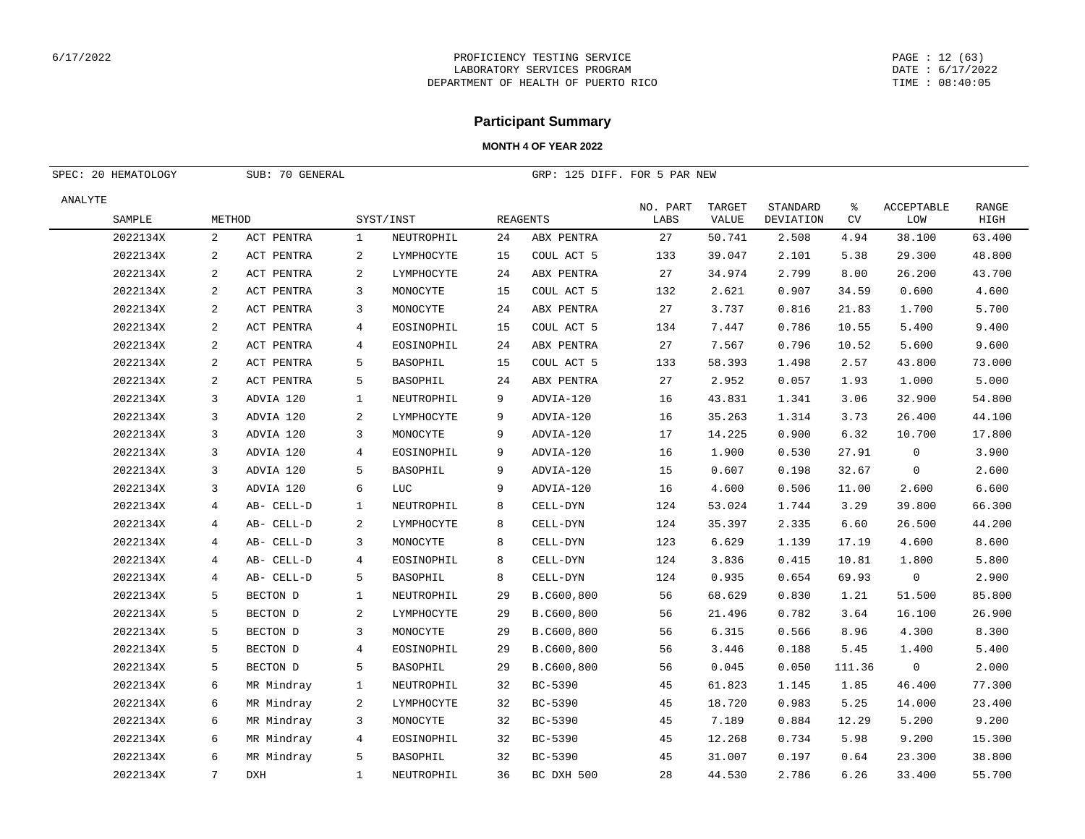#### PAGE : 12 (63) DATE : 6/17/2022 TIME : 08:40:05

## **Participant Summary**

| SPEC: 20 HEMATOLOGY |                 | SUB: 70 GENERAL |              |                 |    | GRP: 125 DIFF. FOR 5 PAR NEW |                  |                        |                              |                |                          |                      |
|---------------------|-----------------|-----------------|--------------|-----------------|----|------------------------------|------------------|------------------------|------------------------------|----------------|--------------------------|----------------------|
| ANALYTE<br>SAMPLE   | METHOD          |                 |              | SYST/INST       |    | <b>REAGENTS</b>              | NO. PART<br>LABS | TARGET<br><b>VALUE</b> | STANDARD<br><b>DEVIATION</b> | ి<br><b>CV</b> | <b>ACCEPTABLE</b><br>LOW | <b>RANGE</b><br>HIGH |
| 2022134X            | 2               | ACT PENTRA      | 1            | NEUTROPHIL      | 24 | ABX PENTRA                   | 27               | 50.741                 | 2.508                        | 4.94           | 38.100                   | 63.400               |
| 2022134X            | 2               | ACT PENTRA      | 2            | LYMPHOCYTE      | 15 | COUL ACT 5                   | 133              | 39.047                 | 2.101                        | 5.38           | 29.300                   | 48.800               |
| 2022134X            | 2               | ACT PENTRA      | 2            | LYMPHOCYTE      | 24 | ABX PENTRA                   | 27               | 34.974                 | 2.799                        | 8.00           | 26.200                   | 43.700               |
| 2022134X            | 2               | ACT PENTRA      | 3            | MONOCYTE        | 15 | COUL ACT 5                   | 132              | 2.621                  | 0.907                        | 34.59          | 0.600                    | 4.600                |
| 2022134X            | 2               | ACT PENTRA      | 3            | MONOCYTE        | 24 | ABX PENTRA                   | 27               | 3.737                  | 0.816                        | 21.83          | 1.700                    | 5.700                |
| 2022134X            | 2               | ACT PENTRA      | 4            | EOSINOPHIL      | 15 | COUL ACT 5                   | 134              | 7.447                  | 0.786                        | 10.55          | 5.400                    | 9.400                |
| 2022134X            | 2               | ACT PENTRA      | 4            | EOSINOPHIL      | 24 | ABX PENTRA                   | 27               | 7.567                  | 0.796                        | 10.52          | 5.600                    | 9.600                |
| 2022134X            | 2               | ACT PENTRA      | 5            | <b>BASOPHIL</b> | 15 | COUL ACT 5                   | 133              | 58.393                 | 1.498                        | 2.57           | 43.800                   | 73.000               |
| 2022134X            | 2               | ACT PENTRA      | 5            | BASOPHIL        | 24 | ABX PENTRA                   | 27               | 2.952                  | 0.057                        | 1.93           | 1.000                    | 5.000                |
| 2022134X            | 3               | ADVIA 120       | $\mathbf{1}$ | NEUTROPHIL      | 9  | ADVIA-120                    | 16               | 43.831                 | 1.341                        | 3.06           | 32.900                   | 54.800               |
| 2022134X            | 3               | ADVIA 120       | 2            | LYMPHOCYTE      | 9  | ADVIA-120                    | 16               | 35.263                 | 1.314                        | 3.73           | 26.400                   | 44.100               |
| 2022134X            | 3               | ADVIA 120       | 3            | MONOCYTE        | 9  | ADVIA-120                    | 17               | 14.225                 | 0.900                        | 6.32           | 10.700                   | 17.800               |
| 2022134X            | 3               | ADVIA 120       | 4            | EOSINOPHIL      | 9  | ADVIA-120                    | 16               | 1.900                  | 0.530                        | 27.91          | $\mathbf 0$              | 3.900                |
| 2022134X            | 3               | ADVIA 120       | 5            | <b>BASOPHIL</b> | 9  | ADVIA-120                    | 15               | 0.607                  | 0.198                        | 32.67          | $\mathbf 0$              | 2.600                |
| 2022134X            | 3               | ADVIA 120       | 6            | LUC             | 9  | ADVIA-120                    | 16               | 4.600                  | 0.506                        | 11.00          | 2.600                    | 6.600                |
| 2022134X            | 4               | AB- CELL-D      | $\mathbf{1}$ | NEUTROPHIL      | 8  | CELL-DYN                     | 124              | 53.024                 | 1.744                        | 3.29           | 39.800                   | 66.300               |
| 2022134X            | 4               | AB- CELL-D      | 2            | LYMPHOCYTE      | 8  | CELL-DYN                     | 124              | 35.397                 | 2.335                        | 6.60           | 26.500                   | 44.200               |
| 2022134X            | $\overline{4}$  | AB- CELL-D      | 3            | MONOCYTE        | 8  | CELL-DYN                     | 123              | 6.629                  | 1.139                        | 17.19          | 4.600                    | 8.600                |
| 2022134X            | $\overline{4}$  | AB- CELL-D      | 4            | EOSINOPHIL      | 8  | CELL-DYN                     | 124              | 3.836                  | 0.415                        | 10.81          | 1.800                    | 5.800                |
| 2022134X            | 4               | AB- CELL-D      | 5            | <b>BASOPHIL</b> | 8  | CELL-DYN                     | 124              | 0.935                  | 0.654                        | 69.93          | $\mathbf 0$              | 2.900                |
| 2022134X            | 5               | BECTON D        | $\mathbf{1}$ | NEUTROPHIL      | 29 | B.C600,800                   | 56               | 68.629                 | 0.830                        | 1.21           | 51.500                   | 85.800               |
| 2022134X            | 5               | BECTON D        | 2            | LYMPHOCYTE      | 29 | B.C600,800                   | 56               | 21.496                 | 0.782                        | 3.64           | 16.100                   | 26.900               |
| 2022134X            | 5               | BECTON D        | 3            | MONOCYTE        | 29 | B.C600,800                   | 56               | 6.315                  | 0.566                        | 8.96           | 4.300                    | 8.300                |
| 2022134X            | 5               | BECTON D        | 4            | EOSINOPHIL      | 29 | B.C600,800                   | 56               | 3.446                  | 0.188                        | 5.45           | 1.400                    | 5.400                |
| 2022134X            | 5               | BECTON D        | 5            | BASOPHIL        | 29 | B.C600,800                   | 56               | 0.045                  | 0.050                        | 111.36         | $\mathsf{O}\xspace$      | 2.000                |
| 2022134X            | 6               | MR Mindray      | $\mathbf{1}$ | NEUTROPHIL      | 32 | BC-5390                      | 45               | 61.823                 | 1.145                        | 1.85           | 46.400                   | 77.300               |
| 2022134X            | 6               | MR Mindray      | 2            | LYMPHOCYTE      | 32 | BC-5390                      | 45               | 18.720                 | 0.983                        | 5.25           | 14.000                   | 23.400               |
| 2022134X            | 6               | MR Mindray      | 3            | MONOCYTE        | 32 | BC-5390                      | 45               | 7.189                  | 0.884                        | 12.29          | 5.200                    | 9.200                |
| 2022134X            | 6               | MR Mindray      | 4            | EOSINOPHIL      | 32 | BC-5390                      | 45               | 12.268                 | 0.734                        | 5.98           | 9.200                    | 15.300               |
| 2022134X            | 6               | MR Mindray      | 5            | BASOPHIL        | 32 | BC-5390                      | 45               | 31.007                 | 0.197                        | 0.64           | 23.300                   | 38.800               |
| 2022134X            | $7\phantom{.0}$ | <b>DXH</b>      | $\mathbf{1}$ | NEUTROPHIL      | 36 | BC DXH 500                   | 28               | 44.530                 | 2.786                        | 6.26           | 33.400                   | 55.700               |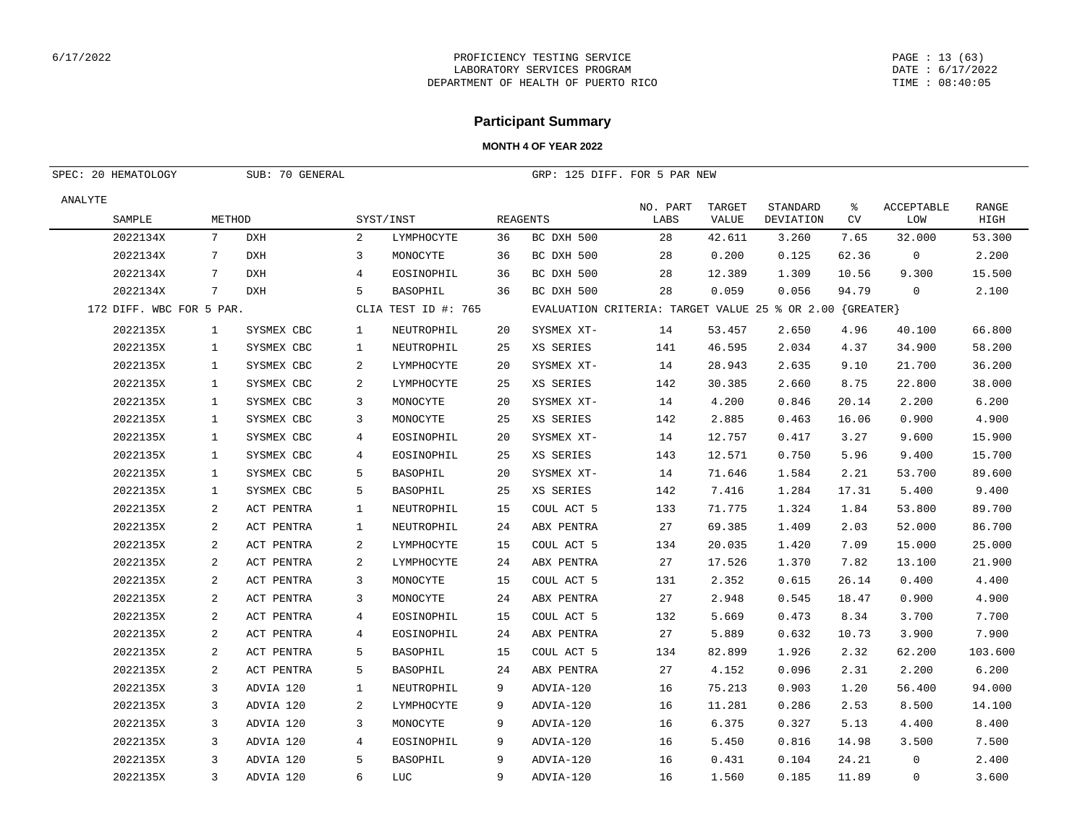#### PAGE : 13 (63) DATE : 6/17/2022 TIME : 08:40:05

## **Participant Summary**

| SPEC: 20 HEMATOLOGY      |                | GRP: 125 DIFF. FOR 5 PAR NEW |              |                     |    |                                                          |                  |                 |                       |                |                          |                      |
|--------------------------|----------------|------------------------------|--------------|---------------------|----|----------------------------------------------------------|------------------|-----------------|-----------------------|----------------|--------------------------|----------------------|
| ANALYTE<br>SAMPLE        | METHOD         |                              |              | SYST/INST           |    | REAGENTS                                                 | NO. PART<br>LABS | TARGET<br>VALUE | STANDARD<br>DEVIATION | ႜ<br><b>CV</b> | <b>ACCEPTABLE</b><br>LOW | <b>RANGE</b><br>HIGH |
| 2022134X                 | 7              | DXH                          | 2            | LYMPHOCYTE          | 36 | BC DXH 500                                               | 28               | 42.611          | 3.260                 | 7.65           | 32.000                   | 53.300               |
| 2022134X                 | 7              | <b>DXH</b>                   | 3            | MONOCYTE            | 36 | BC DXH 500                                               | 28               | 0.200           | 0.125                 | 62.36          | $\mathbf 0$              | 2.200                |
| 2022134X                 | 7              | DXH                          | 4            | EOSINOPHIL          | 36 | BC DXH 500                                               | 28               | 12.389          | 1.309                 | 10.56          | 9.300                    | 15.500               |
| 2022134X                 | 7              | <b>DXH</b>                   | 5            | <b>BASOPHIL</b>     | 36 | BC DXH 500                                               | 28               | 0.059           | 0.056                 | 94.79          | $\mathbf 0$              | 2.100                |
| 172 DIFF. WBC FOR 5 PAR. |                |                              |              | CLIA TEST ID #: 765 |    | EVALUATION CRITERIA: TARGET VALUE 25 % OR 2.00 {GREATER} |                  |                 |                       |                |                          |                      |
| 2022135X                 | $\mathbf{1}$   | SYSMEX CBC                   | $\mathbf{1}$ | NEUTROPHIL          | 20 | SYSMEX XT-                                               | 14               | 53.457          | 2.650                 | 4.96           | 40.100                   | 66.800               |
| 2022135X                 | 1              | SYSMEX CBC                   | 1            | NEUTROPHIL          | 25 | XS SERIES                                                | 141              | 46.595          | 2.034                 | 4.37           | 34.900                   | 58.200               |
| 2022135X                 | $\mathbf{1}$   | SYSMEX CBC                   | 2            | LYMPHOCYTE          | 20 | SYSMEX XT-                                               | 14               | 28.943          | 2.635                 | 9.10           | 21.700                   | 36.200               |
| 2022135X                 | $\mathbf{1}$   | SYSMEX CBC                   | 2            | LYMPHOCYTE          | 25 | XS SERIES                                                | 142              | 30.385          | 2.660                 | 8.75           | 22.800                   | 38.000               |
| 2022135X                 | 1              | SYSMEX CBC                   | 3            | MONOCYTE            | 20 | SYSMEX XT-                                               | 14               | 4.200           | 0.846                 | 20.14          | 2.200                    | 6.200                |
| 2022135X                 | $\mathbf{1}$   | SYSMEX CBC                   | 3            | MONOCYTE            | 25 | XS SERIES                                                | 142              | 2.885           | 0.463                 | 16.06          | 0.900                    | 4.900                |
| 2022135X                 | $\mathbf{1}$   | SYSMEX CBC                   | 4            | EOSINOPHIL          | 20 | SYSMEX XT-                                               | 14               | 12.757          | 0.417                 | 3.27           | 9.600                    | 15.900               |
| 2022135X                 | $\mathbf{1}$   | SYSMEX CBC                   | 4            | EOSINOPHIL          | 25 | XS SERIES                                                | 143              | 12.571          | 0.750                 | 5.96           | 9.400                    | 15.700               |
| 2022135X                 | $\mathbf{1}$   | SYSMEX CBC                   | 5            | <b>BASOPHIL</b>     | 20 | SYSMEX XT-                                               | 14               | 71.646          | 1.584                 | 2.21           | 53.700                   | 89.600               |
| 2022135X                 | $\mathbf{1}$   | SYSMEX CBC                   | 5            | BASOPHIL            | 25 | XS SERIES                                                | 142              | 7.416           | 1.284                 | 17.31          | 5.400                    | 9.400                |
| 2022135X                 | 2              | ACT PENTRA                   | $\mathbf{1}$ | NEUTROPHIL          | 15 | COUL ACT 5                                               | 133              | 71.775          | 1.324                 | 1.84           | 53.800                   | 89.700               |
| 2022135X                 | 2              | ACT PENTRA                   | $\mathbf{1}$ | NEUTROPHIL          | 24 | ABX PENTRA                                               | 27               | 69.385          | 1.409                 | 2.03           | 52.000                   | 86.700               |
| 2022135X                 | $\overline{a}$ | ACT PENTRA                   | 2            | LYMPHOCYTE          | 15 | COUL ACT 5                                               | 134              | 20.035          | 1.420                 | 7.09           | 15.000                   | 25.000               |
| 2022135X                 | 2              | ACT PENTRA                   | 2            | LYMPHOCYTE          | 24 | ABX PENTRA                                               | 27               | 17.526          | 1.370                 | 7.82           | 13.100                   | 21.900               |
| 2022135X                 | 2              | ACT PENTRA                   | 3            | MONOCYTE            | 15 | COUL ACT 5                                               | 131              | 2.352           | 0.615                 | 26.14          | 0.400                    | 4.400                |
| 2022135X                 | 2              | ACT PENTRA                   | 3            | MONOCYTE            | 24 | ABX PENTRA                                               | 27               | 2.948           | 0.545                 | 18.47          | 0.900                    | 4.900                |
| 2022135X                 | 2              | ACT PENTRA                   | 4            | EOSINOPHIL          | 15 | COUL ACT 5                                               | 132              | 5.669           | 0.473                 | 8.34           | 3.700                    | 7.700                |
| 2022135X                 | 2              | ACT PENTRA                   | 4            | EOSINOPHIL          | 24 | ABX PENTRA                                               | 27               | 5.889           | 0.632                 | 10.73          | 3.900                    | 7.900                |
| 2022135X                 | 2              | ACT PENTRA                   | 5            | BASOPHIL            | 15 | COUL ACT 5                                               | 134              | 82.899          | 1.926                 | 2.32           | 62.200                   | 103.600              |
| 2022135X                 | 2              | ACT PENTRA                   | 5            | <b>BASOPHIL</b>     | 24 | ABX PENTRA                                               | 27               | 4.152           | 0.096                 | 2.31           | 2.200                    | 6.200                |
| 2022135X                 | 3              | ADVIA 120                    | $\mathbf{1}$ | NEUTROPHIL          | 9  | ADVIA-120                                                | 16               | 75.213          | 0.903                 | 1.20           | 56.400                   | 94.000               |
| 2022135X                 | 3              | ADVIA 120                    | 2            | LYMPHOCYTE          | 9  | ADVIA-120                                                | 16               | 11.281          | 0.286                 | 2.53           | 8.500                    | 14.100               |
| 2022135X                 | 3              | ADVIA 120                    | 3            | MONOCYTE            | 9  | ADVIA-120                                                | 16               | 6.375           | 0.327                 | 5.13           | 4.400                    | 8.400                |
| 2022135X                 | 3              | ADVIA 120                    | 4            | EOSINOPHIL          | 9  | ADVIA-120                                                | 16               | 5.450           | 0.816                 | 14.98          | 3.500                    | 7.500                |
| 2022135X                 | 3              | ADVIA 120                    | 5            | BASOPHIL            | 9  | ADVIA-120                                                | 16               | 0.431           | 0.104                 | 24.21          | $\mathbf 0$              | 2.400                |
| 2022135X                 | $\mathcal{L}$  | ADVIA 120                    | 6            | <b>LUC</b>          | 9  | ADVIA-120                                                | 16               | 1.560           | 0.185                 | 11.89          | $\Omega$                 | 3.600                |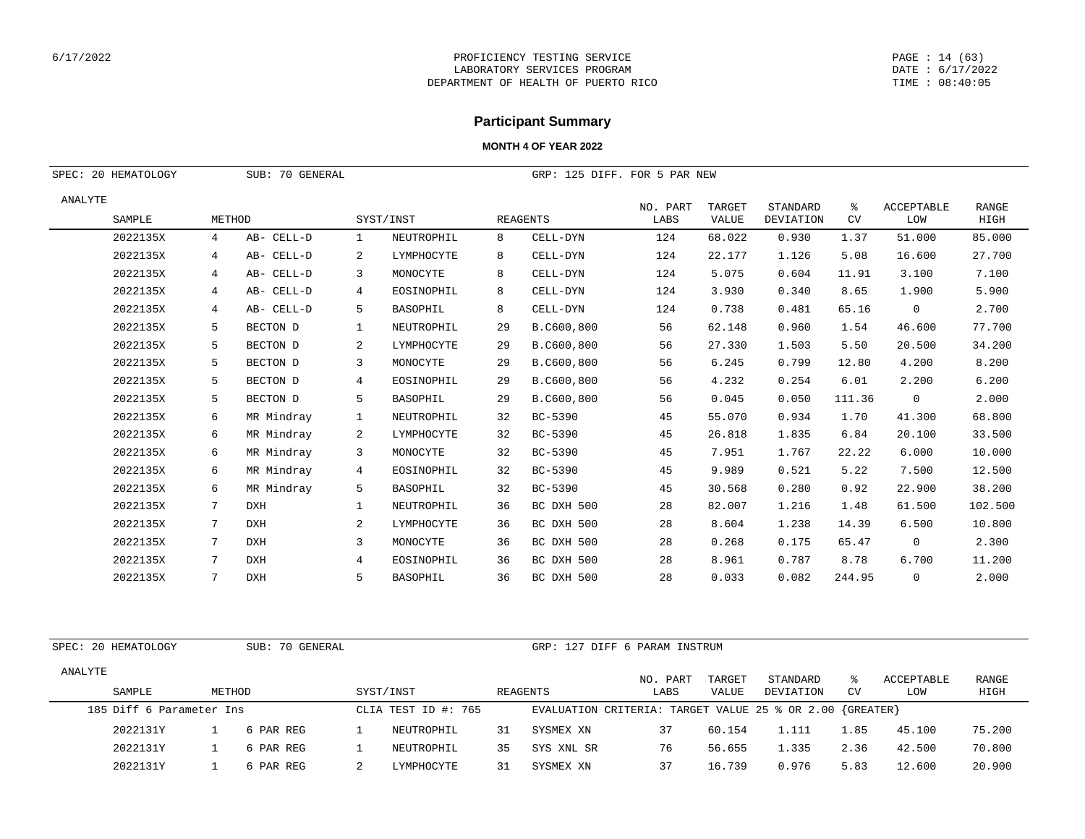#### PAGE : 14 (63) DATE : 6/17/2022 TIME : 08:40:05

# **Participant Summary**

### **MONTH 4 OF YEAR 2022**

| SPEC: 20 HEMATOLOGY |        | SUB: 70 GENERAL |                |                 |    | GRP: 125 DIFF. FOR 5 PAR NEW |                  |                 |                       |                |                          |               |
|---------------------|--------|-----------------|----------------|-----------------|----|------------------------------|------------------|-----------------|-----------------------|----------------|--------------------------|---------------|
| ANALYTE<br>SAMPLE   | METHOD |                 |                | SYST/INST       |    | <b>REAGENTS</b>              | NO. PART<br>LABS | TARGET<br>VALUE | STANDARD<br>DEVIATION | ႜ<br><b>CV</b> | <b>ACCEPTABLE</b><br>LOW | RANGE<br>HIGH |
| 2022135X            | 4      | AB- CELL-D      | 1              | NEUTROPHIL      | 8  | CELL-DYN                     | 124              | 68.022          | 0.930                 | 1.37           | 51.000                   | 85.000        |
| 2022135X            | 4      | AB- CELL-D      | 2              | LYMPHOCYTE      | 8  | CELL-DYN                     | 124              | 22.177          | 1.126                 | 5.08           | 16.600                   | 27.700        |
| 2022135X            | 4      | AB- CELL-D      | 3              | MONOCYTE        | 8  | CELL-DYN                     | 124              | 5.075           | 0.604                 | 11.91          | 3.100                    | 7.100         |
| 2022135X            | 4      | AB- CELL-D      | 4              | EOSINOPHIL      | 8  | CELL-DYN                     | 124              | 3.930           | 0.340                 | 8.65           | 1.900                    | 5.900         |
| 2022135X            | 4      | AB- CELL-D      | 5              | BASOPHIL        | 8  | CELL-DYN                     | 124              | 0.738           | 0.481                 | 65.16          | $\overline{0}$           | 2.700         |
| 2022135X            | 5      | BECTON D        | 1              | NEUTROPHIL      | 29 | B.C600,800                   | 56               | 62.148          | 0.960                 | 1.54           | 46.600                   | 77.700        |
| 2022135X            | 5      | BECTON D        | $\overline{a}$ | LYMPHOCYTE      | 29 | B.C600,800                   | 56               | 27.330          | 1.503                 | 5.50           | 20.500                   | 34.200        |
| 2022135X            | 5      | BECTON D        | 3              | MONOCYTE        | 29 | B.C600,800                   | 56               | 6.245           | 0.799                 | 12.80          | 4.200                    | 8.200         |
| 2022135X            | 5      | BECTON D        | 4              | EOSINOPHIL      | 29 | B.C600,800                   | 56               | 4.232           | 0.254                 | 6.01           | 2.200                    | 6.200         |
| 2022135X            | 5      | BECTON D        | 5              | BASOPHIL        | 29 | B.C600,800                   | 56               | 0.045           | 0.050                 | 111.36         | $\overline{0}$           | 2.000         |
| 2022135X            | 6      | MR Mindray      | 1              | NEUTROPHIL      | 32 | BC-5390                      | 45               | 55.070          | 0.934                 | 1.70           | 41.300                   | 68.800        |
| 2022135X            | 6      | MR Mindray      | $\overline{a}$ | LYMPHOCYTE      | 32 | BC-5390                      | 45               | 26.818          | 1.835                 | 6.84           | 20.100                   | 33.500        |
| 2022135X            | 6      | MR Mindray      | 3              | MONOCYTE        | 32 | BC-5390                      | 45               | 7.951           | 1.767                 | 22.22          | 6.000                    | 10.000        |
| 2022135X            | 6      | MR Mindray      | $\overline{4}$ | EOSINOPHIL      | 32 | BC-5390                      | 45               | 9.989           | 0.521                 | 5.22           | 7.500                    | 12.500        |
| 2022135X            | 6      | MR Mindray      | 5              | <b>BASOPHIL</b> | 32 | BC-5390                      | 45               | 30.568          | 0.280                 | 0.92           | 22.900                   | 38.200        |
| 2022135X            | 7      | <b>DXH</b>      | 1              | NEUTROPHIL      | 36 | BC DXH 500                   | 28               | 82.007          | 1.216                 | 1.48           | 61.500                   | 102.500       |
| 2022135X            | 7      | <b>DXH</b>      | 2              | LYMPHOCYTE      | 36 | BC DXH 500                   | 28               | 8.604           | 1.238                 | 14.39          | 6.500                    | 10.800        |
| 2022135X            | 7      | <b>DXH</b>      | 3              | MONOCYTE        | 36 | BC DXH 500                   | 28               | 0.268           | 0.175                 | 65.47          | $\overline{0}$           | 2.300         |
| 2022135X            | 7      | <b>DXH</b>      | 4              | EOSINOPHIL      | 36 | BC DXH 500                   | 28               | 8.961           | 0.787                 | 8.78           | 6.700                    | 11.200        |
| 2022135X            | 7      | <b>DXH</b>      | 5              | BASOPHIL        | 36 | BC DXH 500                   | 28               | 0.033           | 0.082                 | 244.95         | $\overline{0}$           | 2.000         |

SPEC: 20 HEMATOLOGY SUB: 70 GENERAL GRP: 127 DIFF 6 PARAM INSTRUM

| ANALYTE |                          |           |                     |    |                                                              | NO. PART | TARGET | STANDARD  |           | ACCEPTABLE | RANGE  |
|---------|--------------------------|-----------|---------------------|----|--------------------------------------------------------------|----------|--------|-----------|-----------|------------|--------|
|         | SAMPLE                   | METHOD    | SYST/INST           |    | REAGENTS                                                     | LABS     | VALUE  | DEVIATION | <b>CV</b> | LOW        | HIGH   |
|         | 185 Diff 6 Parameter Ins |           | CLIA TEST ID #: 765 |    | EVALUATION CRITERIA: TARGET VALUE 25 % OR 2.00 $\{GREATER\}$ |          |        |           |           |            |        |
|         | 2022131Y                 | 6 PAR REG | NEUTROPHIL          | 31 | SYSMEX XN                                                    | 37       | 60.154 | 1.111     | 1.85      | 45.100     | 75.200 |
|         | 2022131Y                 | 6 PAR REG | NEUTROPHIL          | 35 | SYS XNL SR                                                   | 76       | 56.655 | 1.335     | 2.36      | 42.500     | 70.800 |
|         | 2022131Y                 | 6 PAR REG | LYMPHOCYTE          | 31 | SYSMEX XN                                                    |          | 16.739 | 0.976     | 5.83      | 12.600     | 20.900 |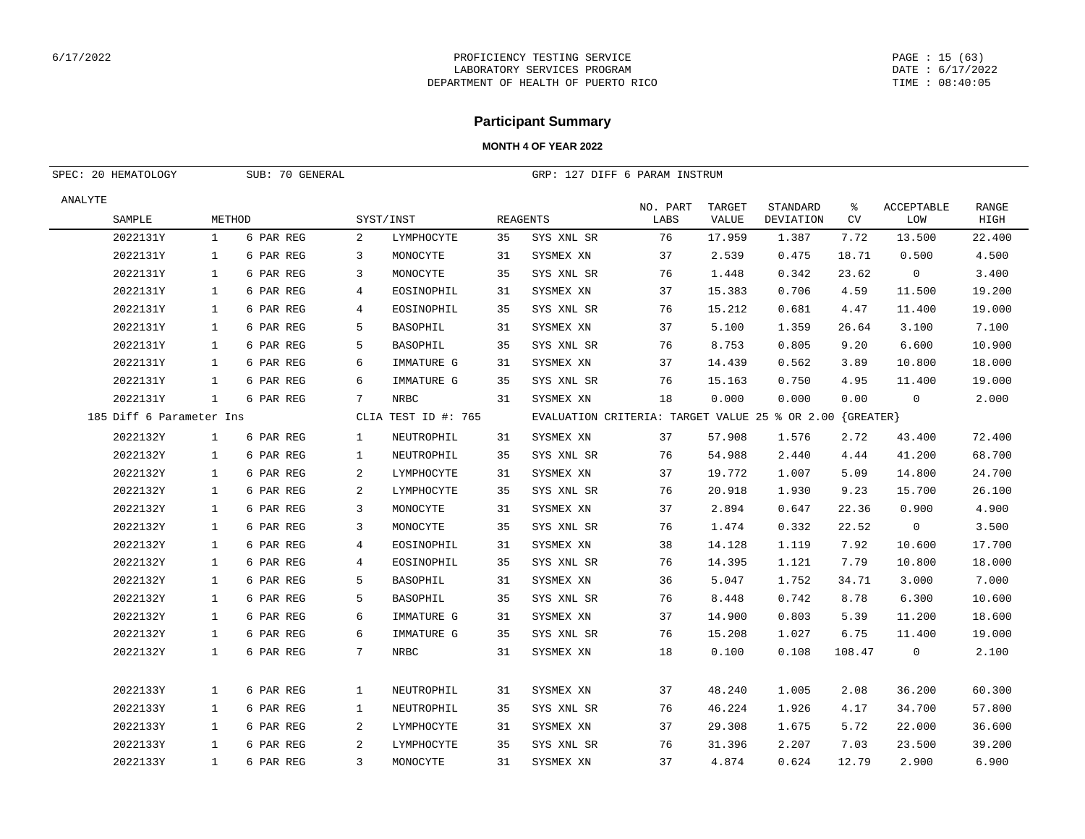#### PAGE : 15 (63) DATE : 6/17/2022 TIME : 08:40:05

## **Participant Summary**

| SPEC: 20 HEMATOLOGY      | SUB: 70 GENERAL |           |              |                     | GRP: 127 DIFF 6 PARAM INSTRUM |                                                          |                  |                 |                       |         |                          |                      |
|--------------------------|-----------------|-----------|--------------|---------------------|-------------------------------|----------------------------------------------------------|------------------|-----------------|-----------------------|---------|--------------------------|----------------------|
| ANALYTE<br>SAMPLE        | METHOD          |           |              | SYST/INST           |                               | <b>REAGENTS</b>                                          | NO. PART<br>LABS | TARGET<br>VALUE | STANDARD<br>DEVIATION | ႜ<br>CV | <b>ACCEPTABLE</b><br>LOW | <b>RANGE</b><br>HIGH |
| 2022131Y                 | $\mathbf{1}$    | 6 PAR REG | 2            | LYMPHOCYTE          | 35                            | SYS XNL SR                                               | 76               | 17.959          | 1.387                 | 7.72    | 13.500                   | 22.400               |
| 2022131Y                 | $\mathbf{1}$    | 6 PAR REG | 3            | MONOCYTE            | 31                            | SYSMEX XN                                                | 37               | 2.539           | 0.475                 | 18.71   | 0.500                    | 4.500                |
| 2022131Y                 | $\mathbf{1}$    | 6 PAR REG | 3            | MONOCYTE            | 35                            | SYS XNL SR                                               | 76               | 1.448           | 0.342                 | 23.62   | $\overline{0}$           | 3.400                |
| 2022131Y                 | $\mathbf{1}$    | 6 PAR REG | 4            | EOSINOPHIL          | 31                            | SYSMEX XN                                                | 37               | 15.383          | 0.706                 | 4.59    | 11.500                   | 19.200               |
| 2022131Y                 | $\mathbf{1}$    | 6 PAR REG | 4            | EOSINOPHIL          | 35                            | SYS XNL SR                                               | 76               | 15.212          | 0.681                 | 4.47    | 11.400                   | 19.000               |
| 2022131Y                 | $\mathbf{1}$    | 6 PAR REG | 5            | BASOPHIL            | 31                            | SYSMEX XN                                                | 37               | 5.100           | 1.359                 | 26.64   | 3.100                    | 7.100                |
| 2022131Y                 | $\mathbf{1}$    | 6 PAR REG | 5            | BASOPHIL            | 35                            | SYS XNL SR                                               | 76               | 8.753           | 0.805                 | 9.20    | 6.600                    | 10.900               |
| 2022131Y                 | $\mathbf{1}$    | 6 PAR REG | 6            | IMMATURE G          | 31                            | SYSMEX XN                                                | 37               | 14.439          | 0.562                 | 3.89    | 10.800                   | 18.000               |
| 2022131Y                 | $\mathbf{1}$    | 6 PAR REG | 6            | IMMATURE G          | 35                            | SYS XNL SR                                               | 76               | 15.163          | 0.750                 | 4.95    | 11,400                   | 19.000               |
| 2022131Y                 | $\mathbf{1}$    | 6 PAR REG | 7            | NRBC                | 31                            | SYSMEX XN                                                | 18               | 0.000           | 0.000                 | 0.00    | $\mathbf 0$              | 2.000                |
| 185 Diff 6 Parameter Ins |                 |           |              | CLIA TEST ID #: 765 |                               | EVALUATION CRITERIA: TARGET VALUE 25 % OR 2.00 {GREATER} |                  |                 |                       |         |                          |                      |
| 2022132Y                 | $\mathbf{1}$    | 6 PAR REG | 1            | NEUTROPHIL          | 31                            | SYSMEX XN                                                | 37               | 57.908          | 1.576                 | 2.72    | 43.400                   | 72.400               |
| 2022132Y                 | $\mathbf{1}$    | 6 PAR REG | $\mathbf{1}$ | NEUTROPHIL          | 35                            | SYS XNL SR                                               | 76               | 54.988          | 2.440                 | 4.44    | 41.200                   | 68.700               |
| 2022132Y                 | $\mathbf{1}$    | 6 PAR REG | 2            | LYMPHOCYTE          | 31                            | SYSMEX XN                                                | 37               | 19.772          | 1.007                 | 5.09    | 14.800                   | 24.700               |
| 2022132Y                 | 1               | 6 PAR REG | 2            | LYMPHOCYTE          | 35                            | SYS XNL SR                                               | 76               | 20.918          | 1.930                 | 9.23    | 15.700                   | 26.100               |
| 2022132Y                 | $\mathbf{1}$    | 6 PAR REG | 3            | MONOCYTE            | 31                            | SYSMEX XN                                                | 37               | 2.894           | 0.647                 | 22.36   | 0.900                    | 4.900                |
| 2022132Y                 | $\mathbf{1}$    | 6 PAR REG | 3            | MONOCYTE            | 35                            | SYS XNL SR                                               | 76               | 1.474           | 0.332                 | 22.52   | $\mathsf{O}$             | 3.500                |
| 2022132Y                 | $\mathbf{1}$    | 6 PAR REG | 4            | EOSINOPHIL          | 31                            | SYSMEX XN                                                | 38               | 14.128          | 1.119                 | 7.92    | 10.600                   | 17.700               |
| 2022132Y                 | $\mathbf{1}$    | 6 PAR REG | 4            | EOSINOPHIL          | 35                            | SYS XNL SR                                               | 76               | 14.395          | 1.121                 | 7.79    | 10.800                   | 18.000               |
| 2022132Y                 | $\mathbf{1}$    | 6 PAR REG | 5            | BASOPHIL            | 31                            | SYSMEX XN                                                | 36               | 5.047           | 1.752                 | 34.71   | 3.000                    | 7.000                |
| 2022132Y                 | $\mathbf{1}$    | 6 PAR REG | 5            | BASOPHIL            | 35                            | SYS XNL SR                                               | 76               | 8.448           | 0.742                 | 8.78    | 6.300                    | 10.600               |
| 2022132Y                 | $\mathbf{1}$    | 6 PAR REG | 6            | IMMATURE G          | 31                            | SYSMEX XN                                                | 37               | 14.900          | 0.803                 | 5.39    | 11.200                   | 18.600               |
| 2022132Y                 | $\mathbf{1}$    | 6 PAR REG | 6            | IMMATURE G          | 35                            | SYS XNL SR                                               | 76               | 15.208          | 1.027                 | 6.75    | 11.400                   | 19.000               |
| 2022132Y                 | $\mathbf{1}$    | 6 PAR REG | 7            | NRBC                | 31                            | SYSMEX XN                                                | 18               | 0.100           | 0.108                 | 108.47  | 0                        | 2.100                |
| 2022133Y                 | $\mathbf{1}$    | 6 PAR REG | $\mathbf{1}$ | NEUTROPHIL          | 31                            | SYSMEX XN                                                | 37               | 48.240          | 1.005                 | 2.08    | 36.200                   | 60.300               |
| 2022133Y                 | $\mathbf{1}$    | 6 PAR REG | $\mathbf{1}$ | NEUTROPHIL          | 35                            | SYS XNL SR                                               | 76               | 46.224          | 1.926                 | 4.17    | 34.700                   | 57.800               |
| 2022133Y                 | 1               | 6 PAR REG | 2            | LYMPHOCYTE          | 31                            | SYSMEX XN                                                | 37               | 29.308          | 1.675                 | 5.72    | 22.000                   | 36.600               |
| 2022133Y                 | $\mathbf{1}$    | 6 PAR REG | 2            | LYMPHOCYTE          | 35                            | SYS XNL SR                                               | 76               | 31.396          | 2.207                 | 7.03    | 23.500                   | 39.200               |
| 2022133Y                 | $\mathbf{1}$    | 6 PAR REG | 3            | MONOCYTE            | 31                            | SYSMEX XN                                                | 37               | 4.874           | 0.624                 | 12.79   | 2.900                    | 6.900                |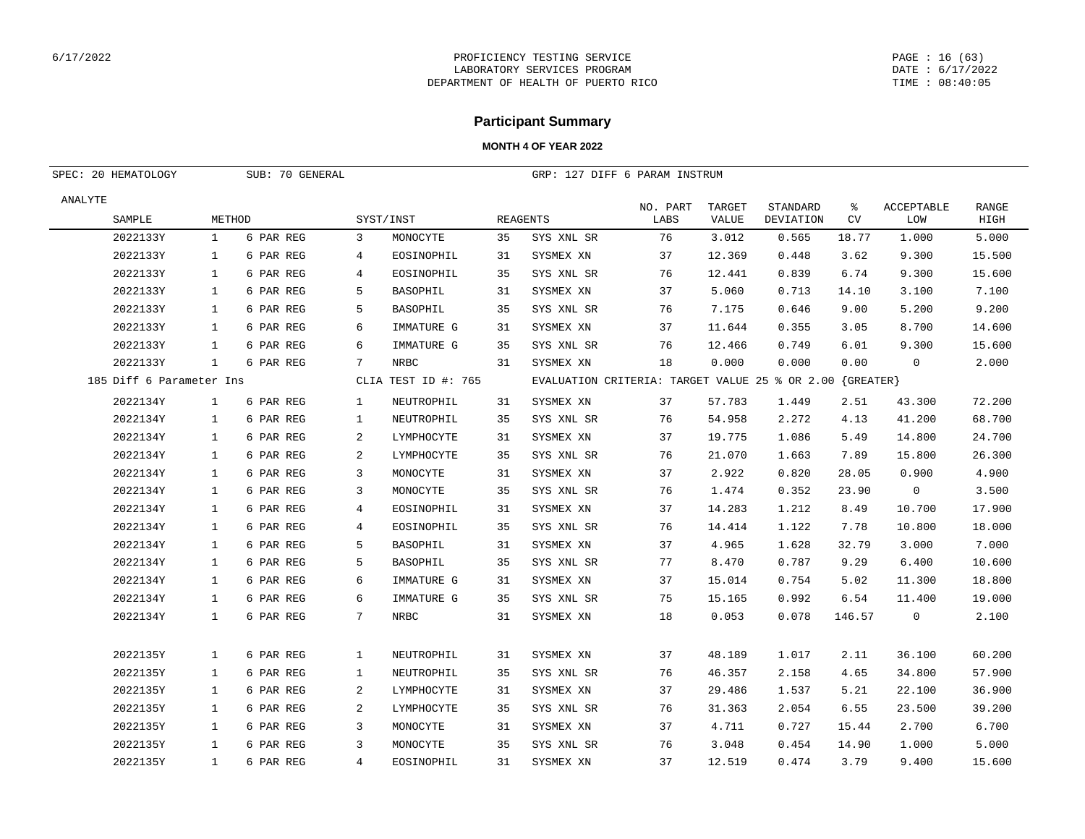#### PAGE : 16 (63) DATE : 6/17/2022 TIME : 08:40:05

## **Participant Summary**

| SPEC: 20 HEMATOLOGY      |              | SUB: 70 GENERAL |              |                     |    | GRP: 127 DIFF 6 PARAM INSTRUM                            |                  |                 |                       |                 |                          |                      |
|--------------------------|--------------|-----------------|--------------|---------------------|----|----------------------------------------------------------|------------------|-----------------|-----------------------|-----------------|--------------------------|----------------------|
| ANALYTE<br>SAMPLE        | METHOD       |                 |              | SYST/INST           |    | <b>REAGENTS</b>                                          | NO. PART<br>LABS | TARGET<br>VALUE | STANDARD<br>DEVIATION | ి<br>${\rm CV}$ | <b>ACCEPTABLE</b><br>LOW | <b>RANGE</b><br>HIGH |
| 2022133Y                 | $\mathbf{1}$ | 6 PAR REG       | 3            | MONOCYTE            | 35 | SYS XNL SR                                               | 76               | 3.012           | 0.565                 | 18.77           | 1.000                    | 5.000                |
| 2022133Y                 | 1            | 6 PAR REG       | 4            | EOSINOPHIL          | 31 | SYSMEX XN                                                | 37               | 12.369          | 0.448                 | 3.62            | 9.300                    | 15.500               |
| 2022133Y                 | $\mathbf{1}$ | 6 PAR REG       | 4            | EOSINOPHIL          | 35 | SYS XNL SR                                               | 76               | 12.441          | 0.839                 | 6.74            | 9.300                    | 15.600               |
| 2022133Y                 | $\mathbf{1}$ | 6 PAR REG       | 5            | BASOPHIL            | 31 | SYSMEX XN                                                | 37               | 5.060           | 0.713                 | 14.10           | 3.100                    | 7.100                |
| 2022133Y                 | $\mathbf{1}$ | 6 PAR REG       | 5            | BASOPHIL            | 35 | SYS XNL SR                                               | 76               | 7.175           | 0.646                 | 9.00            | 5.200                    | 9.200                |
| 2022133Y                 | 1            | 6 PAR REG       | 6            | IMMATURE G          | 31 | SYSMEX XN                                                | 37               | 11.644          | 0.355                 | 3.05            | 8.700                    | 14.600               |
| 2022133Y                 | 1            | 6 PAR REG       | 6            | IMMATURE G          | 35 | SYS XNL SR                                               | 76               | 12.466          | 0.749                 | 6.01            | 9.300                    | 15.600               |
| 2022133Y                 | $\mathbf{1}$ | 6 PAR REG       | 7            | <b>NRBC</b>         | 31 | SYSMEX XN                                                | 18               | 0.000           | 0.000                 | 0.00            | $\mathbf 0$              | 2.000                |
| 185 Diff 6 Parameter Ins |              |                 |              | CLIA TEST ID #: 765 |    | EVALUATION CRITERIA: TARGET VALUE 25 % OR 2.00 {GREATER} |                  |                 |                       |                 |                          |                      |
| 2022134Y                 | $\mathbf{1}$ | 6 PAR REG       | 1            | NEUTROPHIL          | 31 | SYSMEX XN                                                | 37               | 57.783          | 1.449                 | 2.51            | 43.300                   | 72.200               |
| 2022134Y                 | $\mathbf{1}$ | 6 PAR REG       | $\mathbf{1}$ | NEUTROPHIL          | 35 | SYS XNL SR                                               | 76               | 54.958          | 2.272                 | 4.13            | 41.200                   | 68.700               |
| 2022134Y                 | $\mathbf{1}$ | 6 PAR REG       | 2            | LYMPHOCYTE          | 31 | SYSMEX XN                                                | 37               | 19.775          | 1.086                 | 5.49            | 14.800                   | 24.700               |
| 2022134Y                 | $\mathbf{1}$ | 6 PAR REG       | 2            | LYMPHOCYTE          | 35 | SYS XNL SR                                               | 76               | 21.070          | 1.663                 | 7.89            | 15.800                   | 26.300               |
| 2022134Y                 | $\mathbf{1}$ | 6 PAR REG       | 3            | MONOCYTE            | 31 | SYSMEX XN                                                | 37               | 2.922           | 0.820                 | 28.05           | 0.900                    | 4.900                |
| 2022134Y                 | $\mathbf{1}$ | 6 PAR REG       | 3            | MONOCYTE            | 35 | SYS XNL SR                                               | 76               | 1.474           | 0.352                 | 23.90           | 0                        | 3.500                |
| 2022134Y                 | $\mathbf{1}$ | 6 PAR REG       | 4            | EOSINOPHIL          | 31 | SYSMEX XN                                                | 37               | 14.283          | 1.212                 | 8.49            | 10.700                   | 17.900               |
| 2022134Y                 | $\mathbf{1}$ | 6 PAR REG       | 4            | EOSINOPHIL          | 35 | SYS XNL SR                                               | 76               | 14.414          | 1.122                 | 7.78            | 10.800                   | 18.000               |
| 2022134Y                 | $\mathbf{1}$ | 6 PAR REG       | 5            | BASOPHIL            | 31 | SYSMEX XN                                                | 37               | 4.965           | 1.628                 | 32.79           | 3.000                    | 7.000                |
| 2022134Y                 | $\mathbf{1}$ | 6 PAR REG       | 5            | BASOPHIL            | 35 | SYS XNL SR                                               | 77               | 8.470           | 0.787                 | 9.29            | 6.400                    | 10.600               |
| 2022134Y                 | $\mathbf{1}$ | 6 PAR REG       | 6            | IMMATURE G          | 31 | SYSMEX XN                                                | 37               | 15.014          | 0.754                 | 5.02            | 11.300                   | 18.800               |
| 2022134Y                 | 1            | 6 PAR REG       | 6            | IMMATURE G          | 35 | SYS XNL SR                                               | 75               | 15.165          | 0.992                 | 6.54            | 11.400                   | 19.000               |
| 2022134Y                 | $\mathbf{1}$ | 6 PAR REG       | 7            | NRBC                | 31 | SYSMEX XN                                                | 18               | 0.053           | 0.078                 | 146.57          | 0                        | 2.100                |
|                          |              |                 |              |                     |    |                                                          |                  |                 |                       |                 |                          |                      |
| 2022135Y                 | $\mathbf{1}$ | 6 PAR REG       | 1            | NEUTROPHIL          | 31 | SYSMEX XN                                                | 37               | 48.189          | 1.017                 | 2.11            | 36.100                   | 60.200               |
| 2022135Y                 | $\mathbf{1}$ | 6 PAR REG       | $\mathbf{1}$ | NEUTROPHIL          | 35 | SYS XNL SR                                               | 76               | 46.357          | 2.158                 | 4.65            | 34.800                   | 57.900               |
| 2022135Y                 | $\mathbf{1}$ | 6 PAR REG       | 2            | LYMPHOCYTE          | 31 | SYSMEX XN                                                | 37               | 29.486          | 1.537                 | 5.21            | 22.100                   | 36.900               |
| 2022135Y                 | $\mathbf{1}$ | 6 PAR REG       | 2            | LYMPHOCYTE          | 35 | SYS XNL SR                                               | 76               | 31.363          | 2.054                 | 6.55            | 23.500                   | 39.200               |
| 2022135Y                 | $\mathbf{1}$ | 6 PAR REG       | 3            | MONOCYTE            | 31 | SYSMEX XN                                                | 37               | 4.711           | 0.727                 | 15.44           | 2.700                    | 6.700                |
| 2022135Y                 | $\mathbf{1}$ | 6 PAR REG       | 3            | MONOCYTE            | 35 | SYS XNL SR                                               | 76               | 3.048           | 0.454                 | 14.90           | 1.000                    | 5.000                |
| 2022135Y                 | $\mathbf{1}$ | 6 PAR REG       | 4            | EOSINOPHIL          | 31 | SYSMEX XN                                                | 37               | 12.519          | 0.474                 | 3.79            | 9.400                    | 15.600               |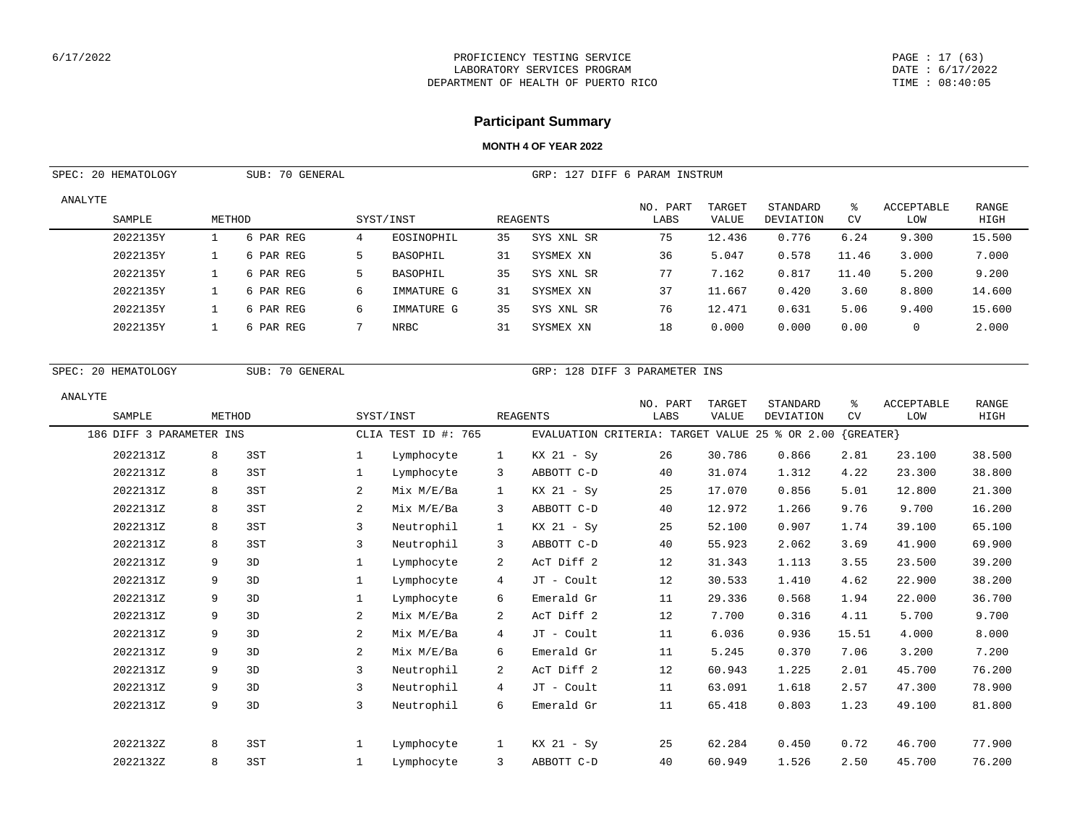#### PAGE : 17 (63) DATE : 6/17/2022 TIME : 08:40:05

# **Participant Summary**

| SPEC: 20 HEMATOLOGY      | SUB: 70 GENERAL |                 |                |                     |              |                                                | GRP: 127 DIFF 6 PARAM INSTRUM |              |                  |             |            |        |
|--------------------------|-----------------|-----------------|----------------|---------------------|--------------|------------------------------------------------|-------------------------------|--------------|------------------|-------------|------------|--------|
| ANALYTE                  |                 |                 |                |                     |              |                                                | NO. PART                      | TARGET       | STANDARD         | နွ          | ACCEPTABLE | RANGE  |
| SAMPLE                   | METHOD          |                 |                | SYST/INST           |              | <b>REAGENTS</b>                                | $_{\rm LABS}$                 | <b>VALUE</b> | <b>DEVIATION</b> | CV          | LOW        | HIGH   |
| 2022135Y                 | $\mathbf{1}$    | 6 PAR REG       | $\overline{4}$ | EOSINOPHIL          | 35           | SYS XNL SR                                     | 75                            | 12.436       | 0.776            | 6.24        | 9.300      | 15.500 |
| 2022135Y                 | $\mathbf{1}$    | 6 PAR REG       | 5              | <b>BASOPHIL</b>     | 31           | SYSMEX XN                                      | 36                            | 5.047        | 0.578            | 11.46       | 3.000      | 7.000  |
| 2022135Y                 | $\mathbf{1}$    | 6 PAR REG       | 5              | BASOPHIL            | 35           | SYS XNL SR                                     | 77                            | 7.162        | 0.817            | 11.40       | 5.200      | 9.200  |
| 2022135Y                 | $\mathbf{1}$    | 6 PAR REG       | 6              | IMMATURE G          | 31           | SYSMEX XN                                      | 37                            | 11.667       | 0.420            | 3.60        | 8.800      | 14.600 |
| 2022135Y                 | $\mathbf{1}$    | 6 PAR REG       | 6              | IMMATURE G          | 35           | SYS XNL SR                                     | 76                            | 12.471       | 0.631            | 5.06        | 9.400      | 15.600 |
| 2022135Y                 | $\mathbf{1}$    | 6 PAR REG       | 7              | <b>NRBC</b>         | 31           | SYSMEX XN                                      | 18                            | 0.000        | 0.000            | 0.00        | 0          | 2.000  |
| SPEC: 20 HEMATOLOGY      |                 | SUB: 70 GENERAL |                |                     |              | GRP: 128 DIFF 3 PARAMETER INS                  |                               |              |                  |             |            |        |
| ANALYTE                  |                 |                 |                |                     |              |                                                | NO. PART                      | TARGET       | STANDARD         | ွေ          | ACCEPTABLE | RANGE  |
| SAMPLE                   | METHOD          |                 |                | SYST/INST           |              | <b>REAGENTS</b>                                | LABS                          | VALUE        | DEVIATION        | CV          | LOW        | HIGH   |
| 186 DIFF 3 PARAMETER INS |                 |                 |                | CLIA TEST ID #: 765 |              | EVALUATION CRITERIA: TARGET VALUE 25 % OR 2.00 |                               |              |                  | ${GREATER}$ |            |        |
| 2022131Z                 | 8               | 3ST             | $\mathbf{1}$   | Lymphocyte          | $\mathbf{1}$ | $KX$ 21 - Sy                                   | 26                            | 30.786       | 0.866            | 2.81        | 23.100     | 38.500 |
| 2022131Z                 | 8               | 3ST             | $\mathbf{1}$   | Lymphocyte          | 3            | ABBOTT C-D                                     | 40                            | 31.074       | 1.312            | 4.22        | 23.300     | 38.800 |
| 2022131Z                 | 8               | 3ST             | 2              | Mix M/E/Ba          | $\mathbf{1}$ | KX 21 - Sy                                     | 25                            | 17.070       | 0.856            | 5.01        | 12.800     | 21.300 |
| 2022131Z                 | 8               | 3ST             | $\overline{a}$ | Mix M/E/Ba          | 3            | ABBOTT C-D                                     | 40                            | 12.972       | 1.266            | 9.76        | 9.700      | 16.200 |
| 2022131Z                 | 8               | 3ST             | 3              | Neutrophil          | $\mathbf{1}$ | KX 21 - Sy                                     | 25                            | 52.100       | 0.907            | 1.74        | 39.100     | 65.100 |
| 2022131Z                 | 8               | 3ST             | 3              | Neutrophil          | 3            | ABBOTT C-D                                     | 40                            | 55.923       | 2.062            | 3.69        | 41.900     | 69.900 |
| 2022131Z                 | 9               | 3D              | $\mathbf{1}$   | Lymphocyte          | 2            | AcT Diff 2                                     | 12                            | 31.343       | 1.113            | 3.55        | 23.500     | 39.200 |
| 2022131Z                 | 9               | 3D              | $\mathbf{1}$   | Lymphocyte          | 4            | JT - Coult                                     | 12                            | 30.533       | 1.410            | 4.62        | 22.900     | 38.200 |
| 2022131Z                 | 9               | 3D              | $\mathbf{1}$   | Lymphocyte          | 6            | Emerald Gr                                     | 11                            | 29.336       | 0.568            | 1.94        | 22.000     | 36.700 |
| 2022131Z                 | 9               | 3D              | 2              | Mix M/E/Ba          | $\sqrt{2}$   | AcT Diff 2                                     | 12                            | 7.700        | 0.316            | 4.11        | 5.700      | 9.700  |
| 2022131Z                 | 9               | 3D              | $\overline{a}$ | Mix M/E/Ba          | 4            | JT - Coult                                     | 11                            | 6.036        | 0.936            | 15.51       | 4.000      | 8.000  |
| 2022131Z                 | 9               | 3D              | $\overline{a}$ | Mix M/E/Ba          | 6            | Emerald Gr                                     | 11                            | 5.245        | 0.370            | 7.06        | 3.200      | 7.200  |
| 2022131Z                 | 9               | 3D              | 3              | Neutrophil          | $\sqrt{2}$   | AcT Diff 2                                     | 12                            | 60.943       | 1.225            | 2.01        | 45.700     | 76.200 |
| 2022131Z                 | 9               | 3D              | 3              | Neutrophil          | 4            | JT - Coult                                     | 11                            | 63.091       | 1.618            | 2.57        | 47.300     | 78.900 |
| 2022131Z                 | 9               | 3D              | 3              | Neutrophil          | 6            | Emerald Gr                                     | 11                            | 65.418       | 0.803            | 1.23        | 49.100     | 81.800 |
| 2022132Z                 | 8               | 3ST             | 1              | Lymphocyte          | $\mathbf{1}$ | $KX$ 21 - Sy                                   | 25                            | 62.284       | 0.450            | 0.72        | 46.700     | 77.900 |
| 2022132Z                 | 8               | 3ST             | 1              | Lymphocyte          | 3            | ABBOTT C-D                                     | 40                            | 60.949       | 1.526            | 2.50        | 45.700     | 76.200 |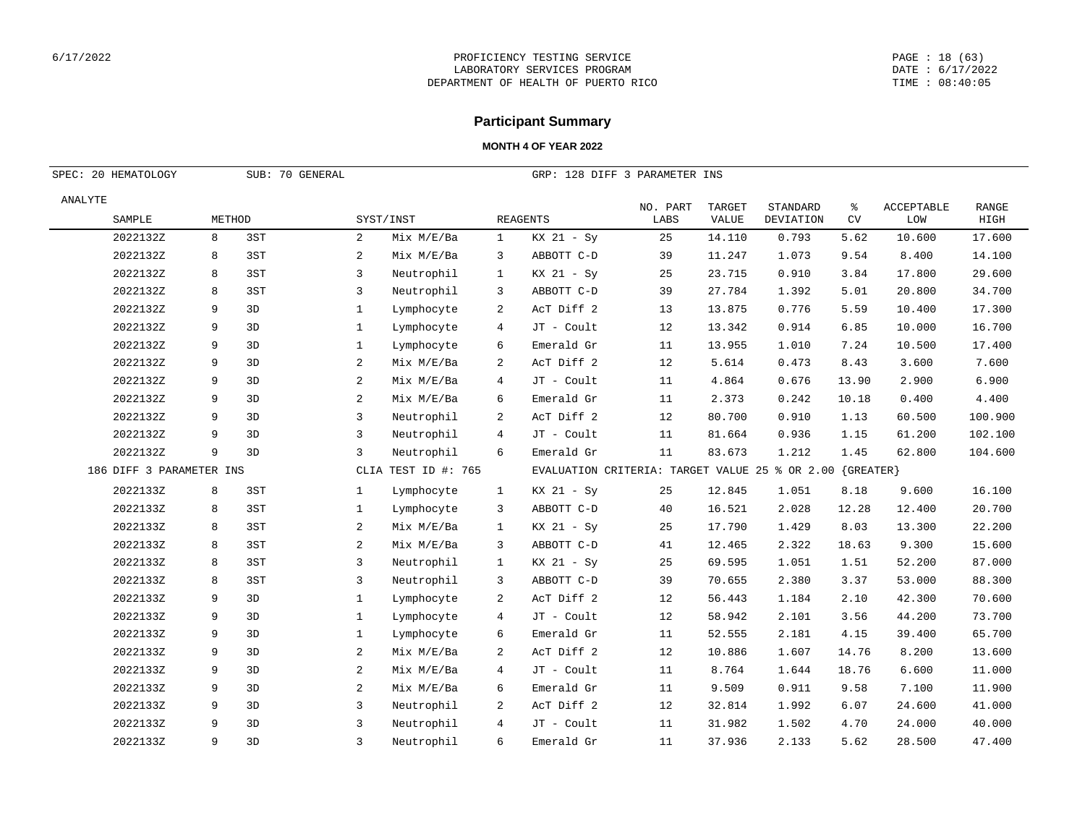#### PAGE : 18 (63) DATE : 6/17/2022 TIME : 08:40:05

## **Participant Summary**

| SPEC: 20 HEMATOLOGY<br>SUB: 70 GENERAL |   |        |                |                     |                |                                                          |                  |                        |                              |          |                          |                      |
|----------------------------------------|---|--------|----------------|---------------------|----------------|----------------------------------------------------------|------------------|------------------------|------------------------------|----------|--------------------------|----------------------|
|                                        |   |        |                |                     |                | GRP: 128 DIFF 3 PARAMETER INS                            |                  |                        |                              |          |                          |                      |
| ANALYTE<br>SAMPLE                      |   | METHOD |                | SYST/INST           |                | <b>REAGENTS</b>                                          | NO. PART<br>LABS | TARGET<br><b>VALUE</b> | STANDARD<br><b>DEVIATION</b> | နွ<br>CV | <b>ACCEPTABLE</b><br>LOW | <b>RANGE</b><br>HIGH |
| 2022132Z                               | 8 | 3ST    | 2              | Mix M/E/Ba          | $\mathbf{1}$   | $KX$ 21 - Sy                                             | 25               | 14.110                 | 0.793                        | 5.62     | 10.600                   | 17.600               |
| 2022132Z                               | 8 | 3ST    | 2              | Mix M/E/Ba          | 3              | ABBOTT C-D                                               | 39               | 11.247                 | 1.073                        | 9.54     | 8.400                    | 14.100               |
| 2022132Z                               | 8 | 3ST    | 3              | Neutrophil          | $\mathbf{1}$   | KX 21 - Sy                                               | 25               | 23.715                 | 0.910                        | 3.84     | 17.800                   | 29.600               |
| 2022132Z                               | 8 | 3ST    | 3              | Neutrophil          | 3              | ABBOTT C-D                                               | 39               | 27.784                 | 1.392                        | 5.01     | 20.800                   | 34.700               |
| 2022132Z                               | 9 | 3D     | $\mathbf{1}$   | Lymphocyte          | 2              | AcT Diff 2                                               | 13               | 13.875                 | 0.776                        | 5.59     | 10.400                   | 17.300               |
| 2022132Z                               | 9 | 3D     | $\mathbf{1}$   | Lymphocyte          | 4              | JT - Coult                                               | 12               | 13.342                 | 0.914                        | 6.85     | 10.000                   | 16.700               |
| 2022132Z                               | 9 | 3D     | 1              | Lymphocyte          | 6              | Emerald Gr                                               | 11               | 13.955                 | 1.010                        | 7.24     | 10.500                   | 17.400               |
| 2022132Z                               | 9 | 3D     | 2              | Mix M/E/Ba          | 2              | AcT Diff 2                                               | 12               | 5.614                  | 0.473                        | 8.43     | 3.600                    | 7.600                |
| 2022132Z                               | 9 | 3D     | 2              | Mix M/E/Ba          | $\overline{4}$ | JT - Coult                                               | 11               | 4.864                  | 0.676                        | 13.90    | 2.900                    | 6.900                |
| 2022132Z                               | 9 | 3D     | $\overline{a}$ | Mix M/E/Ba          | 6              | Emerald Gr                                               | 11               | 2.373                  | 0.242                        | 10.18    | 0.400                    | 4.400                |
| 2022132Z                               | 9 | 3D     | 3              | Neutrophil          | 2              | AcT Diff 2                                               | 12               | 80.700                 | 0.910                        | 1.13     | 60.500                   | 100.900              |
| 2022132Z                               | 9 | 3D     | 3              | Neutrophil          | 4              | JT - Coult                                               | 11               | 81.664                 | 0.936                        | 1.15     | 61.200                   | 102.100              |
| 2022132Z                               | 9 | 3D     | 3              | Neutrophil          | 6              | Emerald Gr                                               | 11               | 83.673                 | 1.212                        | 1.45     | 62.800                   | 104.600              |
| 186 DIFF 3 PARAMETER INS               |   |        |                | CLIA TEST ID #: 765 |                | EVALUATION CRITERIA: TARGET VALUE 25 % OR 2.00 {GREATER} |                  |                        |                              |          |                          |                      |
| 2022133Z                               | 8 | 3ST    | $\mathbf{1}$   | Lymphocyte          | $\mathbf{1}$   | KX 21 - Sy                                               | 25               | 12.845                 | 1.051                        | 8.18     | 9.600                    | 16.100               |
| 2022133Z                               | 8 | 3ST    | $\mathbf{1}$   | Lymphocyte          | 3              | ABBOTT C-D                                               | 40               | 16.521                 | 2.028                        | 12.28    | 12.400                   | 20.700               |
| 2022133Z                               | 8 | 3ST    | 2              | Mix M/E/Ba          | $\mathbf{1}$   | KX 21 - Sy                                               | 25               | 17.790                 | 1.429                        | 8.03     | 13.300                   | 22.200               |
| 2022133Z                               | 8 | 3ST    | 2              | Mix M/E/Ba          | 3              | ABBOTT C-D                                               | 41               | 12.465                 | 2.322                        | 18.63    | 9.300                    | 15.600               |
| 2022133Z                               | 8 | 3ST    | 3              | Neutrophil          | $\mathbf{1}$   | KX 21 - Sy                                               | 25               | 69.595                 | 1.051                        | 1.51     | 52.200                   | 87.000               |
| 2022133Z                               | 8 | 3ST    | 3              | Neutrophil          | 3              | ABBOTT C-D                                               | 39               | 70.655                 | 2.380                        | 3.37     | 53.000                   | 88.300               |
| 2022133Z                               | 9 | 3D     | $\mathbf{1}$   | Lymphocyte          | 2              | AcT Diff 2                                               | 12               | 56.443                 | 1.184                        | 2.10     | 42.300                   | 70.600               |
| 2022133Z                               | 9 | 3D     | $\mathbf{1}$   | Lymphocyte          | 4              | JT - Coult                                               | 12               | 58.942                 | 2.101                        | 3.56     | 44.200                   | 73.700               |
| 2022133Z                               | 9 | 3D     | $\mathbf{1}$   | Lymphocyte          | 6              | Emerald Gr                                               | 11               | 52.555                 | 2.181                        | 4.15     | 39.400                   | 65.700               |
| 2022133Z                               | 9 | 3D     | 2              | Mix M/E/Ba          | 2              | AcT Diff 2                                               | 12               | 10.886                 | 1.607                        | 14.76    | 8.200                    | 13.600               |
| 2022133Z                               | 9 | 3D     | 2              | Mix M/E/Ba          | 4              | JT - Coult                                               | 11               | 8.764                  | 1.644                        | 18.76    | 6.600                    | 11.000               |
| 2022133Z                               | 9 | 3D     | 2              | Mix M/E/Ba          | 6              | Emerald Gr                                               | 11               | 9.509                  | 0.911                        | 9.58     | 7.100                    | 11.900               |
| 2022133Z                               | 9 | 3D     | 3              | Neutrophil          | 2              | AcT Diff 2                                               | 12               | 32.814                 | 1.992                        | 6.07     | 24.600                   | 41.000               |
| 2022133Z                               | 9 | 3D     | 3              | Neutrophil          | $\overline{4}$ | JT - Coult                                               | 11               | 31.982                 | 1.502                        | 4.70     | 24.000                   | 40.000               |
| 2022133Z                               | 9 | 3D     | 3              | Neutrophil          | 6              | Emerald Gr                                               | 11               | 37.936                 | 2.133                        | 5.62     | 28.500                   | 47.400               |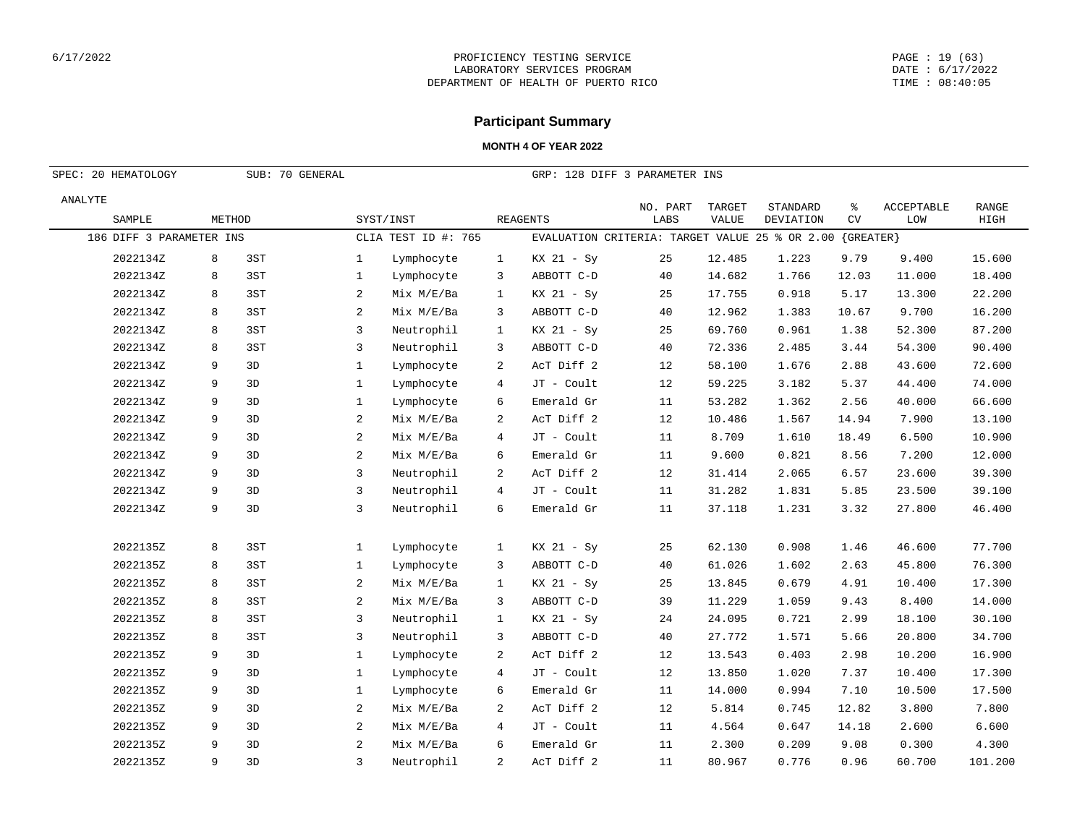#### PAGE : 19 (63) DATE : 6/17/2022 TIME : 08:40:05

# **Participant Summary**

| SPEC: 20 HEMATOLOGY<br>SUB: 70 GENERAL |                          |        |     |                |                     |              | GRP: 128 DIFF 3 PARAMETER INS                  |          |        |           |             |            |         |  |
|----------------------------------------|--------------------------|--------|-----|----------------|---------------------|--------------|------------------------------------------------|----------|--------|-----------|-------------|------------|---------|--|
| ANALYTE                                |                          |        |     |                |                     |              |                                                | NO. PART | TARGET | STANDARD  | နွ          | ACCEPTABLE | RANGE   |  |
|                                        | SAMPLE                   | METHOD |     |                | SYST/INST           |              | <b>REAGENTS</b>                                | LABS     | VALUE  | DEVIATION | CV          | LOM        | HIGH    |  |
|                                        | 186 DIFF 3 PARAMETER INS |        |     |                | CLIA TEST ID #: 765 |              | EVALUATION CRITERIA: TARGET VALUE 25 % OR 2.00 |          |        |           | ${GREATER}$ |            |         |  |
|                                        | 2022134Z                 | 8      | 3ST | $\mathbf{1}$   | Lymphocyte          | $\mathbf{1}$ | $KX$ 21 - Sy                                   | 25       | 12.485 | 1.223     | 9.79        | 9.400      | 15.600  |  |
|                                        | 2022134Z                 | 8      | 3ST | $\mathbf{1}$   | Lymphocyte          | 3            | ABBOTT C-D                                     | 40       | 14.682 | 1.766     | 12.03       | 11.000     | 18.400  |  |
|                                        | 2022134Z                 | 8      | 3ST | 2              | Mix M/E/Ba          | $\mathbf{1}$ | KX 21 - Sy                                     | 25       | 17.755 | 0.918     | 5.17        | 13.300     | 22.200  |  |
|                                        | 2022134Z                 | 8      | 3ST | $\overline{2}$ | Mix M/E/Ba          | 3            | ABBOTT C-D                                     | 40       | 12.962 | 1.383     | 10.67       | 9.700      | 16.200  |  |
|                                        | 2022134Z                 | 8      | 3ST | 3              | Neutrophil          | $\mathbf{1}$ | KX 21 - Sy                                     | 25       | 69.760 | 0.961     | 1.38        | 52.300     | 87.200  |  |
|                                        | 2022134Z                 | 8      | 3ST | 3              | Neutrophil          | 3            | ABBOTT C-D                                     | 40       | 72.336 | 2.485     | 3.44        | 54.300     | 90.400  |  |
|                                        | 2022134Z                 | 9      | 3D  | $\mathbf{1}$   | Lymphocyte          | 2            | AcT Diff 2                                     | 12       | 58.100 | 1.676     | 2.88        | 43.600     | 72.600  |  |
|                                        | 2022134Z                 | 9      | 3D  | $\mathbf{1}$   | Lymphocyte          | 4            | JT - Coult                                     | 12       | 59.225 | 3.182     | 5.37        | 44.400     | 74.000  |  |
|                                        | 2022134Z                 | 9      | 3D  | $\mathbf{1}$   | Lymphocyte          | 6            | Emerald Gr                                     | 11       | 53.282 | 1.362     | 2.56        | 40.000     | 66.600  |  |
|                                        | 2022134Z                 | 9      | 3D  | $\overline{2}$ | Mix M/E/Ba          | 2            | AcT Diff 2                                     | 12       | 10.486 | 1.567     | 14.94       | 7.900      | 13.100  |  |
|                                        | 2022134Z                 | 9      | 3D  | $\overline{2}$ | Mix M/E/Ba          | 4            | JT - Coult                                     | 11       | 8.709  | 1.610     | 18.49       | 6.500      | 10.900  |  |
|                                        | 2022134Z                 | 9      | 3D  | $\overline{2}$ | Mix M/E/Ba          | 6            | Emerald Gr                                     | 11       | 9.600  | 0.821     | 8.56        | 7.200      | 12.000  |  |
|                                        | 2022134Z                 | 9      | 3D  | 3              | Neutrophil          | 2            | AcT Diff 2                                     | 12       | 31.414 | 2.065     | 6.57        | 23.600     | 39.300  |  |
|                                        | 2022134Z                 | 9      | 3D  | 3              | Neutrophil          | 4            | JT - Coult                                     | 11       | 31.282 | 1.831     | 5.85        | 23.500     | 39.100  |  |
|                                        | 2022134Z                 | 9      | 3D  | 3              | Neutrophil          | 6            | Emerald Gr                                     | 11       | 37.118 | 1.231     | 3.32        | 27.800     | 46.400  |  |
|                                        |                          |        |     |                |                     |              |                                                |          |        |           |             |            |         |  |
|                                        | 2022135Z                 | 8      | 3ST | $\mathbf{1}$   | Lymphocyte          | $\mathbf{1}$ | $KX$ 21 - Sy                                   | 25       | 62.130 | 0.908     | 1.46        | 46.600     | 77.700  |  |
|                                        | 2022135Z                 | 8      | 3ST | $\mathbf{1}$   | Lymphocyte          | 3            | ABBOTT C-D                                     | 40       | 61.026 | 1.602     | 2.63        | 45.800     | 76.300  |  |
|                                        | 2022135Z                 | 8      | 3ST | $\overline{a}$ | Mix M/E/Ba          | $\mathbf{1}$ | $KX$ 21 - Sy                                   | 25       | 13.845 | 0.679     | 4.91        | 10.400     | 17.300  |  |
|                                        | 2022135Z                 | 8      | 3ST | $\overline{a}$ | Mix M/E/Ba          | 3            | ABBOTT C-D                                     | 39       | 11.229 | 1.059     | 9.43        | 8.400      | 14.000  |  |
|                                        | 2022135Z                 | 8      | 3ST | 3              | Neutrophil          | $\mathbf{1}$ | KX 21 - Sy                                     | 24       | 24.095 | 0.721     | 2.99        | 18.100     | 30.100  |  |
|                                        | 2022135Z                 | 8      | 3ST | 3              | Neutrophil          | 3            | ABBOTT C-D                                     | 40       | 27.772 | 1.571     | 5.66        | 20.800     | 34.700  |  |
|                                        | 2022135Z                 | 9      | 3D  | $\mathbf{1}$   | Lymphocyte          | 2            | AcT Diff 2                                     | 12       | 13.543 | 0.403     | 2.98        | 10.200     | 16.900  |  |
|                                        | 2022135Z                 | 9      | 3D  | $\mathbf{1}$   | Lymphocyte          | 4            | JT - Coult                                     | 12       | 13.850 | 1.020     | 7.37        | 10.400     | 17.300  |  |
|                                        | 2022135Z                 | 9      | 3D  | $\mathbf{1}$   | Lymphocyte          | 6            | Emerald Gr                                     | 11       | 14.000 | 0.994     | 7.10        | 10.500     | 17.500  |  |
|                                        | 2022135Z                 | 9      | 3D  | 2              | Mix M/E/Ba          | 2            | AcT Diff 2                                     | 12       | 5.814  | 0.745     | 12.82       | 3.800      | 7.800   |  |
|                                        | 2022135Z                 | 9      | 3D  | $\overline{c}$ | Mix M/E/Ba          | 4            | JT - Coult                                     | 11       | 4.564  | 0.647     | 14.18       | 2.600      | 6.600   |  |
|                                        | 2022135Z                 | 9      | 3D  | $\overline{a}$ | Mix M/E/Ba          | 6            | Emerald Gr                                     | 11       | 2.300  | 0.209     | 9.08        | 0.300      | 4.300   |  |
|                                        | 2022135Z                 | 9      | 3D  | $\overline{3}$ | Neutrophil          | 2            | AcT Diff 2                                     | 11       | 80.967 | 0.776     | 0.96        | 60.700     | 101.200 |  |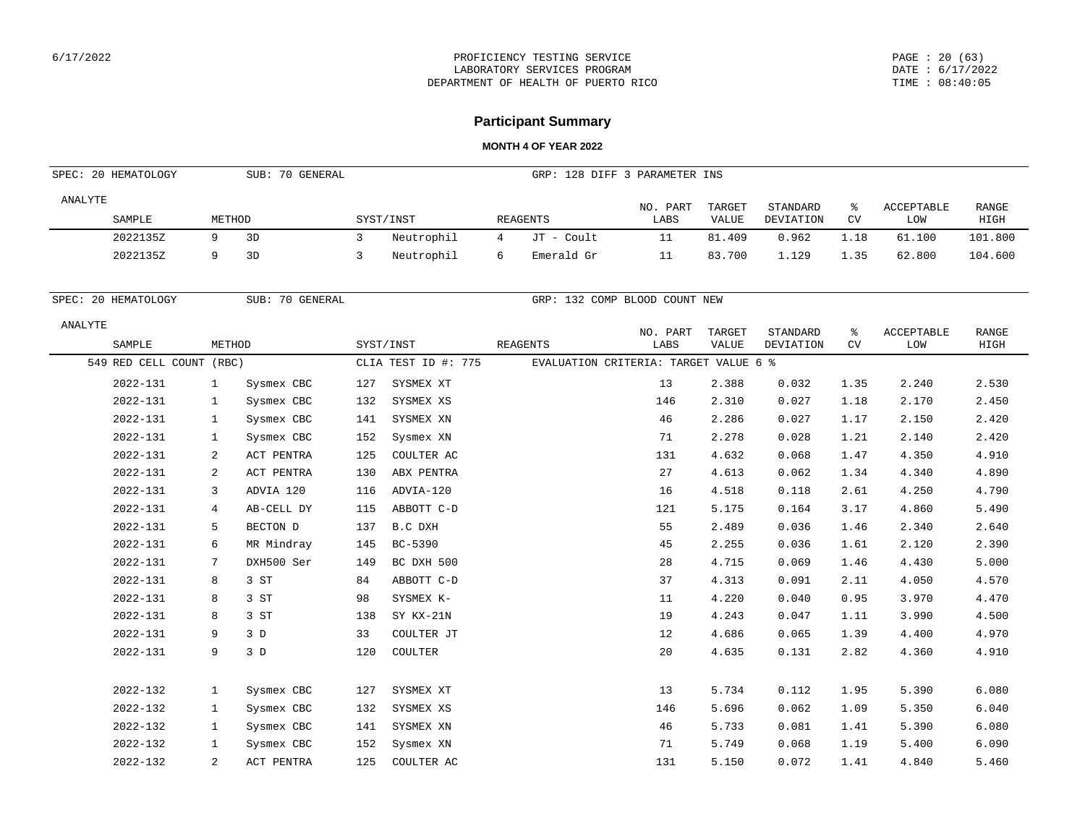#### PAGE : 20 (63) DATE : 6/17/2022 TIME : 08:40:05

## **Participant Summary**

|         | SPEC: 20 HEMATOLOGY      |              | SUB: 70 GENERAL |                |                     |                | GRP: 128 DIFF 3 PARAMETER INS         |                  |                        |                       |         |                          |                      |
|---------|--------------------------|--------------|-----------------|----------------|---------------------|----------------|---------------------------------------|------------------|------------------------|-----------------------|---------|--------------------------|----------------------|
| ANALYTE | SAMPLE                   | METHOD       |                 |                | SYST/INST           |                | <b>REAGENTS</b>                       | NO. PART<br>LABS | TARGET<br>VALUE        | STANDARD<br>DEVIATION | ႜ<br>CV | ACCEPTABLE<br>LOW        | <b>RANGE</b><br>HIGH |
|         | 2022135Z                 | 9            | 3D              | $\overline{3}$ | Neutrophil          | $\overline{4}$ | JT - Coult                            | 11               | 81.409                 | 0.962                 | 1.18    | 61.100                   | 101.800              |
|         | 2022135Z                 | 9            | 3D              | 3              | Neutrophil          | 6              | Emerald Gr                            | 11               | 83.700                 | 1.129                 | 1.35    | 62.800                   | 104.600              |
|         | SPEC: 20 HEMATOLOGY      |              | SUB: 70 GENERAL |                |                     |                | GRP: 132 COMP BLOOD COUNT NEW         |                  |                        |                       |         |                          |                      |
| ANALYTE | SAMPLE                   | METHOD       |                 |                | SYST/INST           |                | <b>REAGENTS</b>                       | NO. PART<br>LABS | TARGET<br><b>VALUE</b> | STANDARD<br>DEVIATION | ి<br>CV | <b>ACCEPTABLE</b><br>LOW | <b>RANGE</b><br>HIGH |
|         | 549 RED CELL COUNT (RBC) |              |                 |                | CLIA TEST ID #: 775 |                | EVALUATION CRITERIA: TARGET VALUE 6 % |                  |                        |                       |         |                          |                      |
|         | 2022-131                 | 1            | Sysmex CBC      | 127            | SYSMEX XT           |                |                                       | 13               | 2.388                  | 0.032                 | 1.35    | 2.240                    | 2.530                |
|         | 2022-131                 | $\mathbf{1}$ | Sysmex CBC      | 132            | SYSMEX XS           |                |                                       | 146              | 2.310                  | 0.027                 | 1.18    | 2.170                    | 2.450                |
|         | 2022-131                 | 1            | Sysmex CBC      | 141            | SYSMEX XN           |                |                                       | 46               | 2.286                  | 0.027                 | 1.17    | 2.150                    | 2.420                |
|         | 2022-131                 | 1            | Sysmex CBC      | 152            | Sysmex XN           |                |                                       | 71               | 2.278                  | 0.028                 | 1.21    | 2.140                    | 2.420                |
|         | 2022-131                 | 2            | ACT PENTRA      | 125            | COULTER AC          |                |                                       | 131              | 4.632                  | 0.068                 | 1.47    | 4.350                    | 4.910                |
|         | 2022-131                 | 2            | ACT PENTRA      | 130            | ABX PENTRA          |                |                                       | 27               | 4.613                  | 0.062                 | 1.34    | 4.340                    | 4.890                |
|         | 2022-131                 | 3            | ADVIA 120       | 116            | ADVIA-120           |                |                                       | 16               | 4.518                  | 0.118                 | 2.61    | 4.250                    | 4.790                |
|         | 2022-131                 | 4            | AB-CELL DY      | 115            | ABBOTT C-D          |                |                                       | 121              | 5.175                  | 0.164                 | 3.17    | 4.860                    | 5.490                |
|         | 2022-131                 | 5            | BECTON D        | 137            | B.C DXH             |                |                                       | 55               | 2.489                  | 0.036                 | 1.46    | 2.340                    | 2.640                |
|         | 2022-131                 | 6            | MR Mindray      | 145            | BC-5390             |                |                                       | 45               | 2.255                  | 0.036                 | 1.61    | 2.120                    | 2.390                |
|         | 2022-131                 | 7            | DXH500 Ser      | 149            | BC DXH 500          |                |                                       | 28               | 4.715                  | 0.069                 | 1.46    | 4.430                    | 5.000                |
|         | 2022-131                 | 8            | 3 ST            | 84             | ABBOTT C-D          |                |                                       | 37               | 4.313                  | 0.091                 | 2.11    | 4.050                    | 4.570                |
|         | 2022-131                 | 8            | 3 ST            | 98             | SYSMEX K-           |                |                                       | 11               | 4.220                  | 0.040                 | 0.95    | 3.970                    | 4.470                |
|         | 2022-131                 | 8            | 3 ST            | 138            | SY KX-21N           |                |                                       | 19               | 4.243                  | 0.047                 | 1.11    | 3.990                    | 4.500                |
|         | 2022-131                 | 9            | 3D              | 33             | COULTER JT          |                |                                       | 12               | 4.686                  | 0.065                 | 1.39    | 4.400                    | 4.970                |
|         | 2022-131                 | 9            | 3D              | 120            | COULTER             |                |                                       | 20               | 4.635                  | 0.131                 | 2.82    | 4.360                    | 4.910                |
|         | 2022-132                 | $\mathbf{1}$ | Sysmex CBC      | 127            | SYSMEX XT           |                |                                       | 13               | 5.734                  | 0.112                 | 1.95    | 5.390                    | 6.080                |
|         | 2022-132                 | $\mathbf{1}$ | Sysmex CBC      | 132            | SYSMEX XS           |                |                                       | 146              | 5.696                  | 0.062                 | 1.09    | 5.350                    | 6.040                |
|         | 2022-132                 | 1            | Sysmex CBC      | 141            | SYSMEX XN           |                |                                       | 46               | 5.733                  | 0.081                 | 1.41    | 5.390                    | 6.080                |
|         | 2022-132                 | $\mathbf{1}$ | Sysmex CBC      | 152            | Sysmex XN           |                |                                       | 71               | 5.749                  | 0.068                 | 1.19    | 5.400                    | 6.090                |
|         | 2022-132                 | $\mathbf{2}$ | ACT PENTRA      | 125            | COULTER AC          |                |                                       | 131              | 5.150                  | 0.072                 | 1.41    | 4.840                    | 5.460                |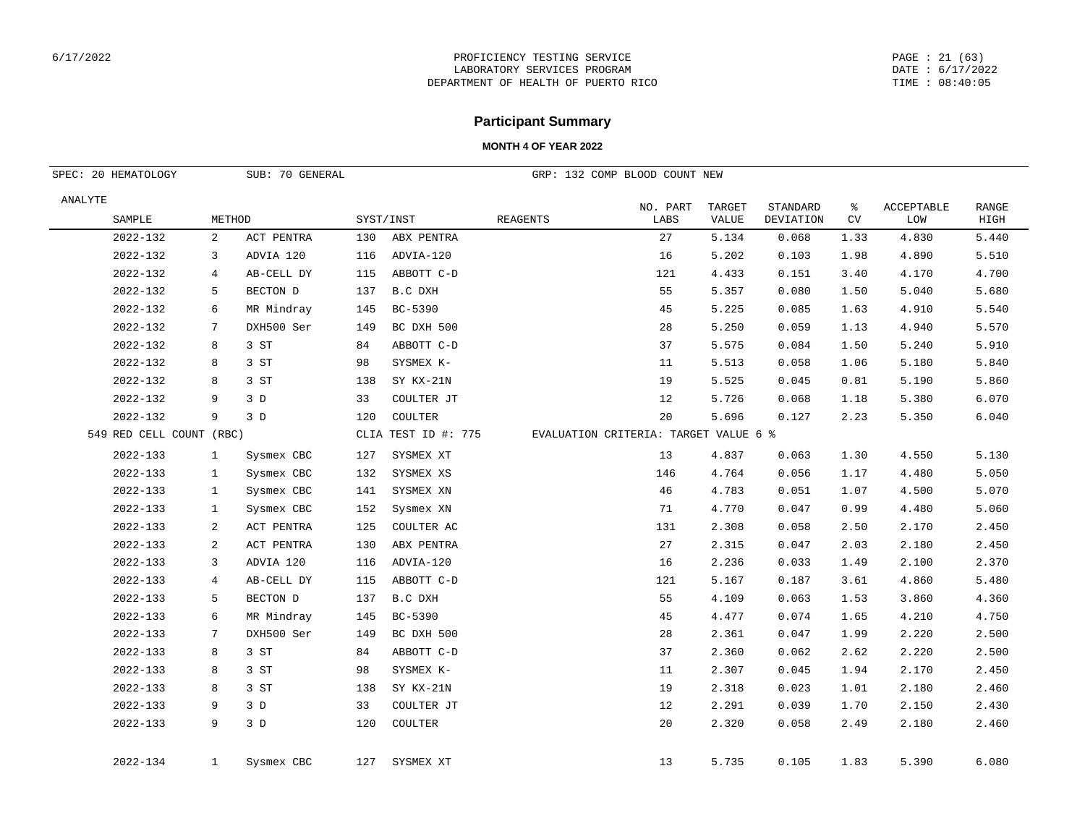#### PAGE : 21 (63) DATE : 6/17/2022 TIME : 08:40:05

## **Participant Summary**

| SPEC: 20 HEMATOLOGY      |              | SUB: 70 GENERAL |     |                     |                 | GRP: 132 COMP BLOOD COUNT NEW         |                               |                       |                 |                          |                      |
|--------------------------|--------------|-----------------|-----|---------------------|-----------------|---------------------------------------|-------------------------------|-----------------------|-----------------|--------------------------|----------------------|
| ANALYTE<br>SAMPLE        | METHOD       |                 |     | SYST/INST           | <b>REAGENTS</b> | NO. PART<br>LABS                      | <b>TARGET</b><br><b>VALUE</b> | STANDARD<br>DEVIATION | ៖<br>${\rm CV}$ | <b>ACCEPTABLE</b><br>LOW | <b>RANGE</b><br>HIGH |
| 2022-132                 | 2            | ACT PENTRA      | 130 | ABX PENTRA          |                 | 27                                    | 5.134                         | 0.068                 | 1.33            | 4.830                    | 5.440                |
| 2022-132                 | 3            | ADVIA 120       | 116 | ADVIA-120           |                 | 16                                    | 5.202                         | 0.103                 | 1.98            | 4.890                    | 5.510                |
| 2022-132                 | 4            | AB-CELL DY      | 115 | ABBOTT C-D          |                 | 121                                   | 4.433                         | 0.151                 | 3.40            | 4.170                    | 4.700                |
| 2022-132                 | 5            | BECTON D        | 137 | B.C DXH             |                 | 55                                    | 5.357                         | 0.080                 | 1.50            | 5.040                    | 5.680                |
| 2022-132                 | 6            | MR Mindray      | 145 | BC-5390             |                 | 45                                    | 5.225                         | 0.085                 | 1.63            | 4.910                    | 5.540                |
| 2022-132                 | 7            | DXH500 Ser      | 149 | BC DXH 500          |                 | 28                                    | 5.250                         | 0.059                 | 1.13            | 4.940                    | 5.570                |
| 2022-132                 | 8            | 3 ST            | 84  | ABBOTT C-D          |                 | 37                                    | 5.575                         | 0.084                 | 1.50            | 5.240                    | 5.910                |
| 2022-132                 | 8            | 3 ST            | 98  | SYSMEX K-           |                 | 11                                    | 5.513                         | 0.058                 | 1.06            | 5.180                    | 5.840                |
| 2022-132                 | 8            | 3 ST            | 138 | SY KX-21N           |                 | 19                                    | 5.525                         | 0.045                 | 0.81            | 5.190                    | 5.860                |
| 2022-132                 | 9            | 3D              | 33  | COULTER JT          |                 | 12                                    | 5.726                         | 0.068                 | 1.18            | 5.380                    | 6.070                |
| 2022-132                 | 9            | 3D              | 120 | COULTER             |                 | 20                                    | 5.696                         | 0.127                 | 2.23            | 5.350                    | 6.040                |
| 549 RED CELL COUNT (RBC) |              |                 |     | CLIA TEST ID #: 775 |                 | EVALUATION CRITERIA: TARGET VALUE 6 % |                               |                       |                 |                          |                      |
| 2022-133                 | $\mathbf{1}$ | Sysmex CBC      | 127 | SYSMEX XT           |                 | 13                                    | 4.837                         | 0.063                 | 1.30            | 4.550                    | 5.130                |
| 2022-133                 | $\mathbf{1}$ | Sysmex CBC      | 132 | SYSMEX XS           |                 | 146                                   | 4.764                         | 0.056                 | 1.17            | 4.480                    | 5.050                |
| 2022-133                 | 1            | Sysmex CBC      | 141 | SYSMEX XN           |                 | 46                                    | 4.783                         | 0.051                 | 1.07            | 4.500                    | 5.070                |
| 2022-133                 | $\mathbf{1}$ | Sysmex CBC      | 152 | Sysmex XN           |                 | 71                                    | 4.770                         | 0.047                 | 0.99            | 4.480                    | 5.060                |
| 2022-133                 | 2            | ACT PENTRA      | 125 | COULTER AC          |                 | 131                                   | 2.308                         | 0.058                 | 2.50            | 2.170                    | 2.450                |
| 2022-133                 | 2            | ACT PENTRA      | 130 | ABX PENTRA          |                 | 27                                    | 2.315                         | 0.047                 | 2.03            | 2.180                    | 2.450                |
| 2022-133                 | 3            | ADVIA 120       | 116 | ADVIA-120           |                 | 16                                    | 2.236                         | 0.033                 | 1.49            | 2.100                    | 2.370                |
| 2022-133                 | 4            | AB-CELL DY      | 115 | ABBOTT C-D          |                 | 121                                   | 5.167                         | 0.187                 | 3.61            | 4.860                    | 5.480                |
| 2022-133                 | 5            | BECTON D        | 137 | B.C DXH             |                 | 55                                    | 4.109                         | 0.063                 | 1.53            | 3.860                    | 4.360                |
| 2022-133                 | 6            | MR Mindray      | 145 | BC-5390             |                 | 45                                    | 4.477                         | 0.074                 | 1.65            | 4.210                    | 4.750                |
| 2022-133                 | 7            | DXH500 Ser      | 149 | BC DXH 500          |                 | 28                                    | 2.361                         | 0.047                 | 1.99            | 2.220                    | 2.500                |
| 2022-133                 | 8            | 3 ST            | 84  | ABBOTT C-D          |                 | 37                                    | 2.360                         | 0.062                 | 2.62            | 2.220                    | 2.500                |
| 2022-133                 | 8            | 3 ST            | 98  | SYSMEX K-           |                 | 11                                    | 2.307                         | 0.045                 | 1.94            | 2.170                    | 2.450                |
| 2022-133                 | 8            | 3 ST            | 138 | SY KX-21N           |                 | 19                                    | 2.318                         | 0.023                 | 1.01            | 2.180                    | 2.460                |
| 2022-133                 | 9            | 3D              | 33  | COULTER JT          |                 | 12                                    | 2.291                         | 0.039                 | 1.70            | 2.150                    | 2.430                |
| 2022-133                 | 9            | 3D              | 120 | COULTER             |                 | 20                                    | 2.320                         | 0.058                 | 2.49            | 2.180                    | 2.460                |
| 2022-134                 | 1            | Sysmex CBC      | 127 | SYSMEX XT           |                 | 13                                    | 5.735                         | 0.105                 | 1.83            | 5.390                    | 6.080                |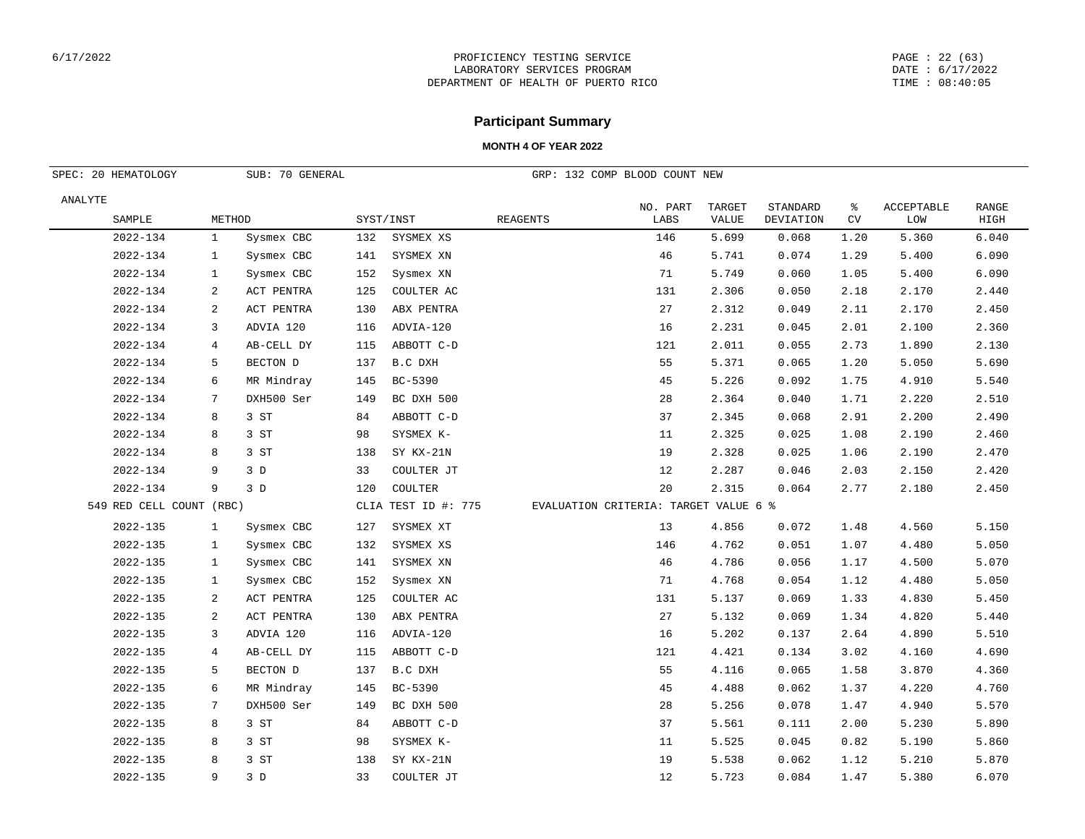#### PAGE : 22 (63) DATE : 6/17/2022 TIME : 08:40:05

## **Participant Summary**

| SPEC: 20 HEMATOLOGY<br>SUB: 70 GENERAL |                          |              |            |           |                     | GRP: 132 COMP BLOOD COUNT NEW         |                  |                 |                       |         |                          |                      |
|----------------------------------------|--------------------------|--------------|------------|-----------|---------------------|---------------------------------------|------------------|-----------------|-----------------------|---------|--------------------------|----------------------|
| ANALYTE                                |                          |              |            |           |                     |                                       |                  |                 |                       |         |                          |                      |
|                                        | SAMPLE                   | METHOD       |            | SYST/INST |                     | <b>REAGENTS</b>                       | NO. PART<br>LABS | TARGET<br>VALUE | STANDARD<br>DEVIATION | ి<br>CV | <b>ACCEPTABLE</b><br>LOW | <b>RANGE</b><br>HIGH |
|                                        | 2022-134                 | $\mathbf{1}$ | Sysmex CBC | 132       | SYSMEX XS           |                                       | 146              | 5.699           | 0.068                 | 1.20    | 5.360                    | 6.040                |
|                                        | 2022-134                 | $\mathbf{1}$ | Sysmex CBC | 141       | SYSMEX XN           |                                       | 46               | 5.741           | 0.074                 | 1.29    | 5.400                    | 6.090                |
|                                        | 2022-134                 | 1            | Sysmex CBC | 152       | Sysmex XN           |                                       | 71               | 5.749           | 0.060                 | 1.05    | 5.400                    | 6.090                |
|                                        | 2022-134                 | 2            | ACT PENTRA | 125       | COULTER AC          |                                       | 131              | 2.306           | 0.050                 | 2.18    | 2.170                    | 2.440                |
|                                        | 2022-134                 | 2            | ACT PENTRA | 130       | ABX PENTRA          |                                       | 27               | 2.312           | 0.049                 | 2.11    | 2.170                    | 2.450                |
|                                        | 2022-134                 | 3            | ADVIA 120  | 116       | ADVIA-120           |                                       | 16               | 2.231           | 0.045                 | 2.01    | 2.100                    | 2.360                |
|                                        | 2022-134                 | 4            | AB-CELL DY | 115       | ABBOTT C-D          |                                       | 121              | 2.011           | 0.055                 | 2.73    | 1.890                    | 2.130                |
|                                        | 2022-134                 | 5            | BECTON D   | 137       | B.C DXH             |                                       | 55               | 5.371           | 0.065                 | 1.20    | 5.050                    | 5.690                |
|                                        | 2022-134                 | 6            | MR Mindray | 145       | BC-5390             |                                       | 45               | 5.226           | 0.092                 | 1.75    | 4.910                    | 5.540                |
|                                        | 2022-134                 | 7            | DXH500 Ser | 149       | BC DXH 500          |                                       | 28               | 2.364           | 0.040                 | 1.71    | 2.220                    | 2.510                |
|                                        | 2022-134                 | 8            | 3 ST       | 84        | ABBOTT C-D          |                                       | 37               | 2.345           | 0.068                 | 2.91    | 2.200                    | 2.490                |
|                                        | 2022-134                 | 8            | 3 ST       | 98        | SYSMEX K-           |                                       | 11               | 2.325           | 0.025                 | 1.08    | 2.190                    | 2.460                |
|                                        | 2022-134                 | 8            | 3 ST       | 138       | SY KX-21N           |                                       | 19               | 2.328           | 0.025                 | 1.06    | 2.190                    | 2.470                |
|                                        | 2022-134                 | 9            | 3D         | 33        | COULTER JT          |                                       | 12               | 2.287           | 0.046                 | 2.03    | 2.150                    | 2.420                |
|                                        | 2022-134                 | 9            | 3D         | 120       | COULTER             |                                       | 20               | 2.315           | 0.064                 | 2.77    | 2.180                    | 2.450                |
|                                        | 549 RED CELL COUNT (RBC) |              |            |           | CLIA TEST ID #: 775 | EVALUATION CRITERIA: TARGET VALUE 6 % |                  |                 |                       |         |                          |                      |
|                                        | 2022-135                 | $\mathbf{1}$ | Sysmex CBC | 127       | SYSMEX XT           |                                       | 13               | 4.856           | 0.072                 | 1.48    | 4.560                    | 5.150                |
|                                        | 2022-135                 | $\mathbf{1}$ | Sysmex CBC | 132       | SYSMEX XS           |                                       | 146              | 4.762           | 0.051                 | 1.07    | 4.480                    | 5.050                |
|                                        | 2022-135                 | $\mathbf{1}$ | Sysmex CBC | 141       | SYSMEX XN           |                                       | 46               | 4.786           | 0.056                 | 1.17    | 4.500                    | 5.070                |
|                                        | 2022-135                 | $\mathbf{1}$ | Sysmex CBC | 152       | Sysmex XN           |                                       | 71               | 4.768           | 0.054                 | 1.12    | 4.480                    | 5.050                |
|                                        | 2022-135                 | 2            | ACT PENTRA | 125       | COULTER AC          |                                       | 131              | 5.137           | 0.069                 | 1.33    | 4.830                    | 5.450                |
|                                        | $2022 - 135$             | 2            | ACT PENTRA | 130       | ABX PENTRA          |                                       | 27               | 5.132           | 0.069                 | 1.34    | 4.820                    | 5.440                |
|                                        | 2022-135                 | 3            | ADVIA 120  | 116       | ADVIA-120           |                                       | 16               | 5.202           | 0.137                 | 2.64    | 4.890                    | 5.510                |
|                                        | 2022-135                 | 4            | AB-CELL DY | 115       | ABBOTT C-D          |                                       | 121              | 4.421           | 0.134                 | 3.02    | 4.160                    | 4.690                |
|                                        | 2022-135                 | 5            | BECTON D   | 137       | B.C DXH             |                                       | 55               | 4.116           | 0.065                 | 1.58    | 3.870                    | 4.360                |
|                                        | 2022-135                 | 6            | MR Mindray | 145       | BC-5390             |                                       | 45               | 4.488           | 0.062                 | 1.37    | 4.220                    | 4.760                |
|                                        | 2022-135                 | 7            | DXH500 Ser | 149       | BC DXH 500          |                                       | 28               | 5.256           | 0.078                 | 1.47    | 4.940                    | 5.570                |
|                                        | $2022 - 135$             | 8            | 3 ST       | 84        | ABBOTT C-D          |                                       | 37               | 5.561           | 0.111                 | 2.00    | 5.230                    | 5.890                |
|                                        | 2022-135                 | 8            | 3 ST       | 98        | SYSMEX K-           |                                       | 11               | 5.525           | 0.045                 | 0.82    | 5.190                    | 5.860                |
|                                        | 2022-135                 | 8            | 3 ST       | 138       | SY KX-21N           |                                       | 19               | 5.538           | 0.062                 | 1.12    | 5.210                    | 5.870                |
|                                        | 2022-135                 | 9            | 3D         | 33        | COULTER JT          |                                       | 12               | 5.723           | 0.084                 | 1.47    | 5.380                    | 6.070                |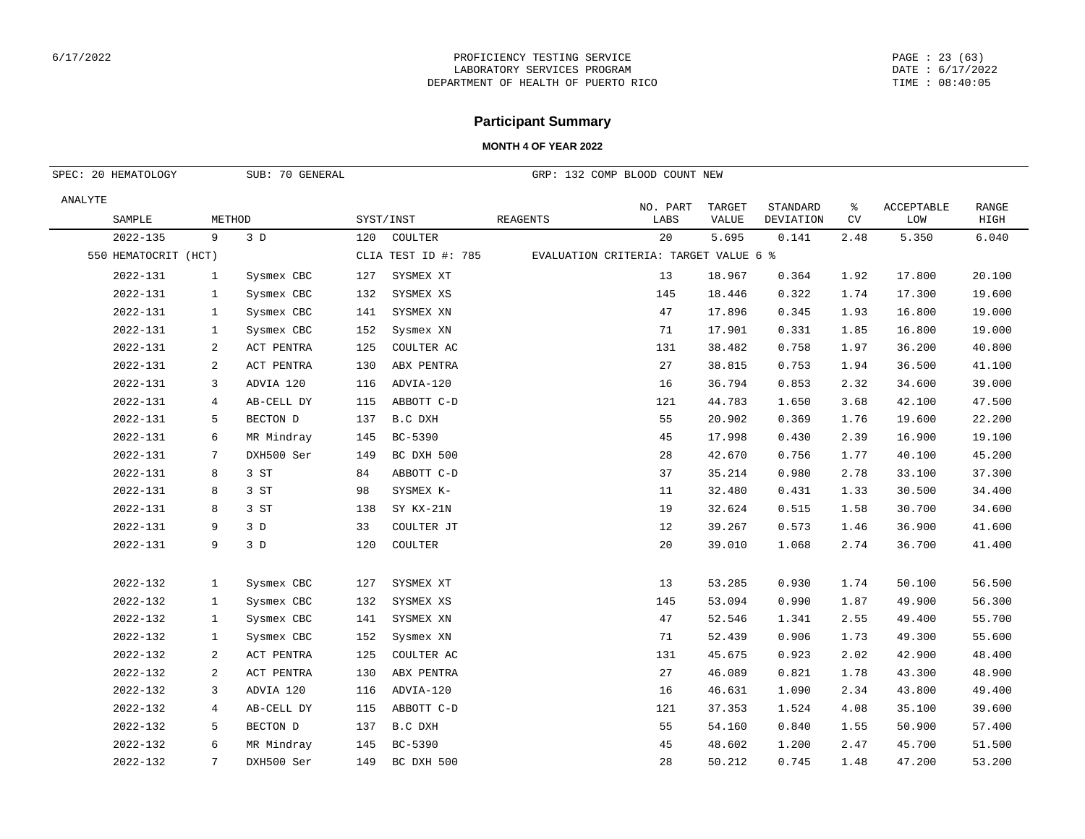#### PAGE : 23 (63) DATE : 6/17/2022 TIME : 08:40:05

## **Participant Summary**

| SUB: 70 GENERAL<br>SPEC: 20 HEMATOLOGY |                |            |     | GRP: 132 COMP BLOOD COUNT NEW |          |                                       |        |           |      |                   |              |
|----------------------------------------|----------------|------------|-----|-------------------------------|----------|---------------------------------------|--------|-----------|------|-------------------|--------------|
| ANALYTE                                |                |            |     |                               |          | NO. PART                              | TARGET | STANDARD  | ႜ    | <b>ACCEPTABLE</b> | <b>RANGE</b> |
| SAMPLE                                 | METHOD         |            |     | SYST/INST                     | REAGENTS | LABS                                  | VALUE  | DEVIATION | CV   | LOM               | HIGH         |
| 2022-135                               | 9              | 3D         | 120 | COULTER                       |          | 20                                    | 5.695  | 0.141     | 2.48 | 5.350             | 6.040        |
| 550 HEMATOCRIT (HCT)                   |                |            |     | CLIA TEST ID #: 785           |          | EVALUATION CRITERIA: TARGET VALUE 6 % |        |           |      |                   |              |
| 2022-131                               | $\mathbf{1}$   | Sysmex CBC | 127 | SYSMEX XT                     |          | 13                                    | 18.967 | 0.364     | 1.92 | 17.800            | 20.100       |
| 2022-131                               | 1              | Sysmex CBC | 132 | SYSMEX XS                     |          | 145                                   | 18.446 | 0.322     | 1.74 | 17.300            | 19.600       |
| 2022-131                               | $\mathbf{1}$   | Sysmex CBC | 141 | SYSMEX XN                     |          | 47                                    | 17.896 | 0.345     | 1.93 | 16.800            | 19.000       |
| 2022-131                               | $\mathbf{1}$   | Sysmex CBC | 152 | Sysmex XN                     |          | 71                                    | 17.901 | 0.331     | 1.85 | 16.800            | 19.000       |
| 2022-131                               | 2              | ACT PENTRA | 125 | COULTER AC                    |          | 131                                   | 38.482 | 0.758     | 1.97 | 36.200            | 40.800       |
| 2022-131                               | 2              | ACT PENTRA | 130 | ABX PENTRA                    |          | 27                                    | 38.815 | 0.753     | 1.94 | 36.500            | 41.100       |
| 2022-131                               | 3              | ADVIA 120  | 116 | ADVIA-120                     |          | 16                                    | 36.794 | 0.853     | 2.32 | 34.600            | 39.000       |
| 2022-131                               | $\overline{4}$ | AB-CELL DY | 115 | ABBOTT C-D                    |          | 121                                   | 44.783 | 1.650     | 3.68 | 42.100            | 47.500       |
| 2022-131                               | 5              | BECTON D   | 137 | B.C DXH                       |          | 55                                    | 20.902 | 0.369     | 1.76 | 19.600            | 22.200       |
| 2022-131                               | 6              | MR Mindray | 145 | BC-5390                       |          | 45                                    | 17.998 | 0.430     | 2.39 | 16.900            | 19.100       |
| 2022-131                               | 7              | DXH500 Ser | 149 | BC DXH 500                    |          | 28                                    | 42.670 | 0.756     | 1.77 | 40.100            | 45.200       |
| 2022-131                               | 8              | 3 ST       | 84  | ABBOTT C-D                    |          | 37                                    | 35.214 | 0.980     | 2.78 | 33.100            | 37.300       |
| 2022-131                               | 8              | 3 ST       | 98  | SYSMEX K-                     |          | 11                                    | 32.480 | 0.431     | 1.33 | 30.500            | 34.400       |
| 2022-131                               | 8              | 3 ST       | 138 | SY KX-21N                     |          | 19                                    | 32.624 | 0.515     | 1.58 | 30.700            | 34.600       |
| 2022-131                               | 9              | 3D         | 33  | COULTER JT                    |          | 12                                    | 39.267 | 0.573     | 1.46 | 36.900            | 41.600       |
| 2022-131                               | 9              | 3D         | 120 | COULTER                       |          | 20                                    | 39.010 | 1.068     | 2.74 | 36.700            | 41.400       |
| 2022-132                               | $\mathbf{1}$   | Sysmex CBC | 127 | SYSMEX XT                     |          | 13                                    | 53.285 | 0.930     | 1.74 | 50.100            | 56.500       |
| 2022-132                               | $\mathbf{1}$   | Sysmex CBC | 132 | SYSMEX XS                     |          | 145                                   | 53.094 | 0.990     | 1.87 | 49.900            | 56.300       |
| 2022-132                               | $\mathbf{1}$   | Sysmex CBC | 141 | SYSMEX XN                     |          | 47                                    | 52.546 | 1.341     | 2.55 | 49.400            | 55.700       |
| 2022-132                               | $\mathbf{1}$   | Sysmex CBC | 152 | Sysmex XN                     |          | 71                                    | 52.439 | 0.906     | 1.73 | 49.300            | 55.600       |
| 2022-132                               | 2              | ACT PENTRA | 125 | COULTER AC                    |          | 131                                   | 45.675 | 0.923     | 2.02 | 42.900            | 48.400       |
| 2022-132                               | 2              | ACT PENTRA | 130 | ABX PENTRA                    |          | 27                                    | 46.089 | 0.821     | 1.78 | 43.300            | 48.900       |
| 2022-132                               | 3              | ADVIA 120  | 116 | ADVIA-120                     |          | 16                                    | 46.631 | 1.090     | 2.34 | 43.800            | 49.400       |
| 2022-132                               | $\overline{4}$ | AB-CELL DY | 115 | ABBOTT C-D                    |          | 121                                   | 37.353 | 1.524     | 4.08 | 35.100            | 39.600       |
| 2022-132                               | 5              | BECTON D   | 137 | B.C DXH                       |          | 55                                    | 54.160 | 0.840     | 1.55 | 50.900            | 57.400       |
| 2022-132                               | 6              | MR Mindray | 145 | BC-5390                       |          | 45                                    | 48.602 | 1.200     | 2.47 | 45.700            | 51.500       |
| 2022-132                               | 7              | DXH500 Ser | 149 | BC DXH 500                    |          | 28                                    | 50.212 | 0.745     | 1.48 | 47.200            | 53.200       |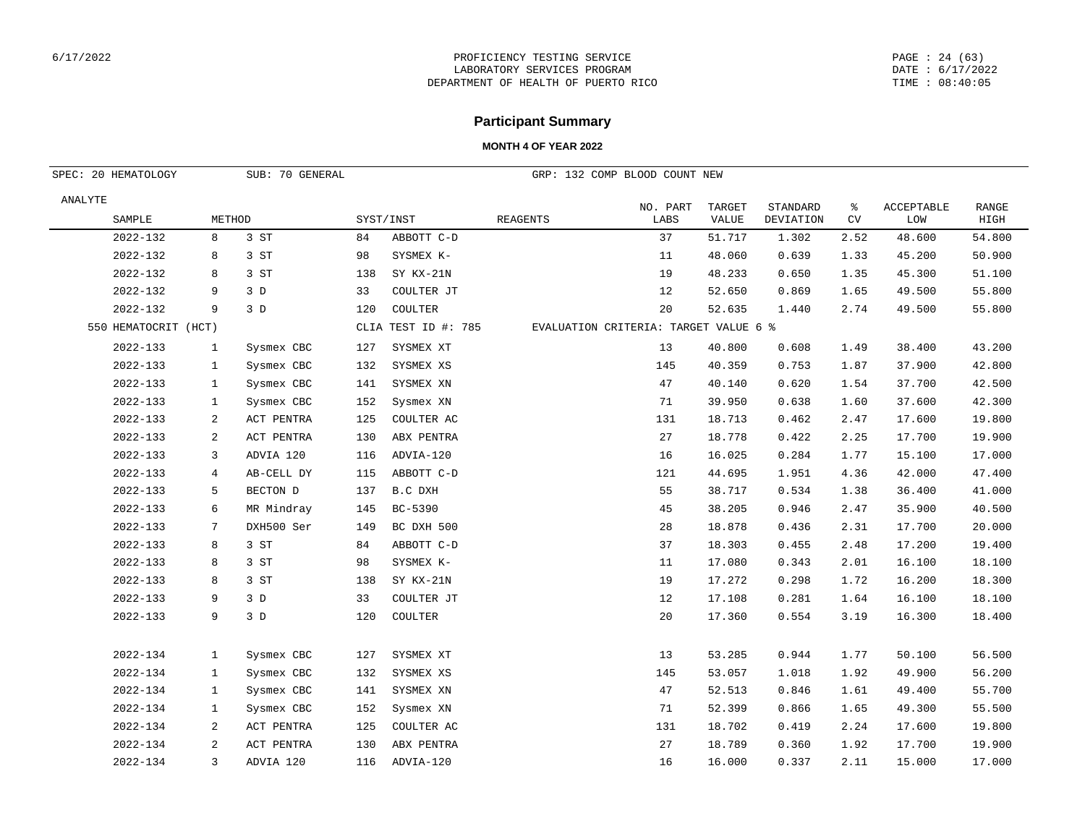#### PAGE : 24 (63) DATE : 6/17/2022 TIME : 08:40:05

## **Participant Summary**

| SUB: 70 GENERAL<br>SPEC: 20 HEMATOLOGY |                |            |     |                     |          | GRP: 132 COMP BLOOD COUNT NEW         |                        |                       |         |                   |                      |
|----------------------------------------|----------------|------------|-----|---------------------|----------|---------------------------------------|------------------------|-----------------------|---------|-------------------|----------------------|
| ANALYTE<br>SAMPLE                      | METHOD         |            |     | SYST/INST           | REAGENTS | NO. PART<br>LABS                      | TARGET<br><b>VALUE</b> | STANDARD<br>DEVIATION | ႜ<br>CV | ACCEPTABLE<br>LOW | <b>RANGE</b><br>HIGH |
| 2022-132                               | 8              | 3 ST       | 84  | ABBOTT C-D          |          | 37                                    | 51.717                 | 1.302                 | 2.52    | 48.600            | 54.800               |
| 2022-132                               | 8              | 3 ST       | 98  | SYSMEX K-           |          | 11                                    | 48.060                 | 0.639                 | 1.33    | 45.200            | 50.900               |
| 2022-132                               | 8              | 3 ST       | 138 | SY KX-21N           |          | 19                                    | 48.233                 | 0.650                 | 1.35    | 45.300            | 51.100               |
| 2022-132                               | 9              | 3D         | 33  | COULTER JT          |          | 12                                    | 52.650                 | 0.869                 | 1.65    | 49.500            | 55.800               |
| 2022-132                               | 9              | 3D         | 120 | COULTER             |          | 20                                    | 52.635                 | 1.440                 | 2.74    | 49.500            | 55.800               |
| 550 HEMATOCRIT (HCT)                   |                |            |     | CLIA TEST ID #: 785 |          | EVALUATION CRITERIA: TARGET VALUE 6 % |                        |                       |         |                   |                      |
| 2022-133                               | $\mathbf{1}$   | Sysmex CBC | 127 | SYSMEX XT           |          | 13                                    | 40.800                 | 0.608                 | 1.49    | 38.400            | 43.200               |
| 2022-133                               | 1              | Sysmex CBC | 132 | SYSMEX XS           |          | 145                                   | 40.359                 | 0.753                 | 1.87    | 37.900            | 42.800               |
| 2022-133                               | 1              | Sysmex CBC | 141 | SYSMEX XN           |          | 47                                    | 40.140                 | 0.620                 | 1.54    | 37.700            | 42.500               |
| 2022-133                               | 1              | Sysmex CBC | 152 | Sysmex XN           |          | 71                                    | 39.950                 | 0.638                 | 1.60    | 37.600            | 42.300               |
| 2022-133                               | 2              | ACT PENTRA | 125 | COULTER AC          |          | 131                                   | 18.713                 | 0.462                 | 2.47    | 17.600            | 19.800               |
| 2022-133                               | $\overline{a}$ | ACT PENTRA | 130 | ABX PENTRA          |          | 27                                    | 18.778                 | 0.422                 | 2.25    | 17.700            | 19.900               |
| 2022-133                               | 3              | ADVIA 120  | 116 | ADVIA-120           |          | 16                                    | 16.025                 | 0.284                 | 1.77    | 15.100            | 17.000               |
| 2022-133                               | 4              | AB-CELL DY | 115 | ABBOTT C-D          |          | 121                                   | 44.695                 | 1.951                 | 4.36    | 42.000            | 47.400               |
| 2022-133                               | 5              | BECTON D   | 137 | B.C DXH             |          | 55                                    | 38.717                 | 0.534                 | 1.38    | 36.400            | 41.000               |
| 2022-133                               | 6              | MR Mindray | 145 | BC-5390             |          | 45                                    | 38.205                 | 0.946                 | 2.47    | 35.900            | 40.500               |
| 2022-133                               | 7              | DXH500 Ser | 149 | BC DXH 500          |          | 28                                    | 18.878                 | 0.436                 | 2.31    | 17.700            | 20.000               |
| 2022-133                               | 8              | 3 ST       | 84  | ABBOTT C-D          |          | 37                                    | 18.303                 | 0.455                 | 2.48    | 17.200            | 19.400               |
| 2022-133                               | 8              | 3 ST       | 98  | SYSMEX K-           |          | 11                                    | 17.080                 | 0.343                 | 2.01    | 16.100            | 18.100               |
| 2022-133                               | 8              | 3 ST       | 138 | SY KX-21N           |          | 19                                    | 17.272                 | 0.298                 | 1.72    | 16.200            | 18.300               |
| 2022-133                               | 9              | 3D         | 33  | COULTER JT          |          | 12                                    | 17.108                 | 0.281                 | 1.64    | 16.100            | 18.100               |
| 2022-133                               | 9              | 3D         | 120 | COULTER             |          | 20                                    | 17.360                 | 0.554                 | 3.19    | 16.300            | 18.400               |
| 2022-134                               | $\mathbf{1}$   | Sysmex CBC | 127 | SYSMEX XT           |          | 13                                    | 53.285                 | 0.944                 | 1.77    | 50.100            | 56.500               |
| 2022-134                               | $\mathbf{1}$   | Sysmex CBC | 132 | SYSMEX XS           |          | 145                                   | 53.057                 | 1.018                 | 1.92    | 49.900            | 56.200               |
| 2022-134                               | $\mathbf{1}$   | Sysmex CBC | 141 | SYSMEX XN           |          | 47                                    | 52.513                 | 0.846                 | 1.61    | 49.400            | 55.700               |
| 2022-134                               | $\mathbf{1}$   | Sysmex CBC | 152 | Sysmex XN           |          | 71                                    | 52.399                 | 0.866                 | 1.65    | 49.300            | 55.500               |
| 2022-134                               | 2              | ACT PENTRA | 125 | COULTER AC          |          | 131                                   | 18.702                 | 0.419                 | 2.24    | 17.600            | 19.800               |
| 2022-134                               | 2              | ACT PENTRA | 130 | ABX PENTRA          |          | 27                                    | 18.789                 | 0.360                 | 1.92    | 17.700            | 19.900               |
| 2022-134                               | 3              | ADVIA 120  | 116 | ADVIA-120           |          | 16                                    | 16.000                 | 0.337                 | 2.11    | 15.000            | 17.000               |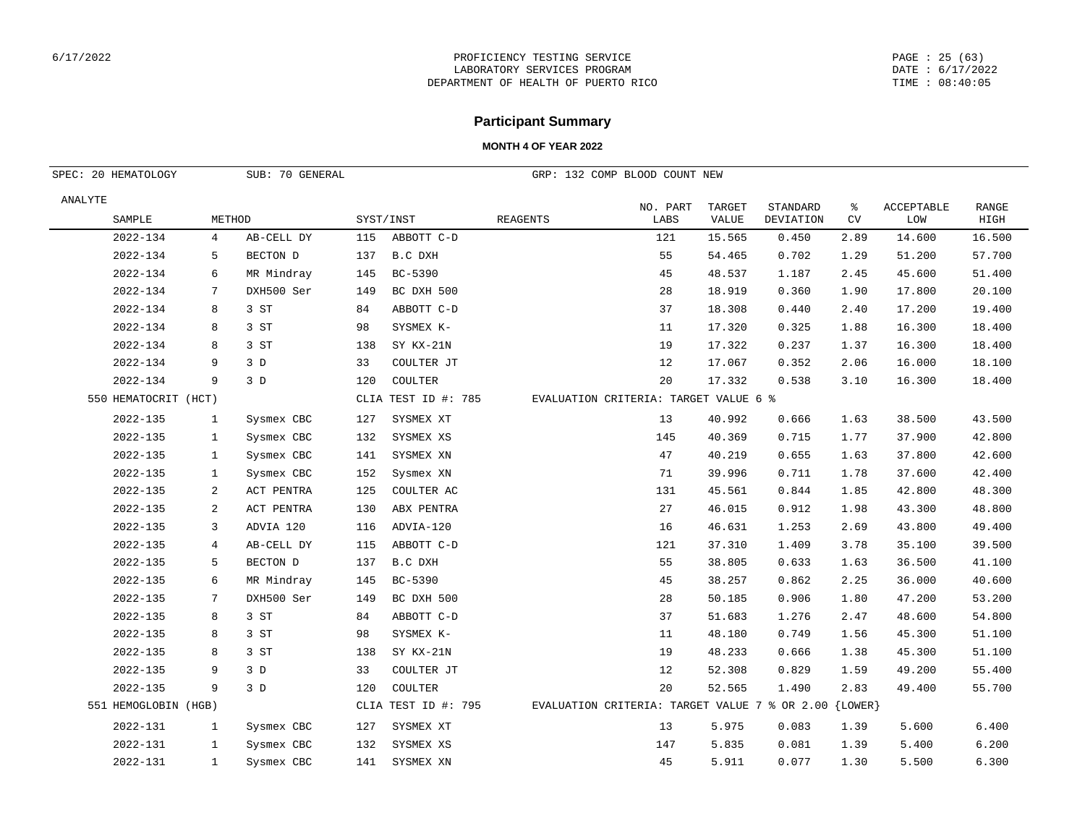#### PAGE : 25 (63) DATE : 6/17/2022 TIME : 08:40:05

## **Participant Summary**

| SUB: 70 GENERAL<br>SPEC: 20 HEMATOLOGY |                |            |     |                     |                 | GRP: 132 COMP BLOOD COUNT NEW                             |                        |                       |                  |                          |                      |
|----------------------------------------|----------------|------------|-----|---------------------|-----------------|-----------------------------------------------------------|------------------------|-----------------------|------------------|--------------------------|----------------------|
| ANALYTE<br>SAMPLE                      | METHOD         |            |     | SYST/INST           | <b>REAGENTS</b> | NO. PART<br>LABS                                          | TARGET<br><b>VALUE</b> | STANDARD<br>DEVIATION | နွ<br>${\rm CV}$ | <b>ACCEPTABLE</b><br>LOM | <b>RANGE</b><br>HIGH |
| 2022-134                               | 4              | AB-CELL DY | 115 | ABBOTT C-D          |                 | 121                                                       | 15.565                 | 0.450                 | 2.89             | 14.600                   | 16.500               |
| 2022-134                               | 5              | BECTON D   | 137 | B.C DXH             |                 | 55                                                        | 54.465                 | 0.702                 | 1.29             | 51.200                   | 57.700               |
| 2022-134                               | 6              | MR Mindray | 145 | BC-5390             |                 | 45                                                        | 48.537                 | 1.187                 | 2.45             | 45.600                   | 51.400               |
| 2022-134                               | 7              | DXH500 Ser | 149 | BC DXH 500          |                 | 28                                                        | 18.919                 | 0.360                 | 1.90             | 17.800                   | 20.100               |
| 2022-134                               | 8              | 3 ST       | 84  | ABBOTT C-D          |                 | 37                                                        | 18.308                 | 0.440                 | 2.40             | 17.200                   | 19.400               |
| 2022-134                               | 8              | 3 ST       | 98  | SYSMEX K-           |                 | 11                                                        | 17.320                 | 0.325                 | 1.88             | 16.300                   | 18.400               |
| 2022-134                               | 8              | 3 ST       | 138 | SY KX-21N           |                 | 19                                                        | 17.322                 | 0.237                 | 1.37             | 16.300                   | 18.400               |
| 2022-134                               | 9              | 3D         | 33  | COULTER JT          |                 | 12                                                        | 17.067                 | 0.352                 | 2.06             | 16.000                   | 18.100               |
| 2022-134                               | 9              | 3D         | 120 | COULTER             |                 | 20                                                        | 17.332                 | 0.538                 | 3.10             | 16.300                   | 18.400               |
| 550 HEMATOCRIT (HCT)                   |                |            |     | CLIA TEST ID #: 785 |                 | EVALUATION CRITERIA: TARGET VALUE 6 %                     |                        |                       |                  |                          |                      |
| 2022-135                               | $\mathbf{1}$   | Sysmex CBC | 127 | SYSMEX XT           |                 | 13                                                        | 40.992                 | 0.666                 | 1.63             | 38.500                   | 43.500               |
| 2022-135                               | $\mathbf{1}$   | Sysmex CBC | 132 | SYSMEX XS           |                 | 145                                                       | 40.369                 | 0.715                 | 1.77             | 37.900                   | 42.800               |
| 2022-135                               | $\mathbf{1}$   | Sysmex CBC | 141 | SYSMEX XN           |                 | 47                                                        | 40.219                 | 0.655                 | 1.63             | 37.800                   | 42.600               |
| 2022-135                               | 1              | Sysmex CBC | 152 | Sysmex XN           |                 | 71                                                        | 39.996                 | 0.711                 | 1.78             | 37.600                   | 42.400               |
| 2022-135                               | 2              | ACT PENTRA | 125 | COULTER AC          |                 | 131                                                       | 45.561                 | 0.844                 | 1.85             | 42.800                   | 48.300               |
| 2022-135                               | $\sqrt{2}$     | ACT PENTRA | 130 | ABX PENTRA          |                 | 27                                                        | 46.015                 | 0.912                 | 1.98             | 43.300                   | 48.800               |
| 2022-135                               | 3              | ADVIA 120  | 116 | ADVIA-120           |                 | 16                                                        | 46.631                 | 1.253                 | 2.69             | 43.800                   | 49.400               |
| 2022-135                               | $\overline{4}$ | AB-CELL DY | 115 | ABBOTT C-D          |                 | 121                                                       | 37.310                 | 1.409                 | 3.78             | 35.100                   | 39.500               |
| 2022-135                               | 5              | BECTON D   | 137 | B.C DXH             |                 | 55                                                        | 38.805                 | 0.633                 | 1.63             | 36.500                   | 41.100               |
| 2022-135                               | 6              | MR Mindray | 145 | BC-5390             |                 | 45                                                        | 38.257                 | 0.862                 | 2.25             | 36.000                   | 40.600               |
| 2022-135                               | 7              | DXH500 Ser | 149 | BC DXH 500          |                 | 28                                                        | 50.185                 | 0.906                 | 1.80             | 47.200                   | 53.200               |
| 2022-135                               | 8              | 3 ST       | 84  | ABBOTT C-D          |                 | 37                                                        | 51.683                 | 1.276                 | 2.47             | 48.600                   | 54.800               |
| 2022-135                               | 8              | 3 ST       | 98  | SYSMEX K-           |                 | 11                                                        | 48.180                 | 0.749                 | 1.56             | 45.300                   | 51.100               |
| $2022 - 135$                           | 8              | 3 ST       | 138 | SY KX-21N           |                 | 19                                                        | 48.233                 | 0.666                 | 1.38             | 45.300                   | 51.100               |
| 2022-135                               | 9              | 3D         | 33  | COULTER JT          |                 | 12                                                        | 52.308                 | 0.829                 | 1.59             | 49.200                   | 55.400               |
| 2022-135                               | 9              | 3D         | 120 | COULTER             |                 | 20                                                        | 52.565                 | 1.490                 | 2.83             | 49.400                   | 55.700               |
| 551 HEMOGLOBIN (HGB)                   |                |            |     | CLIA TEST ID #: 795 |                 | EVALUATION CRITERIA: TARGET VALUE 7 % OR 2.00 $\{LOWER\}$ |                        |                       |                  |                          |                      |
| 2022-131                               | 1              | Sysmex CBC | 127 | SYSMEX XT           |                 | 13                                                        | 5.975                  | 0.083                 | 1.39             | 5.600                    | 6.400                |
| 2022-131                               | 1              | Sysmex CBC | 132 | SYSMEX XS           |                 | 147                                                       | 5.835                  | 0.081                 | 1.39             | 5.400                    | 6.200                |
| 2022-131                               | 1              | Sysmex CBC | 141 | SYSMEX XN           |                 | 45                                                        | 5.911                  | 0.077                 | 1.30             | 5.500                    | 6.300                |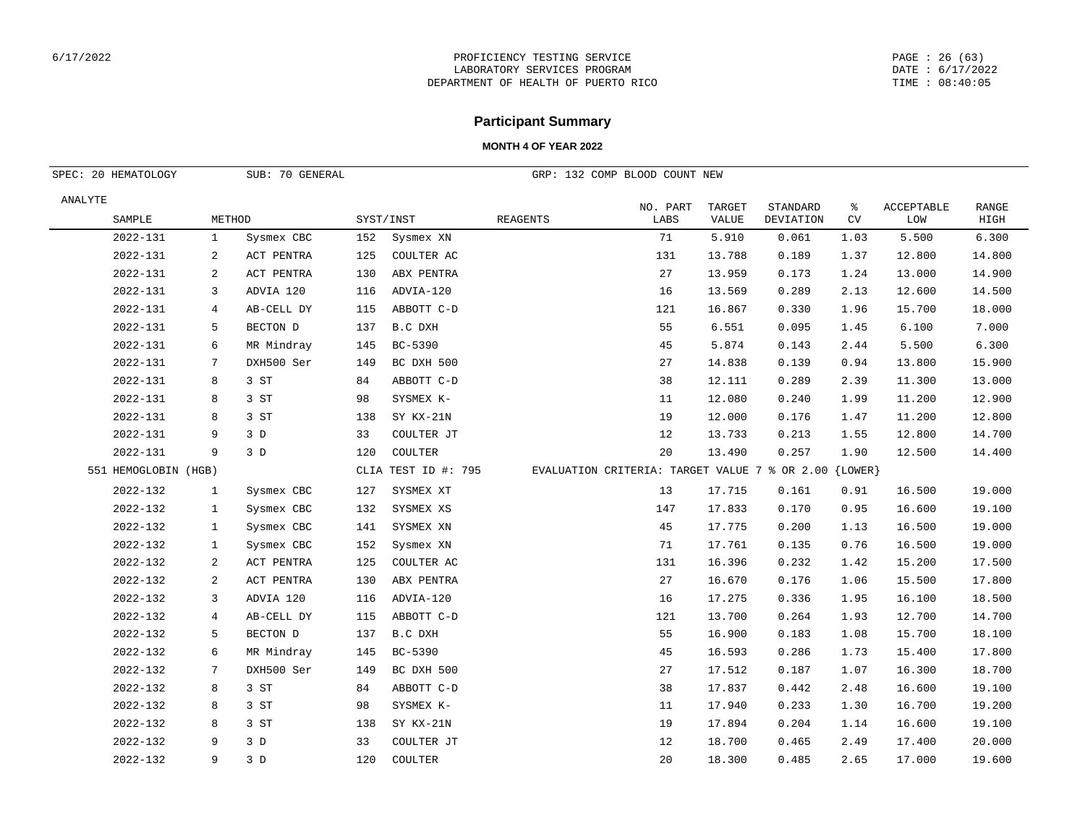#### PAGE : 26 (63) DATE : 6/17/2022 TIME : 08:40:05

## **Participant Summary**

| SUB: 70 GENERAL<br>SPEC: 20 HEMATOLOGY |                |            |     |                     |                 | GRP: 132 COMP BLOOD COUNT NEW                           |                        |                       |         |                   |               |
|----------------------------------------|----------------|------------|-----|---------------------|-----------------|---------------------------------------------------------|------------------------|-----------------------|---------|-------------------|---------------|
| ANALYTE<br>SAMPLE                      | METHOD         |            |     | SYST/INST           | <b>REAGENTS</b> | NO. PART<br>LABS                                        | TARGET<br><b>VALUE</b> | STANDARD<br>DEVIATION | ႜ<br>CV | ACCEPTABLE<br>LOW | RANGE<br>HIGH |
| 2022-131                               | $\mathbf{1}$   | Sysmex CBC | 152 | Sysmex XN           |                 | 71                                                      | 5.910                  | 0.061                 | 1.03    | 5.500             | 6.300         |
| 2022-131                               | 2              | ACT PENTRA | 125 | COULTER AC          |                 | 131                                                     | 13.788                 | 0.189                 | 1.37    | 12.800            | 14.800        |
| 2022-131                               | 2              | ACT PENTRA | 130 | ABX PENTRA          |                 | 27                                                      | 13.959                 | 0.173                 | 1.24    | 13.000            | 14.900        |
| 2022-131                               | 3              | ADVIA 120  | 116 | ADVIA-120           |                 | 16                                                      | 13.569                 | 0.289                 | 2.13    | 12.600            | 14.500        |
| 2022-131                               | $\overline{4}$ | AB-CELL DY | 115 | ABBOTT C-D          |                 | 121                                                     | 16.867                 | 0.330                 | 1.96    | 15.700            | 18.000        |
| 2022-131                               | 5              | BECTON D   | 137 | B.C DXH             |                 | 55                                                      | 6.551                  | 0.095                 | 1.45    | 6.100             | 7.000         |
| 2022-131                               | 6              | MR Mindray | 145 | BC-5390             |                 | 45                                                      | 5.874                  | 0.143                 | 2.44    | 5.500             | 6.300         |
| 2022-131                               | 7              | DXH500 Ser | 149 | BC DXH 500          |                 | 27                                                      | 14.838                 | 0.139                 | 0.94    | 13.800            | 15.900        |
| 2022-131                               | 8              | 3 ST       | 84  | ABBOTT C-D          |                 | 38                                                      | 12.111                 | 0.289                 | 2.39    | 11.300            | 13.000        |
| 2022-131                               | 8              | 3 ST       | 98  | SYSMEX K-           |                 | 11                                                      | 12.080                 | 0.240                 | 1.99    | 11.200            | 12.900        |
| 2022-131                               | 8              | 3 ST       | 138 | SY KX-21N           |                 | 19                                                      | 12.000                 | 0.176                 | 1.47    | 11.200            | 12.800        |
| 2022-131                               | 9              | 3D         | 33  | COULTER JT          |                 | 12                                                      | 13.733                 | 0.213                 | 1.55    | 12.800            | 14.700        |
| 2022-131                               | 9              | 3D         | 120 | COULTER             |                 | 20                                                      | 13.490                 | 0.257                 | 1.90    | 12.500            | 14.400        |
| 551 HEMOGLOBIN (HGB)                   |                |            |     | CLIA TEST ID #: 795 |                 | EVALUATION CRITERIA: TARGET VALUE 7 % OR 2.00 ${LOWER}$ |                        |                       |         |                   |               |
| 2022-132                               | $\mathbf{1}$   | Sysmex CBC | 127 | SYSMEX XT           |                 | 13                                                      | 17.715                 | 0.161                 | 0.91    | 16.500            | 19.000        |
| 2022-132                               | $\mathbf{1}$   | Sysmex CBC | 132 | SYSMEX XS           |                 | 147                                                     | 17.833                 | 0.170                 | 0.95    | 16.600            | 19.100        |
| 2022-132                               | $\mathbf{1}$   | Sysmex CBC | 141 | SYSMEX XN           |                 | 45                                                      | 17.775                 | 0.200                 | 1.13    | 16.500            | 19.000        |
| 2022-132                               | 1              | Sysmex CBC | 152 | Sysmex XN           |                 | 71                                                      | 17.761                 | 0.135                 | 0.76    | 16.500            | 19.000        |
| 2022-132                               | 2              | ACT PENTRA | 125 | COULTER AC          |                 | 131                                                     | 16.396                 | 0.232                 | 1.42    | 15.200            | 17.500        |
| 2022-132                               | 2              | ACT PENTRA | 130 | ABX PENTRA          |                 | 27                                                      | 16.670                 | 0.176                 | 1.06    | 15.500            | 17.800        |
| 2022-132                               | 3              | ADVIA 120  | 116 | ADVIA-120           |                 | 16                                                      | 17.275                 | 0.336                 | 1.95    | 16.100            | 18.500        |
| 2022-132                               | 4              | AB-CELL DY | 115 | ABBOTT C-D          |                 | 121                                                     | 13.700                 | 0.264                 | 1.93    | 12.700            | 14.700        |
| 2022-132                               | 5              | BECTON D   | 137 | B.C DXH             |                 | 55                                                      | 16.900                 | 0.183                 | 1.08    | 15.700            | 18.100        |
| 2022-132                               | 6              | MR Mindray | 145 | BC-5390             |                 | 45                                                      | 16.593                 | 0.286                 | 1.73    | 15.400            | 17.800        |
| 2022-132                               | 7              | DXH500 Ser | 149 | BC DXH 500          |                 | 27                                                      | 17.512                 | 0.187                 | 1.07    | 16.300            | 18.700        |
| 2022-132                               | 8              | 3 ST       | 84  | ABBOTT C-D          |                 | 38                                                      | 17.837                 | 0.442                 | 2.48    | 16.600            | 19.100        |
| 2022-132                               | 8              | 3 ST       | 98  | SYSMEX K-           |                 | 11                                                      | 17.940                 | 0.233                 | 1.30    | 16.700            | 19.200        |
| 2022-132                               | 8              | 3 ST       | 138 | SY KX-21N           |                 | 19                                                      | 17.894                 | 0.204                 | 1.14    | 16.600            | 19.100        |
| 2022-132                               | 9              | 3D         | 33  | COULTER JT          |                 | 12                                                      | 18.700                 | 0.465                 | 2.49    | 17.400            | 20.000        |
| 2022-132                               | 9              | 3D         | 120 | COULTER             |                 | 20                                                      | 18.300                 | 0.485                 | 2.65    | 17.000            | 19.600        |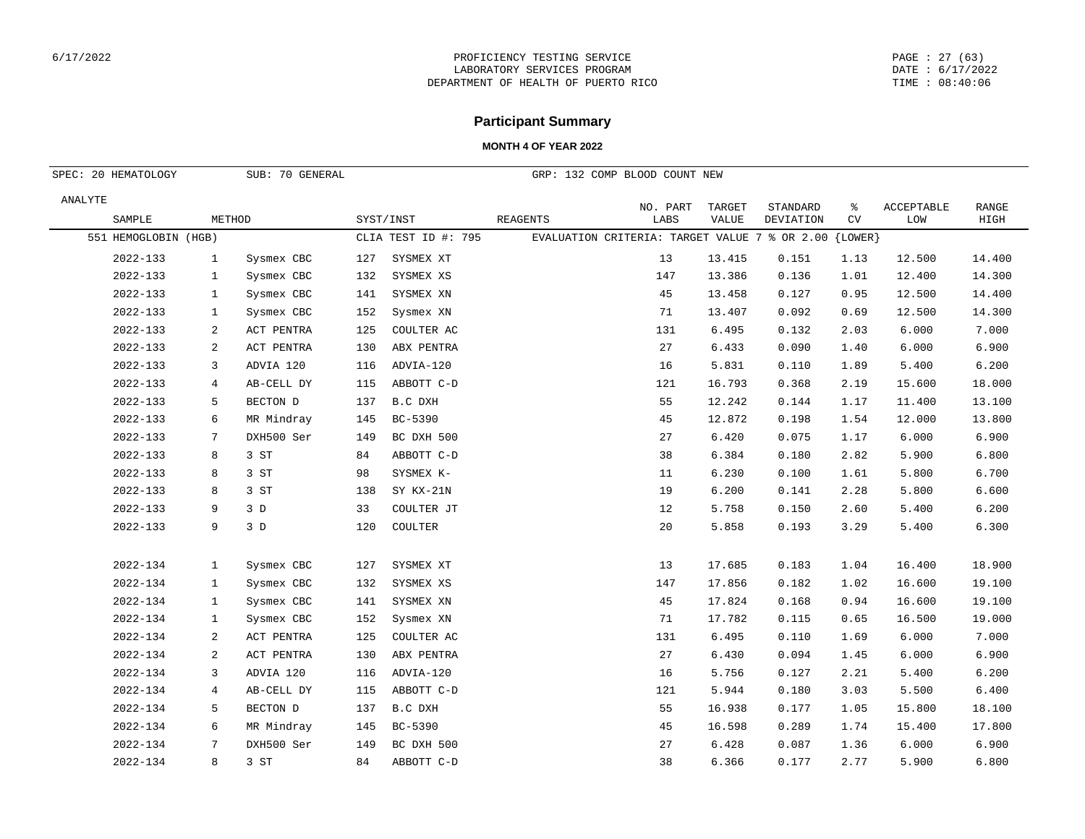#### PAGE : 27 (63) DATE : 6/17/2022 TIME : 08:40:06

# **Participant Summary**

| SPEC: 20 HEMATOLOGY<br>SUB: 70 GENERAL |              |            |     |                     |          | GRP: 132 COMP BLOOD COUNT NEW                         |        |           |      |            |        |
|----------------------------------------|--------------|------------|-----|---------------------|----------|-------------------------------------------------------|--------|-----------|------|------------|--------|
| ANALYTE                                |              |            |     |                     |          | NO. PART                                              | TARGET | STANDARD  | ႜ    | ACCEPTABLE | RANGE  |
| SAMPLE                                 | METHOD       |            |     | SYST/INST           | REAGENTS | LABS                                                  | VALUE  | DEVIATION | CV   | LOW        | HIGH   |
| 551 HEMOGLOBIN (HGB)                   |              |            |     | CLIA TEST ID #: 795 |          | EVALUATION CRITERIA: TARGET VALUE 7 % OR 2.00 {LOWER} |        |           |      |            |        |
| 2022-133                               | $\mathbf{1}$ | Sysmex CBC | 127 | SYSMEX XT           |          | 13                                                    | 13.415 | 0.151     | 1.13 | 12.500     | 14.400 |
| 2022-133                               | $\mathbf{1}$ | Sysmex CBC | 132 | SYSMEX XS           |          | 147                                                   | 13.386 | 0.136     | 1.01 | 12.400     | 14.300 |
| 2022-133                               | $\mathbf{1}$ | Sysmex CBC | 141 | SYSMEX XN           |          | 45                                                    | 13.458 | 0.127     | 0.95 | 12.500     | 14.400 |
| 2022-133                               | $\mathbf{1}$ | Sysmex CBC | 152 | Sysmex XN           |          | 71                                                    | 13.407 | 0.092     | 0.69 | 12.500     | 14.300 |
| 2022-133                               | 2            | ACT PENTRA | 125 | COULTER AC          |          | 131                                                   | 6.495  | 0.132     | 2.03 | 6.000      | 7.000  |
| 2022-133                               | 2            | ACT PENTRA | 130 | ABX PENTRA          |          | 27                                                    | 6.433  | 0.090     | 1.40 | 6.000      | 6.900  |
| 2022-133                               | 3            | ADVIA 120  | 116 | ADVIA-120           |          | 16                                                    | 5.831  | 0.110     | 1.89 | 5.400      | 6.200  |
| 2022-133                               | 4            | AB-CELL DY | 115 | ABBOTT C-D          |          | 121                                                   | 16.793 | 0.368     | 2.19 | 15.600     | 18.000 |
| 2022-133                               | 5            | BECTON D   | 137 | B.C DXH             |          | 55                                                    | 12.242 | 0.144     | 1.17 | 11.400     | 13.100 |
| 2022-133                               | 6            | MR Mindray | 145 | BC-5390             |          | 45                                                    | 12.872 | 0.198     | 1.54 | 12.000     | 13.800 |
| 2022-133                               | 7            | DXH500 Ser | 149 | BC DXH 500          |          | 27                                                    | 6.420  | 0.075     | 1.17 | 6.000      | 6.900  |
| 2022-133                               | 8            | 3ST        | 84  | ABBOTT C-D          |          | 38                                                    | 6.384  | 0.180     | 2.82 | 5.900      | 6.800  |
| 2022-133                               | 8            | 3 ST       | 98  | SYSMEX K-           |          | 11                                                    | 6.230  | 0.100     | 1.61 | 5.800      | 6.700  |
| $2022 - 133$                           | 8            | 3 ST       | 138 | SY KX-21N           |          | 19                                                    | 6.200  | 0.141     | 2.28 | 5.800      | 6.600  |
| $2022 - 133$                           | 9            | 3 D        | 33  | COULTER JT          |          | 12                                                    | 5.758  | 0.150     | 2.60 | 5.400      | 6.200  |
| 2022-133                               | 9            | 3 D        | 120 | COULTER             |          | 20                                                    | 5.858  | 0.193     | 3.29 | 5.400      | 6.300  |
|                                        |              |            |     |                     |          |                                                       |        |           |      |            |        |
| 2022-134                               | $\mathbf{1}$ | Sysmex CBC | 127 | SYSMEX XT           |          | 13                                                    | 17.685 | 0.183     | 1.04 | 16.400     | 18.900 |
| 2022-134                               | 1            | Sysmex CBC | 132 | SYSMEX XS           |          | 147                                                   | 17.856 | 0.182     | 1.02 | 16.600     | 19.100 |
| 2022-134                               | $\mathbf{1}$ | Sysmex CBC | 141 | SYSMEX XN           |          | 45                                                    | 17.824 | 0.168     | 0.94 | 16.600     | 19.100 |
| 2022-134                               | $\mathbf{1}$ | Sysmex CBC | 152 | Sysmex XN           |          | 71                                                    | 17.782 | 0.115     | 0.65 | 16.500     | 19.000 |
| 2022-134                               | 2            | ACT PENTRA | 125 | COULTER AC          |          | 131                                                   | 6.495  | 0.110     | 1.69 | 6.000      | 7.000  |
| 2022-134                               | 2            | ACT PENTRA | 130 | ABX PENTRA          |          | 27                                                    | 6.430  | 0.094     | 1.45 | 6.000      | 6.900  |
| 2022-134                               | 3            | ADVIA 120  | 116 | ADVIA-120           |          | 16                                                    | 5.756  | 0.127     | 2.21 | 5.400      | 6.200  |
| 2022-134                               | 4            | AB-CELL DY | 115 | ABBOTT C-D          |          | 121                                                   | 5.944  | 0.180     | 3.03 | 5.500      | 6.400  |
| 2022-134                               | 5            | BECTON D   | 137 | B.C DXH             |          | 55                                                    | 16.938 | 0.177     | 1.05 | 15.800     | 18.100 |
| 2022-134                               | 6            | MR Mindray | 145 | BC-5390             |          | 45                                                    | 16.598 | 0.289     | 1.74 | 15.400     | 17.800 |
| 2022-134                               | 7            | DXH500 Ser | 149 | BC DXH 500          |          | 27                                                    | 6.428  | 0.087     | 1.36 | 6.000      | 6.900  |
| 2022-134                               | 8            | 3 ST       | 84  | ABBOTT C-D          |          | 38                                                    | 6.366  | 0.177     | 2.77 | 5.900      | 6.800  |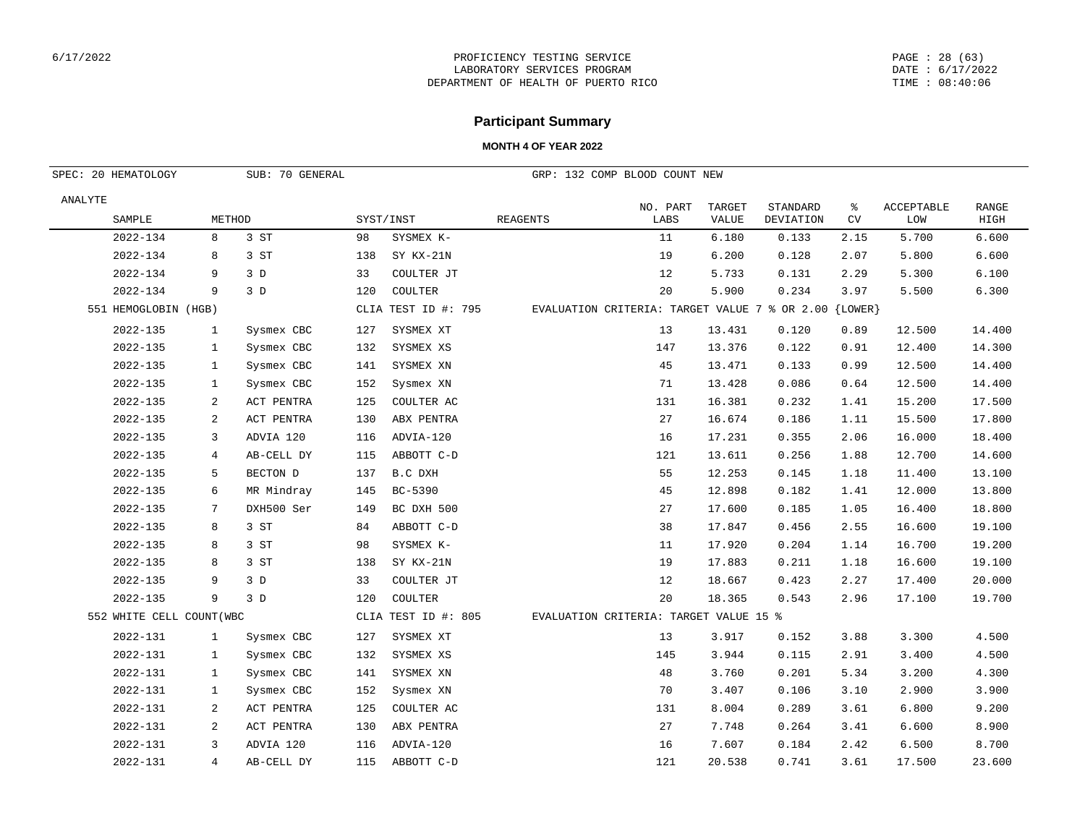#### PAGE : 28 (63) DATE : 6/17/2022 TIME : 08:40:06

## **Participant Summary**

| SUB: 70 GENERAL<br>SPEC: 20 HEMATOLOGY |              |            |     |                     |                 | GRP: 132 COMP BLOOD COUNT NEW                             |                 |                       |         |                   |                      |
|----------------------------------------|--------------|------------|-----|---------------------|-----------------|-----------------------------------------------------------|-----------------|-----------------------|---------|-------------------|----------------------|
| ANALYTE<br>SAMPLE                      | METHOD       |            |     | SYST/INST           | <b>REAGENTS</b> | NO. PART<br>LABS                                          | TARGET<br>VALUE | STANDARD<br>DEVIATION | ႜ<br>CV | ACCEPTABLE<br>LOM | <b>RANGE</b><br>HIGH |
| 2022-134                               | 8            | 3 ST       | 98  | SYSMEX K-           |                 | 11                                                        | 6.180           | 0.133                 | 2.15    | 5.700             | 6.600                |
| 2022-134                               | 8            | 3 ST       | 138 | SY KX-21N           |                 | 19                                                        | 6.200           | 0.128                 | 2.07    | 5.800             | 6.600                |
| 2022-134                               | 9            | 3D         | 33  | COULTER JT          |                 | 12                                                        | 5.733           | 0.131                 | 2.29    | 5.300             | 6.100                |
| 2022-134                               | 9            | 3D         | 120 | COULTER             |                 | 20                                                        | 5.900           | 0.234                 | 3.97    | 5.500             | 6.300                |
| 551 HEMOGLOBIN (HGB)                   |              |            |     | CLIA TEST ID #: 795 |                 | EVALUATION CRITERIA: TARGET VALUE 7 % OR 2.00 $\{LOWER\}$ |                 |                       |         |                   |                      |
| 2022-135                               | $\mathbf{1}$ | Sysmex CBC | 127 | SYSMEX XT           |                 | 13                                                        | 13.431          | 0.120                 | 0.89    | 12.500            | 14.400               |
| 2022-135                               | 1            | Sysmex CBC | 132 | SYSMEX XS           |                 | 147                                                       | 13.376          | 0.122                 | 0.91    | 12.400            | 14.300               |
| 2022-135                               | 1            | Sysmex CBC | 141 | SYSMEX XN           |                 | 45                                                        | 13.471          | 0.133                 | 0.99    | 12.500            | 14.400               |
| 2022-135                               | 1            | Sysmex CBC | 152 | Sysmex XN           |                 | 71                                                        | 13.428          | 0.086                 | 0.64    | 12.500            | 14.400               |
| 2022-135                               | 2            | ACT PENTRA | 125 | COULTER AC          |                 | 131                                                       | 16.381          | 0.232                 | 1.41    | 15.200            | 17.500               |
| 2022-135                               | 2            | ACT PENTRA | 130 | ABX PENTRA          |                 | 27                                                        | 16.674          | 0.186                 | 1.11    | 15.500            | 17.800               |
| 2022-135                               | 3            | ADVIA 120  | 116 | ADVIA-120           |                 | 16                                                        | 17.231          | 0.355                 | 2.06    | 16.000            | 18.400               |
| 2022-135                               | 4            | AB-CELL DY | 115 | ABBOTT C-D          |                 | 121                                                       | 13.611          | 0.256                 | 1.88    | 12.700            | 14.600               |
| 2022-135                               | 5            | BECTON D   | 137 | B.C DXH             |                 | 55                                                        | 12.253          | 0.145                 | 1.18    | 11.400            | 13.100               |
| 2022-135                               | 6            | MR Mindray | 145 | BC-5390             |                 | 45                                                        | 12.898          | 0.182                 | 1.41    | 12.000            | 13.800               |
| 2022-135                               | 7            | DXH500 Ser | 149 | BC DXH 500          |                 | 27                                                        | 17.600          | 0.185                 | 1.05    | 16.400            | 18.800               |
| 2022-135                               | 8            | 3 ST       | 84  | ABBOTT C-D          |                 | 38                                                        | 17.847          | 0.456                 | 2.55    | 16.600            | 19.100               |
| 2022-135                               | 8            | 3 ST       | 98  | SYSMEX K-           |                 | 11                                                        | 17.920          | 0.204                 | 1.14    | 16.700            | 19.200               |
| 2022-135                               | 8            | 3 ST       | 138 | SY KX-21N           |                 | 19                                                        | 17.883          | 0.211                 | 1.18    | 16.600            | 19.100               |
| 2022-135                               | 9            | 3D         | 33  | COULTER JT          |                 | 12                                                        | 18.667          | 0.423                 | 2.27    | 17.400            | 20.000               |
| 2022-135                               | 9            | 3D         | 120 | COULTER             |                 | 20                                                        | 18.365          | 0.543                 | 2.96    | 17.100            | 19.700               |
| 552 WHITE CELL COUNT (WBC              |              |            |     | CLIA TEST ID #: 805 |                 | EVALUATION CRITERIA: TARGET VALUE 15 %                    |                 |                       |         |                   |                      |
| 2022-131                               | 1            | Sysmex CBC | 127 | SYSMEX XT           |                 | 13                                                        | 3.917           | 0.152                 | 3.88    | 3.300             | 4.500                |
| 2022-131                               | $\mathbf{1}$ | Sysmex CBC | 132 | SYSMEX XS           |                 | 145                                                       | 3.944           | 0.115                 | 2.91    | 3.400             | 4.500                |
| 2022-131                               | $\mathbf{1}$ | Sysmex CBC | 141 | SYSMEX XN           |                 | 48                                                        | 3.760           | 0.201                 | 5.34    | 3.200             | 4.300                |
| 2022-131                               | $\mathbf{1}$ | Sysmex CBC | 152 | Sysmex XN           |                 | 70                                                        | 3.407           | 0.106                 | 3.10    | 2.900             | 3.900                |
| 2022-131                               | 2            | ACT PENTRA | 125 | COULTER AC          |                 | 131                                                       | 8.004           | 0.289                 | 3.61    | 6.800             | 9.200                |
| 2022-131                               | 2            | ACT PENTRA | 130 | ABX PENTRA          |                 | 27                                                        | 7.748           | 0.264                 | 3.41    | 6.600             | 8.900                |
| 2022-131                               | 3            | ADVIA 120  | 116 | ADVIA-120           |                 | 16                                                        | 7.607           | 0.184                 | 2.42    | 6.500             | 8.700                |
| 2022-131                               | 4            | AB-CELL DY | 115 | ABBOTT C-D          |                 | 121                                                       | 20.538          | 0.741                 | 3.61    | 17.500            | 23.600               |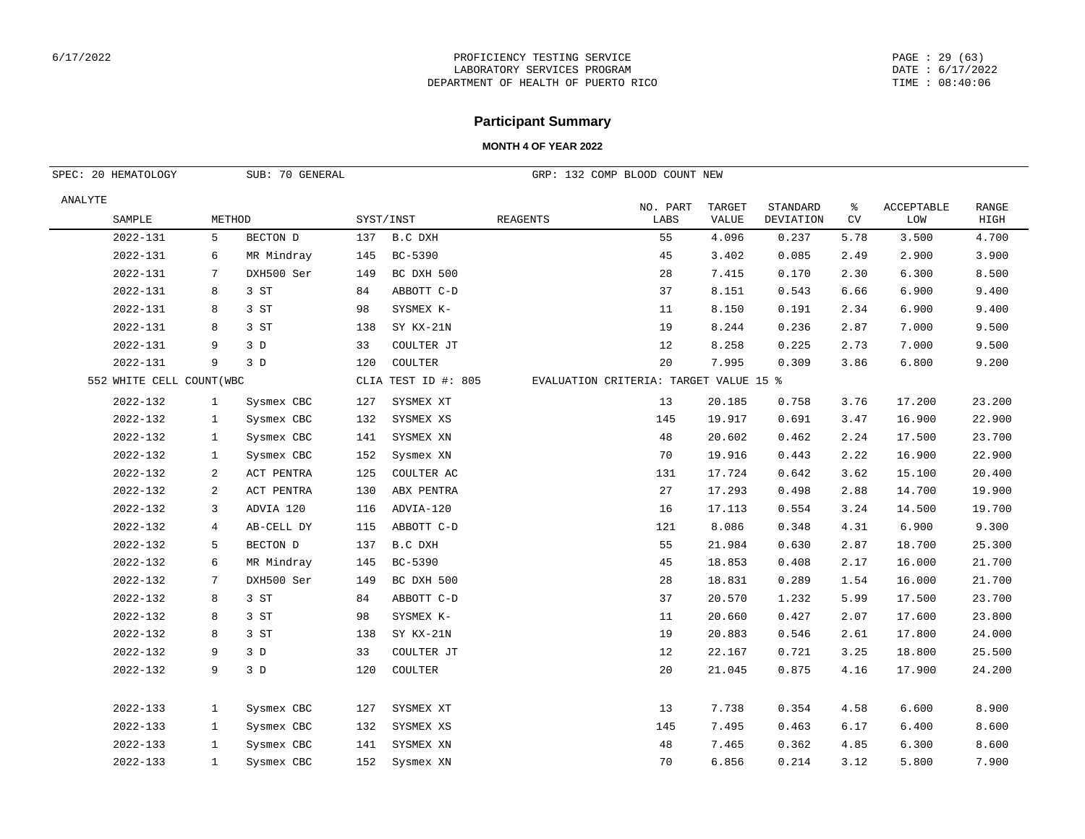#### PAGE : 29 (63) DATE : 6/17/2022 TIME : 08:40:06

## **Participant Summary**

| SUB: 70 GENERAL<br>SPEC: 20 HEMATOLOGY |              |            |     |                     | GRP: 132 COMP BLOOD COUNT NEW          |                  |                 |                       |         |                          |                      |
|----------------------------------------|--------------|------------|-----|---------------------|----------------------------------------|------------------|-----------------|-----------------------|---------|--------------------------|----------------------|
| ANALYTE<br>SAMPLE                      | METHOD       |            |     | SYST/INST           | <b>REAGENTS</b>                        | NO. PART<br>LABS | TARGET<br>VALUE | STANDARD<br>DEVIATION | ి<br>CV | <b>ACCEPTABLE</b><br>LOW | <b>RANGE</b><br>HIGH |
| 2022-131                               | 5            | BECTON D   | 137 | B.C DXH             |                                        | 55               | 4.096           | 0.237                 | 5.78    | 3.500                    | 4.700                |
| 2022-131                               | 6            | MR Mindray | 145 | BC-5390             |                                        | 45               | 3.402           | 0.085                 | 2.49    | 2.900                    | 3.900                |
| 2022-131                               | 7            | DXH500 Ser | 149 | BC DXH 500          |                                        | 28               | 7.415           | 0.170                 | 2.30    | 6.300                    | 8.500                |
| 2022-131                               | 8            | 3 ST       | 84  | ABBOTT C-D          |                                        | 37               | 8.151           | 0.543                 | 6.66    | 6.900                    | 9.400                |
| 2022-131                               | 8            | 3 ST       | 98  | SYSMEX K-           |                                        | 11               | 8.150           | 0.191                 | 2.34    | 6.900                    | 9.400                |
| 2022-131                               | 8            | 3 ST       | 138 | SY KX-21N           |                                        | 19               | 8.244           | 0.236                 | 2.87    | 7.000                    | 9.500                |
| 2022-131                               | 9            | 3D         | 33  | COULTER JT          |                                        | 12               | 8.258           | 0.225                 | 2.73    | 7.000                    | 9.500                |
| 2022-131                               | 9            | 3D         | 120 | COULTER             |                                        | 20               | 7.995           | 0.309                 | 3.86    | 6.800                    | 9.200                |
| 552 WHITE CELL COUNT (WBC              |              |            |     | CLIA TEST ID #: 805 | EVALUATION CRITERIA: TARGET VALUE 15 % |                  |                 |                       |         |                          |                      |
| 2022-132                               | $\mathbf{1}$ | Sysmex CBC | 127 | SYSMEX XT           |                                        | 13               | 20.185          | 0.758                 | 3.76    | 17.200                   | 23.200               |
| 2022-132                               | $\mathbf{1}$ | Sysmex CBC | 132 | SYSMEX XS           |                                        | 145              | 19.917          | 0.691                 | 3.47    | 16.900                   | 22.900               |
| 2022-132                               | $\mathbf{1}$ | Sysmex CBC | 141 | SYSMEX XN           |                                        | 48               | 20.602          | 0.462                 | 2.24    | 17.500                   | 23.700               |
| 2022-132                               | $\mathbf{1}$ | Sysmex CBC | 152 | Sysmex XN           |                                        | 70               | 19.916          | 0.443                 | 2.22    | 16.900                   | 22.900               |
| 2022-132                               | 2            | ACT PENTRA | 125 | COULTER AC          |                                        | 131              | 17.724          | 0.642                 | 3.62    | 15.100                   | 20.400               |
| 2022-132                               | 2            | ACT PENTRA | 130 | ABX PENTRA          |                                        | 27               | 17.293          | 0.498                 | 2.88    | 14.700                   | 19.900               |
| 2022-132                               | 3            | ADVIA 120  | 116 | ADVIA-120           |                                        | 16               | 17.113          | 0.554                 | 3.24    | 14.500                   | 19.700               |
| 2022-132                               | 4            | AB-CELL DY | 115 | ABBOTT C-D          |                                        | 121              | 8.086           | 0.348                 | 4.31    | 6.900                    | 9.300                |
| 2022-132                               | 5            | BECTON D   | 137 | B.C DXH             |                                        | 55               | 21.984          | 0.630                 | 2.87    | 18.700                   | 25.300               |
| 2022-132                               | 6            | MR Mindray | 145 | BC-5390             |                                        | 45               | 18.853          | 0.408                 | 2.17    | 16.000                   | 21.700               |
| 2022-132                               | 7            | DXH500 Ser | 149 | BC DXH 500          |                                        | 28               | 18.831          | 0.289                 | 1.54    | 16.000                   | 21.700               |
| 2022-132                               | 8            | 3 ST       | 84  | ABBOTT C-D          |                                        | 37               | 20.570          | 1.232                 | 5.99    | 17.500                   | 23.700               |
| 2022-132                               | 8            | 3 ST       | 98  | SYSMEX K-           |                                        | 11               | 20.660          | 0.427                 | 2.07    | 17.600                   | 23.800               |
| 2022-132                               | 8            | 3 ST       | 138 | SY KX-21N           |                                        | 19               | 20.883          | 0.546                 | 2.61    | 17.800                   | 24.000               |
| 2022-132                               | 9            | 3D         | 33  | COULTER JT          |                                        | 12               | 22.167          | 0.721                 | 3.25    | 18.800                   | 25.500               |
| 2022-132                               | 9            | 3D         | 120 | COULTER             |                                        | 20               | 21.045          | 0.875                 | 4.16    | 17.900                   | 24.200               |
| 2022-133                               | $\mathbf{1}$ | Sysmex CBC | 127 | SYSMEX XT           |                                        | 13               | 7.738           | 0.354                 | 4.58    | 6.600                    | 8.900                |
| 2022-133                               | 1            | Sysmex CBC | 132 | SYSMEX XS           |                                        | 145              | 7.495           | 0.463                 | 6.17    | 6.400                    | 8.600                |
| 2022-133                               | $\mathbf{1}$ | Sysmex CBC | 141 | SYSMEX XN           |                                        | 48               | 7.465           | 0.362                 | 4.85    | 6.300                    | 8.600                |
| 2022-133                               | $\mathbf{1}$ | Sysmex CBC | 152 | Sysmex XN           |                                        | 70               | 6.856           | 0.214                 | 3.12    | 5.800                    | 7.900                |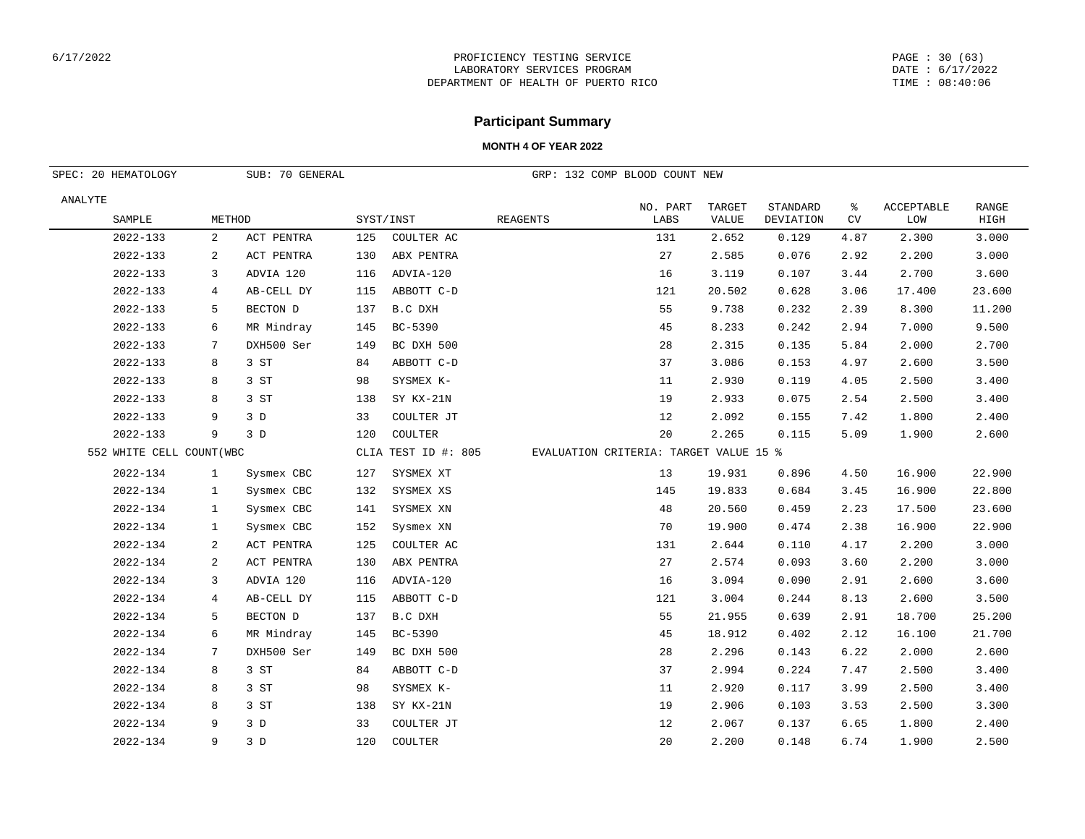#### PAGE : 30 (63) DATE : 6/17/2022 TIME : 08:40:06

## **Participant Summary**

| SUB: 70 GENERAL<br>SPEC: 20 HEMATOLOGY |              |            |     |                     |                 | GRP: 132 COMP BLOOD COUNT NEW          |                               |                              |         |                          |                      |
|----------------------------------------|--------------|------------|-----|---------------------|-----------------|----------------------------------------|-------------------------------|------------------------------|---------|--------------------------|----------------------|
| ANALYTE<br>SAMPLE                      | METHOD       |            |     | SYST/INST           | <b>REAGENTS</b> | NO. PART<br>LABS                       | <b>TARGET</b><br><b>VALUE</b> | STANDARD<br><b>DEVIATION</b> | ి<br>CV | <b>ACCEPTABLE</b><br>LOW | <b>RANGE</b><br>HIGH |
| 2022-133                               | 2            | ACT PENTRA | 125 | COULTER AC          |                 | 131                                    | 2.652                         | 0.129                        | 4.87    | 2.300                    | 3.000                |
| 2022-133                               | 2            | ACT PENTRA | 130 | ABX PENTRA          |                 | 27                                     | 2.585                         | 0.076                        | 2.92    | 2.200                    | 3.000                |
| 2022-133                               | 3            | ADVIA 120  | 116 | ADVIA-120           |                 | 16                                     | 3.119                         | 0.107                        | 3.44    | 2.700                    | 3.600                |
| 2022-133                               | 4            | AB-CELL DY | 115 | ABBOTT C-D          |                 | 121                                    | 20.502                        | 0.628                        | 3.06    | 17.400                   | 23.600               |
| 2022-133                               | 5            | BECTON D   | 137 | B.C DXH             |                 | 55                                     | 9.738                         | 0.232                        | 2.39    | 8.300                    | 11.200               |
| 2022-133                               | 6            | MR Mindray | 145 | BC-5390             |                 | 45                                     | 8.233                         | 0.242                        | 2.94    | 7.000                    | 9.500                |
| 2022-133                               | 7            | DXH500 Ser | 149 | BC DXH 500          |                 | 28                                     | 2.315                         | 0.135                        | 5.84    | 2.000                    | 2.700                |
| 2022-133                               | 8            | 3 ST       | 84  | ABBOTT C-D          |                 | 37                                     | 3.086                         | 0.153                        | 4.97    | 2.600                    | 3.500                |
| 2022-133                               | 8            | 3 ST       | 98  | SYSMEX K-           |                 | 11                                     | 2.930                         | 0.119                        | 4.05    | 2.500                    | 3.400                |
| 2022-133                               | 8            | 3 ST       | 138 | SY KX-21N           |                 | 19                                     | 2.933                         | 0.075                        | 2.54    | 2.500                    | 3.400                |
| 2022-133                               | 9            | 3D         | 33  | COULTER JT          |                 | 12                                     | 2.092                         | 0.155                        | 7.42    | 1.800                    | 2.400                |
| 2022-133                               | 9            | 3D         | 120 | COULTER             |                 | 20                                     | 2.265                         | 0.115                        | 5.09    | 1.900                    | 2.600                |
| 552 WHITE CELL COUNT (WBC              |              |            |     | CLIA TEST ID #: 805 |                 | EVALUATION CRITERIA: TARGET VALUE 15 % |                               |                              |         |                          |                      |
| 2022-134                               | $\mathbf{1}$ | Sysmex CBC | 127 | SYSMEX XT           |                 | 13                                     | 19.931                        | 0.896                        | 4.50    | 16.900                   | 22.900               |
| 2022-134                               | $\mathbf{1}$ | Sysmex CBC | 132 | SYSMEX XS           |                 | 145                                    | 19.833                        | 0.684                        | 3.45    | 16.900                   | 22.800               |
| 2022-134                               | $\mathbf{1}$ | Sysmex CBC | 141 | SYSMEX XN           |                 | 48                                     | 20.560                        | 0.459                        | 2.23    | 17.500                   | 23.600               |
| 2022-134                               | $\mathbf{1}$ | Sysmex CBC | 152 | Sysmex XN           |                 | 70                                     | 19.900                        | 0.474                        | 2.38    | 16.900                   | 22.900               |
| 2022-134                               | 2            | ACT PENTRA | 125 | COULTER AC          |                 | 131                                    | 2.644                         | 0.110                        | 4.17    | 2.200                    | 3.000                |
| 2022-134                               | 2            | ACT PENTRA | 130 | ABX PENTRA          |                 | 27                                     | 2.574                         | 0.093                        | 3.60    | 2.200                    | 3.000                |
| 2022-134                               | 3            | ADVIA 120  | 116 | ADVIA-120           |                 | 16                                     | 3.094                         | 0.090                        | 2.91    | 2.600                    | 3.600                |
| 2022-134                               | 4            | AB-CELL DY | 115 | ABBOTT C-D          |                 | 121                                    | 3.004                         | 0.244                        | 8.13    | 2.600                    | 3.500                |
| 2022-134                               | 5            | BECTON D   | 137 | B.C DXH             |                 | 55                                     | 21.955                        | 0.639                        | 2.91    | 18.700                   | 25.200               |
| 2022-134                               | 6            | MR Mindray | 145 | BC-5390             |                 | 45                                     | 18.912                        | 0.402                        | 2.12    | 16.100                   | 21.700               |
| 2022-134                               | 7            | DXH500 Ser | 149 | BC DXH 500          |                 | 28                                     | 2.296                         | 0.143                        | 6.22    | 2.000                    | 2.600                |
| 2022-134                               | 8            | 3 ST       | 84  | ABBOTT C-D          |                 | 37                                     | 2.994                         | 0.224                        | 7.47    | 2.500                    | 3.400                |
| 2022-134                               | 8            | 3 ST       | 98  | SYSMEX K-           |                 | 11                                     | 2.920                         | 0.117                        | 3.99    | 2.500                    | 3.400                |
| 2022-134                               | 8            | 3 ST       | 138 | SY KX-21N           |                 | 19                                     | 2.906                         | 0.103                        | 3.53    | 2.500                    | 3.300                |
| 2022-134                               | 9            | 3D         | 33  | COULTER JT          |                 | 12                                     | 2.067                         | 0.137                        | 6.65    | 1.800                    | 2.400                |
| 2022-134                               | 9            | 3D         | 120 | COULTER             |                 | 20                                     | 2.200                         | 0.148                        | 6.74    | 1.900                    | 2.500                |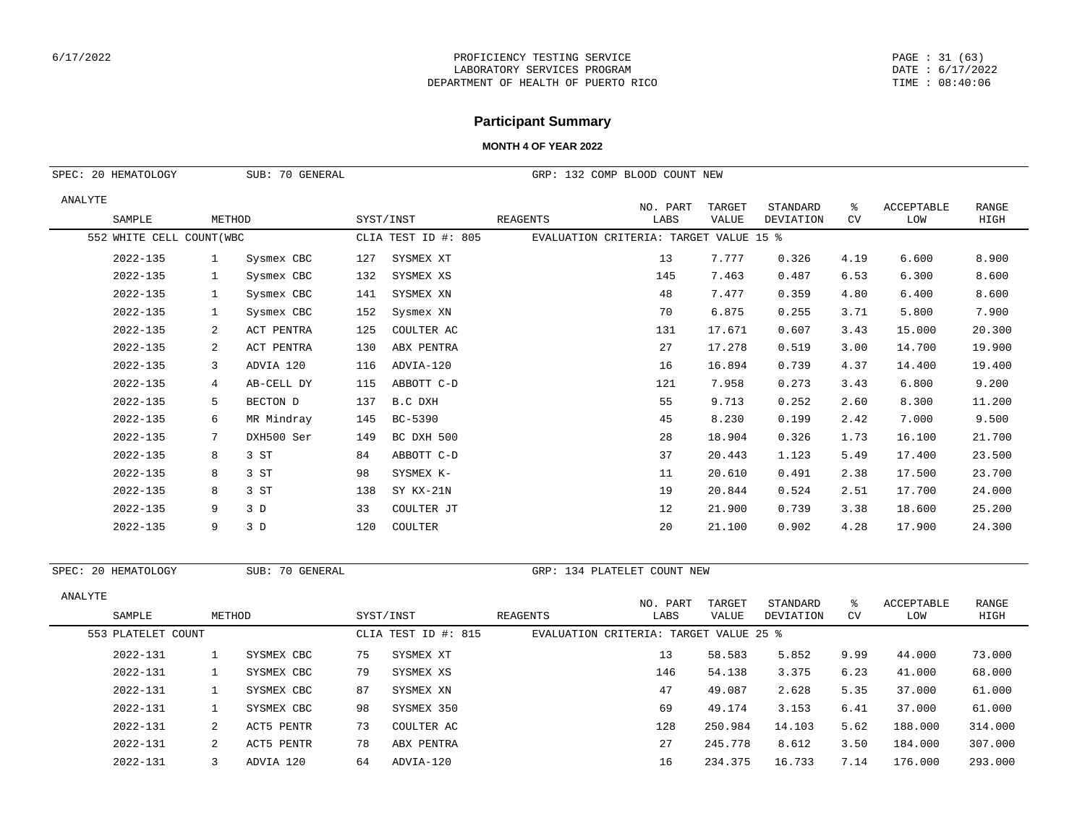#### PAGE : 31 (63) DATE : 6/17/2022 TIME : 08:40:06

# **Participant Summary**

### **MONTH 4 OF YEAR 2022**

|         | SPEC: 20 HEMATOLOGY       |              | SUB: 70 GENERAL |           |                     | GRP: 132 COMP BLOOD COUNT NEW          |                  |                 |                       |         |                          |                      |
|---------|---------------------------|--------------|-----------------|-----------|---------------------|----------------------------------------|------------------|-----------------|-----------------------|---------|--------------------------|----------------------|
| ANALYTE | SAMPLE                    | METHOD       |                 | SYST/INST |                     | REAGENTS                               | NO. PART<br>LABS | TARGET<br>VALUE | STANDARD<br>DEVIATION | ႜ<br>CV | <b>ACCEPTABLE</b><br>LOW | <b>RANGE</b><br>HIGH |
|         | 552 WHITE CELL COUNT (WBC |              |                 |           | CLIA TEST ID #: 805 | EVALUATION CRITERIA: TARGET VALUE 15 % |                  |                 |                       |         |                          |                      |
|         | 2022-135                  | <sup>1</sup> | Sysmex CBC      | 127       | SYSMEX XT           |                                        | 13               | 7.777           | 0.326                 | 4.19    | 6.600                    | 8.900                |
|         | 2022-135                  | $\mathbf{1}$ | Sysmex CBC      | 132       | SYSMEX XS           |                                        | 145              | 7.463           | 0.487                 | 6.53    | 6.300                    | 8.600                |
|         | 2022-135                  | $\mathbf{1}$ | Sysmex CBC      | 141       | SYSMEX XN           |                                        | 48               | 7.477           | 0.359                 | 4.80    | 6.400                    | 8.600                |
|         | 2022-135                  | $\mathbf{1}$ | Sysmex CBC      | 152       | Sysmex XN           |                                        | 70               | 6.875           | 0.255                 | 3.71    | 5.800                    | 7.900                |
|         | 2022-135                  | 2            | ACT PENTRA      | 125       | COULTER AC          |                                        | 131              | 17.671          | 0.607                 | 3.43    | 15.000                   | 20.300               |
|         | 2022-135                  | 2            | ACT PENTRA      | 130       | ABX PENTRA          |                                        | 27               | 17.278          | 0.519                 | 3.00    | 14.700                   | 19.900               |
|         | 2022-135                  | 3            | ADVIA 120       | 116       | ADVIA-120           |                                        | 16               | 16.894          | 0.739                 | 4.37    | 14.400                   | 19.400               |
|         | 2022-135                  | 4            | AB-CELL DY      | 115       | ABBOTT C-D          |                                        | 121              | 7.958           | 0.273                 | 3.43    | 6.800                    | 9.200                |
|         | 2022-135                  | 5            | BECTON D        | 137       | B.C DXH             |                                        | 55               | 9.713           | 0.252                 | 2.60    | 8.300                    | 11,200               |
|         | 2022-135                  | 6            | MR Mindray      | 145       | BC-5390             |                                        | 45               | 8.230           | 0.199                 | 2.42    | 7.000                    | 9.500                |
|         | 2022-135                  | 7            | DXH500 Ser      | 149       | BC DXH 500          |                                        | 28               | 18.904          | 0.326                 | 1.73    | 16.100                   | 21.700               |
|         | 2022-135                  | 8            | 3 ST            | 84        | ABBOTT C-D          |                                        | 37               | 20.443          | 1.123                 | 5.49    | 17.400                   | 23.500               |
|         | 2022-135                  | 8            | 3 ST            | 98        | SYSMEX K-           |                                        | 11               | 20.610          | 0.491                 | 2.38    | 17.500                   | 23.700               |
|         | 2022-135                  | 8            | 3 ST            | 138       | SY KX-21N           |                                        | 19               | 20.844          | 0.524                 | 2.51    | 17.700                   | 24.000               |
|         | 2022-135                  | 9            | 3D              | 33        | COULTER JT          |                                        | 12               | 21.900          | 0.739                 | 3.38    | 18.600                   | 25.200               |
|         | 2022-135                  | 9            | 3D              | 120       | COULTER             |                                        | 20               | 21.100          | 0.902                 | 4.28    | 17.900                   | 24.300               |
|         |                           |              |                 |           |                     |                                        |                  |                 |                       |         |                          |                      |

SPEC: 20 HEMATOLOGY SUB: 70 GENERAL GRP: 134 PLATELET COUNT NEW

| ANALYTE |                    |        |            |    |                     |                                        |                  | TARGET  | STANDARD  |                 | ACCEPTABLE | RANGE   |
|---------|--------------------|--------|------------|----|---------------------|----------------------------------------|------------------|---------|-----------|-----------------|------------|---------|
|         | SAMPLE             | METHOD |            |    | SYST/INST           | REAGENTS                               | NO. PART<br>LABS | VALUE   | DEVIATION | ిన<br><b>CV</b> | LOW        | HIGH    |
|         | 553 PLATELET COUNT |        |            |    | CLIA TEST ID #: 815 | EVALUATION CRITERIA: TARGET VALUE 25 % |                  |         |           |                 |            |         |
|         | 2022-131           |        | SYSMEX CBC | 75 | SYSMEX XT           |                                        | 13               | 58.583  | 5.852     | 9.99            | 44.000     | 73.000  |
|         | 2022-131           |        | SYSMEX CBC | 79 | SYSMEX XS           |                                        | 146              | 54.138  | 3.375     | 6.23            | 41.000     | 68,000  |
|         | 2022-131           |        | SYSMEX CBC | 87 | SYSMEX XN           |                                        | 47               | 49.087  | 2.628     | 5.35            | 37.000     | 61.000  |
|         | 2022-131           |        | SYSMEX CBC | 98 | SYSMEX 350          |                                        | 69               | 49.174  | 3.153     | 6.41            | 37.000     | 61.000  |
|         | 2022-131           | 2      | ACT5 PENTR | 73 | COULTER AC          |                                        | 128              | 250.984 | 14.103    | 5.62            | 188.000    | 314.000 |
|         | 2022-131           | 2      | ACT5 PENTR | 78 | ABX PENTRA          |                                        | 27               | 245.778 | 8.612     | 3.50            | 184.000    | 307.000 |
|         | 2022-131           | ς      | ADVIA 120  | 64 | ADVIA-120           |                                        | 16               | 234.375 | 16.733    | 7.14            | 176.000    | 293.000 |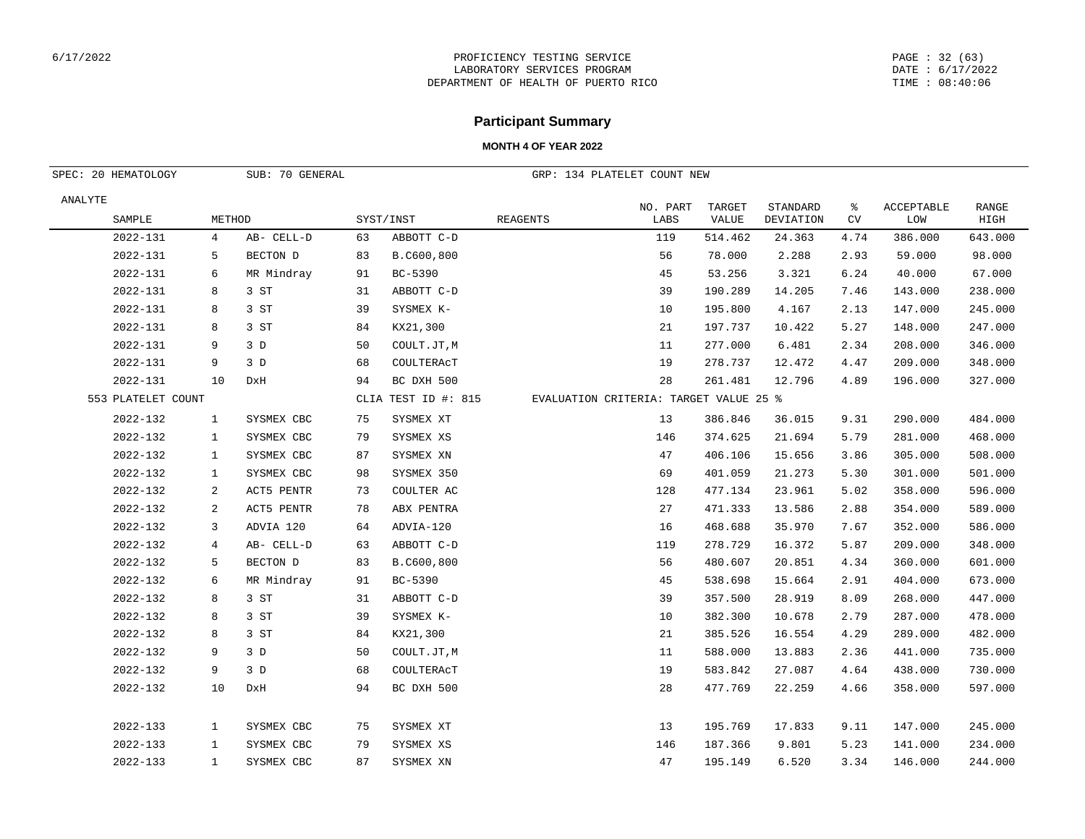#### PAGE : 32 (63) DATE : 6/17/2022 TIME : 08:40:06

## **Participant Summary**

| SUB: 70 GENERAL<br>SPEC: 20 HEMATOLOGY |                |            |    |                     | GRP: 134 PLATELET COUNT NEW            |          |                 |           |      |            |                      |
|----------------------------------------|----------------|------------|----|---------------------|----------------------------------------|----------|-----------------|-----------|------|------------|----------------------|
| ANALYTE                                |                |            |    |                     |                                        | NO. PART | TARGET<br>VALUE | STANDARD  | ႜ    | ACCEPTABLE | <b>RANGE</b><br>HIGH |
| SAMPLE                                 | METHOD         |            |    | SYST/INST           | <b>REAGENTS</b>                        | LABS     |                 | DEVIATION | CV   | LOW        |                      |
| 2022-131                               | 4              | AB- CELL-D | 63 | ABBOTT C-D          |                                        | 119      | 514.462         | 24.363    | 4.74 | 386.000    | 643.000              |
| 2022-131                               | 5              | BECTON D   | 83 | B.C600,800          |                                        | 56       | 78.000          | 2.288     | 2.93 | 59.000     | 98.000               |
| 2022-131                               | 6              | MR Mindray | 91 | BC-5390             |                                        | 45       | 53.256          | 3.321     | 6.24 | 40.000     | 67.000               |
| 2022-131                               | 8              | 3 ST       | 31 | ABBOTT C-D          |                                        | 39       | 190.289         | 14.205    | 7.46 | 143.000    | 238.000              |
| 2022-131                               | 8              | 3 ST       | 39 | SYSMEX K-           |                                        | 10       | 195.800         | 4.167     | 2.13 | 147.000    | 245.000              |
| 2022-131                               | 8              | 3 ST       | 84 | KX21,300            |                                        | 21       | 197.737         | 10.422    | 5.27 | 148.000    | 247.000              |
| 2022-131                               | 9              | 3D         | 50 | COULT.JT, M         |                                        | 11       | 277.000         | 6.481     | 2.34 | 208.000    | 346.000              |
| 2022-131                               | 9              | 3D         | 68 | COULTERACT          |                                        | 19       | 278.737         | 12.472    | 4.47 | 209.000    | 348.000              |
| 2022-131                               | 10             | DxH        | 94 | BC DXH 500          |                                        | 28       | 261.481         | 12.796    | 4.89 | 196.000    | 327.000              |
| 553 PLATELET COUNT                     |                |            |    | CLIA TEST ID #: 815 | EVALUATION CRITERIA: TARGET VALUE 25 % |          |                 |           |      |            |                      |
| 2022-132                               | $\mathbf{1}$   | SYSMEX CBC | 75 | SYSMEX XT           |                                        | 13       | 386.846         | 36.015    | 9.31 | 290.000    | 484.000              |
| 2022-132                               | $\mathbf{1}$   | SYSMEX CBC | 79 | SYSMEX XS           |                                        | 146      | 374.625         | 21.694    | 5.79 | 281.000    | 468.000              |
| 2022-132                               | $\mathbf{1}$   | SYSMEX CBC | 87 | SYSMEX XN           |                                        | 47       | 406.106         | 15.656    | 3.86 | 305.000    | 508.000              |
| 2022-132                               | $\mathbf{1}$   | SYSMEX CBC | 98 | SYSMEX 350          |                                        | 69       | 401.059         | 21.273    | 5.30 | 301.000    | 501.000              |
| 2022-132                               | 2              | ACT5 PENTR | 73 | COULTER AC          |                                        | 128      | 477.134         | 23.961    | 5.02 | 358.000    | 596.000              |
| 2022-132                               | 2              | ACT5 PENTR | 78 | ABX PENTRA          |                                        | 27       | 471.333         | 13.586    | 2.88 | 354.000    | 589.000              |
| 2022-132                               | 3              | ADVIA 120  | 64 | ADVIA-120           |                                        | 16       | 468.688         | 35.970    | 7.67 | 352.000    | 586.000              |
| 2022-132                               | $\overline{4}$ | AB- CELL-D | 63 | ABBOTT C-D          |                                        | 119      | 278.729         | 16.372    | 5.87 | 209.000    | 348.000              |
| 2022-132                               | 5              | BECTON D   | 83 | B.C600,800          |                                        | 56       | 480.607         | 20.851    | 4.34 | 360.000    | 601.000              |
| 2022-132                               | 6              | MR Mindray | 91 | BC-5390             |                                        | 45       | 538.698         | 15.664    | 2.91 | 404.000    | 673.000              |
| 2022-132                               | 8              | 3 ST       | 31 | ABBOTT C-D          |                                        | 39       | 357.500         | 28.919    | 8.09 | 268.000    | 447.000              |
| 2022-132                               | 8              | 3 ST       | 39 | SYSMEX K-           |                                        | 10       | 382.300         | 10.678    | 2.79 | 287.000    | 478.000              |
| 2022-132                               | 8              | 3 ST       | 84 | KX21,300            |                                        | 21       | 385.526         | 16.554    | 4.29 | 289.000    | 482.000              |
| 2022-132                               | 9              | 3D         | 50 | COULT.JT, M         |                                        | 11       | 588.000         | 13.883    | 2.36 | 441.000    | 735.000              |
| 2022-132                               | 9              | 3D         | 68 | COULTERACT          |                                        | 19       | 583.842         | 27.087    | 4.64 | 438.000    | 730.000              |
| 2022-132                               | 10             | DxH        | 94 | BC DXH 500          |                                        | 28       | 477.769         | 22.259    | 4.66 | 358.000    | 597.000              |
| 2022-133                               | 1              | SYSMEX CBC | 75 | SYSMEX XT           |                                        | 13       | 195.769         | 17.833    | 9.11 | 147.000    | 245.000              |
| $2022 - 133$                           | 1              | SYSMEX CBC | 79 | SYSMEX XS           |                                        | 146      | 187.366         | 9.801     | 5.23 | 141.000    | 234.000              |
| 2022-133                               | $\mathbf{1}$   | SYSMEX CBC | 87 | SYSMEX XN           |                                        | 47       | 195.149         | 6.520     | 3.34 | 146.000    | 244.000              |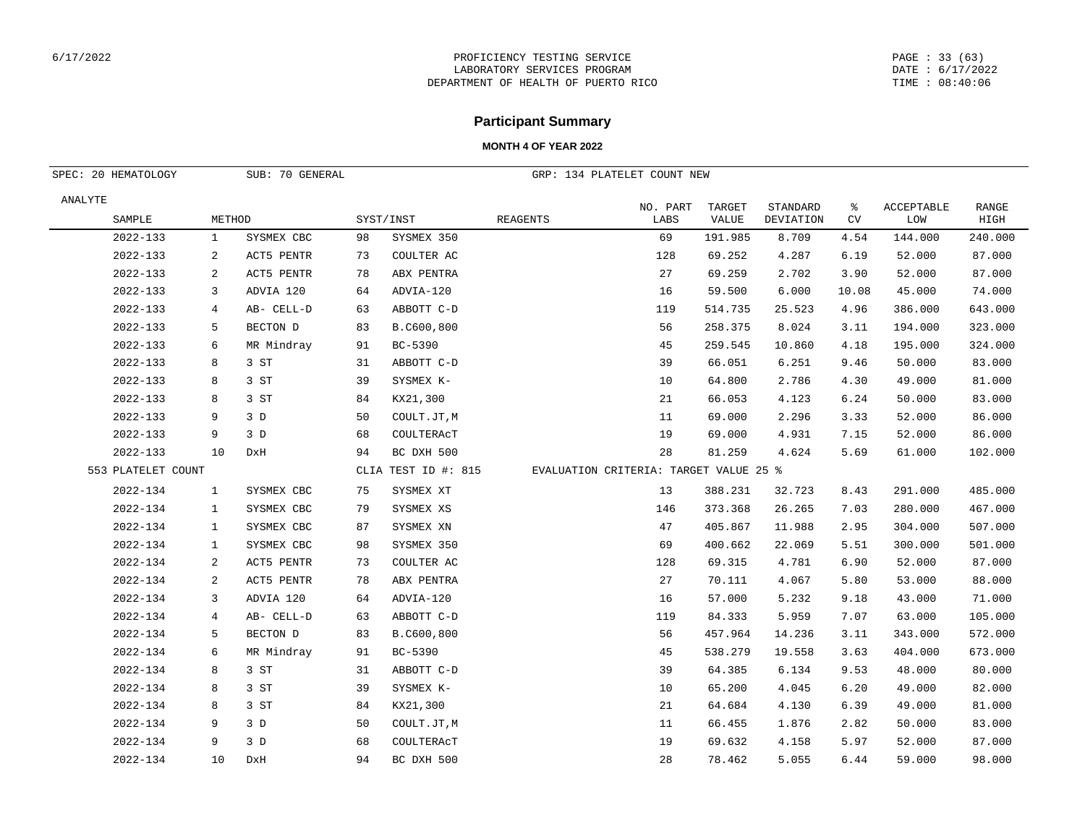#### PAGE : 33 (63) DATE : 6/17/2022 TIME : 08:40:06

## **Participant Summary**

| SUB: 70 GENERAL<br>SPEC: 20 HEMATOLOGY |                |            |    |                     | GRP: 134 PLATELET COUNT NEW            |                  |                        |                       |         |                   |               |
|----------------------------------------|----------------|------------|----|---------------------|----------------------------------------|------------------|------------------------|-----------------------|---------|-------------------|---------------|
| ANALYTE<br>SAMPLE                      | METHOD         |            |    | SYST/INST           | <b>REAGENTS</b>                        | NO. PART<br>LABS | TARGET<br><b>VALUE</b> | STANDARD<br>DEVIATION | ႜ<br>CV | ACCEPTABLE<br>LOW | RANGE<br>HIGH |
| 2022-133                               | $\mathbf{1}$   | SYSMEX CBC | 98 | SYSMEX 350          |                                        | 69               | 191.985                | 8.709                 | 4.54    | 144.000           | 240.000       |
| 2022-133                               | 2              | ACT5 PENTR | 73 | COULTER AC          |                                        | 128              | 69.252                 | 4.287                 | 6.19    | 52.000            | 87.000        |
| 2022-133                               | 2              | ACT5 PENTR | 78 | ABX PENTRA          |                                        | 27               | 69.259                 | 2.702                 | 3.90    | 52.000            | 87.000        |
| 2022-133                               | 3              | ADVIA 120  | 64 | ADVIA-120           |                                        | 16               | 59.500                 | 6.000                 | 10.08   | 45.000            | 74.000        |
| 2022-133                               | $\overline{4}$ | AB- CELL-D | 63 | ABBOTT C-D          |                                        | 119              | 514.735                | 25.523                | 4.96    | 386.000           | 643.000       |
| 2022-133                               | 5              | BECTON D   | 83 | B.C600,800          |                                        | 56               | 258.375                | 8.024                 | 3.11    | 194.000           | 323.000       |
| 2022-133                               | 6              | MR Mindray | 91 | BC-5390             |                                        | 45               | 259.545                | 10.860                | 4.18    | 195.000           | 324.000       |
| 2022-133                               | 8              | 3 ST       | 31 | ABBOTT C-D          |                                        | 39               | 66.051                 | 6.251                 | 9.46    | 50.000            | 83.000        |
| 2022-133                               | 8              | 3 ST       | 39 | SYSMEX K-           |                                        | 10               | 64.800                 | 2.786                 | 4.30    | 49.000            | 81.000        |
| 2022-133                               | 8              | 3 ST       | 84 | KX21,300            |                                        | 21               | 66.053                 | 4.123                 | 6.24    | 50.000            | 83.000        |
| 2022-133                               | 9              | 3D         | 50 | COULT.JT, M         |                                        | 11               | 69.000                 | 2.296                 | 3.33    | 52.000            | 86.000        |
| 2022-133                               | 9              | 3D         | 68 | COULTERACT          |                                        | 19               | 69.000                 | 4.931                 | 7.15    | 52.000            | 86.000        |
| 2022-133                               | 10             | DxH        | 94 | BC DXH 500          |                                        | 28               | 81.259                 | 4.624                 | 5.69    | 61.000            | 102.000       |
| 553 PLATELET COUNT                     |                |            |    | CLIA TEST ID #: 815 | EVALUATION CRITERIA: TARGET VALUE 25 % |                  |                        |                       |         |                   |               |
| 2022-134                               | $\mathbf{1}$   | SYSMEX CBC | 75 | SYSMEX XT           |                                        | 13               | 388.231                | 32.723                | 8.43    | 291.000           | 485.000       |
| 2022-134                               | $\mathbf{1}$   | SYSMEX CBC | 79 | SYSMEX XS           |                                        | 146              | 373.368                | 26.265                | 7.03    | 280.000           | 467.000       |
| 2022-134                               | $\mathbf{1}$   | SYSMEX CBC | 87 | SYSMEX XN           |                                        | 47               | 405.867                | 11.988                | 2.95    | 304.000           | 507.000       |
| 2022-134                               | 1              | SYSMEX CBC | 98 | SYSMEX 350          |                                        | 69               | 400.662                | 22.069                | 5.51    | 300.000           | 501.000       |
| 2022-134                               | 2              | ACT5 PENTR | 73 | COULTER AC          |                                        | 128              | 69.315                 | 4.781                 | 6.90    | 52.000            | 87.000        |
| 2022-134                               | 2              | ACT5 PENTR | 78 | ABX PENTRA          |                                        | 27               | 70.111                 | 4.067                 | 5.80    | 53.000            | 88.000        |
| 2022-134                               | 3              | ADVIA 120  | 64 | ADVIA-120           |                                        | 16               | 57.000                 | 5.232                 | 9.18    | 43.000            | 71.000        |
| 2022-134                               | 4              | AB- CELL-D | 63 | ABBOTT C-D          |                                        | 119              | 84.333                 | 5.959                 | 7.07    | 63.000            | 105.000       |
| 2022-134                               | 5              | BECTON D   | 83 | B.C600,800          |                                        | 56               | 457.964                | 14.236                | 3.11    | 343.000           | 572.000       |
| 2022-134                               | 6              | MR Mindray | 91 | BC-5390             |                                        | 45               | 538.279                | 19.558                | 3.63    | 404.000           | 673.000       |
| 2022-134                               | 8              | 3 ST       | 31 | ABBOTT C-D          |                                        | 39               | 64.385                 | 6.134                 | 9.53    | 48.000            | 80.000        |
| 2022-134                               | 8              | 3 ST       | 39 | SYSMEX K-           |                                        | 10               | 65.200                 | 4.045                 | 6.20    | 49.000            | 82.000        |
| 2022-134                               | 8              | 3 ST       | 84 | KX21,300            |                                        | 21               | 64.684                 | 4.130                 | 6.39    | 49.000            | 81.000        |
| 2022-134                               | 9              | 3D         | 50 | COULT.JT, M         |                                        | 11               | 66.455                 | 1.876                 | 2.82    | 50.000            | 83.000        |
| 2022-134                               | 9              | 3D         | 68 | COULTERACT          |                                        | 19               | 69.632                 | 4.158                 | 5.97    | 52.000            | 87.000        |
| 2022-134                               | 10             | DxH        | 94 | BC DXH 500          |                                        | 28               | 78.462                 | 5.055                 | 6.44    | 59.000            | 98.000        |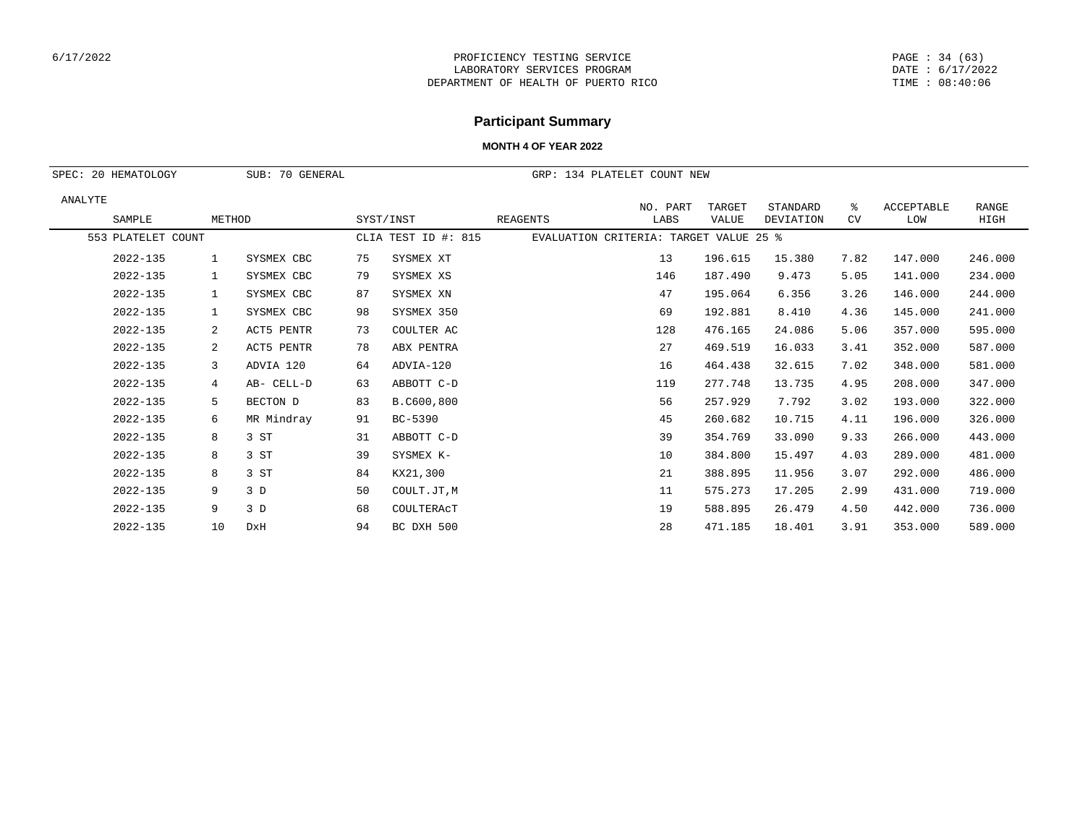#### PAGE : 34 (63) DATE : 6/17/2022 TIME : 08:40:06

# **Participant Summary**

| SPEC:   | 20 HEMATOLOGY      | SUB: 70 GENERAL |            |    | GRP: 134 PLATELET COUNT NEW |                                        |                  |                 |                       |         |                   |               |
|---------|--------------------|-----------------|------------|----|-----------------------------|----------------------------------------|------------------|-----------------|-----------------------|---------|-------------------|---------------|
| ANALYTE | SAMPLE             | METHOD          |            |    | SYST/INST                   | <b>REAGENTS</b>                        | NO. PART<br>LABS | TARGET<br>VALUE | STANDARD<br>DEVIATION | ႜ<br>CV | ACCEPTABLE<br>LOW | RANGE<br>HIGH |
|         | 553 PLATELET COUNT |                 |            |    | CLIA TEST ID #: 815         | EVALUATION CRITERIA: TARGET VALUE 25 % |                  |                 |                       |         |                   |               |
|         | $2022 - 135$       | 1               | SYSMEX CBC | 75 | SYSMEX XT                   |                                        | 13               | 196.615         | 15.380                | 7.82    | 147.000           | 246.000       |
|         | 2022-135           | $\mathbf{1}$    | SYSMEX CBC | 79 | SYSMEX XS                   |                                        | 146              | 187.490         | 9.473                 | 5.05    | 141.000           | 234.000       |
|         | 2022-135           | $\mathbf{1}$    | SYSMEX CBC | 87 | SYSMEX XN                   |                                        | 47               | 195.064         | 6.356                 | 3.26    | 146.000           | 244.000       |
|         | 2022-135           | 1               | SYSMEX CBC | 98 | SYSMEX 350                  |                                        | 69               | 192.881         | 8.410                 | 4.36    | 145.000           | 241.000       |
|         | 2022-135           | $\overline{a}$  | ACT5 PENTR | 73 | COULTER AC                  |                                        | 128              | 476.165         | 24.086                | 5.06    | 357.000           | 595.000       |
|         | 2022-135           | 2               | ACT5 PENTR | 78 | ABX PENTRA                  |                                        | 27               | 469.519         | 16.033                | 3.41    | 352.000           | 587.000       |
|         | 2022-135           | 3               | ADVIA 120  | 64 | ADVIA-120                   |                                        | 16               | 464.438         | 32.615                | 7.02    | 348.000           | 581.000       |
|         | 2022-135           | 4               | AB- CELL-D | 63 | ABBOTT C-D                  |                                        | 119              | 277.748         | 13.735                | 4.95    | 208.000           | 347.000       |
|         | 2022-135           | 5               | BECTON D   | 83 | B.C600,800                  |                                        | 56               | 257.929         | 7.792                 | 3.02    | 193.000           | 322.000       |
|         | 2022-135           | 6               | MR Mindray | 91 | BC-5390                     |                                        | 45               | 260.682         | 10.715                | 4.11    | 196.000           | 326.000       |
|         | 2022-135           | 8               | 3 ST       | 31 | ABBOTT C-D                  |                                        | 39               | 354.769         | 33.090                | 9.33    | 266.000           | 443.000       |
|         | $2022 - 135$       | 8               | 3 ST       | 39 | SYSMEX K-                   |                                        | 10               | 384.800         | 15.497                | 4.03    | 289.000           | 481,000       |
|         | 2022-135           | 8               | 3 ST       | 84 | KX21,300                    |                                        | 21               | 388.895         | 11.956                | 3.07    | 292.000           | 486.000       |
|         | 2022-135           | 9               | 3D         | 50 | COULT.JT, M                 |                                        | 11               | 575.273         | 17.205                | 2.99    | 431.000           | 719.000       |
|         | 2022-135           | 9               | 3 D        | 68 | COULTERACT                  |                                        | 19               | 588.895         | 26.479                | 4.50    | 442.000           | 736.000       |
|         | 2022-135           | 10              | DxH        | 94 | BC DXH 500                  |                                        | 28               | 471.185         | 18.401                | 3.91    | 353.000           | 589.000       |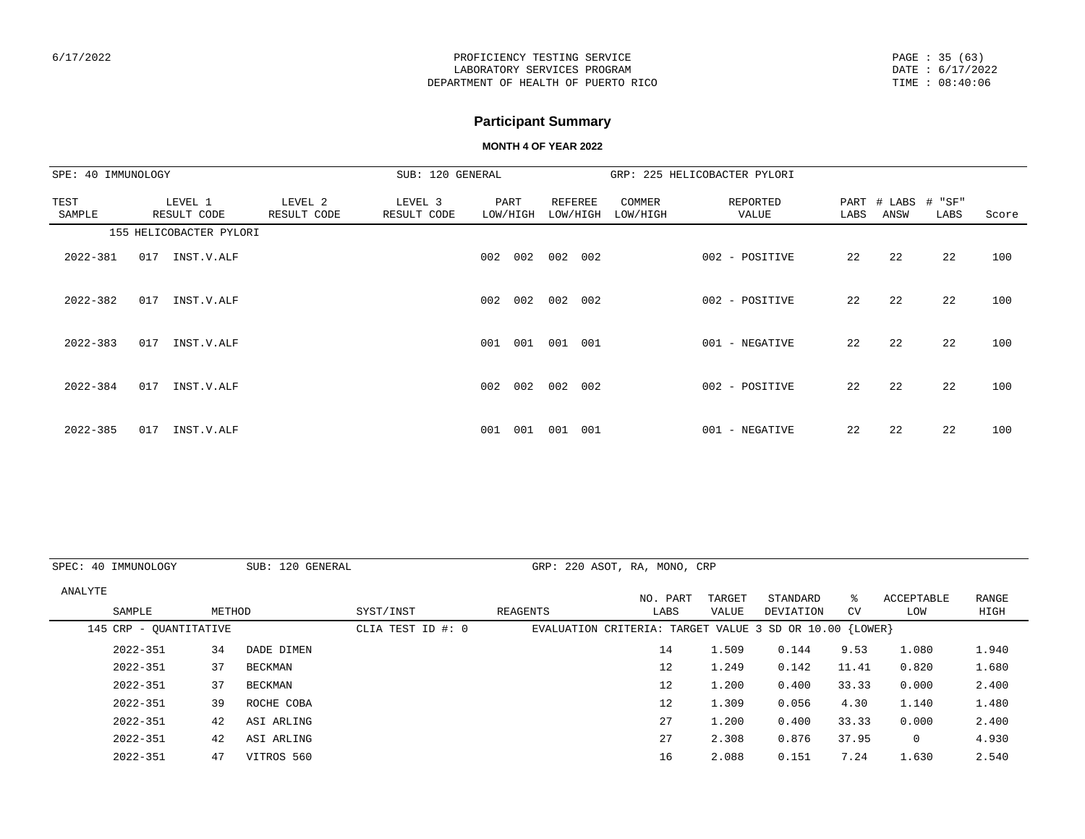PAGE : 35 (63) DATE : 6/17/2022 TIME : 08:40:06

# **Participant Summary**

| SPE: 40 IMMUNOLOGY |                         |                        | SUB: 120 GENERAL       |                  |     |                     |                    | GRP: 225 HELICOBACTER PYLORI |      |                            |      |       |
|--------------------|-------------------------|------------------------|------------------------|------------------|-----|---------------------|--------------------|------------------------------|------|----------------------------|------|-------|
| TEST<br>SAMPLE     | LEVEL 1<br>RESULT CODE  | LEVEL 2<br>RESULT CODE | LEVEL 3<br>RESULT CODE | PART<br>LOW/HIGH |     | REFEREE<br>LOW/HIGH | COMMER<br>LOW/HIGH | REPORTED<br>VALUE            | LABS | PART # LABS # "SF"<br>ANSW | LABS | Score |
|                    | 155 HELICOBACTER PYLORI |                        |                        |                  |     |                     |                    |                              |      |                            |      |       |
| 2022-381           | 017<br>INST.V.ALF       |                        |                        | 002              | 002 | 002<br>002          |                    | 002 - POSITIVE               | 22   | 22                         | 22   | 100   |
| 2022-382           | 017<br>INST.V.ALF       |                        |                        | 002              | 002 | 002<br>002          |                    | 002 - POSITIVE               | 22   | 22                         | 22   | 100   |
| $2022 - 383$       | 017<br>INST.V.ALF       |                        |                        | 001              | 001 | 001<br>001          |                    | 001 - NEGATIVE               | 22   | 22                         | 22   | 100   |
| $2022 - 384$       | 017<br>INST.V.ALF       |                        |                        | 002              | 002 | 002<br>002          |                    | 002 - POSITIVE               | 22   | 22                         | 22   | 100   |
| 2022-385           | 017<br>INST.V.ALF       |                        |                        | 001              | 001 | 001<br>001          |                    | 001 - NEGATIVE               | 22   | 22                         | 22   | 100   |

|         | SPEC: 40 IMMUNOLOGY    |        | SUB: 120 GENERAL |                   | GRP: 220 ASOT, RA, MONO, CRP                              |          |        |           |           |                   |       |
|---------|------------------------|--------|------------------|-------------------|-----------------------------------------------------------|----------|--------|-----------|-----------|-------------------|-------|
| ANALYTE |                        |        |                  |                   |                                                           | NO. PART | TARGET | STANDARD  | °≈        | <b>ACCEPTABLE</b> | RANGE |
|         | SAMPLE                 | METHOD |                  | SYST/INST         | REAGENTS                                                  | LABS     | VALUE  | DEVIATION | <b>CV</b> | LOW               | HIGH  |
|         | 145 CRP - OUANTITATIVE |        |                  | CLIA TEST ID #: 0 | EVALUATION CRITERIA: TARGET VALUE 3 SD OR $10.00$ {LOWER} |          |        |           |           |                   |       |
|         | $2022 - 351$           | 34     | DADE DIMEN       |                   |                                                           | 14       | 1.509  | 0.144     | 9.53      | 1.080             | 1.940 |
|         | $2022 - 351$           | 37     | BECKMAN          |                   |                                                           | 12       | 1.249  | 0.142     | 11.41     | 0.820             | 1.680 |
|         | $2022 - 351$           | 37     | <b>BECKMAN</b>   |                   |                                                           | 12       | 1.200  | 0.400     | 33.33     | 0.000             | 2.400 |
|         | 2022-351               | 39     | ROCHE COBA       |                   |                                                           | 12       | 1.309  | 0.056     | 4.30      | 1.140             | 1.480 |
|         | $2022 - 351$           | 42     | ASI ARLING       |                   |                                                           | 27       | 1.200  | 0.400     | 33.33     | 0.000             | 2.400 |
|         | $2022 - 351$           | 42     | ASI ARLING       |                   |                                                           | 27       | 2.308  | 0.876     | 37.95     | 0                 | 4.930 |
|         | $2022 - 351$           | 47     | VITROS 560       |                   |                                                           | 16       | 2.088  | 0.151     | 7.24      | 1.630             | 2.540 |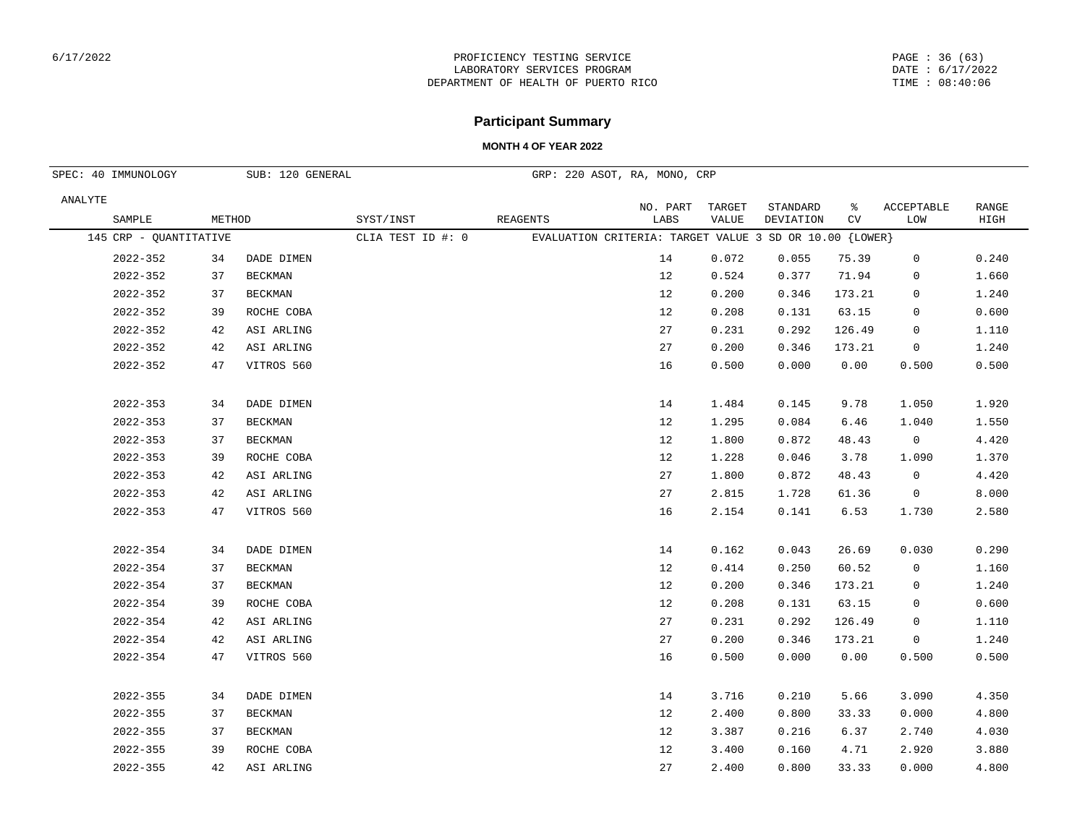## **Participant Summary**

|         | SPEC: 40 IMMUNOLOGY    |        | SUB: 120 GENERAL |                   |          | GRP: 220 ASOT, RA, MONO, CRP                              |                 |                       |         |                   |               |
|---------|------------------------|--------|------------------|-------------------|----------|-----------------------------------------------------------|-----------------|-----------------------|---------|-------------------|---------------|
| ANALYTE | SAMPLE                 | METHOD |                  | SYST/INST         | REAGENTS | NO. PART<br>LABS                                          | TARGET<br>VALUE | STANDARD<br>DEVIATION | ႜ<br>CV | ACCEPTABLE<br>LOM | RANGE<br>HIGH |
|         | 145 CRP - QUANTITATIVE |        |                  | CLIA TEST ID #: 0 |          | EVALUATION CRITERIA: TARGET VALUE 3 SD OR $10.00$ {LOWER} |                 |                       |         |                   |               |
|         | 2022-352               | 34     | DADE DIMEN       |                   |          | 14                                                        | 0.072           | 0.055                 | 75.39   | 0                 | 0.240         |
|         | $2022 - 352$           | 37     | <b>BECKMAN</b>   |                   |          | 12                                                        | 0.524           | 0.377                 | 71.94   | 0                 | 1.660         |
|         | 2022-352               | 37     | <b>BECKMAN</b>   |                   |          | 12                                                        | 0.200           | 0.346                 | 173.21  | 0                 | 1.240         |
|         | 2022-352               | 39     | ROCHE COBA       |                   |          | 12                                                        | 0.208           | 0.131                 | 63.15   | 0                 | 0.600         |
|         | 2022-352               | 42     | ASI ARLING       |                   |          | 27                                                        | 0.231           | 0.292                 | 126.49  | 0                 | 1.110         |
|         | 2022-352               | 42     | ASI ARLING       |                   |          | 27                                                        | 0.200           | 0.346                 | 173.21  | 0                 | 1.240         |
|         | 2022-352               | 47     | VITROS 560       |                   |          | 16                                                        | 0.500           | 0.000                 | 0.00    | 0.500             | 0.500         |
|         | 2022-353               | 34     | DADE DIMEN       |                   |          | 14                                                        | 1.484           | 0.145                 | 9.78    | 1.050             | 1.920         |
|         | 2022-353               | 37     | BECKMAN          |                   |          | 12                                                        | 1.295           | 0.084                 | 6.46    | 1.040             | 1.550         |
|         | $2022 - 353$           | 37     | BECKMAN          |                   |          | 12                                                        | 1.800           | 0.872                 | 48.43   | $\mathbf 0$       | 4.420         |
|         | $2022 - 353$           | 39     | ROCHE COBA       |                   |          | 12                                                        | 1.228           | 0.046                 | 3.78    | 1.090             | 1.370         |
|         | 2022-353               | 42     | ASI ARLING       |                   |          | 27                                                        | 1.800           | 0.872                 | 48.43   | 0                 | 4.420         |
|         | 2022-353               | 42     | ASI ARLING       |                   |          | 27                                                        | 2.815           | 1.728                 | 61.36   | 0                 | 8.000         |
|         | 2022-353               | 47     | VITROS 560       |                   |          | 16                                                        | 2.154           | 0.141                 | 6.53    | 1.730             | 2.580         |
|         | 2022-354               | 34     | DADE DIMEN       |                   |          | 14                                                        | 0.162           | 0.043                 | 26.69   | 0.030             | 0.290         |
|         | 2022-354               | 37     | BECKMAN          |                   |          | 12                                                        | 0.414           | 0.250                 | 60.52   | 0                 | 1.160         |
|         | 2022-354               | 37     | BECKMAN          |                   |          | 12                                                        | 0.200           | 0.346                 | 173.21  | 0                 | 1.240         |
|         | 2022-354               | 39     | ROCHE COBA       |                   |          | 12                                                        | 0.208           | 0.131                 | 63.15   | 0                 | 0.600         |
|         | 2022-354               | 42     | ASI ARLING       |                   |          | 27                                                        | 0.231           | 0.292                 | 126.49  | 0                 | 1.110         |
|         | 2022-354               | 42     | ASI ARLING       |                   |          | 27                                                        | 0.200           | 0.346                 | 173.21  | $\mathsf{O}$      | 1.240         |
|         | 2022-354               | 47     | VITROS 560       |                   |          | 16                                                        | 0.500           | 0.000                 | 0.00    | 0.500             | 0.500         |
|         | 2022-355               | 34     | DADE DIMEN       |                   |          | 14                                                        | 3.716           | 0.210                 | 5.66    | 3.090             | 4.350         |
|         | 2022-355               | 37     | <b>BECKMAN</b>   |                   |          | 12                                                        | 2.400           | 0.800                 | 33.33   | 0.000             | 4.800         |
|         | 2022-355               | 37     | BECKMAN          |                   |          | 12                                                        | 3.387           | 0.216                 | 6.37    | 2.740             | 4.030         |
|         | 2022-355               | 39     | ROCHE COBA       |                   |          | 12                                                        | 3.400           | 0.160                 | 4.71    | 2.920             | 3.880         |
|         | 2022-355               | 42     | ASI ARLING       |                   |          | 27                                                        | 2.400           | 0.800                 | 33.33   | 0.000             | 4.800         |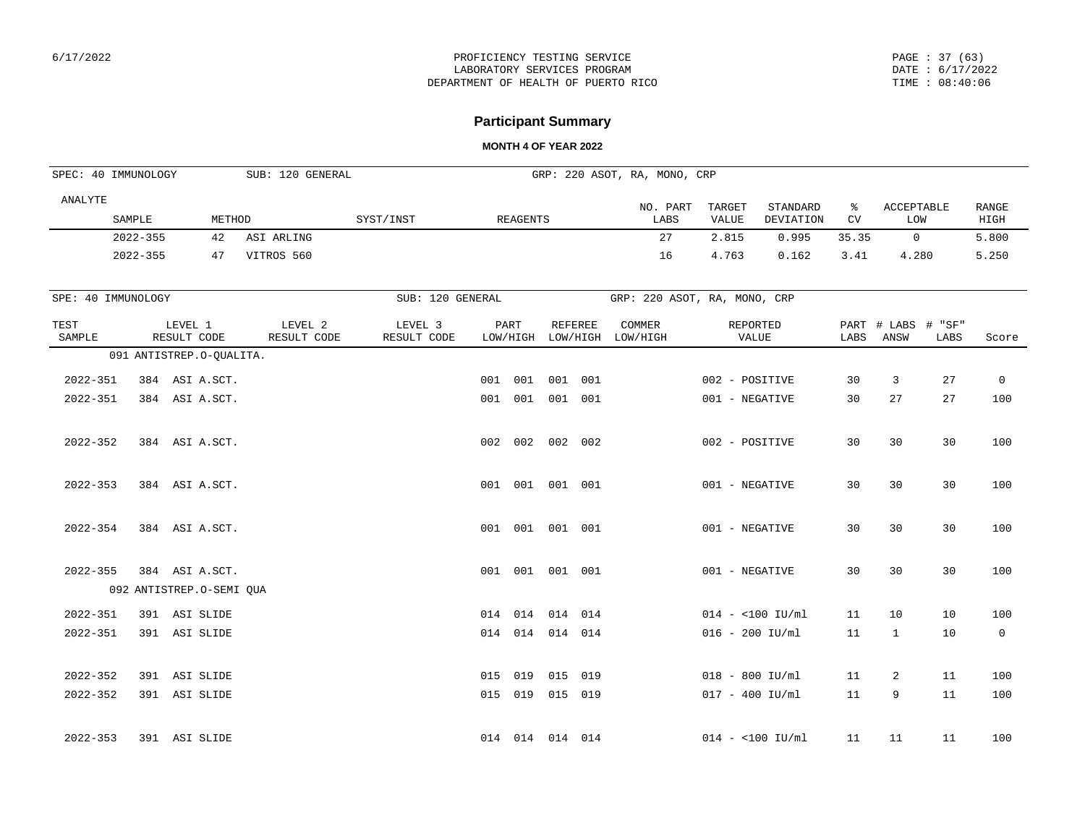#### PAGE : 37 (63) DATE : 6/17/2022 TIME : 08:40:06

## **Participant Summary**

| SPEC: 40 IMMUNOLOGY |                          |                        |                | SUB: 120 GENERAL       |                        |     |                  |                | GRP: 220 ASOT, RA, MONO, CRP |                   |                       |         |                            |      |                      |
|---------------------|--------------------------|------------------------|----------------|------------------------|------------------------|-----|------------------|----------------|------------------------------|-------------------|-----------------------|---------|----------------------------|------|----------------------|
| ANALYTE             | SAMPLE                   |                        | METHOD         |                        | SYST/INST              |     | <b>REAGENTS</b>  |                | NO. PART<br>LABS             | TARGET<br>VALUE   | STANDARD<br>DEVIATION | ႜ<br>CV | ACCEPTABLE<br><b>LOW</b>   |      | <b>RANGE</b><br>HIGH |
|                     | $2022 - 355$             |                        | 42             | ASI ARLING             |                        |     |                  |                | 27                           | 2.815             | 0.995                 | 35.35   | $\circ$                    |      | 5.800                |
|                     | $2022 - 355$             |                        | 47             | VITROS 560             |                        |     |                  |                | 16                           | 4.763             | 0.162                 | 3.41    | 4.280                      |      | 5.250                |
| SPE: 40 IMMUNOLOGY  |                          |                        |                |                        | SUB: 120 GENERAL       |     |                  |                | GRP: 220 ASOT, RA, MONO, CRP |                   |                       |         |                            |      |                      |
| TEST<br>SAMPLE      |                          | LEVEL 1<br>RESULT CODE |                | LEVEL 2<br>RESULT CODE | LEVEL 3<br>RESULT CODE |     | PART<br>LOW/HIGH | <b>REFEREE</b> | COMMER<br>LOW/HIGH LOW/HIGH  | REPORTED<br>VALUE |                       | LABS    | PART # LABS # "SF"<br>ANSW | LABS | Score                |
|                     | 091 ANTISTREP.O-QUALITA. |                        |                |                        |                        |     |                  |                |                              |                   |                       |         |                            |      |                      |
| $2022 - 351$        |                          |                        | 384 ASI A.SCT. |                        |                        | 001 | 001              | 001 001        |                              | 002 - POSITIVE    |                       | 30      | $\overline{3}$             | 27   | $\mathbf 0$          |
| $2022 - 351$        |                          |                        | 384 ASI A.SCT. |                        |                        |     | 001 001 001 001  |                |                              | 001 - NEGATIVE    |                       | 30      | 27                         | 27   | 100                  |
| 2022-352            |                          |                        | 384 ASI A.SCT. |                        |                        |     | 002 002 002 002  |                |                              | 002 - POSITIVE    |                       | 30      | 30                         | 30   | 100                  |
| $2022 - 353$        |                          |                        | 384 ASI A.SCT. |                        |                        |     | 001 001 001 001  |                |                              | 001 - NEGATIVE    |                       | 30      | 30                         | 30   | 100                  |
| $2022 - 354$        |                          |                        | 384 ASI A.SCT. |                        |                        |     | 001 001 001 001  |                |                              | 001 - NEGATIVE    |                       | 30      | 30                         | 30   | 100                  |
| $2022 - 355$        |                          |                        | 384 ASI A.SCT. |                        |                        |     | 001 001 001 001  |                |                              | 001 - NEGATIVE    |                       | 30      | 30                         | 30   | 100                  |
|                     | 092 ANTISTREP.O-SEMI QUA |                        |                |                        |                        |     |                  |                |                              |                   |                       |         |                            |      |                      |
| $2022 - 351$        |                          | 391 ASI SLIDE          |                |                        |                        |     | 014 014          | 014 014        |                              | $014 - 100$ IU/ml |                       | 11      | 10                         | 10   | 100                  |
| $2022 - 351$        |                          | 391 ASI SLIDE          |                |                        |                        |     | 014 014 014 014  |                |                              | $016 - 200$ IU/ml |                       | 11      | $\mathbf{1}$               | 10   | $\mathbf 0$          |
| 2022-352            |                          | 391 ASI SLIDE          |                |                        |                        | 015 | 019              | 015 019        |                              | $018 - 800$ IU/ml |                       | 11      | 2                          | 11   | 100                  |
| $2022 - 352$        |                          | 391 ASI SLIDE          |                |                        |                        |     | 015 019 015 019  |                |                              | $017 - 400$ IU/ml |                       | 11      | 9                          | 11   | 100                  |
| $2022 - 353$        |                          | 391 ASI SLIDE          |                |                        |                        |     | 014 014 014 014  |                |                              | $014 - 100$ IU/ml |                       | 11      | 11                         | 11   | 100                  |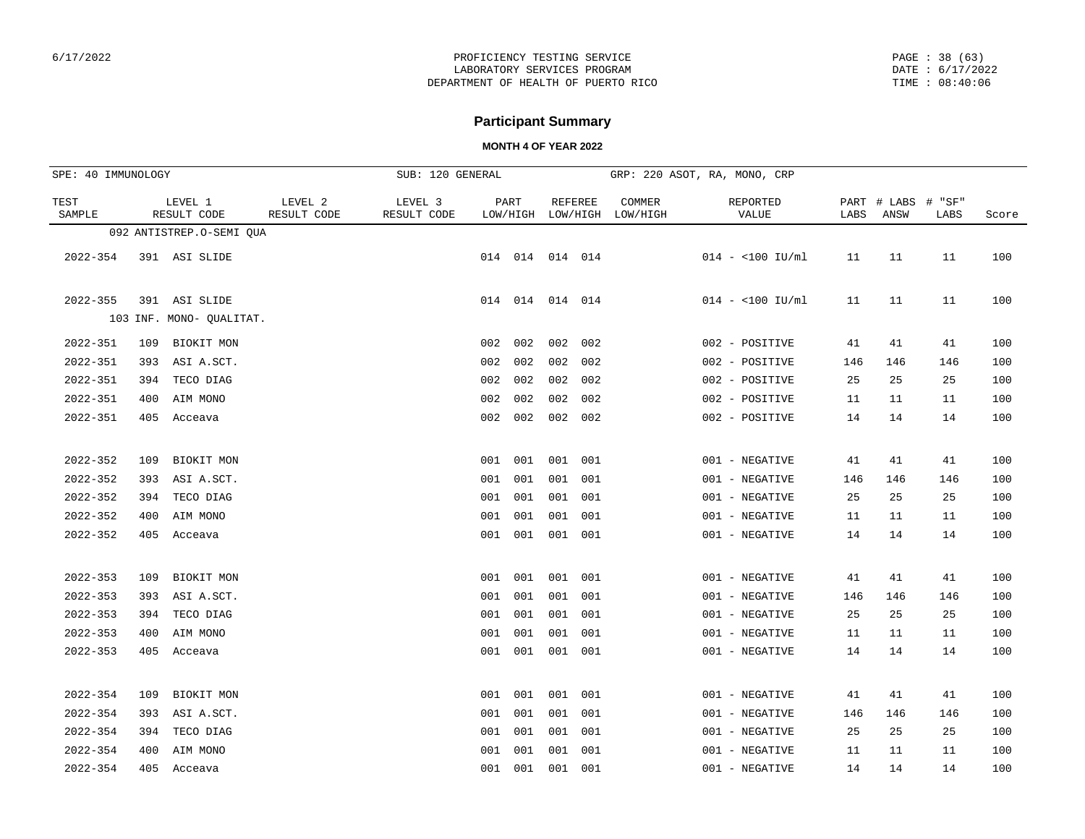PAGE : 38 (63) DATE : 6/17/2022 TIME : 08:40:06

## **Participant Summary**

| SPE: 40 IMMUNOLOGY |     |                          |                        | SUB: 120 GENERAL       |     |                           |         |                |                    | GRP: 220 ASOT, RA, MONO, CRP |      |                     |                   |       |
|--------------------|-----|--------------------------|------------------------|------------------------|-----|---------------------------|---------|----------------|--------------------|------------------------------|------|---------------------|-------------------|-------|
| TEST<br>SAMPLE     |     | LEVEL 1<br>RESULT CODE   | LEVEL 2<br>RESULT CODE | LEVEL 3<br>RESULT CODE |     | PART<br>LOW/HIGH LOW/HIGH |         | <b>REFEREE</b> | COMMER<br>LOW/HIGH | REPORTED<br>VALUE            | LABS | PART # LABS<br>ANSW | #<br>"SF"<br>LABS | Score |
|                    |     | 092 ANTISTREP.O-SEMI QUA |                        |                        |     |                           |         |                |                    |                              |      |                     |                   |       |
| $2022 - 354$       |     | 391 ASI SLIDE            |                        |                        |     | 014 014 014 014           |         |                |                    | $014 - 100$ IU/ml            | 11   | 11                  | 11                | 100   |
| $2022 - 355$       |     | 391 ASI SLIDE            |                        |                        |     | 014 014 014 014           |         |                |                    | $014 - 100$ IU/ml            | 11   | 11                  | 11                | 100   |
|                    |     | 103 INF. MONO- QUALITAT. |                        |                        |     |                           |         |                |                    |                              |      |                     |                   |       |
| 2022-351           | 109 | BIOKIT MON               |                        |                        | 002 | 002                       | 002     | 002            |                    | 002 - POSITIVE               | 41   | 41                  | 41                | 100   |
| 2022-351           |     | 393 ASI A.SCT.           |                        |                        | 002 | 002                       | 002     | 002            |                    | 002 - POSITIVE               | 146  | 146                 | 146               | 100   |
| 2022-351           | 394 | TECO DIAG                |                        |                        | 002 | 002                       | 002     | 002            |                    | 002 - POSITIVE               | 25   | 25                  | 25                | 100   |
| 2022-351           | 400 | AIM MONO                 |                        |                        | 002 | 002                       | 002     | 002            |                    | 002 - POSITIVE               | 11   | 11                  | 11                | 100   |
| 2022-351           |     | 405 Acceava              |                        |                        | 002 | 002                       | 002     | 002            |                    | 002 - POSITIVE               | 14   | 14                  | 14                | 100   |
| 2022-352           | 109 | BIOKIT MON               |                        |                        | 001 | 001                       | 001 001 |                |                    | 001 - NEGATIVE               | 41   | 41                  | 41                | 100   |
| $2022 - 352$       | 393 | ASI A.SCT.               |                        |                        | 001 | 001                       | 001     | 001            |                    | 001 - NEGATIVE               | 146  | 146                 | 146               | 100   |
| $2022 - 352$       | 394 | TECO DIAG                |                        |                        | 001 | 001                       | 001     | 001            |                    | 001 - NEGATIVE               | 25   | 25                  | 25                | 100   |
| $2022 - 352$       | 400 | AIM MONO                 |                        |                        | 001 | 001                       | 001     | 001            |                    | 001 - NEGATIVE               | 11   | 11                  | 11                | 100   |
| $2022 - 352$       |     | 405 Acceava              |                        |                        |     | 001 001                   | 001 001 |                |                    | 001 - NEGATIVE               | 14   | 14                  | 14                | 100   |
| $2022 - 353$       | 109 | BIOKIT MON               |                        |                        | 001 | 001                       | 001     | 001            |                    | 001 - NEGATIVE               | 41   | 41                  | 41                | 100   |
| $2022 - 353$       | 393 | ASI A.SCT.               |                        |                        | 001 | 001                       | 001     | 001            |                    | 001 - NEGATIVE               | 146  | 146                 | 146               | 100   |
| $2022 - 353$       | 394 | TECO DIAG                |                        |                        | 001 | 001                       | 001     | 001            |                    | 001 - NEGATIVE               | 25   | 25                  | 25                | 100   |
| $2022 - 353$       | 400 | AIM MONO                 |                        |                        | 001 | 001                       | 001     | 001            |                    | 001 - NEGATIVE               | 11   | 11                  | 11                | 100   |
| $2022 - 353$       |     | 405 Acceava              |                        |                        | 001 | 001                       | 001     | 001            |                    | 001 - NEGATIVE               | 14   | 14                  | 14                | 100   |
| 2022-354           | 109 | BIOKIT MON               |                        |                        | 001 | 001                       | 001     | 001            |                    | 001 - NEGATIVE               | 41   | 41                  | 41                | 100   |
| 2022-354           | 393 | ASI A.SCT.               |                        |                        | 001 | 001                       | 001     | 001            |                    | 001 - NEGATIVE               | 146  | 146                 | 146               | 100   |
| $2022 - 354$       | 394 | TECO DIAG                |                        |                        | 001 | 001                       | 001     | 001            |                    | 001 - NEGATIVE               | 25   | 25                  | 25                | 100   |
| $2022 - 354$       | 400 | AIM MONO                 |                        |                        | 001 | 001                       | 001     | 001            |                    | 001 - NEGATIVE               | 11   | 11                  | 11                | 100   |
| $2022 - 354$       |     | 405 Acceava              |                        |                        | 001 | 001                       | 001 001 |                |                    | 001 - NEGATIVE               | 14   | 14                  | 14                | 100   |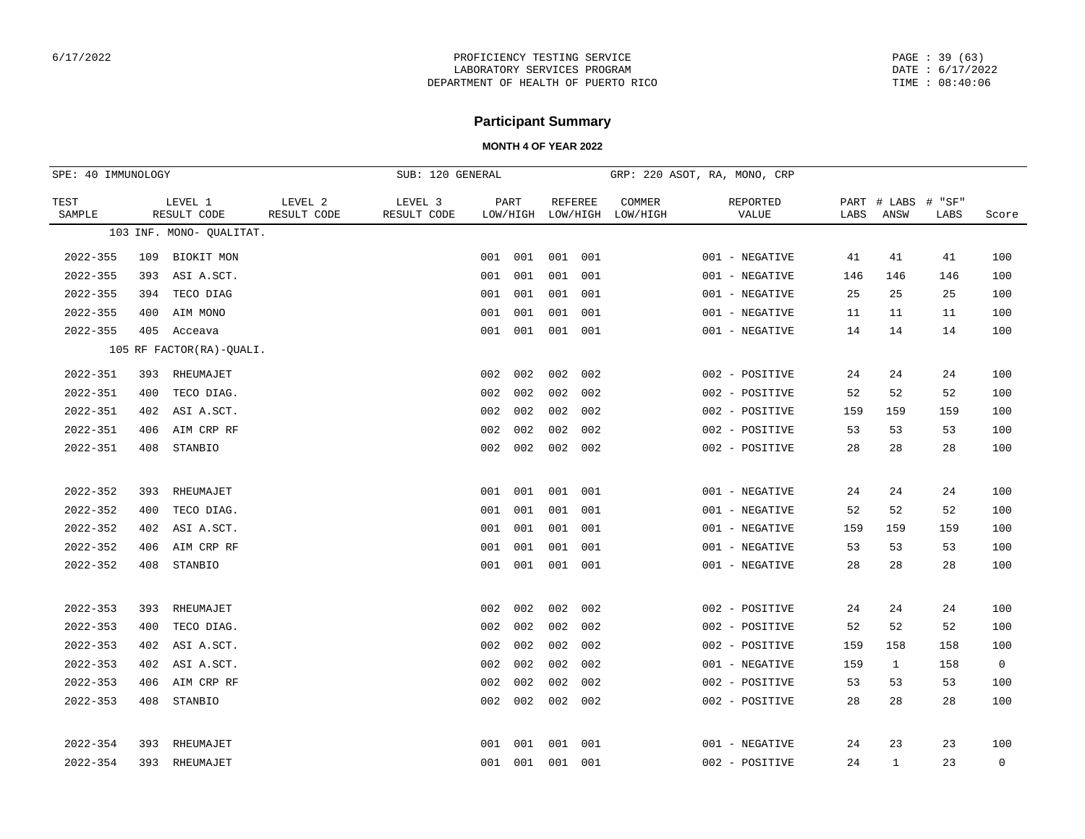PAGE : 39 (63) DATE : 6/17/2022 TIME : 08:40:06

## **Participant Summary**

| SPE: 40 IMMUNOLOGY |     |                          |                        | SUB: 120 GENERAL       |     |                  |                            |     |                    | GRP: 220 ASOT, RA, MONO, CRP |      |                     |                |                |
|--------------------|-----|--------------------------|------------------------|------------------------|-----|------------------|----------------------------|-----|--------------------|------------------------------|------|---------------------|----------------|----------------|
| TEST<br>SAMPLE     |     | LEVEL 1<br>RESULT CODE   | LEVEL 2<br>RESULT CODE | LEVEL 3<br>RESULT CODE |     | PART<br>LOW/HIGH | <b>REFEREE</b><br>LOW/HIGH |     | COMMER<br>LOW/HIGH | REPORTED<br>VALUE            | LABS | PART # LABS<br>ANSW | # "SF"<br>LABS | Score          |
|                    |     | 103 INF. MONO- QUALITAT. |                        |                        |     |                  |                            |     |                    |                              |      |                     |                |                |
| $2022 - 355$       | 109 | BIOKIT MON               |                        |                        | 001 | 001              | 001                        | 001 |                    | 001 - NEGATIVE               | 41   | 41                  | 41             | 100            |
| $2022 - 355$       | 393 | ASI A.SCT.               |                        |                        | 001 | 001              | 001                        | 001 |                    | 001 - NEGATIVE               | 146  | 146                 | 146            | 100            |
| $2022 - 355$       | 394 | TECO DIAG                |                        |                        | 001 | 001              | 001                        | 001 |                    | 001 - NEGATIVE               | 25   | 25                  | 25             | 100            |
| $2022 - 355$       | 400 | AIM MONO                 |                        |                        | 001 | 001              | 001                        | 001 |                    | 001 - NEGATIVE               | 11   | 11                  | 11             | 100            |
| $2022 - 355$       | 405 | Acceava                  |                        |                        |     | 001 001          | 001                        | 001 |                    | 001 - NEGATIVE               | 14   | 14                  | 14             | 100            |
|                    |     | 105 RF FACTOR(RA)-QUALI. |                        |                        |     |                  |                            |     |                    |                              |      |                     |                |                |
| $2022 - 351$       | 393 | RHEUMAJET                |                        |                        | 002 | 002              | 002                        | 002 |                    | 002 - POSITIVE               | 24   | 24                  | 24             | 100            |
| $2022 - 351$       | 400 | TECO DIAG.               |                        |                        | 002 | 002              | 002                        | 002 |                    | 002 - POSITIVE               | 52   | 52                  | 52             | 100            |
| $2022 - 351$       | 402 | ASI A.SCT.               |                        |                        | 002 | 002              | 002                        | 002 |                    | 002 - POSITIVE               | 159  | 159                 | 159            | 100            |
| $2022 - 351$       | 406 | AIM CRP RF               |                        |                        | 002 | 002              | 002                        | 002 |                    | 002 - POSITIVE               | 53   | 53                  | 53             | 100            |
| 2022-351           | 408 | STANBIO                  |                        |                        | 002 | 002              | 002                        | 002 |                    | 002 - POSITIVE               | 28   | 28                  | 28             | 100            |
|                    |     |                          |                        |                        |     |                  |                            |     |                    |                              |      |                     |                |                |
| $2022 - 352$       | 393 | RHEUMAJET                |                        |                        | 001 | 001              | 001                        | 001 |                    | 001 - NEGATIVE               | 24   | 24                  | 24             | 100            |
| $2022 - 352$       | 400 | TECO DIAG.               |                        |                        | 001 | 001              | 001                        | 001 |                    | 001 - NEGATIVE               | 52   | 52                  | 52             | 100            |
| $2022 - 352$       | 402 | ASI A.SCT.               |                        |                        | 001 | 001              | 001                        | 001 |                    | 001 - NEGATIVE               | 159  | 159                 | 159            | 100            |
| $2022 - 352$       | 406 | AIM CRP RF               |                        |                        | 001 | 001              | 001                        | 001 |                    | 001 - NEGATIVE               | 53   | 53                  | 53             | 100            |
| $2022 - 352$       | 408 | STANBIO                  |                        |                        | 001 | 001              | 001                        | 001 |                    | 001 - NEGATIVE               | 28   | 28                  | 28             | 100            |
|                    |     |                          |                        |                        |     |                  |                            |     |                    |                              |      |                     |                |                |
| $2022 - 353$       | 393 | RHEUMAJET                |                        |                        | 002 | 002              | 002                        | 002 |                    | 002 - POSITIVE               | 24   | 24                  | 24             | 100            |
| $2022 - 353$       | 400 | TECO DIAG.               |                        |                        | 002 | 002              | 002                        | 002 |                    | 002 - POSITIVE               | 52   | 52                  | 52             | 100            |
| $2022 - 353$       | 402 | ASI A.SCT.               |                        |                        | 002 | 002              | 002                        | 002 |                    | 002 - POSITIVE               | 159  | 158                 | 158            | 100            |
| $2022 - 353$       | 402 | ASI A.SCT.               |                        |                        | 002 | 002              | 002                        | 002 |                    | 001 - NEGATIVE               | 159  | $\mathbf{1}$        | 158            | $\overline{0}$ |
| $2022 - 353$       | 406 | AIM CRP RF               |                        |                        | 002 | 002              | 002                        | 002 |                    | 002 - POSITIVE               | 53   | 53                  | 53             | 100            |
| $2022 - 353$       | 408 | STANBIO                  |                        |                        | 002 | 002              | 002                        | 002 |                    | 002 - POSITIVE               | 28   | 28                  | 28             | 100            |
|                    |     |                          |                        |                        |     |                  |                            |     |                    |                              |      |                     |                |                |
| $2022 - 354$       | 393 | RHEUMAJET                |                        |                        | 001 | 001              | 001                        | 001 |                    | 001 - NEGATIVE               | 24   | 23                  | 23             | 100            |
| $2022 - 354$       | 393 | RHEUMAJET                |                        |                        | 001 | 001              | 001                        | 001 |                    | 002 - POSITIVE               | 24   | $\mathbf{1}$        | 23             | $\mathbf 0$    |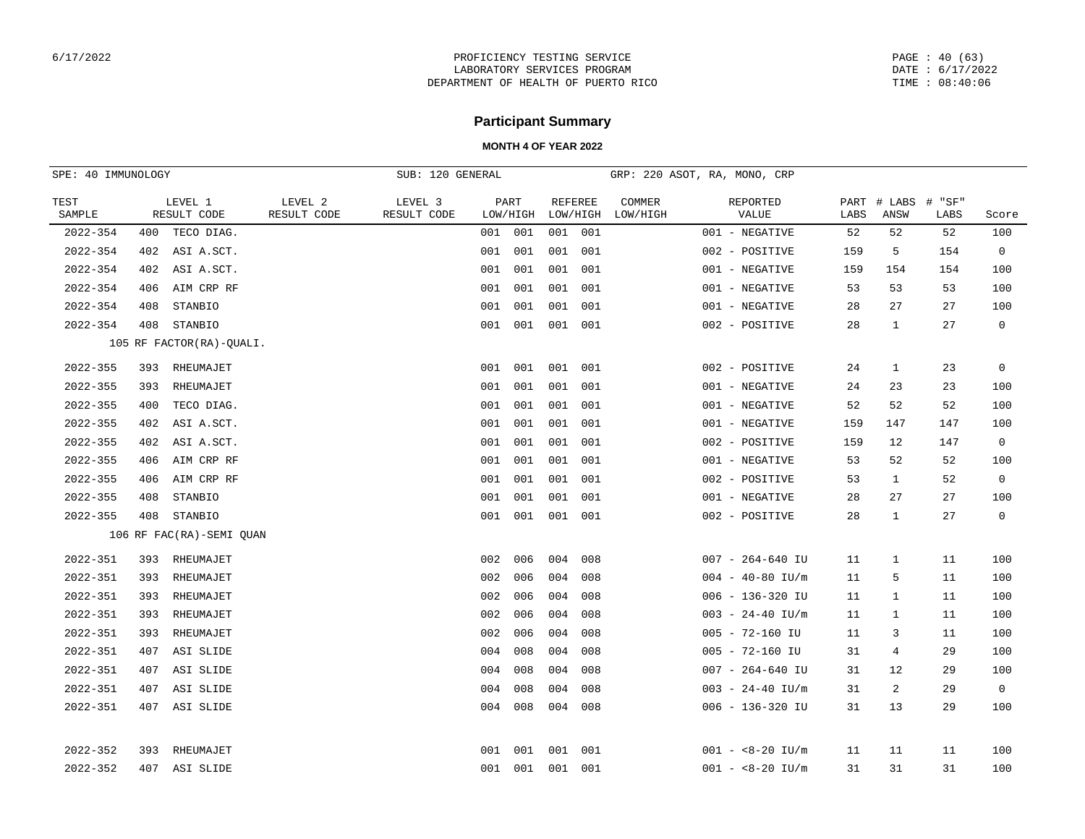PAGE : 40 (63) DATE : 6/17/2022 TIME : 08:40:06

# **Participant Summary**

| SPE: 40 IMMUNOLOGY |                          |            |                        | SUB: 120 GENERAL       |     |                  |                |          | GRP: 220 ASOT, RA, MONO, CRP |                     |                      |      |                            |      |                |
|--------------------|--------------------------|------------|------------------------|------------------------|-----|------------------|----------------|----------|------------------------------|---------------------|----------------------|------|----------------------------|------|----------------|
| TEST<br>SAMPLE     | LEVEL 1<br>RESULT CODE   |            | LEVEL 2<br>RESULT CODE | LEVEL 3<br>RESULT CODE |     | PART<br>LOW/HIGH | <b>REFEREE</b> | LOW/HIGH | COMMER<br>LOW/HIGH           |                     | REPORTED<br>VALUE    | LABS | PART # LABS # "SF"<br>ANSW | LABS | Score          |
| $2022 - 354$       | 400                      | TECO DIAG. |                        |                        | 001 | 001              | 001            | 001      |                              | 001 - NEGATIVE      |                      | 52   | 52                         | 52   | 100            |
| 2022-354           | 402                      | ASI A.SCT. |                        |                        | 001 | 001              | 001            | 001      |                              | 002 - POSITIVE      |                      | 159  | 5                          | 154  | $\overline{0}$ |
| 2022-354           | 402                      | ASI A.SCT. |                        |                        | 001 | 001              | 001            | 001      |                              | 001 - NEGATIVE      |                      | 159  | 154                        | 154  | 100            |
| 2022-354           | 406                      | AIM CRP RF |                        |                        | 001 | 001              | 001            | 001      |                              | 001 - NEGATIVE      |                      | 53   | 53                         | 53   | 100            |
| $2022 - 354$       | 408                      | STANBIO    |                        |                        | 001 | 001              | 001            | 001      |                              | 001 - NEGATIVE      |                      | 28   | 27                         | 27   | 100            |
| 2022-354           | 408                      | STANBIO    |                        |                        |     | 001 001          | 001            | 001      |                              | 002 - POSITIVE      |                      | 28   | $\mathbf{1}$               | 27   | $\overline{0}$ |
|                    | 105 RF FACTOR(RA)-QUALI. |            |                        |                        |     |                  |                |          |                              |                     |                      |      |                            |      |                |
| 2022-355           | 393                      | RHEUMAJET  |                        |                        |     | 001 001          | 001            | 001      |                              | 002 - POSITIVE      |                      | 24   | $\mathbf{1}$               | 23   | $\mathbf 0$    |
| 2022-355           | 393                      | RHEUMAJET  |                        |                        | 001 | 001              | 001            | 001      |                              | 001 - NEGATIVE      |                      | 24   | 23                         | 23   | 100            |
| 2022-355           | 400                      | TECO DIAG. |                        |                        | 001 | 001              | 001            | 001      |                              | 001 - NEGATIVE      |                      | 52   | 52                         | 52   | 100            |
| 2022-355           | 402                      | ASI A.SCT. |                        |                        | 001 | 001              | 001            | 001      |                              | 001 - NEGATIVE      |                      | 159  | 147                        | 147  | 100            |
| 2022-355           | 402                      | ASI A.SCT. |                        |                        | 001 | 001              | 001            | 001      |                              | 002 - POSITIVE      |                      | 159  | 12                         | 147  | $\mathbf 0$    |
| 2022-355           | 406                      | AIM CRP RF |                        |                        | 001 | 001              | 001            | 001      |                              | 001 - NEGATIVE      |                      | 53   | 52                         | 52   | 100            |
| 2022-355           | 406                      | AIM CRP RF |                        |                        | 001 | 001              | 001            | 001      |                              | 002 - POSITIVE      |                      | 53   | $\mathbf{1}$               | 52   | $\mathbf 0$    |
| 2022-355           | 408                      | STANBIO    |                        |                        | 001 | 001              | 001            | 001      |                              | 001 - NEGATIVE      |                      | 28   | 27                         | 27   | 100            |
| 2022-355           | 408                      | STANBIO    |                        |                        |     | 001 001          | 001 001        |          |                              | 002 - POSITIVE      |                      | 28   | $\mathbf{1}$               | 27   | $\mathbf 0$    |
|                    | 106 RF FAC(RA)-SEMI QUAN |            |                        |                        |     |                  |                |          |                              |                     |                      |      |                            |      |                |
| $2022 - 351$       | 393                      | RHEUMAJET  |                        |                        | 002 | 006              | 004            | 008      |                              |                     | $007 - 264 - 640$ IU | 11   | $\mathbf{1}$               | 11   | 100            |
| $2022 - 351$       | 393                      | RHEUMAJET  |                        |                        | 002 | 006              | 004            | 008      |                              |                     | $004 - 40 - 80$ IU/m | 11   | 5                          | 11   | 100            |
| 2022-351           | 393                      | RHEUMAJET  |                        |                        | 002 | 006              | 004            | 008      |                              |                     | $006 - 136 - 320$ IU | 11   | $\mathbf{1}$               | 11   | 100            |
| 2022-351           | 393                      | RHEUMAJET  |                        |                        | 002 | 006              | 004            | 008      |                              |                     | $003 - 24 - 40$ IU/m | 11   | 1                          | 11   | 100            |
| 2022-351           | 393                      | RHEUMAJET  |                        |                        | 002 | 006              | 004            | 008      |                              | $005 - 72 - 160$ IU |                      | 11   | 3                          | 11   | 100            |
| 2022-351           | 407                      | ASI SLIDE  |                        |                        | 004 | 008              | 004            | 008      |                              | $005 - 72 - 160$ IU |                      | 31   | 4                          | 29   | 100            |
| 2022-351           | 407                      | ASI SLIDE  |                        |                        | 004 | 008              | 004            | 008      |                              |                     | $007 - 264 - 640$ IU | 31   | 12                         | 29   | 100            |
| $2022 - 351$       | 407                      | ASI SLIDE  |                        |                        | 004 | 008              | 004            | 008      |                              |                     | $003 - 24 - 40$ IU/m | 31   | 2                          | 29   | $\mathbf 0$    |
| $2022 - 351$       | 407                      | ASI SLIDE  |                        |                        |     | 004 008          | 004            | 008      |                              |                     | $006 - 136 - 320$ IU | 31   | 13                         | 29   | 100            |
| 2022-352           | 393                      | RHEUMAJET  |                        |                        |     | 001 001          | 001            | 001      |                              |                     | $001 - 8 - -20$ IU/m | 11   | 11                         | 11   | 100            |
| 2022-352           | 407 ASI SLIDE            |            |                        |                        |     | 001 001          | 001 001        |          |                              |                     | $001 - 8 - -20$ IU/m | 31   | 31                         | 31   | 100            |
|                    |                          |            |                        |                        |     |                  |                |          |                              |                     |                      |      |                            |      |                |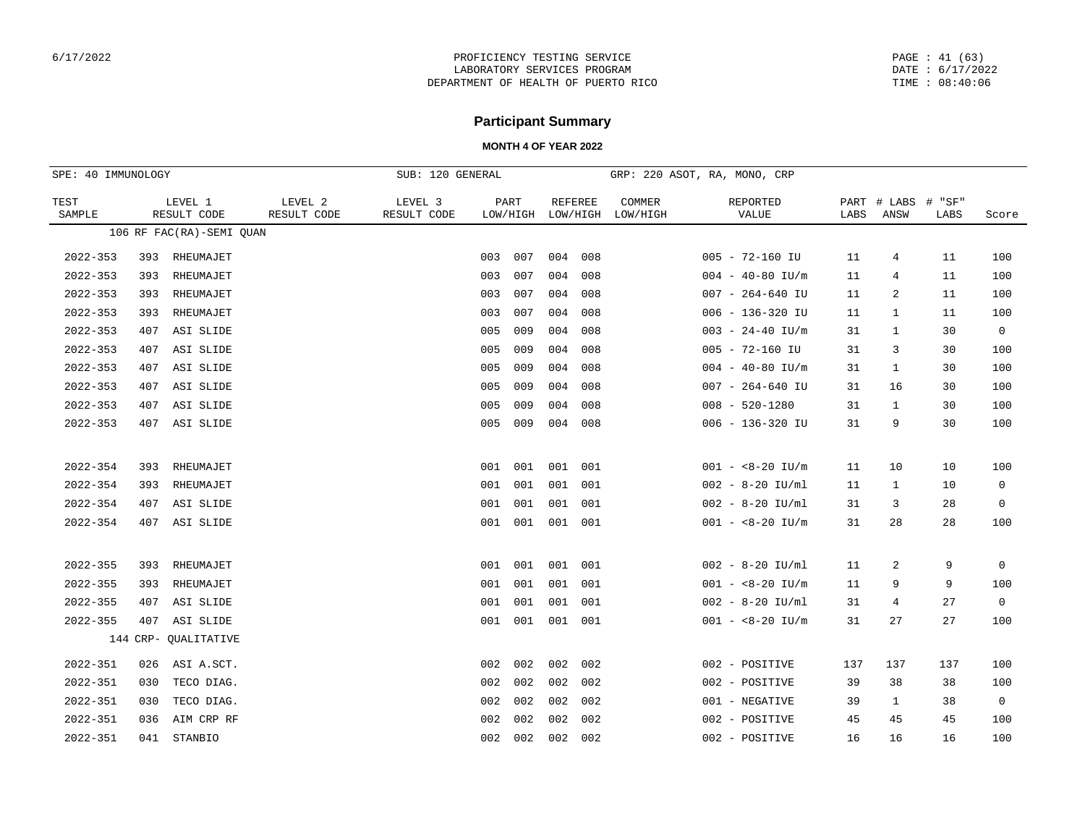PAGE : 41 (63) DATE : 6/17/2022 TIME : 08:40:06

## **Participant Summary**

| SPE: 40 IMMUNOLOGY |                          |                        | SUB: 120 GENERAL       |     |                  |                     |     |                    | GRP: 220 ASOT, RA, MONO, CRP |      |                     |                |                |
|--------------------|--------------------------|------------------------|------------------------|-----|------------------|---------------------|-----|--------------------|------------------------------|------|---------------------|----------------|----------------|
| TEST<br>SAMPLE     | LEVEL 1<br>RESULT CODE   | LEVEL 2<br>RESULT CODE | LEVEL 3<br>RESULT CODE |     | PART<br>LOW/HIGH | REFEREE<br>LOW/HIGH |     | COMMER<br>LOW/HIGH | REPORTED<br>VALUE            | LABS | PART # LABS<br>ANSW | # "SF"<br>LABS | Score          |
|                    | 106 RF FAC(RA)-SEMI QUAN |                        |                        |     |                  |                     |     |                    |                              |      |                     |                |                |
| $2022 - 353$       | RHEUMAJET<br>393         |                        |                        | 003 | 007              | 004 008             |     |                    | $005 - 72 - 160$ IU          | 11   | 4                   | 11             | 100            |
| $2022 - 353$       | RHEUMAJET<br>393         |                        |                        | 003 | 007              | 004                 | 008 |                    | $004 - 40 - 80$ IU/m         | 11   | 4                   | 11             | 100            |
| $2022 - 353$       | 393<br>RHEUMAJET         |                        |                        | 003 | 007              | 004                 | 008 |                    | $007 - 264 - 640$ IU         | 11   | 2                   | 11             | 100            |
| $2022 - 353$       | RHEUMAJET<br>393         |                        |                        | 003 | 007              | 004                 | 008 |                    | $006 - 136 - 320$ IU         | 11   | 1                   | 11             | 100            |
| $2022 - 353$       | ASI SLIDE<br>407         |                        |                        | 005 | 009              | 004                 | 008 |                    | $003 - 24 - 40$ IU/m         | 31   | 1                   | 30             | $\overline{0}$ |
| $2022 - 353$       | ASI SLIDE<br>407         |                        |                        | 005 | 009              | 004                 | 008 |                    | $005 - 72 - 160$ IU          | 31   | 3                   | 30             | 100            |
| $2022 - 353$       | 407<br>ASI SLIDE         |                        |                        | 005 | 009              | 004                 | 008 |                    | $004 - 40 - 80$ IU/m         | 31   | 1                   | 30             | 100            |
| $2022 - 353$       | ASI SLIDE<br>407         |                        |                        | 005 | 009              | 004                 | 008 |                    | $007 - 264 - 640$ IU         | 31   | 16                  | 30             | 100            |
| $2022 - 353$       | ASI SLIDE<br>407         |                        |                        | 005 | 009              | 004                 | 008 |                    | $008 - 520 - 1280$           | 31   | 1                   | 30             | 100            |
| $2022 - 353$       | 407<br>ASI SLIDE         |                        |                        | 005 | 009              | 004                 | 008 |                    | $006 - 136 - 320$ IU         | 31   | 9                   | 30             | 100            |
| $2022 - 354$       | RHEUMAJET<br>393         |                        |                        | 001 | 001              | 001                 | 001 |                    | $001 - 8 - -20$ IU/m         | 11   | 10                  | 10             | 100            |
| $2022 - 354$       | RHEUMAJET<br>393         |                        |                        | 001 | 001              | 001                 | 001 |                    | $002 - 8 - 20$ IU/ml         | 11   | 1                   | 10             | 0              |
| $2022 - 354$       | ASI SLIDE<br>407         |                        |                        | 001 | 001              | 001                 | 001 |                    | $002 - 8 - 20$ IU/ml         | 31   | 3                   | 28             | $\mathbf 0$    |
| $2022 - 354$       | 407 ASI SLIDE            |                        |                        | 001 | 001              | 001 001             |     |                    | $001 - 8 - -20$ IU/m         | 31   | 28                  | 28             | 100            |
|                    |                          |                        |                        |     |                  |                     |     |                    |                              |      |                     |                |                |
| $2022 - 355$       | RHEUMAJET<br>393         |                        |                        | 001 | 001              | 001                 | 001 |                    | $002 - 8 - 20$ IU/ml         | 11   | 2                   | 9              | 0              |
| $2022 - 355$       | 393<br>RHEUMAJET         |                        |                        | 001 | 001              | 001                 | 001 |                    | $001 - 8 - -20$ IU/m         | 11   | 9                   | 9              | 100            |
| $2022 - 355$       | ASI SLIDE<br>407         |                        |                        | 001 | 001              | 001                 | 001 |                    | $002 - 8 - 20$ IU/ml         | 31   | 4                   | 27             | $\mathbf 0$    |
| $2022 - 355$       | 407<br>ASI SLIDE         |                        |                        | 001 | 001              | 001 001             |     |                    | $001 - 8 - -20$ IU/m         | 31   | 27                  | 27             | 100            |
|                    | 144 CRP- QUALITATIVE     |                        |                        |     |                  |                     |     |                    |                              |      |                     |                |                |
| $2022 - 351$       | 026<br>ASI A.SCT.        |                        |                        | 002 | 002              | 002                 | 002 |                    | 002 - POSITIVE               | 137  | 137                 | 137            | 100            |
| $2022 - 351$       | 030<br>TECO DIAG.        |                        |                        | 002 | 002              | 002                 | 002 |                    | 002 - POSITIVE               | 39   | 38                  | 38             | 100            |
| $2022 - 351$       | 030<br>TECO DIAG.        |                        |                        | 002 | 002              | 002                 | 002 |                    | 001 - NEGATIVE               | 39   | 1                   | 38             | $\overline{0}$ |
| $2022 - 351$       | AIM CRP RF<br>036        |                        |                        | 002 | 002              | 002                 | 002 |                    | 002 - POSITIVE               | 45   | 45                  | 45             | 100            |
| $2022 - 351$       | STANBIO<br>041           |                        |                        | 002 | 002              | 002                 | 002 |                    | 002 - POSITIVE               | 16   | 16                  | 16             | 100            |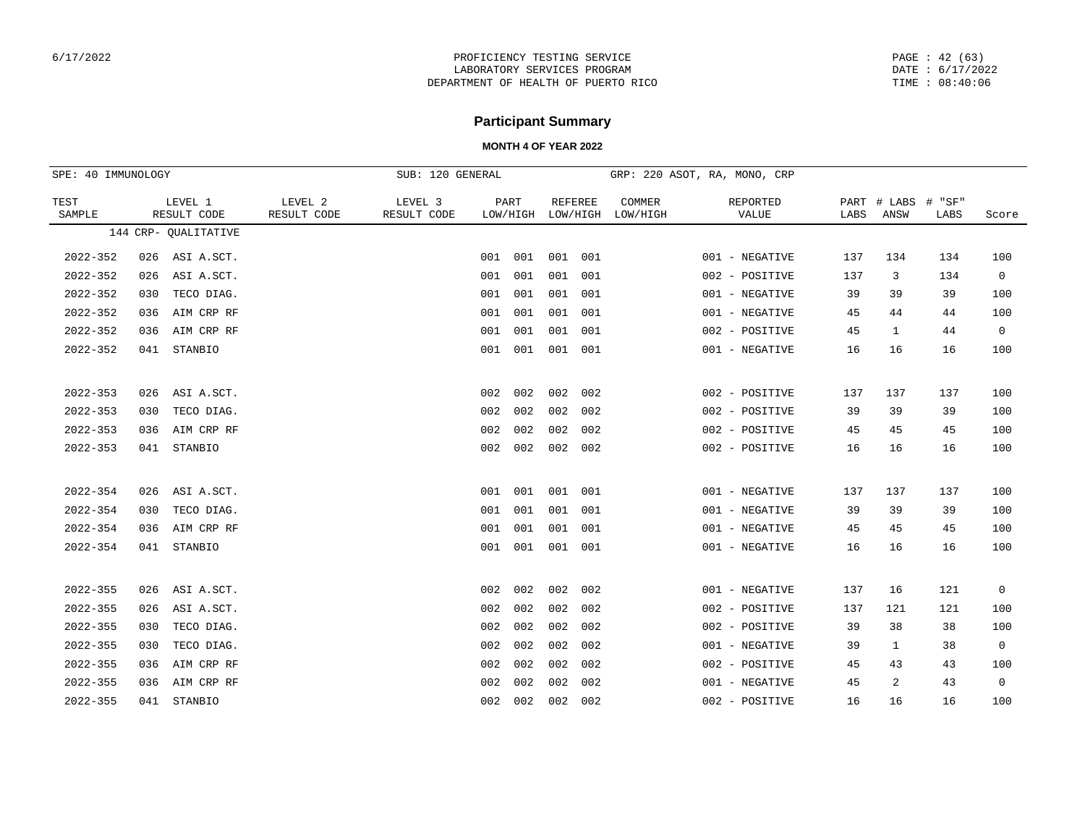PAGE : 42 (63) DATE : 6/17/2022 TIME : 08:40:06

# **Participant Summary**

| SPE: 40 IMMUNOLOGY |     |                        |                        | SUB: 120 GENERAL       |     |                  |                |          |                    | GRP: 220 ASOT, RA, MONO, CRP |      |                     |                |                |
|--------------------|-----|------------------------|------------------------|------------------------|-----|------------------|----------------|----------|--------------------|------------------------------|------|---------------------|----------------|----------------|
| TEST<br>SAMPLE     |     | LEVEL 1<br>RESULT CODE | LEVEL 2<br>RESULT CODE | LEVEL 3<br>RESULT CODE |     | PART<br>LOW/HIGH | <b>REFEREE</b> | LOW/HIGH | COMMER<br>LOW/HIGH | REPORTED<br>VALUE            | LABS | PART # LABS<br>ANSW | # "SF"<br>LABS | Score          |
|                    |     | 144 CRP- QUALITATIVE   |                        |                        |     |                  |                |          |                    |                              |      |                     |                |                |
| $2022 - 352$       | 026 | ASI A.SCT.             |                        |                        |     | 001 001          | 001 001        |          |                    | 001 - NEGATIVE               | 137  | 134                 | 134            | 100            |
| $2022 - 352$       | 026 | ASI A.SCT.             |                        |                        | 001 | 001              | 001            | 001      |                    | 002 - POSITIVE               | 137  | 3                   | 134            | $\overline{0}$ |
| $2022 - 352$       | 030 | TECO DIAG.             |                        |                        | 001 | 001              | 001            | 001      |                    | 001 - NEGATIVE               | 39   | 39                  | 39             | 100            |
| $2022 - 352$       | 036 | AIM CRP RF             |                        |                        | 001 | 001              | 001            | 001      |                    | 001 - NEGATIVE               | 45   | 44                  | 44             | 100            |
| $2022 - 352$       | 036 | AIM CRP RF             |                        |                        | 001 | 001              | 001            | 001      |                    | 002 - POSITIVE               | 45   | $\mathbf{1}$        | 44             | $\overline{0}$ |
| $2022 - 352$       | 041 | STANBIO                |                        |                        |     | 001 001          | 001            | 001      |                    | 001 - NEGATIVE               | 16   | 16                  | 16             | 100            |
|                    |     |                        |                        |                        |     |                  |                |          |                    |                              |      |                     |                |                |
| $2022 - 353$       | 026 | ASI A.SCT.             |                        |                        | 002 | 002              | 002            | 002      |                    | 002 - POSITIVE               | 137  | 137                 | 137            | 100            |
| $2022 - 353$       | 030 | TECO DIAG.             |                        |                        | 002 | 002              | 002            | 002      |                    | 002 - POSITIVE               | 39   | 39                  | 39             | 100            |
| $2022 - 353$       | 036 | AIM CRP RF             |                        |                        | 002 | 002              | 002            | 002      |                    | 002 - POSITIVE               | 45   | 45                  | 45             | 100            |
| $2022 - 353$       |     | 041 STANBIO            |                        |                        |     | 002 002          | 002            | 002      |                    | 002 - POSITIVE               | 16   | 16                  | 16             | 100            |
|                    |     |                        |                        |                        |     |                  |                |          |                    |                              |      |                     |                |                |
| $2022 - 354$       | 026 | ASI A.SCT.             |                        |                        |     | 001 001          | 001            | 001      |                    | 001 - NEGATIVE               | 137  | 137                 | 137            | 100            |
| $2022 - 354$       | 030 | TECO DIAG.             |                        |                        |     | 001 001          | 001            | 001      |                    | 001 - NEGATIVE               | 39   | 39                  | 39             | 100            |
| $2022 - 354$       | 036 | AIM CRP RF             |                        |                        | 001 | 001              | 001            | 001      |                    | 001 - NEGATIVE               | 45   | 45                  | 45             | 100            |
| $2022 - 354$       |     | 041 STANBIO            |                        |                        |     | 001 001 001 001  |                |          |                    | 001 - NEGATIVE               | 16   | 16                  | 16             | 100            |
|                    |     |                        |                        |                        |     |                  |                |          |                    |                              |      |                     |                |                |
| $2022 - 355$       | 026 | ASI A.SCT.             |                        |                        | 002 | 002              | 002            | 002      |                    | 001 - NEGATIVE               | 137  | 16                  | 121            | $\mathbf 0$    |
| $2022 - 355$       | 026 | ASI A.SCT.             |                        |                        | 002 | 002              | 002            | 002      |                    | 002 - POSITIVE               | 137  | 121                 | 121            | 100            |
| $2022 - 355$       | 030 | TECO DIAG.             |                        |                        | 002 | 002              | 002            | 002      |                    | 002 - POSITIVE               | 39   | 38                  | 38             | 100            |
| $2022 - 355$       | 030 | TECO DIAG.             |                        |                        | 002 | 002              | 002            | 002      |                    | 001 - NEGATIVE               | 39   | $\mathbf{1}$        | 38             | $\mathbf 0$    |
| $2022 - 355$       | 036 | AIM CRP RF             |                        |                        | 002 | 002              | 002            | 002      |                    | 002 - POSITIVE               | 45   | 43                  | 43             | 100            |
| $2022 - 355$       | 036 | AIM CRP RF             |                        |                        | 002 | 002              | 002            | 002      |                    | 001 - NEGATIVE               | 45   | 2                   | 43             | $\overline{0}$ |
| $2022 - 355$       | 041 | STANBIO                |                        |                        | 002 | 002              | 002            | 002      |                    | 002 - POSITIVE               | 16   | 16                  | 16             | 100            |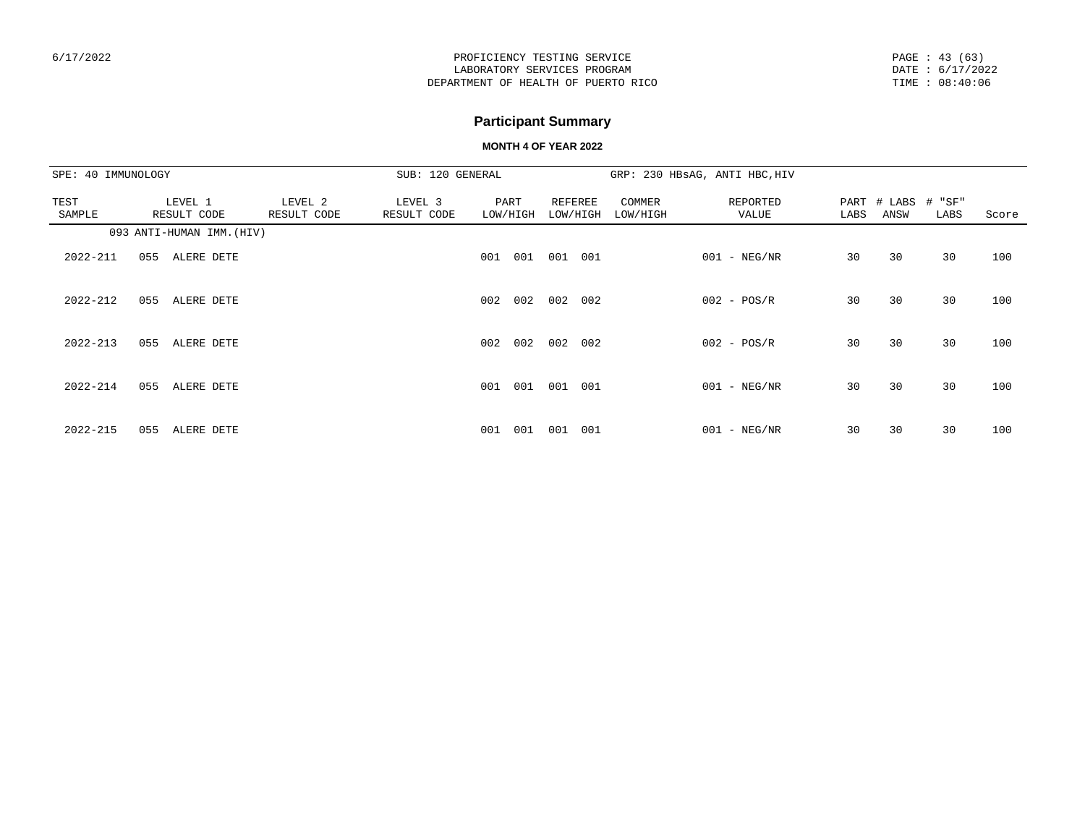PAGE : 43 (63) DATE : 6/17/2022 TIME : 08:40:06

# **Participant Summary**

| SPE: 40 IMMUNOLOGY |                           |                        | SUB: 120 GENERAL       |                  |     |                     |     |                    | GRP: 230 HBsAG, ANTI HBC, HIV |      |                     |                |       |
|--------------------|---------------------------|------------------------|------------------------|------------------|-----|---------------------|-----|--------------------|-------------------------------|------|---------------------|----------------|-------|
| TEST<br>SAMPLE     | LEVEL 1<br>RESULT CODE    | LEVEL 2<br>RESULT CODE | LEVEL 3<br>RESULT CODE | PART<br>LOW/HIGH |     | REFEREE<br>LOW/HIGH |     | COMMER<br>LOW/HIGH | REPORTED<br>VALUE             | LABS | PART # LABS<br>ANSW | # "SF"<br>LABS | Score |
|                    | 093 ANTI-HUMAN IMM. (HIV) |                        |                        |                  |     |                     |     |                    |                               |      |                     |                |       |
| 2022-211           | ALERE DETE<br>055         |                        |                        | 001              | 001 | 001                 | 001 |                    | $001 - NEG/NR$                | 30   | 30                  | 30             | 100   |
| $2022 - 212$       | 055<br>ALERE DETE         |                        |                        | 002              | 002 | 002                 | 002 |                    | $002 - POS/R$                 | 30   | 30                  | 30             | 100   |
| $2022 - 213$       | 055<br>ALERE DETE         |                        |                        | 002              | 002 | 002                 | 002 |                    | $002 - POS/R$                 | 30   | 30                  | 30             | 100   |
| $2022 - 214$       | 055<br>ALERE DETE         |                        |                        | 001              | 001 | 001                 | 001 |                    | $001 - NEG/NR$                | 30   | 30                  | 30             | 100   |
| $2022 - 215$       | 055<br>ALERE DETE         |                        |                        | 001              | 001 | 001                 | 001 |                    | $001 - NEG/NR$                | 30   | 30                  | 30             | 100   |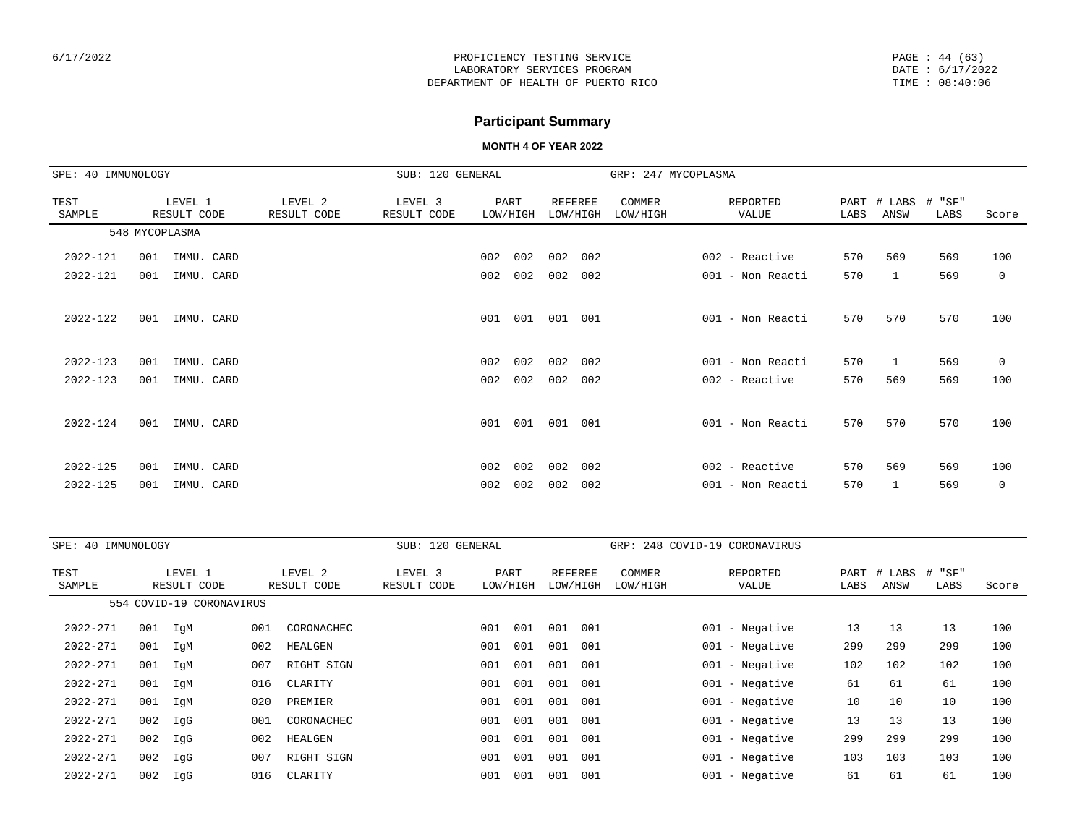## **Participant Summary**

| SPE: 40 IMMUNOLOGY |     |                        |                        | SUB: 120 GENERAL       |     |                  |                            |     | GRP: 247 MYCOPLASMA |                   |              |                |                          |             |
|--------------------|-----|------------------------|------------------------|------------------------|-----|------------------|----------------------------|-----|---------------------|-------------------|--------------|----------------|--------------------------|-------------|
| TEST<br>SAMPLE     |     | LEVEL 1<br>RESULT CODE | LEVEL 2<br>RESULT CODE | LEVEL 3<br>RESULT CODE |     | PART<br>LOW/HIGH | <b>REFEREE</b><br>LOW/HIGH |     | COMMER<br>LOW/HIGH  | REPORTED<br>VALUE | PART<br>LABS | # LABS<br>ANSW | " SF"<br>$^{\#}$<br>LABS | Score       |
|                    |     | 548 MYCOPLASMA         |                        |                        |     |                  |                            |     |                     |                   |              |                |                          |             |
| 2022-121           | 001 | IMMU. CARD             |                        |                        | 002 | 002              | 002                        | 002 |                     | $002$ - Reactive  | 570          | 569            | 569                      | 100         |
| 2022-121           | 001 | IMMU. CARD             |                        |                        | 002 | 002              | 002                        | 002 |                     | 001 - Non Reacti  | 570          | $\mathbf{1}$   | 569                      | $\mathbf 0$ |
|                    |     |                        |                        |                        |     |                  |                            |     |                     |                   |              |                |                          |             |
| 2022-122           | 001 | IMMU. CARD             |                        |                        | 001 | 001              | 001                        | 001 |                     | 001 - Non Reacti  | 570          | 570            | 570                      | 100         |
|                    |     |                        |                        |                        |     |                  |                            |     |                     |                   |              |                |                          |             |
| 2022-123           | 001 | IMMU. CARD             |                        |                        | 002 | 002              | 002                        | 002 |                     | 001 - Non Reacti  | 570          | $\mathbf{1}$   | 569                      | $\mathbf 0$ |
| $2022 - 123$       | 001 | IMMU. CARD             |                        |                        | 002 | 002              | 002                        | 002 |                     | 002 - Reactive    | 570          | 569            | 569                      | 100         |
|                    |     |                        |                        |                        |     |                  |                            |     |                     |                   |              |                |                          |             |
| $2022 - 124$       | 001 | IMMU. CARD             |                        |                        | 001 | 001              | 001                        | 001 |                     | 001 - Non Reacti  | 570          | 570            | 570                      | 100         |
|                    |     |                        |                        |                        |     |                  |                            |     |                     |                   |              |                |                          |             |
| 2022-125           | 001 | IMMU. CARD             |                        |                        | 002 | 002              | 002                        | 002 |                     | 002 - Reactive    | 570          | 569            | 569                      | 100         |
| $2022 - 125$       | 001 | IMMU. CARD             |                        |                        | 002 | 002              | 002                        | 002 |                     | 001 - Non Reacti  | 570          | 1              | 569                      | $\mathbf 0$ |

| SPE: 40 IMMUNOLOGY |     |                          |     |                        | SUB: 120 GENERAL       |     |                  |                            |     |                    | GRP: 248 COVID-19 CORONAVIRUS |              |                |                        |       |
|--------------------|-----|--------------------------|-----|------------------------|------------------------|-----|------------------|----------------------------|-----|--------------------|-------------------------------|--------------|----------------|------------------------|-------|
| TEST<br>SAMPLE     |     | LEVEL 1<br>RESULT CODE   |     | LEVEL 2<br>RESULT CODE | LEVEL 3<br>RESULT CODE |     | PART<br>LOW/HIGH | <b>REFEREE</b><br>LOW/HIGH |     | COMMER<br>LOW/HIGH | REPORTED<br>VALUE             | PART<br>LABS | # LABS<br>ANSW | " SF"<br>$\pm$<br>LABS | Score |
|                    |     | 554 COVID-19 CORONAVIRUS |     |                        |                        |     |                  |                            |     |                    |                               |              |                |                        |       |
| 2022-271           | 001 | IqM                      | 001 | CORONACHEC             |                        | 001 | 001              | 001                        | 001 |                    | $001$ - Negative              | 13           | 13             | 13                     | 100   |
| 2022-271           | 001 | IgM                      | 002 | HEALGEN                |                        | 001 | 001              | 001                        | 001 |                    | $001 - Neqative$              | 299          | 299            | 299                    | 100   |
| 2022-271           | 001 | IgM                      | 007 | RIGHT SIGN             |                        | 001 | 001              | 001                        | 001 |                    | $001 - Negative$              | 102          | 102            | 102                    | 100   |
| $2022 - 271$       | 001 | IgM                      | 016 | CLARITY                |                        | 001 | 001              | 001                        | 001 |                    | $001 - Negative$              | 61           | 61             | 61                     | 100   |
| 2022-271           | 001 | IgM                      | 020 | PREMIER                |                        | 001 | 001              | 001                        | 001 |                    | $001$ - Negative              | 10           | 10             | 10                     | 100   |
| 2022-271           | 002 | IgG                      | 001 | CORONACHEC             |                        | 001 | 001              | 001                        | 001 |                    | $001$ - Negative              | 13           | 13             | 13                     | 100   |
| 2022-271           | 002 | IgG                      | 002 | HEALGEN                |                        | 001 | 001              | 001                        | 001 |                    | $001 - Negative$              | 299          | 299            | 299                    | 100   |
| $2022 - 271$       | 002 | IgG                      | 007 | RIGHT SIGN             |                        | 001 | 001              | 001                        | 001 |                    | $001 - Negative$              | 103          | 103            | 103                    | 100   |
| $2022 - 271$       | 002 | IgG                      | 016 | CLARITY                |                        | 001 | 001              | 001                        | 001 |                    | $001$ - Negative              | 61           | 61             | 61                     | 100   |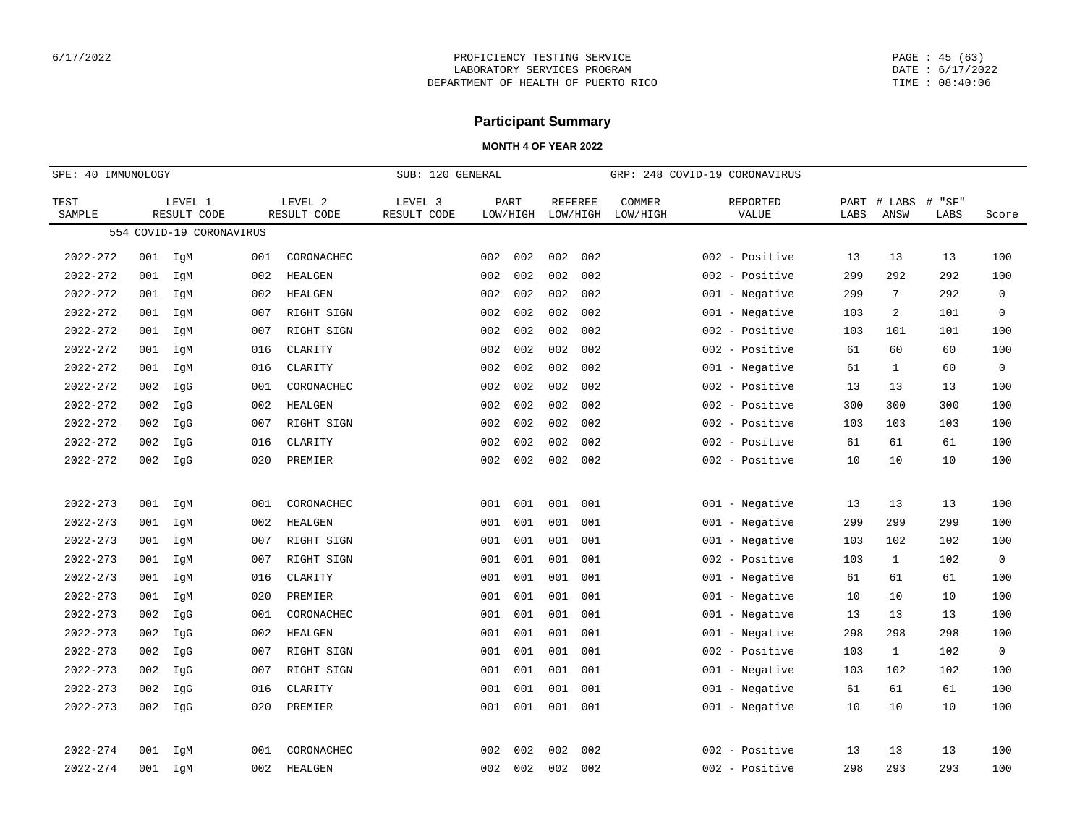PAGE : 45 (63) DATE : 6/17/2022 TIME : 08:40:06

## **Participant Summary**

|                | SPE: 40 IMMUNOLOGY |                          |     | SUB: 120 GENERAL       |                        |     |                  |                            |     | GRP: 248 COVID-19 CORONAVIRUS |                   |              |                |                   |                     |
|----------------|--------------------|--------------------------|-----|------------------------|------------------------|-----|------------------|----------------------------|-----|-------------------------------|-------------------|--------------|----------------|-------------------|---------------------|
| TEST<br>SAMPLE |                    | LEVEL 1<br>RESULT CODE   |     | LEVEL 2<br>RESULT CODE | LEVEL 3<br>RESULT CODE |     | PART<br>LOW/HIGH | <b>REFEREE</b><br>LOW/HIGH |     | COMMER<br>LOW/HIGH            | REPORTED<br>VALUE | PART<br>LABS | # LABS<br>ANSW | "SF"<br>#<br>LABS | Score               |
|                |                    | 554 COVID-19 CORONAVIRUS |     |                        |                        |     |                  |                            |     |                               |                   |              |                |                   |                     |
| $2022 - 272$   | 001                | IgM                      | 001 | CORONACHEC             |                        | 002 | 002              | 002                        | 002 |                               | 002 - Positive    | 13           | 13             | 13                | 100                 |
| $2022 - 272$   | 001                | IgM                      | 002 | HEALGEN                |                        | 002 | 002              | 002                        | 002 |                               | 002<br>- Positive | 299          | 292            | 292               | 100                 |
| $2022 - 272$   | 001                | IgM                      | 002 | HEALGEN                |                        | 002 | 002              | 002                        | 002 |                               | $001 - Negative$  | 299          | 7              | 292               | $\mathbf 0$         |
| $2022 - 272$   | 001                | IgM                      | 007 | RIGHT SIGN             |                        | 002 | 002              | 002                        | 002 |                               | $001 - Negative$  | 103          | 2              | 101               | $\mathbf 0$         |
| $2022 - 272$   | 001                | IgM                      | 007 | RIGHT SIGN             |                        | 002 | 002              | 002                        | 002 |                               | 002 - Positive    | 103          | 101            | 101               | 100                 |
| $2022 - 272$   | 001                | IgM                      | 016 | CLARITY                |                        | 002 | 002              | 002                        | 002 |                               | 002 - Positive    | 61           | 60             | 60                | 100                 |
| $2022 - 272$   | 001                | IgM                      | 016 | CLARITY                |                        | 002 | 002              | 002                        | 002 |                               | $001 - Negative$  | 61           | $\mathbf{1}$   | 60                | $\mathsf{O}\xspace$ |
| $2022 - 272$   | 002                | IgG                      | 001 | CORONACHEC             |                        | 002 | 002              | 002                        | 002 |                               | 002 - Positive    | 13           | 13             | 13                | 100                 |
| 2022-272       | 002                | IgG                      | 002 | HEALGEN                |                        | 002 | 002              | 002                        | 002 |                               | 002 - Positive    | 300          | 300            | 300               | 100                 |
| $2022 - 272$   | 002                | IgG                      | 007 | RIGHT SIGN             |                        | 002 | 002              | 002                        | 002 |                               | 002 - Positive    | 103          | 103            | 103               | 100                 |
| $2022 - 272$   | 002                | IgG                      | 016 | CLARITY                |                        | 002 | 002              | 002                        | 002 |                               | 002<br>- Positive | 61           | 61             | 61                | 100                 |
| $2022 - 272$   | 002                | IgG                      | 020 | PREMIER                |                        | 002 | 002              | 002                        | 002 |                               | 002 - Positive    | 10           | 10             | 10                | 100                 |
|                |                    |                          |     |                        |                        |     |                  |                            |     |                               |                   |              |                |                   |                     |
| $2022 - 273$   | 001                | IgM                      | 001 | CORONACHEC             |                        | 001 | 001              | 001                        | 001 |                               | $001 - Negative$  | 13           | 13             | 13                | 100                 |
| $2022 - 273$   | 001                | IgM                      | 002 | HEALGEN                |                        | 001 | 001              | 001                        | 001 |                               | 001<br>- Negative | 299          | 299            | 299               | 100                 |
| $2022 - 273$   | 001                | IgM                      | 007 | RIGHT SIGN             |                        | 001 | 001              | 001                        | 001 |                               | $001 - Negative$  | 103          | 102            | 102               | 100                 |
| $2022 - 273$   | 001                | IgM                      | 007 | RIGHT SIGN             |                        | 001 | 001              | 001                        | 001 |                               | 002<br>- Positive | 103          | $\mathbf{1}$   | 102               | $\mathbf 0$         |
| $2022 - 273$   | 001                | IgM                      | 016 | CLARITY                |                        | 001 | 001              | 001                        | 001 |                               | 001 - Negative    | 61           | 61             | 61                | 100                 |
| $2022 - 273$   | 001                | IgM                      | 020 | PREMIER                |                        | 001 | 001              | 001                        | 001 |                               | $001 - Negative$  | 10           | 10             | 10                | 100                 |
| $2022 - 273$   | 002                | IgG                      | 001 | CORONACHEC             |                        | 001 | 001              | 001                        | 001 |                               | $001 - Negative$  | 13           | 13             | 13                | 100                 |
| $2022 - 273$   | 002                | IgG                      | 002 | HEALGEN                |                        | 001 | 001              | 001                        | 001 |                               | $001 - Negative$  | 298          | 298            | 298               | 100                 |
| $2022 - 273$   | 002                | IgG                      | 007 | RIGHT SIGN             |                        | 001 | 001              | 001                        | 001 |                               | 002 - Positive    | 103          | $\mathbf{1}$   | 102               | $\mathbf 0$         |
| $2022 - 273$   | 002                | IgG                      | 007 | RIGHT SIGN             |                        | 001 | 001              | 001                        | 001 |                               | 001 - Negative    | 103          | 102            | 102               | 100                 |
| $2022 - 273$   | 002                | IgG                      | 016 | CLARITY                |                        | 001 | 001              | 001                        | 001 |                               | $001 - Negative$  | 61           | 61             | 61                | 100                 |
| $2022 - 273$   | 002                | IgG                      | 020 | PREMIER                |                        | 001 | 001              | 001                        | 001 |                               | 001 - Negative    | 10           | 10             | 10                | 100                 |
|                |                    |                          |     |                        |                        |     |                  |                            |     |                               |                   |              |                |                   |                     |
| $2022 - 274$   | 001                | IgM                      | 001 | CORONACHEC             |                        | 002 | 002              | 002                        | 002 |                               | 002 - Positive    | 13           | 13             | 13                | 100                 |
| $2022 - 274$   | 001                | IgM                      | 002 | <b>HEALGEN</b>         |                        | 002 | 002              | 002                        | 002 |                               | 002 - Positive    | 298          | 293            | 293               | 100                 |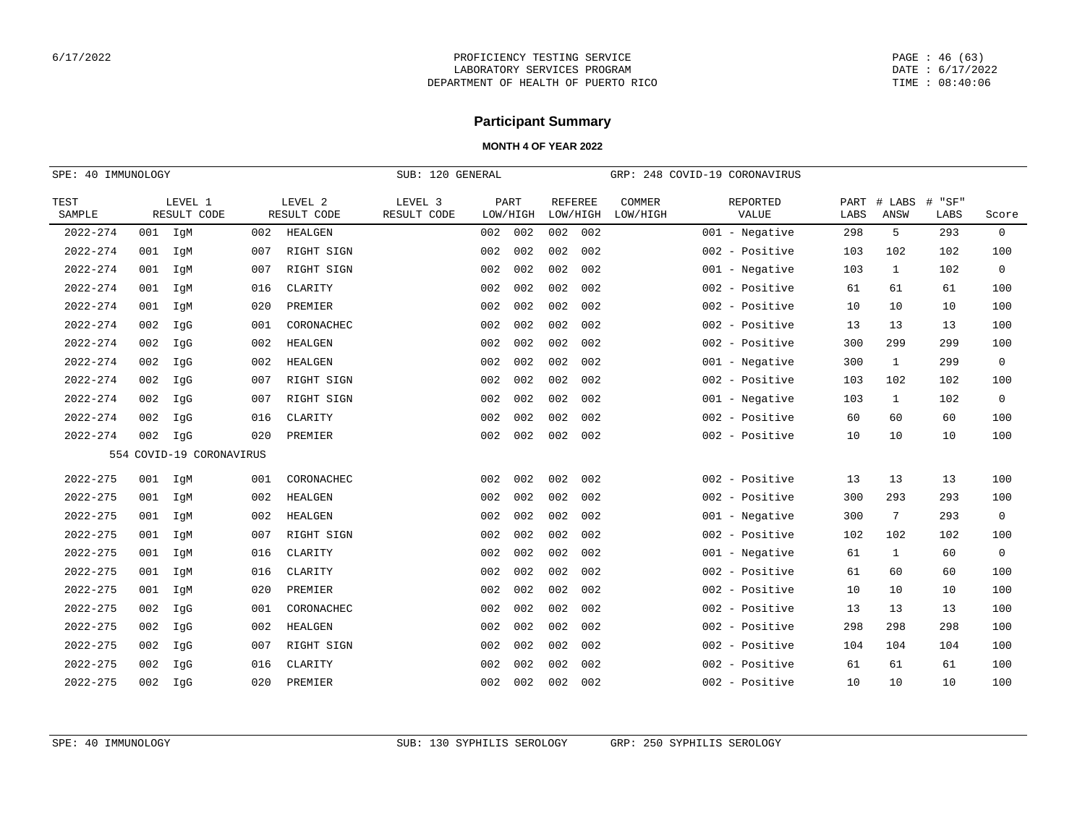PAGE : 46 (63) DATE : 6/17/2022 TIME : 08:40:06

# **Participant Summary**

|                | SPE: 40 IMMUNOLOGY |                          |     |                        | SUB: 120 GENERAL       |     |                  |                            |     |                    | GRP: 248 COVID-19 CORONAVIRUS |              |                |                |              |
|----------------|--------------------|--------------------------|-----|------------------------|------------------------|-----|------------------|----------------------------|-----|--------------------|-------------------------------|--------------|----------------|----------------|--------------|
| TEST<br>SAMPLE |                    | LEVEL 1<br>RESULT CODE   |     | LEVEL 2<br>RESULT CODE | LEVEL 3<br>RESULT CODE |     | PART<br>LOW/HIGH | <b>REFEREE</b><br>LOW/HIGH |     | COMMER<br>LOW/HIGH | REPORTED<br>VALUE             | PART<br>LABS | # LABS<br>ANSW | # "SF"<br>LABS | Score        |
| $2022 - 274$   |                    | 001 IgM                  | 002 | HEALGEN                |                        | 002 | 002              | 002                        | 002 |                    | $001$ - Negative              | 298          | 5              | 293            | $\mathbf 0$  |
| $2022 - 274$   | 001                | IgM                      | 007 | RIGHT SIGN             |                        | 002 | 002              | 002                        | 002 |                    | 002 - Positive                | 103          | 102            | 102            | 100          |
| $2022 - 274$   | 001                | IqM                      | 007 | RIGHT SIGN             |                        | 002 | 002              | 002                        | 002 |                    | $001 - Neqative$              | 103          | $\mathbf{1}$   | 102            | $\mathbf 0$  |
| $2022 - 274$   | 001                | IgM                      | 016 | CLARITY                |                        | 002 | 002              | 002                        | 002 |                    | 002 - Positive                | 61           | 61             | 61             | 100          |
| $2022 - 274$   | 001                | IgM                      | 020 | PREMIER                |                        | 002 | 002              | 002                        | 002 |                    | 002 - Positive                | 10           | 10             | 10             | 100          |
| $2022 - 274$   | 002                | IgG                      | 001 | CORONACHEC             |                        | 002 | 002              | 002                        | 002 |                    | 002 - Positive                | 13           | 13             | 13             | 100          |
| $2022 - 274$   | 002                | IgG                      | 002 | HEALGEN                |                        | 002 | 002              | 002                        | 002 |                    | 002 - Positive                | 300          | 299            | 299            | 100          |
| $2022 - 274$   | 002                | IqG                      | 002 | HEALGEN                |                        | 002 | 002              | 002                        | 002 |                    | $001 - Neqative$              | 300          | $\mathbf{1}$   | 299            | $\mathbf 0$  |
| $2022 - 274$   | 002                | IgG                      | 007 | RIGHT SIGN             |                        | 002 | 002              | 002                        | 002 |                    | 002 - Positive                | 103          | 102            | 102            | 100          |
| $2022 - 274$   | 002                | IgG                      | 007 | RIGHT SIGN             |                        | 002 | 002              | 002                        | 002 |                    | 001 - Negative                | 103          | 1              | 102            | $\mathsf{O}$ |
| $2022 - 274$   | 002                | IqG                      | 016 | CLARITY                |                        | 002 | 002              | 002                        | 002 |                    | 002 - Positive                | 60           | 60             | 60             | 100          |
| $2022 - 274$   | 002                | IgG                      | 020 | PREMIER                |                        | 002 | 002              | 002                        | 002 |                    | 002 - Positive                | 10           | 10             | 10             | 100          |
|                |                    | 554 COVID-19 CORONAVIRUS |     |                        |                        |     |                  |                            |     |                    |                               |              |                |                |              |
| $2022 - 275$   |                    | $001$ IgM                | 001 | CORONACHEC             |                        | 002 | 002              | 002                        | 002 |                    | 002 - Positive                | 13           | 13             | 13             | 100          |
| $2022 - 275$   | 001                | IgM                      | 002 | HEALGEN                |                        | 002 | 002              | 002                        | 002 |                    | 002 - Positive                | 300          | 293            | 293            | 100          |
| $2022 - 275$   | 001                | IgM                      | 002 | HEALGEN                |                        | 002 | 002              | 002                        | 002 |                    | $001 - Neqative$              | 300          | 7              | 293            | $\mathbf 0$  |
| $2022 - 275$   | 001                | IgM                      | 007 | RIGHT SIGN             |                        | 002 | 002              | 002                        | 002 |                    | 002 - Positive                | 102          | 102            | 102            | 100          |
| $2022 - 275$   | 001                | IgM                      | 016 | CLARITY                |                        | 002 | 002              | 002                        | 002 |                    | 001 - Negative                | 61           | 1              | 60             | $\mathbf 0$  |
| $2022 - 275$   | 001                | IgM                      | 016 | CLARITY                |                        | 002 | 002              | 002                        | 002 |                    | 002 - Positive                | 61           | 60             | 60             | 100          |
| $2022 - 275$   | 001                | IgM                      | 020 | PREMIER                |                        | 002 | 002              | 002                        | 002 |                    | 002 - Positive                | 10           | 10             | 10             | 100          |
| $2022 - 275$   | 002                | IgG                      | 001 | CORONACHEC             |                        | 002 | 002              | 002                        | 002 |                    | 002 - Positive                | 13           | 13             | 13             | 100          |
| $2022 - 275$   | 002                | IgG                      | 002 | HEALGEN                |                        | 002 | 002              | 002                        | 002 |                    | 002 - Positive                | 298          | 298            | 298            | 100          |
| $2022 - 275$   | 002                | IgG                      | 007 | RIGHT SIGN             |                        | 002 | 002              | 002                        | 002 |                    | 002 - Positive                | 104          | 104            | 104            | 100          |
| $2022 - 275$   | 002                | IgG                      | 016 | CLARITY                |                        | 002 | 002              | 002                        | 002 |                    | 002 - Positive                | 61           | 61             | 61             | 100          |
| $2022 - 275$   | 002                | IgG                      | 020 | PREMIER                |                        | 002 | 002              | 002                        | 002 |                    | 002 - Positive                | 10           | 10             | 10             | 100          |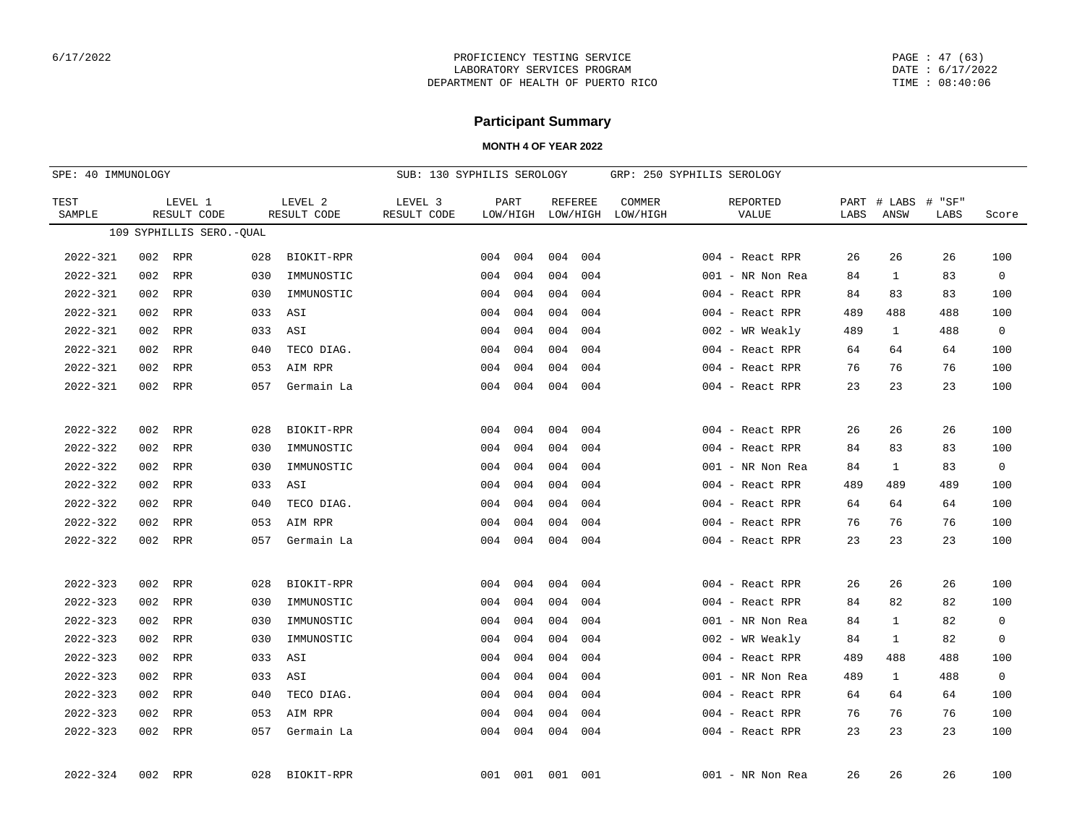PAGE : 47 (63) DATE : 6/17/2022 TIME : 08:40:06

## **Participant Summary**

| SPE: 40 IMMUNOLOGY |     |                          |     |                        | SUB: 130 SYPHILIS SEROLOGY |     |                  |                            |     |                    | GRP: 250 SYPHILIS SEROLOGY |              |                |                      |             |
|--------------------|-----|--------------------------|-----|------------------------|----------------------------|-----|------------------|----------------------------|-----|--------------------|----------------------------|--------------|----------------|----------------------|-------------|
| TEST<br>SAMPLE     |     | LEVEL 1<br>RESULT CODE   |     | LEVEL 2<br>RESULT CODE | LEVEL 3<br>RESULT CODE     |     | PART<br>LOW/HIGH | <b>REFEREE</b><br>LOW/HIGH |     | COMMER<br>LOW/HIGH | REPORTED<br>VALUE          | PART<br>LABS | # LABS<br>ANSW | $\#$<br>"SF"<br>LABS | Score       |
|                    |     | 109 SYPHILLIS SERO.-QUAL |     |                        |                            |     |                  |                            |     |                    |                            |              |                |                      |             |
| $2022 - 321$       |     | 002 RPR                  | 028 | BIOKIT-RPR             |                            | 004 | 004              | 004                        | 004 |                    | 004 - React RPR            | 26           | 26             | 26                   | 100         |
| $2022 - 321$       | 002 | <b>RPR</b>               | 030 | IMMUNOSTIC             |                            | 004 | 004              | 004                        | 004 |                    | 001 - NR Non Rea           | 84           | $\mathbf{1}$   | 83                   | $\mathbf 0$ |
| $2022 - 321$       | 002 | RPR                      | 030 | IMMUNOSTIC             |                            | 004 | 004              | 004                        | 004 |                    | 004 - React RPR            | 84           | 83             | 83                   | 100         |
| $2022 - 321$       | 002 | RPR                      | 033 | ASI                    |                            | 004 | 004              | 004                        | 004 |                    | 004 - React RPR            | 489          | 488            | 488                  | 100         |
| $2022 - 321$       | 002 | RPR                      | 033 | ASI                    |                            | 004 | 004              | 004                        | 004 |                    | $002$ - WR Weakly          | 489          | $\mathbf{1}$   | 488                  | 0           |
| $2022 - 321$       | 002 | RPR                      | 040 | TECO DIAG.             |                            | 004 | 004              | 004                        | 004 |                    | 004 - React RPR            | 64           | 64             | 64                   | 100         |
| $2022 - 321$       | 002 | RPR                      | 053 | AIM RPR                |                            | 004 | 004              | 004                        | 004 |                    | 004 - React RPR            | 76           | 76             | 76                   | 100         |
| $2022 - 321$       | 002 | RPR                      | 057 | Germain La             |                            | 004 | 004              | 004                        | 004 |                    | 004 - React RPR            | 23           | 23             | 23                   | 100         |
|                    |     |                          |     |                        |                            |     |                  |                            |     |                    |                            |              |                |                      |             |
| $2022 - 322$       | 002 | RPR                      | 028 | BIOKIT-RPR             |                            | 004 | 004              | 004                        | 004 |                    | 004 - React RPR            | 26           | 26             | 26                   | 100         |
| $2022 - 322$       | 002 | RPR                      | 030 | IMMUNOSTIC             |                            | 004 | 004              | 004                        | 004 |                    | 004 - React RPR            | 84           | 83             | 83                   | 100         |
| $2022 - 322$       | 002 | RPR                      | 030 | IMMUNOSTIC             |                            | 004 | 004              | 004                        | 004 |                    | $001$ - NR Non Rea         | 84           | $\mathbf{1}$   | 83                   | $\mathbf 0$ |
| $2022 - 322$       | 002 | RPR                      | 033 | ASI                    |                            | 004 | 004              | 004                        | 004 |                    | 004 - React RPR            | 489          | 489            | 489                  | 100         |
| $2022 - 322$       | 002 | RPR                      | 040 | TECO DIAG.             |                            | 004 | 004              | 004                        | 004 |                    | $004$ - React RPR          | 64           | 64             | 64                   | 100         |
| 2022-322           | 002 | RPR                      | 053 | AIM RPR                |                            | 004 | 004              | 004                        | 004 |                    | 004 - React RPR            | 76           | 76             | 76                   | 100         |
| $2022 - 322$       | 002 | RPR                      | 057 | Germain La             |                            | 004 | 004              | 004                        | 004 |                    | 004 - React RPR            | 23           | 23             | 23                   | 100         |
|                    |     |                          |     |                        |                            |     |                  |                            |     |                    |                            |              |                |                      |             |
| 2022-323           | 002 | RPR                      | 028 | BIOKIT-RPR             |                            | 004 | 004              | 004                        | 004 |                    | 004 - React RPR            | 26           | 26             | 26                   | 100         |
| $2022 - 323$       | 002 | RPR                      | 030 | IMMUNOSTIC             |                            | 004 | 004              | 004                        | 004 |                    | 004 - React RPR            | 84           | 82             | 82                   | 100         |
| $2022 - 323$       | 002 | RPR                      | 030 | IMMUNOSTIC             |                            | 004 | 004              | 004                        | 004 |                    | 001 - NR Non Rea           | 84           | $\mathbf{1}$   | 82                   | $\mathbf 0$ |
| $2022 - 323$       | 002 | RPR                      | 030 | IMMUNOSTIC             |                            | 004 | 004              | 004                        | 004 |                    | $002$ - WR Weakly          | 84           | $\mathbf{1}$   | 82                   | 0           |
| $2022 - 323$       | 002 | RPR                      | 033 | ASI                    |                            | 004 | 004              | 004                        | 004 |                    | 004 - React RPR            | 489          | 488            | 488                  | 100         |
| $2022 - 323$       | 002 | RPR                      | 033 | ASI                    |                            | 004 | 004              | 004                        | 004 |                    | 001 - NR Non Rea           | 489          | $\mathbf{1}$   | 488                  | $\mathbf 0$ |
| $2022 - 323$       | 002 | RPR                      | 040 | TECO DIAG.             |                            | 004 | 004              | 004                        | 004 |                    | 004 - React RPR            | 64           | 64             | 64                   | 100         |
| $2022 - 323$       | 002 | RPR                      | 053 | AIM RPR                |                            | 004 | 004              | 004                        | 004 |                    | 004 - React RPR            | 76           | 76             | 76                   | 100         |
| $2022 - 323$       | 002 | RPR                      | 057 | Germain La             |                            | 004 | 004              | 004                        | 004 |                    | 004 - React RPR            | 23           | 23             | 23                   | 100         |
| $2022 - 324$       |     | 002 RPR                  | 028 | BIOKIT-RPR             |                            | 001 | 001              | 001                        | 001 |                    | $001$ - NR Non Rea         | 26           | 26             | 26                   | 100         |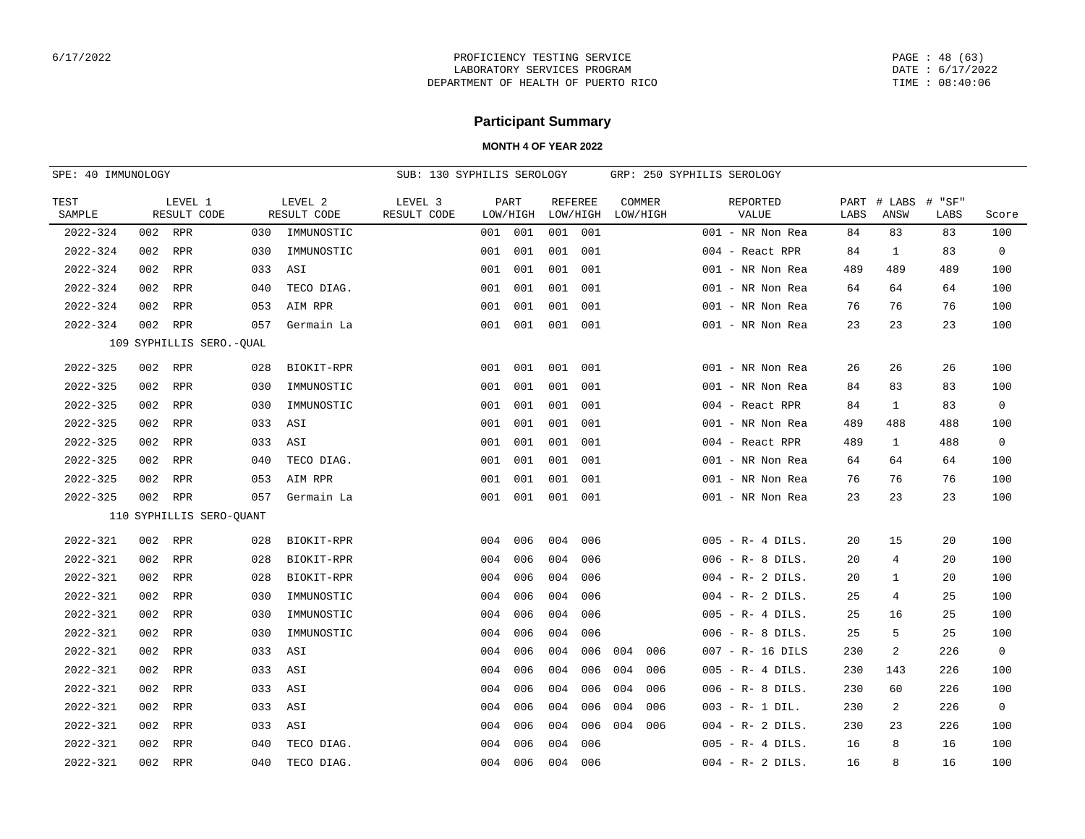PAGE : 48 (63) DATE : 6/17/2022 TIME : 08:40:06

# **Participant Summary**

| SPE: 40 IMMUNOLOGY |     |                          |     | SUB: 130 SYPHILIS SEROLOGY |                        |     |                  |          |                |          | GRP: 250 SYPHILIS SEROLOGY |                     |              |                |                |             |
|--------------------|-----|--------------------------|-----|----------------------------|------------------------|-----|------------------|----------|----------------|----------|----------------------------|---------------------|--------------|----------------|----------------|-------------|
| TEST<br>SAMPLE     |     | LEVEL 1<br>RESULT CODE   |     | LEVEL 2<br>RESULT CODE     | LEVEL 3<br>RESULT CODE |     | PART<br>LOW/HIGH | LOW/HIGH | <b>REFEREE</b> | LOW/HIGH | COMMER                     | REPORTED<br>VALUE   | PART<br>LABS | # LABS<br>ANSW | # "SF"<br>LABS | Score       |
| 2022-324           |     | 002 RPR                  | 030 | IMMUNOSTIC                 |                        | 001 | 001              | 001 001  |                |          |                            | 001 - NR Non Rea    | 84           | 83             | 83             | 100         |
| $2022 - 324$       | 002 | RPR                      | 030 | IMMUNOSTIC                 |                        | 001 | 001              | 001      | 001            |          |                            | 004 - React RPR     | 84           | 1              | 83             | $\mathbf 0$ |
| $2022 - 324$       | 002 | RPR                      | 033 | ASI                        |                        | 001 | 001              | 001      | 001            |          |                            | 001 - NR Non Rea    | 489          | 489            | 489            | 100         |
| 2022-324           | 002 | RPR                      | 040 | TECO DIAG.                 |                        | 001 | 001              | 001      | 001            |          |                            | 001 - NR Non Rea    | 64           | 64             | 64             | 100         |
| 2022-324           | 002 | RPR                      | 053 | AIM RPR                    |                        | 001 | 001              | 001      | 001            |          |                            | 001 - NR Non Rea    | 76           | 76             | 76             | 100         |
| 2022-324           | 002 | RPR                      | 057 | Germain La                 |                        | 001 | 001              | 001      | 001            |          |                            | 001 - NR Non Rea    | 23           | 23             | 23             | 100         |
|                    |     | 109 SYPHILLIS SERO.-QUAL |     |                            |                        |     |                  |          |                |          |                            |                     |              |                |                |             |
| 2022-325           |     | 002 RPR                  | 028 | BIOKIT-RPR                 |                        | 001 | 001              | 001      | 001            |          |                            | 001 - NR Non Rea    | 26           | 26             | 26             | 100         |
| $2022 - 325$       | 002 | RPR                      | 030 | IMMUNOSTIC                 |                        | 001 | 001              | 001      | 001            |          |                            | 001 - NR Non Rea    | 84           | 83             | 83             | 100         |
| 2022-325           | 002 | RPR                      | 030 | IMMUNOSTIC                 |                        | 001 | 001              | 001      | 001            |          |                            | 004 - React RPR     | 84           | $\mathbf{1}$   | 83             | $\mathbf 0$ |
| 2022-325           | 002 | RPR                      | 033 | ASI                        |                        | 001 | 001              | 001      | 001            |          |                            | 001 - NR Non Rea    | 489          | 488            | 488            | 100         |
| 2022-325           | 002 | RPR                      | 033 | ASI                        |                        | 001 | 001              | 001      | 001            |          |                            | 004 - React RPR     | 489          | 1              | 488            | 0           |
| 2022-325           | 002 | RPR                      | 040 | TECO DIAG.                 |                        | 001 | 001              | 001      | 001            |          |                            | 001 - NR Non Rea    | 64           | 64             | 64             | 100         |
| 2022-325           | 002 | RPR                      | 053 | AIM RPR                    |                        | 001 | 001              | 001      | 001            |          |                            | 001 - NR Non Rea    | 76           | 76             | 76             | 100         |
| 2022-325           | 002 | RPR                      | 057 | Germain La                 |                        |     | 001 001          | 001 001  |                |          |                            | 001 - NR Non Rea    | 23           | 23             | 23             | 100         |
|                    |     | 110 SYPHILLIS SERO-QUANT |     |                            |                        |     |                  |          |                |          |                            |                     |              |                |                |             |
| 2022-321           |     | 002 RPR                  | 028 | BIOKIT-RPR                 |                        | 004 | 006              | 004      | 006            |          |                            | $005 - R - 4 DILS.$ | 20           | 15             | 20             | 100         |
| 2022-321           | 002 | RPR                      | 028 | BIOKIT-RPR                 |                        | 004 | 006              | 004      | 006            |          |                            | $006 - R - 8$ DILS. | 20           | 4              | 20             | 100         |
| 2022-321           | 002 | RPR                      | 028 | BIOKIT-RPR                 |                        | 004 | 006              | 004      | 006            |          |                            | $004 - R - 2$ DILS. | 20           | 1              | 20             | 100         |
| 2022-321           | 002 | RPR                      | 030 | IMMUNOSTIC                 |                        | 004 | 006              | 004      | 006            |          |                            | $004 - R - 2$ DILS. | 25           | 4              | 25             | 100         |
| 2022-321           | 002 | RPR                      | 030 | IMMUNOSTIC                 |                        | 004 | 006              | 004      | 006            |          |                            | $005 - R - 4$ DILS. | 25           | 16             | 25             | 100         |
| 2022-321           | 002 | RPR                      | 030 | IMMUNOSTIC                 |                        | 004 | 006              | 004      | 006            |          |                            | $006 - R - 8$ DILS. | 25           | 5              | 25             | 100         |
| 2022-321           | 002 | RPR                      | 033 | ASI                        |                        | 004 | 006              | 004      | 006            | 004      | 006                        | 007 - R- 16 DILS    | 230          | 2              | 226            | 0           |
| 2022-321           | 002 | RPR                      | 033 | ASI                        |                        | 004 | 006              | 004      | 006            | 004      | 006                        | $005 - R - 4$ DILS. | 230          | 143            | 226            | 100         |
| 2022-321           | 002 | RPR                      | 033 | ASI                        |                        | 004 | 006              | 004      | 006            | 004      | 006                        | $006 - R - 8$ DILS. | 230          | 60             | 226            | 100         |
| 2022-321           | 002 | RPR                      | 033 | ASI                        |                        | 004 | 006              | 004      | 006            | 004      | 006                        | $003 - R - 1$ DIL.  | 230          | 2              | 226            | 0           |
| 2022-321           | 002 | RPR                      | 033 | ASI                        |                        | 004 | 006              | 004      | 006            | 004      | 006                        | $004 - R - 2$ DILS. | 230          | 23             | 226            | 100         |
| 2022-321           | 002 | RPR                      | 040 | TECO DIAG.                 |                        | 004 | 006              | 004      | 006            |          |                            | $005 - R - 4$ DILS. | 16           | 8              | 16             | 100         |
| 2022-321           | 002 | RPR                      | 040 | TECO DIAG.                 |                        | 004 | 006              | 004      | 006            |          |                            | $004 - R - 2 DILS.$ | 16           | 8              | 16             | 100         |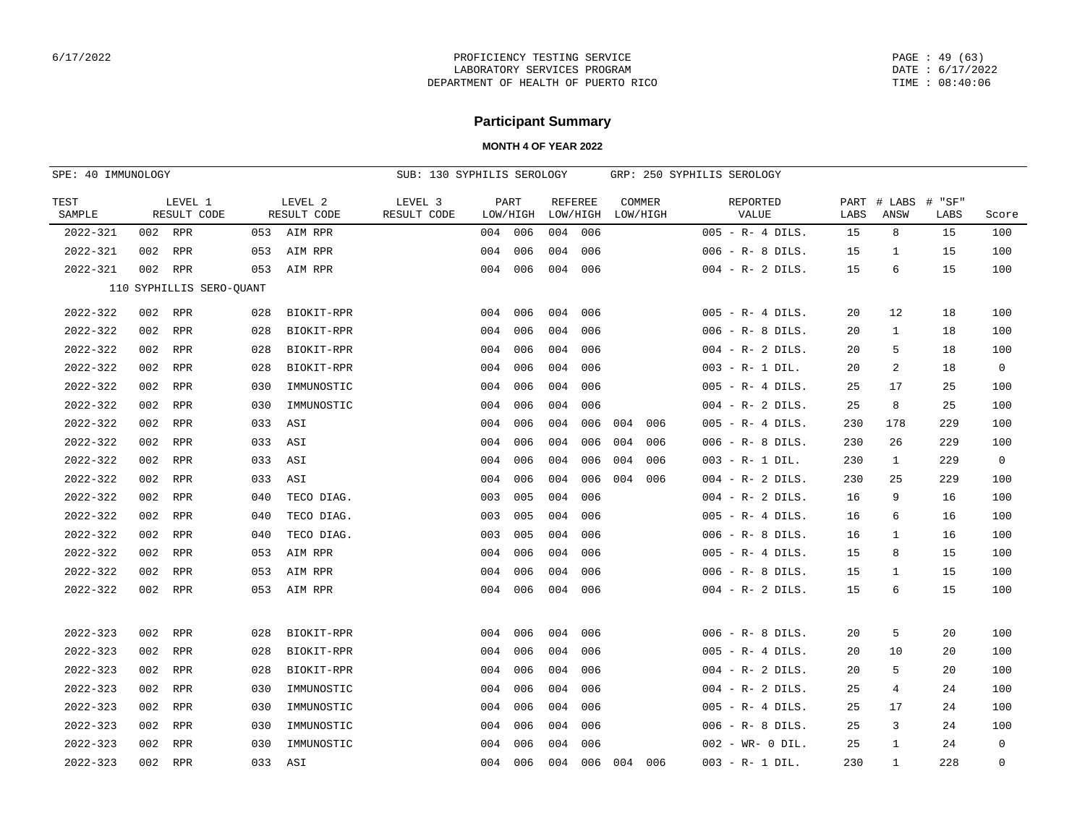PAGE : 49 (63) DATE : 6/17/2022 TIME : 08:40:06

# **Participant Summary**

| SPE: 40 IMMUNOLOGY |     |                          | SUB: 130 SYPHILIS SEROLOGY |                        |                        |     |                  |     |                            | GRP: 250 SYPHILIS SEROLOGY |                    |                     |      |                     |                |             |
|--------------------|-----|--------------------------|----------------------------|------------------------|------------------------|-----|------------------|-----|----------------------------|----------------------------|--------------------|---------------------|------|---------------------|----------------|-------------|
| TEST<br>SAMPLE     |     | LEVEL 1<br>RESULT CODE   |                            | LEVEL 2<br>RESULT CODE | LEVEL 3<br>RESULT CODE |     | PART<br>LOW/HIGH |     | <b>REFEREE</b><br>LOW/HIGH |                            | COMMER<br>LOW/HIGH | REPORTED<br>VALUE   | LABS | PART # LABS<br>ANSW | # "SF"<br>LABS | Score       |
| $2022 - 321$       |     | 002 RPR                  | 053                        | AIM RPR                |                        | 004 | 006              | 004 | 006                        |                            |                    | $005 - R - 4$ DILS. | 15   | 8                   | 15             | 100         |
| 2022-321           | 002 | RPR                      | 053                        | AIM RPR                |                        | 004 | 006              | 004 | 006                        |                            |                    | $006 - R - 8$ DILS. | 15   | 1                   | 15             | 100         |
| 2022-321           | 002 | RPR                      | 053                        | AIM RPR                |                        | 004 | 006              | 004 | 006                        |                            |                    | $004 - R - 2$ DILS. | 15   | 6                   | 15             | 100         |
|                    |     | 110 SYPHILLIS SERO-QUANT |                            |                        |                        |     |                  |     |                            |                            |                    |                     |      |                     |                |             |
| $2022 - 322$       | 002 | RPR                      | 028                        | BIOKIT-RPR             |                        | 004 | 006              | 004 | 006                        |                            |                    | $005 - R - 4$ DILS. | 20   | 12                  | 18             | 100         |
| $2022 - 322$       | 002 | RPR                      | 028                        | BIOKIT-RPR             |                        | 004 | 006              | 004 | 006                        |                            |                    | $006 - R - 8$ DILS. | 20   | $\mathbf{1}$        | 18             | 100         |
| 2022-322           | 002 | RPR                      | 028                        | BIOKIT-RPR             |                        | 004 | 006              | 004 | 006                        |                            |                    | $004 - R - 2$ DILS. | 20   | 5                   | 18             | 100         |
| $2022 - 322$       | 002 | RPR                      | 028                        | BIOKIT-RPR             |                        | 004 | 006              | 004 | 006                        |                            |                    | $003 - R - 1 DIL.$  | 20   | 2                   | 18             | $\mathbf 0$ |
| $2022 - 322$       | 002 | RPR                      | 030                        | IMMUNOSTIC             |                        | 004 | 006              | 004 | 006                        |                            |                    | $005 - R - 4$ DILS. | 25   | 17                  | 25             | 100         |
| $2022 - 322$       | 002 | RPR                      | 030                        | IMMUNOSTIC             |                        | 004 | 006              | 004 | 006                        |                            |                    | $004 - R - 2$ DILS. | 25   | 8                   | 25             | 100         |
| 2022-322           | 002 | RPR                      | 033                        | ASI                    |                        | 004 | 006              | 004 | 006                        | 004                        | 006                | $005 - R - 4$ DILS. | 230  | 178                 | 229            | 100         |
| 2022-322           | 002 | RPR                      | 033                        | ASI                    |                        | 004 | 006              | 004 | 006                        | 004                        | 006                | $006 - R - 8$ DILS. | 230  | 26                  | 229            | 100         |
| 2022-322           |     | 002 RPR                  | 033                        | ASI                    |                        | 004 | 006              | 004 | 006                        | 004                        | 006                | $003 - R - 1$ DIL.  | 230  | $\mathbf{1}$        | 229            | $\mathbf 0$ |
| 2022-322           | 002 | RPR                      | 033                        | ASI                    |                        | 004 | 006              | 004 | 006                        | 004                        | 006                | $004 - R - 2$ DILS. | 230  | 25                  | 229            | 100         |
| 2022-322           | 002 | RPR                      | 040                        | TECO DIAG.             |                        | 003 | 005              | 004 | 006                        |                            |                    | $004 - R - 2 DILS.$ | 16   | 9                   | 16             | 100         |
| $2022 - 322$       | 002 | RPR                      | 040                        | TECO DIAG.             |                        | 003 | 005              | 004 | 006                        |                            |                    | $005 - R - 4$ DILS. | 16   | 6                   | 16             | 100         |
| 2022-322           | 002 | RPR                      | 040                        | TECO DIAG.             |                        | 003 | 005              | 004 | 006                        |                            |                    | $006 - R - 8$ DILS. | 16   | $\mathbf{1}$        | 16             | 100         |
| $2022 - 322$       | 002 | RPR                      | 053                        | AIM RPR                |                        | 004 | 006              | 004 | 006                        |                            |                    | $005 - R - 4$ DILS. | 15   | 8                   | 15             | 100         |
| 2022-322           | 002 | RPR                      | 053                        | AIM RPR                |                        | 004 | 006              | 004 | 006                        |                            |                    | $006 - R - 8$ DILS. | 15   | 1                   | 15             | 100         |
| 2022-322           |     | 002 RPR                  | 053                        | AIM RPR                |                        | 004 | 006              | 004 | 006                        |                            |                    | $004 - R - 2$ DILS. | 15   | 6                   | 15             | 100         |
|                    |     |                          |                            |                        |                        |     |                  |     |                            |                            |                    |                     |      |                     |                |             |
| $2022 - 323$       | 002 | RPR                      | 028                        | BIOKIT-RPR             |                        | 004 | 006              | 004 | 006                        |                            |                    | $006 - R - 8$ DILS. | 20   | 5                   | 20             | 100         |
| $2022 - 323$       | 002 | RPR                      | 028                        | BIOKIT-RPR             |                        | 004 | 006              | 004 | 006                        |                            |                    | $005 - R - 4$ DILS. | 20   | 10                  | 20             | 100         |
| 2022-323           |     | 002 RPR                  | 028                        | BIOKIT-RPR             |                        | 004 | 006              | 004 | 006                        |                            |                    | $004 - R - 2$ DILS. | 20   | 5                   | 20             | 100         |
| $2022 - 323$       | 002 | RPR                      | 030                        | IMMUNOSTIC             |                        | 004 | 006              | 004 | 006                        |                            |                    | $004 - R - 2$ DILS. | 25   | 4                   | 24             | 100         |
| 2022-323           | 002 | RPR                      | 030                        | IMMUNOSTIC             |                        | 004 | 006              | 004 | 006                        |                            |                    | $005 - R - 4$ DILS. | 25   | 17                  | 24             | 100         |
| $2022 - 323$       | 002 | RPR                      | 030                        | IMMUNOSTIC             |                        | 004 | 006              | 004 | 006                        |                            |                    | $006 - R - 8$ DILS. | 25   | 3                   | 24             | 100         |
| $2022 - 323$       | 002 | RPR                      | 030                        | IMMUNOSTIC             |                        | 004 | 006              | 004 | 006                        |                            |                    | $002 - WR - 0 DIL.$ | 25   | 1                   | 24             | $\mathbf 0$ |
| $2022 - 323$       |     | 002 RPR                  | 033                        | ASI                    |                        | 004 | 006              | 004 | 006                        | 004                        | 006                | $003 - R - 1$ DIL.  | 230  | 1                   | 228            | $\mathbf 0$ |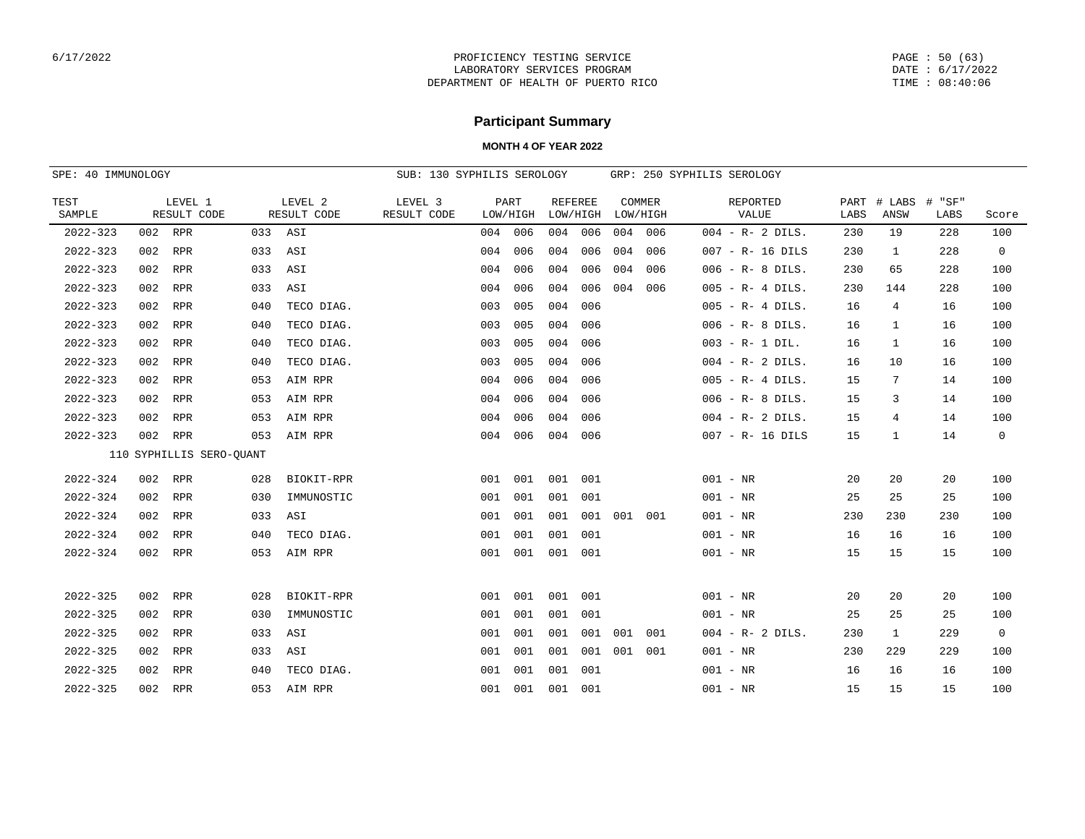PAGE : 50 (63) DATE : 6/17/2022 TIME : 08:40:06

# **Participant Summary**

|                | SPE: 40 IMMUNOLOGY |                          |     |                        | SUB: 130 SYPHILIS SEROLOGY |     |                  |     |                            |     |                    | GRP: 250 SYPHILIS SEROLOGY |              |                |                |                |
|----------------|--------------------|--------------------------|-----|------------------------|----------------------------|-----|------------------|-----|----------------------------|-----|--------------------|----------------------------|--------------|----------------|----------------|----------------|
| TEST<br>SAMPLE |                    | LEVEL 1<br>RESULT CODE   |     | LEVEL 2<br>RESULT CODE | LEVEL 3<br>RESULT CODE     |     | PART<br>LOW/HIGH |     | <b>REFEREE</b><br>LOW/HIGH |     | COMMER<br>LOW/HIGH | REPORTED<br>VALUE          | PART<br>LABS | # LABS<br>ANSW | # "SF"<br>LABS | Score          |
| $2022 - 323$   |                    | 002 RPR                  |     | 033 ASI                |                            |     | 004 006          | 004 | 006                        | 004 | 006                | $004 - R - 2$ DILS.        | 230          | 19             | 228            | 100            |
| $2022 - 323$   | 002                | RPR                      | 033 | ASI                    |                            | 004 | 006              | 004 | 006                        | 004 | 006                | 007 - R- 16 DILS           | 230          | 1              | 228            | $\overline{0}$ |
| $2022 - 323$   | 002                | <b>RPR</b>               | 033 | ASI                    |                            | 004 | 006              | 004 | 006                        | 004 | 006                | $006 - R - 8$ DILS.        | 230          | 65             | 228            | 100            |
| $2022 - 323$   | 002                | <b>RPR</b>               | 033 | ASI                    |                            | 004 | 006              | 004 | 006                        | 004 | 006                | $005 - R - 4$ DILS.        | 230          | 144            | 228            | 100            |
| $2022 - 323$   | 002                | RPR                      | 040 | TECO DIAG.             |                            | 003 | 005              | 004 | 006                        |     |                    | $005 - R - 4$ DILS.        | 16           | 4              | 16             | 100            |
| $2022 - 323$   | 002                | <b>RPR</b>               | 040 | TECO DIAG.             |                            | 003 | 005              | 004 | 006                        |     |                    | $006 - R - 8$ DILS.        | 16           | 1              | 16             | 100            |
| 2022-323       | 002                | RPR                      | 040 | TECO DIAG.             |                            | 003 | 005              | 004 | 006                        |     |                    | $003 - R - 1$ DIL.         | 16           | 1              | 16             | 100            |
| $2022 - 323$   | 002                | <b>RPR</b>               | 040 | TECO DIAG.             |                            | 003 | 005              | 004 | 006                        |     |                    | $004 - R - 2$ DILS.        | 16           | 10             | 16             | 100            |
| $2022 - 323$   | 002                | RPR                      | 053 | AIM RPR                |                            | 004 | 006              | 004 | 006                        |     |                    | $005 - R - 4$ DILS.        | 15           | 7              | 14             | 100            |
| $2022 - 323$   | 002                | <b>RPR</b>               | 053 | AIM RPR                |                            | 004 | 006              | 004 | 006                        |     |                    | $006 - R - 8$ DILS.        | 15           | 3              | 14             | 100            |
| $2022 - 323$   | 002                | RPR                      | 053 | AIM RPR                |                            | 004 | 006              | 004 | 006                        |     |                    | $004 - R - 2$ DILS.        | 15           | 4              | 14             | 100            |
| $2022 - 323$   | 002                | RPR                      | 053 | AIM RPR                |                            | 004 | 006              | 004 | 006                        |     |                    | $007 - R - 16$ DILS        | 15           | 1              | 14             | $\overline{0}$ |
|                |                    | 110 SYPHILLIS SERO-OUANT |     |                        |                            |     |                  |     |                            |     |                    |                            |              |                |                |                |
| $2022 - 324$   | 002                | RPR                      | 028 | BIOKIT-RPR             |                            | 001 | 001              | 001 | 001                        |     |                    | $001 - NR$                 | 20           | 20             | 20             | 100            |
| $2022 - 324$   | 002                | RPR                      | 030 | IMMUNOSTIC             |                            | 001 | 001              | 001 | 001                        |     |                    | $001 - NR$                 | 25           | 25             | 25             | 100            |
| $2022 - 324$   | 002                | RPR                      | 033 | ASI                    |                            | 001 | 001              | 001 | 001                        | 001 | 001                | $001 - NR$                 | 230          | 230            | 230            | 100            |
| $2022 - 324$   | 002                | <b>RPR</b>               | 040 | TECO DIAG.             |                            | 001 | 001              | 001 | 001                        |     |                    | $001 - NR$                 | 16           | 16             | 16             | 100            |
| $2022 - 324$   |                    | 002 RPR                  | 053 | AIM RPR                |                            |     | 001 001          | 001 | 001                        |     |                    | $001 - NR$                 | 15           | 15             | 15             | 100            |
|                |                    |                          |     |                        |                            |     |                  |     |                            |     |                    |                            |              |                |                |                |
| $2022 - 325$   | 002                | RPR                      | 028 | BIOKIT-RPR             |                            | 001 | 001              | 001 | 001                        |     |                    | $001 - NR$                 | 20           | 20             | 20             | 100            |
| $2022 - 325$   | 002                | <b>RPR</b>               | 030 | IMMUNOSTIC             |                            | 001 | 001              | 001 | 001                        |     |                    | $001 - NR$                 | 25           | 25             | 25             | 100            |
| $2022 - 325$   | 002                | <b>RPR</b>               | 033 | ASI                    |                            | 001 | 001              | 001 | 001                        | 001 | 001                | $004 - R - 2$ DILS.        | 230          | $\mathbf{1}$   | 229            | $\overline{0}$ |
| $2022 - 325$   | 002                | RPR                      | 033 | ASI                    |                            | 001 | 001              | 001 | 001                        | 001 | 001                | $001 - NR$                 | 230          | 229            | 229            | 100            |
| $2022 - 325$   | 002                | <b>RPR</b>               | 040 | TECO DIAG.             |                            | 001 | 001              | 001 | 001                        |     |                    | $001 - NR$                 | 16           | 16             | 16             | 100            |
| $2022 - 325$   | 002                | <b>RPR</b>               | 053 | AIM RPR                |                            | 001 | 001              | 001 | 001                        |     |                    | $001 - NR$                 | 15           | 15             | 15             | 100            |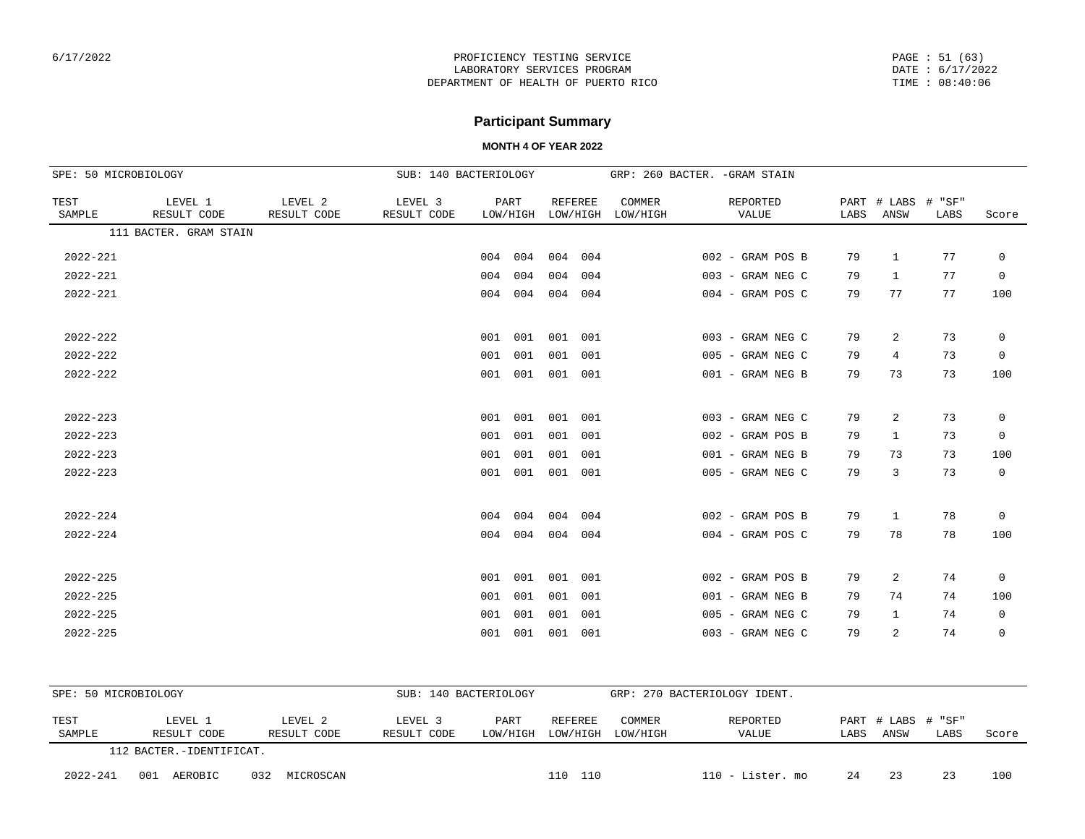PAGE : 51 (63) DATE : 6/17/2022 TIME : 08:40:06

## **Participant Summary**

| SPE: 50 MICROBIOLOGY |                        | SUB: 140 BACTERIOLOGY  |                        |         |                  |                |          | GRP: 260 BACTER. - GRAM STAIN |                   |              |                |                |             |
|----------------------|------------------------|------------------------|------------------------|---------|------------------|----------------|----------|-------------------------------|-------------------|--------------|----------------|----------------|-------------|
| TEST<br>SAMPLE       | LEVEL 1<br>RESULT CODE | LEVEL 2<br>RESULT CODE | LEVEL 3<br>RESULT CODE |         | PART<br>LOW/HIGH | <b>REFEREE</b> | LOW/HIGH | COMMER<br>LOW/HIGH            | REPORTED<br>VALUE | PART<br>LABS | # LABS<br>ANSW | # "SF"<br>LABS | Score       |
|                      | 111 BACTER. GRAM STAIN |                        |                        |         |                  |                |          |                               |                   |              |                |                |             |
| $2022 - 221$         |                        |                        |                        | 004     | 004              | 004            | 004      |                               | 002 - GRAM POS B  | 79           | $\mathbf{1}$   | 77             | $\mathbf 0$ |
| $2022 - 221$         |                        |                        |                        | 004     | 004              | 004            | 004      |                               | 003 - GRAM NEG C  | 79           | $\mathbf{1}$   | 77             | $\mathbf 0$ |
| $2022 - 221$         |                        |                        |                        | 004 004 |                  | 004            | 004      |                               | 004 - GRAM POS C  | 79           | 77             | 77             | 100         |
| $2022 - 222$         |                        |                        |                        | 001     | 001              | 001            | 001      |                               | 003 - GRAM NEG C  | 79           | 2              | 73             | $\mathbf 0$ |
| $2022 - 222$         |                        |                        |                        | 001     | 001              | 001            | 001      |                               | 005 - GRAM NEG C  | 79           | 4              | 73             | 0           |
| $2022 - 222$         |                        |                        |                        | 001     | 001              | 001            | 001      |                               | 001 - GRAM NEG B  | 79           | 73             | 73             | 100         |
| $2022 - 223$         |                        |                        |                        | 001     | 001              | 001            | 001      |                               | 003 - GRAM NEG C  | 79           | 2              | 73             | 0           |
| $2022 - 223$         |                        |                        |                        | 001     | 001              | 001            | 001      |                               | 002 - GRAM POS B  | 79           | 1              | 73             | $\mathbf 0$ |
| $2022 - 223$         |                        |                        |                        | 001     | 001              | 001            | 001      |                               | 001 - GRAM NEG B  | 79           | 73             | 73             | 100         |
| $2022 - 223$         |                        |                        |                        | 001     | 001              | 001            | 001      |                               | 005 - GRAM NEG C  | 79           | 3              | 73             | $\mathbf 0$ |
| $2022 - 224$         |                        |                        |                        | 004     | 004              | 004            | 004      |                               | 002 - GRAM POS B  | 79           | $\mathbf{1}$   | 78             | $\mathsf 0$ |
| $2022 - 224$         |                        |                        |                        | 004     | 004              | 004            | 004      |                               | 004 - GRAM POS C  | 79           | 78             | 78             | 100         |
| $2022 - 225$         |                        |                        |                        | 001     | 001              | 001            | 001      |                               | 002 - GRAM POS B  | 79           | $\overline{2}$ | 74             | $\mathbf 0$ |
| $2022 - 225$         |                        |                        |                        | 001     | 001              | 001            | 001      |                               | 001 - GRAM NEG B  | 79           | 74             | 74             | 100         |
| $2022 - 225$         |                        |                        |                        | 001     | 001              | 001            | 001      |                               | 005 - GRAM NEG C  | 79           | $\mathbf{1}$   | 74             | 0           |
| $2022 - 225$         |                        |                        |                        | 001     | 001              | 001            | 001      |                               | 003 - GRAM NEG C  | 79           | 2              | 74             | $\mathbf 0$ |

| SPE: 50 MICROBIOLOGY |                          |                        | SUB: 140 BACTERIOLOGY                 |                   |                  |                            | GRP: 270 BACTERIOLOGY IDENT. |       |     |  |  |
|----------------------|--------------------------|------------------------|---------------------------------------|-------------------|------------------|----------------------------|------------------------------|-------|-----|--|--|
| TEST<br>SAMPLE       | LEVEL 1<br>RESULT CODE   | LEVEL 2<br>RESULT CODE | <b>COMMER</b><br>LOW/HIGH<br>LOW/HIGH | REPORTED<br>VALUE | LABS             | PART # LABS # "SF"<br>ANSW | LABS                         | Score |     |  |  |
|                      | 112 BACTER.-IDENTIFICAT. |                        |                                       |                   |                  |                            |                              |       |     |  |  |
| $2022 - 241$         | 001<br>AEROBIC           | 032<br>MICROSCAN       | 110<br>110                            |                   | 110 - Lister. mo | 24                         | 23                           | 23    | 100 |  |  |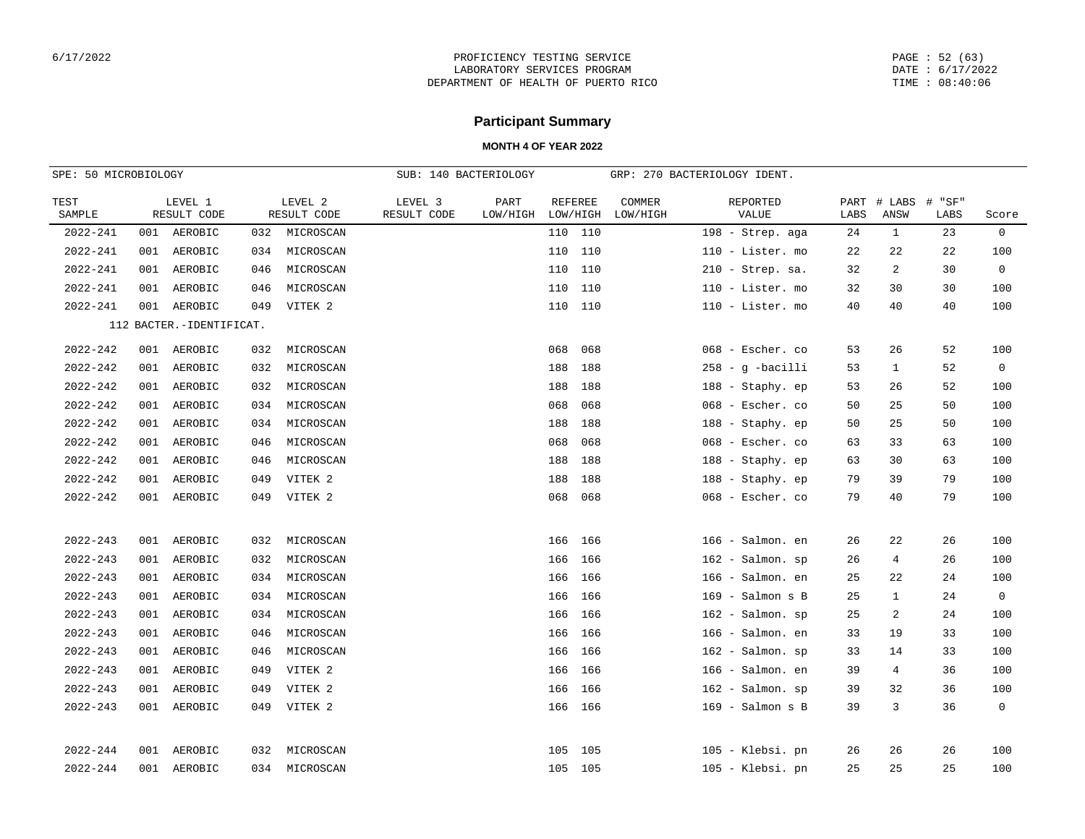PAGE : 52 (63) DATE : 6/17/2022 TIME : 08:40:06

# **Participant Summary**

| SPE: 50 MICROBIOLOGY |     |                            |     |                        | SUB: 140 BACTERIOLOGY  |                  |                            |                    | GRP: 270 BACTERIOLOGY IDENT. |      |                     |                |                |
|----------------------|-----|----------------------------|-----|------------------------|------------------------|------------------|----------------------------|--------------------|------------------------------|------|---------------------|----------------|----------------|
| TEST<br>SAMPLE       |     | LEVEL 1<br>RESULT CODE     |     | LEVEL 2<br>RESULT CODE | LEVEL 3<br>RESULT CODE | PART<br>LOW/HIGH | <b>REFEREE</b><br>LOW/HIGH | COMMER<br>LOW/HIGH | REPORTED<br>VALUE            | LABS | PART # LABS<br>ANSW | # "SF"<br>LABS | Score          |
| 2022-241             |     | 001 AEROBIC                | 032 | MICROSCAN              |                        |                  | 110 110                    |                    | 198 - Strep. aga             | 24   | 1                   | 23             | $\overline{0}$ |
| 2022-241             |     | 001 AEROBIC                | 034 | MICROSCAN              |                        |                  | 110 110                    |                    | 110 - Lister. mo             | 22   | 22                  | 22             | 100            |
| $2022 - 241$         | 001 | AEROBIC                    | 046 | MICROSCAN              |                        |                  | 110 110                    |                    | $210$ - Strep. sa.           | 32   | 2                   | 30             | $\mathbf 0$    |
| 2022-241             | 001 | AEROBIC                    | 046 | MICROSCAN              |                        |                  | 110 110                    |                    | 110 - Lister. mo             | 32   | 30                  | 30             | 100            |
| 2022-241             | 001 | AEROBIC                    | 049 | VITEK 2                |                        |                  | 110 110                    |                    | 110 - Lister. mo             | 40   | 40                  | 40             | 100            |
|                      |     | 112 BACTER. - IDENTIFICAT. |     |                        |                        |                  |                            |                    |                              |      |                     |                |                |
| $2022 - 242$         |     | 001 AEROBIC                | 032 | MICROSCAN              |                        |                  | 068<br>068                 |                    | 068 - Escher. co             | 53   | 26                  | 52             | 100            |
| $2022 - 242$         |     | 001 AEROBIC                | 032 | MICROSCAN              |                        |                  | 188<br>188                 |                    | $258 - g$ -bacilli           | 53   | $\mathbf{1}$        | 52             | $\overline{0}$ |
| $2022 - 242$         |     | 001 AEROBIC                | 032 | MICROSCAN              |                        |                  | 188<br>188                 |                    | 188 - Staphy. ep             | 53   | 26                  | 52             | 100            |
| 2022-242             | 001 | AEROBIC                    | 034 | MICROSCAN              |                        |                  | 068<br>068                 |                    | 068 - Escher. co             | 50   | 25                  | 50             | 100            |
| $2022 - 242$         | 001 | AEROBIC                    | 034 | MICROSCAN              |                        |                  | 188<br>188                 |                    | 188 - Staphy. ep             | 50   | 25                  | 50             | 100            |
| $2022 - 242$         | 001 | AEROBIC                    | 046 | MICROSCAN              |                        |                  | 068<br>068                 |                    | 068 - Escher. co             | 63   | 33                  | 63             | 100            |
| $2022 - 242$         | 001 | AEROBIC                    | 046 | MICROSCAN              |                        |                  | 188<br>188                 |                    | 188 - Staphy. ep             | 63   | 30                  | 63             | 100            |
| $2022 - 242$         | 001 | AEROBIC                    | 049 | VITEK 2                |                        |                  | 188<br>188                 |                    | 188 - Staphy. ep             | 79   | 39                  | 79             | 100            |
| $2022 - 242$         |     | 001 AEROBIC                | 049 | VITEK 2                |                        |                  | 068 068                    |                    | 068 - Escher. co             | 79   | 40                  | 79             | 100            |
|                      |     |                            |     |                        |                        |                  |                            |                    |                              |      |                     |                |                |
| $2022 - 243$         |     | 001 AEROBIC                | 032 | MICROSCAN              |                        |                  | 166 166                    |                    | 166 - Salmon. en             | 26   | 22                  | 26             | 100            |
| $2022 - 243$         | 001 | AEROBIC                    | 032 | MICROSCAN              |                        |                  | 166<br>166                 |                    | 162 - Salmon. sp             | 26   | 4                   | 26             | 100            |
| $2022 - 243$         | 001 | AEROBIC                    | 034 | MICROSCAN              |                        |                  | 166<br>166                 |                    | 166 - Salmon. en             | 25   | 22                  | 24             | 100            |
| $2022 - 243$         |     | 001 AEROBIC                | 034 | MICROSCAN              |                        |                  | 166<br>166                 |                    | $169$ - Salmon s B           | 25   | $\mathbf{1}$        | 24             | $\overline{0}$ |
| $2022 - 243$         | 001 | AEROBIC                    | 034 | MICROSCAN              |                        |                  | 166<br>166                 |                    | 162 - Salmon. sp             | 25   | 2                   | 24             | 100            |
| $2022 - 243$         | 001 | AEROBIC                    | 046 | MICROSCAN              |                        |                  | 166<br>166                 |                    | 166 - Salmon. en             | 33   | 19                  | 33             | 100            |
| $2022 - 243$         | 001 | AEROBIC                    | 046 | MICROSCAN              |                        |                  | 166<br>166                 |                    | $162$ - Salmon. sp           | 33   | 14                  | 33             | 100            |
| $2022 - 243$         | 001 | AEROBIC                    | 049 | VITEK 2                |                        |                  | 166<br>166                 |                    | 166 - Salmon. en             | 39   | 4                   | 36             | 100            |
| $2022 - 243$         | 001 | AEROBIC                    | 049 | VITEK 2                |                        |                  | 166<br>166                 |                    | $162$ - Salmon. sp           | 39   | 32                  | 36             | 100            |
| 2022-243             |     | 001 AEROBIC                | 049 | VITEK 2                |                        |                  | 166 166                    |                    | $169$ - Salmon s B           | 39   | 3                   | 36             | $\mathbf 0$    |
|                      |     |                            |     |                        |                        |                  |                            |                    |                              |      |                     |                |                |
| $2022 - 244$         |     | 001 AEROBIC                | 032 | MICROSCAN              |                        |                  | 105 105                    |                    | 105 - Klebsi. pn             | 26   | 26                  | 26             | 100            |
| $2022 - 244$         |     | 001 AEROBIC                |     | 034 MICROSCAN          |                        |                  | 105 105                    |                    | 105 - Klebsi. pn             | 25   | 25                  | 25             | 100            |
|                      |     |                            |     |                        |                        |                  |                            |                    |                              |      |                     |                |                |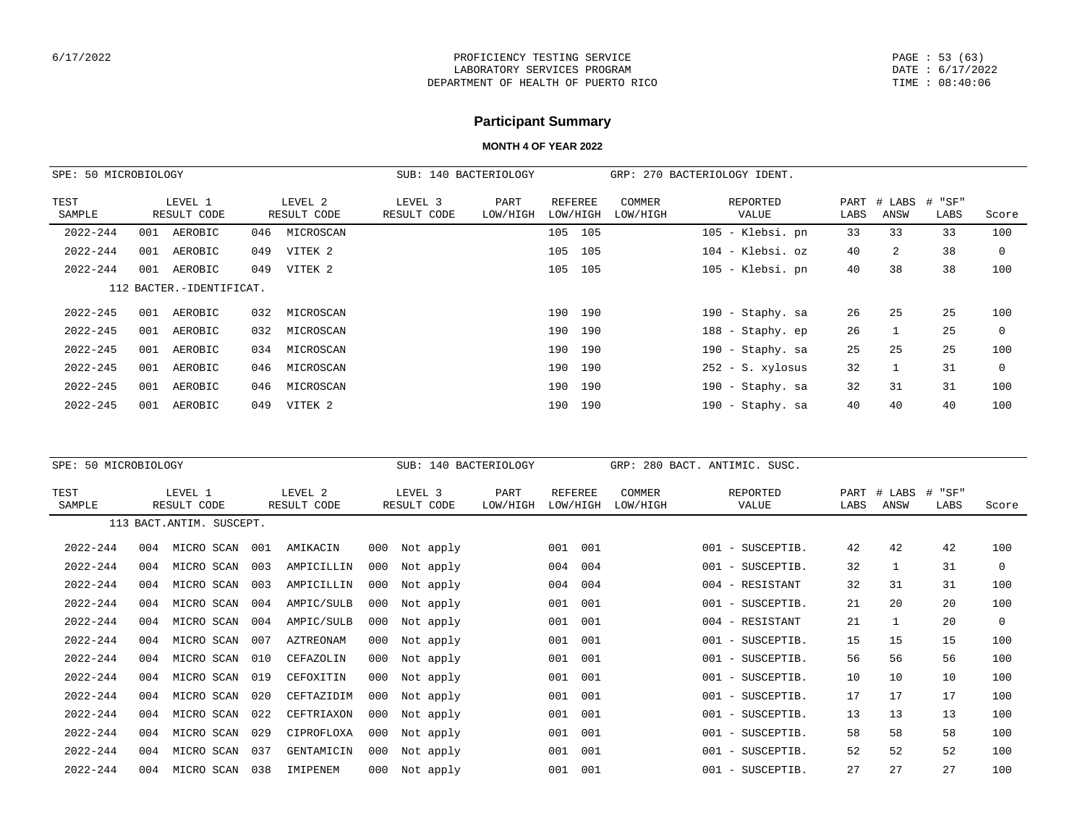PAGE : 53 (63) DATE : 6/17/2022 TIME : 08:40:06

# **Participant Summary**

| SPE: 50 MICROBIOLOGY |                          |                        | SUB: 140 BACTERIOLOGY  |                  |                     |                    | GRP: 270 BACTERIOLOGY IDENT. |      |                     |                |          |
|----------------------|--------------------------|------------------------|------------------------|------------------|---------------------|--------------------|------------------------------|------|---------------------|----------------|----------|
| TEST<br>SAMPLE       | LEVEL 1<br>RESULT CODE   | LEVEL 2<br>RESULT CODE | LEVEL 3<br>RESULT CODE | PART<br>LOW/HIGH | REFEREE<br>LOW/HIGH | COMMER<br>LOW/HIGH | REPORTED<br>VALUE            | LABS | PART # LABS<br>ANSW | # "SF"<br>LABS | Score    |
| 2022-244             | AEROBIC<br>001           | MICROSCAN<br>046       |                        |                  | 105<br>105          |                    | 105 - Klebsi. pn             | 33   | 33                  | 33             | 100      |
| $2022 - 244$         | AEROBIC<br>001           | VITEK 2<br>049         |                        |                  | 105<br>105          |                    | $104$ - Klebsi. $oz$         | 40   | 2                   | 38             | $\Omega$ |
| $2022 - 244$         | 001<br>AEROBIC           | VITEK 2<br>049         |                        |                  | 105<br>105          |                    | 105 - Klebsi. pn             | 40   | 38                  | 38             | 100      |
|                      | 112 BACTER.-IDENTIFICAT. |                        |                        |                  |                     |                    |                              |      |                     |                |          |
| $2022 - 245$         | AEROBIC<br>001           | 032<br>MICROSCAN       |                        |                  | 190<br>190          |                    | 190 - Staphy. sa             | 26   | 25                  | 25             | 100      |
| $2022 - 245$         | AEROBIC<br>001           | 032<br>MICROSCAN       |                        |                  | 190<br>190          |                    | 188 - Staphy. ep             | 26   |                     | 25             | 0        |
| $2022 - 245$         | 001<br>AEROBIC           | 034<br>MICROSCAN       |                        |                  | 190<br>190          |                    | 190 - Staphy. sa             | 25   | 25                  | 25             | 100      |
| $2022 - 245$         | 001<br>AEROBIC           | 046<br>MICROSCAN       |                        |                  | 190<br>190          |                    | $252 - S. xylossus$          | 32   |                     | 31             | $\Omega$ |
| $2022 - 245$         | 001<br>AEROBIC           | 046<br>MICROSCAN       |                        |                  | 190<br>190          |                    | 190 - Staphy. sa             | 32   | 31                  | 31             | 100      |
| $2022 - 245$         | AEROBIC<br>001           | VITEK 2<br>049         |                        |                  | 190<br>190          |                    | 190 - Staphy. sa             | 40   | 40                  | 40             | 100      |

| SPE: 50 MICROBIOLOGY |     |                           |     |                        |     | SUB:                   | 140 BACTERIOLOGY |                            |     | GRP:                      |     | 280 BACT. ANTIMIC. SUSC.               |              |                |                |             |
|----------------------|-----|---------------------------|-----|------------------------|-----|------------------------|------------------|----------------------------|-----|---------------------------|-----|----------------------------------------|--------------|----------------|----------------|-------------|
| TEST<br>SAMPLE       |     | LEVEL 1<br>RESULT CODE    |     | LEVEL 2<br>RESULT CODE |     | LEVEL 3<br>RESULT CODE | PART<br>LOW/HIGH | <b>REFEREE</b><br>LOW/HIGH |     | <b>COMMER</b><br>LOW/HIGH |     | REPORTED<br>VALUE                      | PART<br>LABS | # LABS<br>ANSW | # "SF"<br>LABS | Score       |
|                      |     | 113 BACT. ANTIM. SUSCEPT. |     |                        |     |                        |                  |                            |     |                           |     |                                        |              |                |                |             |
| $2022 - 244$         | 004 | MICRO SCAN                | 001 | AMIKACIN               | 000 | Not apply              |                  | 001                        | 001 |                           | 001 | SUSCEPTIB.<br>$\overline{\phantom{a}}$ | 42           | 42             | 42             | 100         |
| $2022 - 244$         | 004 | MICRO SCAN                | 003 | AMPICILLIN             | 000 | Not apply              |                  | 004                        | 004 |                           | 001 | - SUSCEPTIB.                           | 32           |                | 31             | 0           |
| $2022 - 244$         | 004 | MICRO SCAN                | 003 | AMPICILLIN             | 000 | Not apply              |                  | 004                        | 004 |                           |     | 004 - RESISTANT                        | 32           | 31             | 31             | 100         |
| $2022 - 244$         | 004 | MICRO SCAN                | 004 | AMPIC/SULB             | 000 | Not apply              |                  | 001                        | 001 |                           | 001 | - SUSCEPTIB.                           | 21           | 20             | 20             | 100         |
| $2022 - 244$         | 004 | MICRO SCAN                | 004 | AMPIC/SULB             | 000 | Not apply              |                  | 001                        | 001 |                           |     | 004 - RESISTANT                        | 21           |                | 20             | $\mathbf 0$ |
| $2022 - 244$         | 004 | MICRO SCAN                | 007 | AZTREONAM              | 000 | Not apply              |                  | 001                        | 001 |                           | 001 | - SUSCEPTIB.                           | 15           | 15             | 15             | 100         |
| $2022 - 244$         | 004 | MICRO SCAN                | 010 | CEFAZOLIN              | 000 | Not apply              |                  | 001                        | 001 |                           | 001 | - SUSCEPTIB.                           | 56           | 56             | 56             | 100         |
| $2022 - 244$         | 004 | MICRO SCAN                | 019 | CEFOXITIN              | 000 | Not apply              |                  | 001                        | 001 |                           |     | 001 - SUSCEPTIB.                       | 10           | 10             | 10             | 100         |
| $2022 - 244$         | 004 | MICRO SCAN                | 020 | CEFTAZIDIM             | 000 | Not apply              |                  | 001                        | 001 |                           | 001 | - SUSCEPTIB.                           | 17           | 17             | 17             | 100         |
| $2022 - 244$         | 004 | MICRO SCAN                | 022 | CEFTRIAXON             | 000 | Not apply              |                  | 001                        | 001 |                           | 001 | - SUSCEPTIB.                           | 13           | 13             | 13             | 100         |
| $2022 - 244$         | 004 | MICRO SCAN                | 029 | CIPROFLOXA             | 000 | Not apply              |                  | 001                        | 001 |                           | 001 | SUSCEPTIB.<br>$\sim$                   | 58           | 58             | 58             | 100         |
| $2022 - 244$         | 004 | MICRO SCAN                | 037 | GENTAMICIN             | 000 | Not apply              |                  | 001                        | 001 |                           | 001 | - SUSCEPTIB.                           | 52           | 52             | 52             | 100         |
| $2022 - 244$         | 004 | MICRO SCAN                | 038 | IMIPENEM               | 000 | Not apply              |                  | 001                        | 001 |                           |     | 001 - SUSCEPTIB.                       | 27           | 27             | 27             | 100         |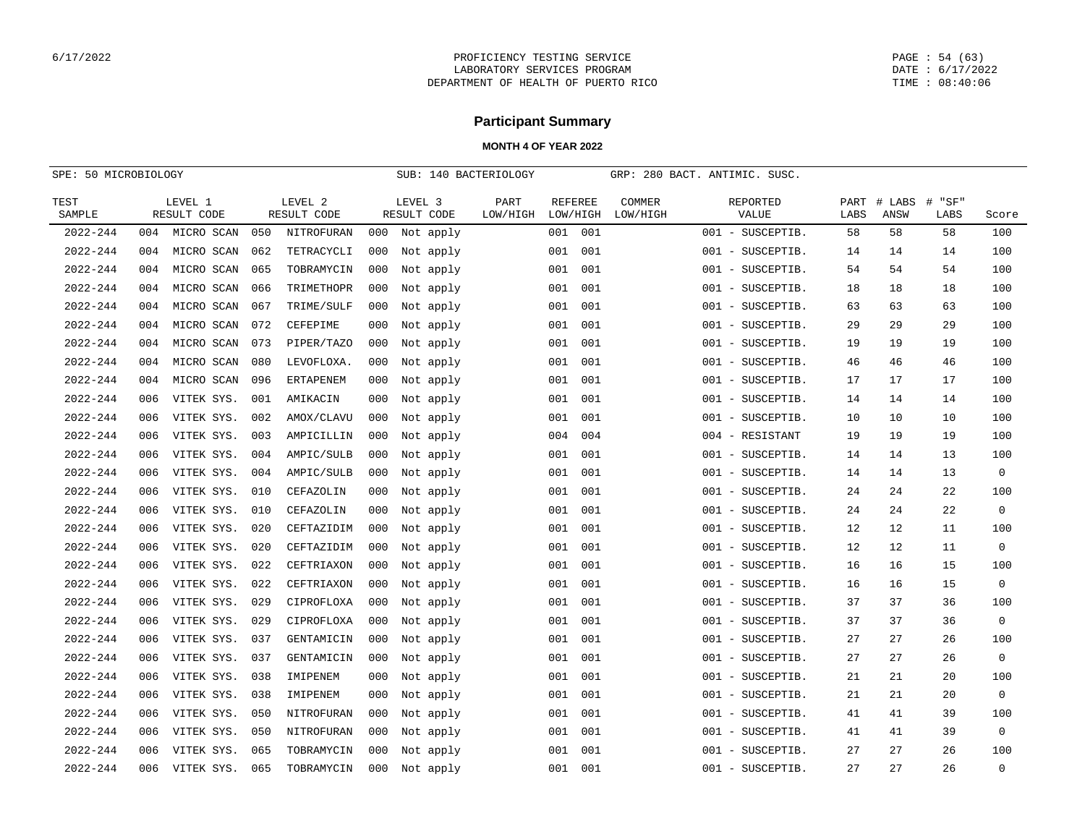PAGE : 54 (63) DATE : 6/17/2022 TIME : 08:40:06

# **Participant Summary**

| SPE: 50 MICROBIOLOGY |     |                        |     |                        | SUB: 140 BACTERIOLOGY |                        |                  |                            | GRP: 280 BACT. ANTIMIC. SUSC. |                    |         |                   |              |                |                |             |
|----------------------|-----|------------------------|-----|------------------------|-----------------------|------------------------|------------------|----------------------------|-------------------------------|--------------------|---------|-------------------|--------------|----------------|----------------|-------------|
| TEST<br>SAMPLE       |     | LEVEL 1<br>RESULT CODE |     | LEVEL 2<br>RESULT CODE |                       | LEVEL 3<br>RESULT CODE | PART<br>LOW/HIGH | <b>REFEREE</b><br>LOW/HIGH |                               | COMMER<br>LOW/HIGH |         | REPORTED<br>VALUE | PART<br>LABS | # LABS<br>ANSW | # "SF"<br>LABS | Score       |
| $2022 - 244$         | 004 | MICRO SCAN             | 050 | NITROFURAN             | 000                   | Not apply              |                  | 001                        | 001                           |                    |         | 001 - SUSCEPTIB.  | 58           | 58             | 58             | 100         |
| $2022 - 244$         | 004 | MICRO SCAN             | 062 | TETRACYCLI             | 000                   | Not apply              |                  | 001                        | 001                           |                    |         | 001 - SUSCEPTIB.  | 14           | 14             | 14             | 100         |
| $2022 - 244$         | 004 | MICRO SCAN             | 065 | TOBRAMYCIN             | 000                   | Not apply              |                  | 001                        | 001                           |                    |         | 001 - SUSCEPTIB.  | 54           | 54             | 54             | 100         |
| $2022 - 244$         | 004 | MICRO SCAN             | 066 | TRIMETHOPR             | 000                   | Not apply              |                  | 001                        | 001                           |                    |         | 001 - SUSCEPTIB.  | 18           | 18             | 18             | 100         |
| $2022 - 244$         | 004 | MICRO SCAN             | 067 | TRIME/SULF             | 000                   | Not apply              |                  | 001                        | 001                           |                    |         | 001 - SUSCEPTIB.  | 63           | 63             | 63             | 100         |
| $2022 - 244$         | 004 | MICRO SCAN             | 072 | CEFEPIME               | 000                   | Not apply              |                  | 001                        | 001                           |                    | 001 -   | SUSCEPTIB.        | 29           | 29             | 29             | 100         |
| $2022 - 244$         | 004 | MICRO SCAN             | 073 | PIPER/TAZO             | 000                   | Not apply              |                  | 001                        | 001                           |                    |         | 001 - SUSCEPTIB.  | 19           | 19             | 19             | 100         |
| $2022 - 244$         | 004 | MICRO SCAN             | 080 | LEVOFLOXA.             | 000                   | Not apply              |                  | 001                        | 001                           |                    |         | 001 - SUSCEPTIB.  | 46           | 46             | 46             | 100         |
| $2022 - 244$         | 004 | MICRO SCAN             | 096 | <b>ERTAPENEM</b>       | 000                   | Not apply              |                  | 001                        | 001                           |                    |         | 001 - SUSCEPTIB.  | 17           | 17             | 17             | 100         |
| $2022 - 244$         | 006 | VITEK SYS.             | 001 | AMIKACIN               | 000                   | Not apply              |                  | 001                        | 001                           |                    |         | 001 - SUSCEPTIB.  | 14           | 14             | 14             | 100         |
| $2022 - 244$         | 006 | VITEK SYS.             | 002 | AMOX/CLAVU             | 000                   | Not apply              |                  | 001                        | 001                           |                    |         | 001 - SUSCEPTIB.  | 10           | 10             | 10             | 100         |
| $2022 - 244$         | 006 | VITEK SYS.             | 003 | AMPICILLIN             | 000                   | Not apply              |                  | 004                        | 004                           |                    |         | 004 - RESISTANT   | 19           | 19             | 19             | 100         |
| $2022 - 244$         | 006 | VITEK SYS.             | 004 | AMPIC/SULB             | 000                   | Not apply              |                  | 001                        | 001                           |                    | 001 -   | SUSCEPTIB.        | 14           | 14             | 13             | 100         |
| $2022 - 244$         | 006 | VITEK SYS.             | 004 | AMPIC/SULB             | 000                   | Not apply              |                  | 001                        | 001                           |                    |         | 001 - SUSCEPTIB.  | 14           | 14             | 13             | $\mathbf 0$ |
| $2022 - 244$         | 006 | VITEK SYS.             | 010 | CEFAZOLIN              | 000                   | Not apply              |                  | 001                        | 001                           |                    |         | 001 - SUSCEPTIB.  | 24           | 24             | 22             | 100         |
| $2022 - 244$         | 006 | VITEK SYS.             | 010 | CEFAZOLIN              | 000                   | Not apply              |                  | 001                        | 001                           |                    |         | 001 - SUSCEPTIB.  | 24           | 24             | 22             | $\mathbf 0$ |
| $2022 - 244$         | 006 | VITEK SYS.             | 020 | CEFTAZIDIM             | 000                   | Not apply              |                  | 001                        | 001                           |                    |         | 001 - SUSCEPTIB.  | 12           | 12             | 11             | 100         |
| $2022 - 244$         | 006 | VITEK SYS.             | 020 | CEFTAZIDIM             | 000                   | Not apply              |                  | 001                        | 001                           |                    |         | 001 - SUSCEPTIB.  | 12           | 12             | 11             | $\mathbf 0$ |
| $2022 - 244$         | 006 | VITEK SYS.             | 022 | CEFTRIAXON             | 000                   | Not apply              |                  | 001                        | 001                           |                    |         | 001 - SUSCEPTIB.  | 16           | 16             | 15             | 100         |
| $2022 - 244$         | 006 | VITEK SYS.             | 022 | CEFTRIAXON             | 000                   | Not apply              |                  | 001                        | 001                           |                    |         | 001 - SUSCEPTIB.  | 16           | 16             | 15             | $\mathbf 0$ |
| $2022 - 244$         | 006 | VITEK SYS.             | 029 | CIPROFLOXA             | 000                   | Not apply              |                  | 001                        | 001                           |                    |         | 001 - SUSCEPTIB.  | 37           | 37             | 36             | 100         |
| $2022 - 244$         | 006 | VITEK SYS.             | 029 | CIPROFLOXA             | 000                   | Not apply              |                  | 001                        | 001                           |                    |         | 001 - SUSCEPTIB.  | 37           | 37             | 36             | $\mathbf 0$ |
| $2022 - 244$         | 006 | VITEK SYS.             | 037 | GENTAMICIN             | 000                   | Not apply              |                  | 001                        | 001                           |                    |         | 001 - SUSCEPTIB.  | 27           | 27             | 26             | 100         |
| $2022 - 244$         | 006 | VITEK SYS.             | 037 | GENTAMICIN             | 000                   | Not apply              |                  | 001                        | 001                           |                    |         | 001 - SUSCEPTIB.  | 27           | 27             | 26             | $\mathbf 0$ |
| $2022 - 244$         | 006 | VITEK SYS.             | 038 | IMIPENEM               | 000                   | Not apply              |                  | 001                        | 001                           |                    |         | 001 - SUSCEPTIB.  | 21           | 21             | 20             | 100         |
| $2022 - 244$         | 006 | VITEK SYS.             | 038 | IMIPENEM               | 000                   | Not apply              |                  | 001                        | 001                           |                    |         | 001 - SUSCEPTIB.  | 21           | 21             | 20             | $\mathbf 0$ |
| $2022 - 244$         | 006 | VITEK SYS.             | 050 | NITROFURAN             | 000                   | Not apply              |                  | 001                        | 001                           |                    |         | 001 - SUSCEPTIB.  | 41           | 41             | 39             | 100         |
| $2022 - 244$         | 006 | VITEK SYS.             | 050 | NITROFURAN             | 000                   | Not apply              |                  | 001                        | 001                           |                    |         | 001 - SUSCEPTIB.  | 41           | 41             | 39             | $\mathbf 0$ |
| $2022 - 244$         | 006 | VITEK SYS.             | 065 | TOBRAMYCIN             | 000                   | Not apply              |                  | 001                        | 001                           |                    | $001 -$ | SUSCEPTIB.        | 27           | 27             | 26             | 100         |
| $2022 - 244$         | 006 | VITEK SYS.             | 065 | TOBRAMYCIN             | 000                   | Not apply              |                  | 001                        | 001                           |                    |         | 001 - SUSCEPTIB.  | 27           | 27             | 26             | $\mathbf 0$ |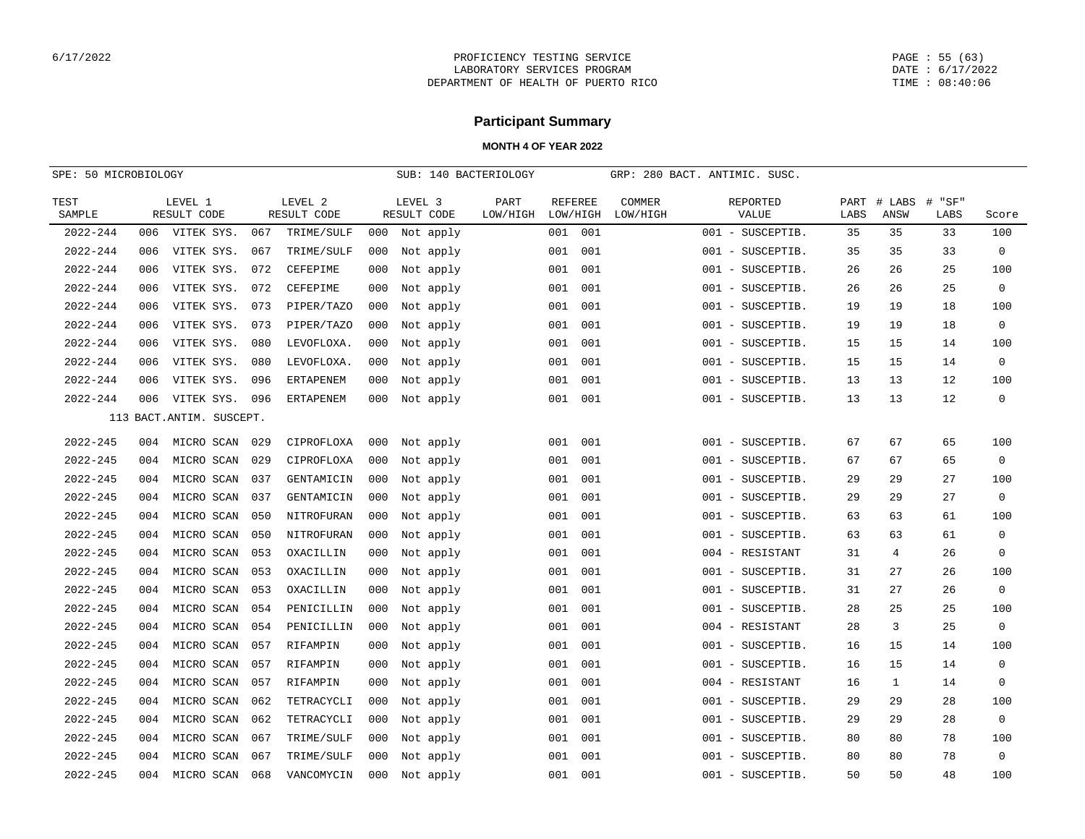PAGE : 55 (63) DATE : 6/17/2022 TIME : 08:40:06

# **Participant Summary**

| SPE: 50 MICROBIOLOGY |     |                           |     |                        |     | SUB: 140 BACTERIOLOGY  |                  |                            |     | GRP: 280 BACT. ANTIMIC. SUSC. |                   |      |                     |                |                |
|----------------------|-----|---------------------------|-----|------------------------|-----|------------------------|------------------|----------------------------|-----|-------------------------------|-------------------|------|---------------------|----------------|----------------|
| TEST<br>SAMPLE       |     | LEVEL 1<br>RESULT CODE    |     | LEVEL 2<br>RESULT CODE |     | LEVEL 3<br>RESULT CODE | PART<br>LOW/HIGH | <b>REFEREE</b><br>LOW/HIGH |     | COMMER<br>LOW/HIGH            | REPORTED<br>VALUE | LABS | PART # LABS<br>ANSW | # "SF"<br>LABS | Score          |
| $2022 - 244$         | 006 | VITEK SYS.                | 067 | TRIME/SULF             | 000 | Not apply              |                  | 001                        | 001 |                               | 001 - SUSCEPTIB.  | 35   | 35                  | 33             | 100            |
| 2022-244             | 006 | VITEK SYS.                | 067 | TRIME/SULF             | 000 | Not apply              |                  | 001                        | 001 |                               | 001 - SUSCEPTIB.  | 35   | 35                  | 33             | $\mathbf{0}$   |
| 2022-244             | 006 | VITEK SYS.                | 072 | CEFEPIME               | 000 | Not apply              |                  | 001                        | 001 |                               | 001 - SUSCEPTIB.  | 26   | 26                  | 25             | 100            |
| 2022-244             | 006 | VITEK SYS.                | 072 | CEFEPIME               | 000 | Not apply              |                  | 001                        | 001 |                               | 001 - SUSCEPTIB.  | 26   | 26                  | 25             | $\mathbf{0}$   |
| 2022-244             | 006 | VITEK SYS.                | 073 | PIPER/TAZO             | 000 | Not apply              |                  | 001                        | 001 |                               | 001 - SUSCEPTIB.  | 19   | 19                  | 18             | 100            |
| 2022-244             | 006 | VITEK SYS.                | 073 | PIPER/TAZO             | 000 | Not apply              |                  | 001                        | 001 |                               | 001 - SUSCEPTIB.  | 19   | 19                  | 18             | $\mathbf 0$    |
| 2022-244             | 006 | VITEK SYS.                | 080 | LEVOFLOXA.             | 000 | Not apply              |                  | 001                        | 001 |                               | 001 - SUSCEPTIB.  | 15   | 15                  | 14             | 100            |
| 2022-244             | 006 | VITEK SYS.                | 080 | LEVOFLOXA.             | 000 | Not apply              |                  | 001                        | 001 |                               | 001 - SUSCEPTIB.  | 15   | 15                  | 14             | $\mathbf{0}$   |
| 2022-244             | 006 | VITEK SYS.                | 096 | ERTAPENEM              | 000 | Not apply              |                  | 001                        | 001 |                               | 001 - SUSCEPTIB.  | 13   | 13                  | 12             | 100            |
| 2022-244             | 006 | VITEK SYS.                | 096 | <b>ERTAPENEM</b>       | 000 | Not apply              |                  | 001                        | 001 |                               | 001 - SUSCEPTIB.  | 13   | 13                  | 12             | 0              |
|                      |     | 113 BACT. ANTIM. SUSCEPT. |     |                        |     |                        |                  |                            |     |                               |                   |      |                     |                |                |
| $2022 - 245$         | 004 | MICRO SCAN                | 029 | CIPROFLOXA             | 000 | Not apply              |                  | 001                        | 001 |                               | 001 - SUSCEPTIB.  | 67   | 67                  | 65             | 100            |
| $2022 - 245$         | 004 | MICRO SCAN                | 029 | CIPROFLOXA             | 000 | Not apply              |                  | 001                        | 001 |                               | 001 - SUSCEPTIB.  | 67   | 67                  | 65             | $\mathbf 0$    |
| 2022-245             | 004 | MICRO SCAN                | 037 | GENTAMICIN             | 000 | Not apply              |                  | 001                        | 001 |                               | 001 - SUSCEPTIB.  | 29   | 29                  | 27             | 100            |
| 2022-245             | 004 | MICRO SCAN                | 037 | GENTAMICIN             | 000 | Not apply              |                  | 001                        | 001 |                               | 001 - SUSCEPTIB.  | 29   | 29                  | 27             | $\mathbf 0$    |
| 2022-245             | 004 | MICRO SCAN                | 050 | NITROFURAN             | 000 | Not apply              |                  | 001                        | 001 |                               | 001 - SUSCEPTIB.  | 63   | 63                  | 61             | 100            |
| $2022 - 245$         | 004 | MICRO SCAN                | 050 | NITROFURAN             | 000 | Not apply              |                  | 001                        | 001 |                               | 001 - SUSCEPTIB.  | 63   | 63                  | 61             | $\mathbf 0$    |
| $2022 - 245$         | 004 | MICRO SCAN                | 053 | OXACILLIN              | 000 | Not apply              |                  | 001                        | 001 |                               | 004 - RESISTANT   | 31   | $\overline{4}$      | 26             | $\Omega$       |
| 2022-245             | 004 | MICRO SCAN                | 053 | OXACILLIN              | 000 | Not apply              |                  | 001                        | 001 |                               | 001 - SUSCEPTIB.  | 31   | 27                  | 26             | 100            |
| 2022-245             | 004 | MICRO SCAN                | 053 | OXACILLIN              | 000 | Not apply              |                  | 001                        | 001 |                               | 001 - SUSCEPTIB.  | 31   | 27                  | 26             | $\mathbf 0$    |
| 2022-245             | 004 | MICRO SCAN                | 054 | PENICILLIN             | 000 | Not apply              |                  | 001                        | 001 |                               | 001 - SUSCEPTIB.  | 28   | 25                  | 25             | 100            |
| 2022-245             | 004 | MICRO SCAN                | 054 | PENICILLIN             | 000 | Not apply              |                  | 001                        | 001 |                               | 004 - RESISTANT   | 28   | 3                   | 25             | $\mathbf 0$    |
| 2022-245             | 004 | MICRO SCAN                | 057 | RIFAMPIN               | 000 | Not apply              |                  | 001                        | 001 |                               | 001 - SUSCEPTIB.  | 16   | 15                  | 14             | 100            |
| 2022-245             | 004 | MICRO SCAN                | 057 | RIFAMPIN               | 000 | Not apply              |                  | 001                        | 001 |                               | 001 - SUSCEPTIB.  | 16   | 15                  | 14             | $\mathbf 0$    |
| 2022-245             | 004 | MICRO SCAN                | 057 | RIFAMPIN               | 000 | Not apply              |                  | 001                        | 001 |                               | 004 - RESISTANT   | 16   | 1                   | 14             | $\mathbf 0$    |
| 2022-245             | 004 | MICRO SCAN                | 062 | TETRACYCLI             | 000 | Not apply              |                  | 001                        | 001 |                               | 001 - SUSCEPTIB.  | 29   | 29                  | 28             | 100            |
| $2022 - 245$         | 004 | MICRO SCAN                | 062 | TETRACYCLI             | 000 | Not apply              |                  | 001                        | 001 |                               | 001 - SUSCEPTIB.  | 29   | 29                  | 28             | $\overline{0}$ |
| 2022-245             | 004 | MICRO SCAN                | 067 | TRIME/SULF             | 000 | Not apply              |                  | 001                        | 001 |                               | 001 - SUSCEPTIB.  | 80   | 80                  | 78             | 100            |
| $2022 - 245$         | 004 | MICRO SCAN                | 067 | TRIME/SULF             | 000 | Not apply              |                  | 001                        | 001 |                               | 001 - SUSCEPTIB.  | 80   | 80                  | 78             | 0              |
| 2022-245             | 004 | MICRO SCAN                | 068 | VANCOMYCIN             | 000 | Not apply              |                  | 001                        | 001 |                               | 001 - SUSCEPTIB.  | 50   | 50                  | 48             | 100            |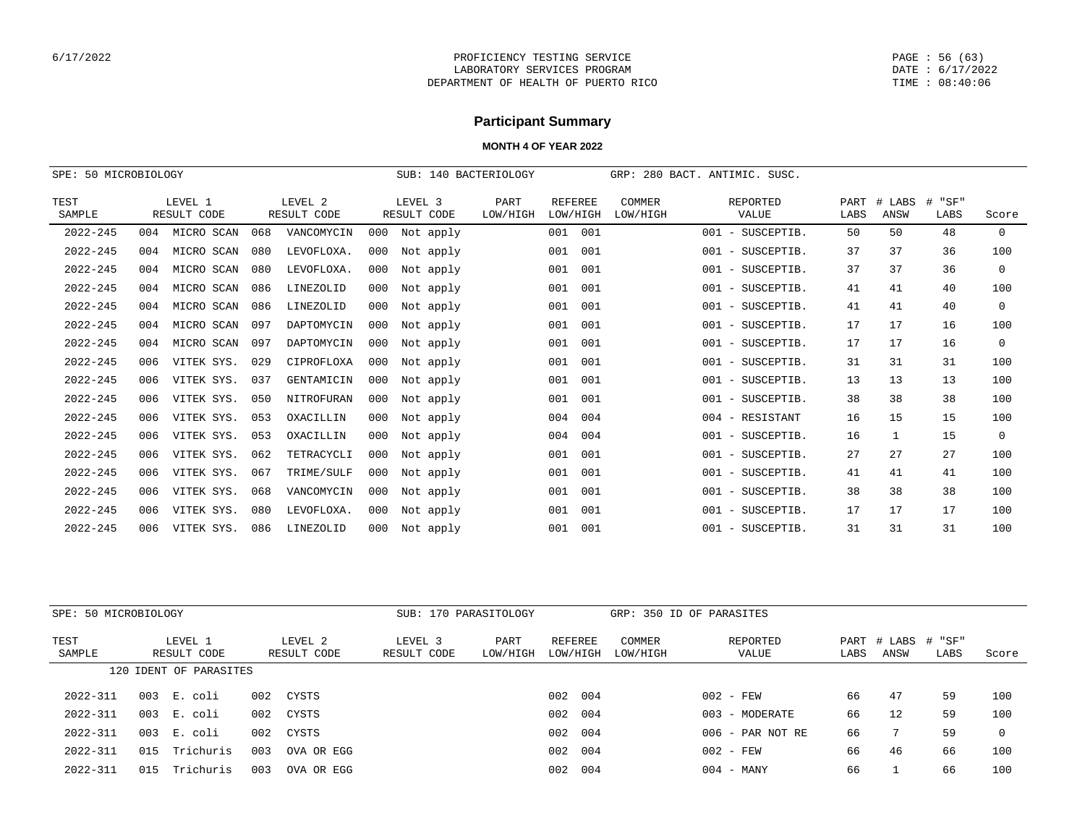PAGE : 56 (63) DATE : 6/17/2022 TIME : 08:40:06

# **Participant Summary**

| 50 MICROBIOLOGY<br>SPE: |     |                        |     |                        |     | SUB:                   | 140 BACTERIOLOGY |                            |     | GRP:               |     | 280 BACT. ANTIMIC. SUSC. |              |                |                |              |
|-------------------------|-----|------------------------|-----|------------------------|-----|------------------------|------------------|----------------------------|-----|--------------------|-----|--------------------------|--------------|----------------|----------------|--------------|
| TEST<br>SAMPLE          |     | LEVEL 1<br>RESULT CODE |     | LEVEL 2<br>RESULT CODE |     | LEVEL 3<br>RESULT CODE | PART<br>LOW/HIGH | <b>REFEREE</b><br>LOW/HIGH |     | COMMER<br>LOW/HIGH |     | <b>REPORTED</b><br>VALUE | PART<br>LABS | # LABS<br>ANSW | # "SF"<br>LABS | Score        |
| $2022 - 245$            | 004 | MICRO SCAN             | 068 | VANCOMYCIN             | 000 | Not apply              |                  | 001                        | 001 |                    | 001 | - SUSCEPTIB              | 50           | 50             | 48             | $\mathbf{0}$ |
| $2022 - 245$            | 004 | MICRO SCAN             | 080 | LEVOFLOXA.             | 000 | Not apply              |                  | 001                        | 001 |                    |     | 001 - SUSCEPTIB          | 37           | 37             | 36             | 100          |
| $2022 - 245$            | 004 | MICRO SCAN             | 080 | LEVOFLOXA.             | 000 | Not apply              |                  | 001                        | 001 |                    |     | 001 - SUSCEPTIB.         | 37           | 37             | 36             | $\mathbf 0$  |
| $2022 - 245$            | 004 | MICRO SCAN             | 086 | LINEZOLID              | 000 | Not apply              |                  | 001                        | 001 |                    |     | 001 - SUSCEPTIB.         | 41           | 41             | 40             | 100          |
| $2022 - 245$            | 004 | MICRO SCAN             | 086 | LINEZOLID              | 000 | Not apply              |                  | 001                        | 001 |                    |     | 001 - SUSCEPTIB          | 41           | 41             | 40             | $\mathbf{0}$ |
| $2022 - 245$            | 004 | MICRO SCAN             | 097 | DAPTOMYCIN             | 000 | Not apply              |                  | 001                        | 001 |                    |     | 001 - SUSCEPTIB.         | 17           | 17             | 16             | 100          |
| $2022 - 245$            | 004 | MICRO SCAN             | 097 | DAPTOMYCIN             | 000 | Not apply              |                  | 001                        | 001 |                    |     | 001 - SUSCEPTIB.         | 17           | 17             | 16             | $\mathbf 0$  |
| $2022 - 245$            | 006 | VITEK SYS.             | 029 | CIPROFLOXA             | 000 | Not apply              |                  | 001                        | 001 |                    |     | 001 - SUSCEPTIB.         | 31           | 31             | 31             | 100          |
| $2022 - 245$            | 006 | VITEK SYS.             | 037 | GENTAMICIN             | 000 | Not apply              |                  | 001                        | 001 |                    |     | 001 - SUSCEPTIB.         | 13           | 13             | 13             | 100          |
| $2022 - 245$            | 006 | VITEK SYS.             | 050 | NITROFURAN             | 000 | Not apply              |                  | 001                        | 001 |                    |     | 001 - SUSCEPTIB          | 38           | 38             | 38             | 100          |
| $2022 - 245$            | 006 | VITEK SYS.             | 053 | OXACILLIN              | 000 | Not apply              |                  | 004                        | 004 |                    |     | 004 - RESISTANT          | 16           | 15             | 15             | 100          |
| $2022 - 245$            | 006 | VITEK SYS.             | 053 | OXACILLIN              | 000 | Not apply              |                  | 004                        | 004 |                    |     | 001 - SUSCEPTIB.         | 16           | $\mathbf{1}$   | 15             | $\mathbf{0}$ |
| $2022 - 245$            | 006 | VITEK SYS.             | 062 | TETRACYCLI             | 000 | Not apply              |                  | 001                        | 001 |                    |     | 001 - SUSCEPTIB.         | 27           | 27             | 27             | 100          |
| $2022 - 245$            | 006 | VITEK SYS.             | 067 | TRIME/SULF             | 000 | Not apply              |                  | 001                        | 001 |                    |     | 001 - SUSCEPTIB          | 41           | 41             | 41             | 100          |
| $2022 - 245$            | 006 | VITEK SYS.             | 068 | VANCOMYCIN             | 000 | Not apply              |                  | 001                        | 001 |                    |     | 001 - SUSCEPTIB.         | 38           | 38             | 38             | 100          |
| $2022 - 245$            | 006 | VITEK SYS.             | 080 | LEVOFLOXA.             | 000 | Not apply              |                  | 001                        | 001 |                    |     | 001 - SUSCEPTIB.         | 17           | 17             | 17             | 100          |
| $2022 - 245$            | 006 | VITEK SYS.             | 086 | LINEZOLID              | 000 | Not apply              |                  | 001                        | 001 |                    |     | 001 - SUSCEPTIB          | 31           | 31             | 31             | 100          |

| SPE: 50 MICROBIOLOGY |                        |                  |                        | SUB: 170 PARASITOLOGY  |                  |                     |                    | GRP: 350 ID OF PARASITES |      |                            |      |       |
|----------------------|------------------------|------------------|------------------------|------------------------|------------------|---------------------|--------------------|--------------------------|------|----------------------------|------|-------|
| TEST<br>SAMPLE       | LEVEL 1<br>RESULT CODE |                  | LEVEL 2<br>RESULT CODE | LEVEL 3<br>RESULT CODE | PART<br>LOW/HIGH | REFEREE<br>LOW/HIGH | COMMER<br>LOW/HIGH | REPORTED<br>VALUE        | LABS | PART # LABS # "SF"<br>ANSW | LABS | Score |
|                      | 120 IDENT OF PARASITES |                  |                        |                        |                  |                     |                    |                          |      |                            |      |       |
| $2022 - 311$         | 003<br>E. coli         | 002              | CYSTS                  |                        |                  | 002<br>004          |                    | $002 - FEW$              | 66   | 47                         | 59   | 100   |
| $2022 - 311$         | 003<br>E. coli         | 002              | CYSTS                  |                        |                  | 004<br>002          |                    | - MODERATE<br>003        | 66   | 12                         | 59   | 100   |
| $2022 - 311$         | 003<br>E. coli         | 002              | CYSTS                  |                        |                  | 004<br>002          |                    | $006$ - PAR NOT RE       | 66   |                            | 59   | 0     |
| $2022 - 311$         | 015                    | Trichuris<br>003 | OVA OR EGG             |                        |                  | 004<br>002          |                    | $002 - FEW$              | 66   | 46                         | 66   | 100   |
| $2022 - 311$         | 015                    | 003<br>Trichuris | OVA OR EGG             |                        |                  | 004<br>002          |                    | - MANY<br>004            | 66   |                            | 66   | 100   |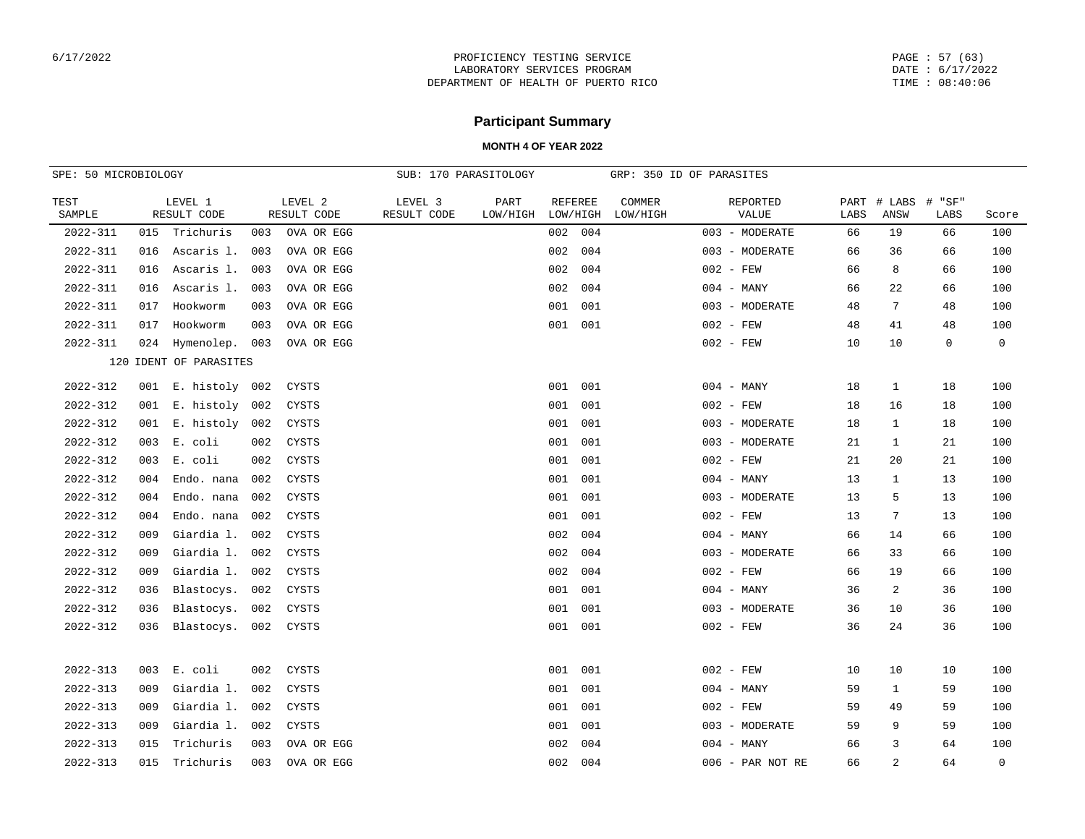PAGE : 57 (63) DATE : 6/17/2022 TIME : 08:40:06

# **Participant Summary**

| SPE: 50 MICROBIOLOGY |     |                        |     |                        | SUB: 170 PARASITOLOGY  |                  |                            |     |                    | GRP: 350 ID OF PARASITES |      |                            |      |              |
|----------------------|-----|------------------------|-----|------------------------|------------------------|------------------|----------------------------|-----|--------------------|--------------------------|------|----------------------------|------|--------------|
| TEST<br>SAMPLE       |     | LEVEL 1<br>RESULT CODE |     | LEVEL 2<br>RESULT CODE | LEVEL 3<br>RESULT CODE | PART<br>LOW/HIGH | <b>REFEREE</b><br>LOW/HIGH |     | COMMER<br>LOW/HIGH | REPORTED<br>VALUE        | LABS | PART # LABS # "SF"<br>ANSW | LABS | Score        |
| 2022-311             | 015 | Trichuris              | 003 | OVA OR EGG             |                        |                  | 002                        | 004 |                    | 003 - MODERATE           | 66   | 19                         | 66   | 100          |
| $2022 - 311$         | 016 | Ascaris 1.             | 003 | OVA OR EGG             |                        |                  | 002                        | 004 |                    | 003 - MODERATE           | 66   | 36                         | 66   | 100          |
| $2022 - 311$         | 016 | Ascaris 1.             | 003 | OVA OR EGG             |                        |                  | 002                        | 004 |                    | $002 - FEW$              | 66   | 8                          | 66   | 100          |
| $2022 - 311$         | 016 | Ascaris 1.             | 003 | OVA OR EGG             |                        |                  | 002                        | 004 |                    | $004 - MANY$             | 66   | 22                         | 66   | 100          |
| $2022 - 311$         | 017 | Hookworm               | 003 | OVA OR EGG             |                        |                  | 001                        | 001 |                    | 003 - MODERATE           | 48   | 7                          | 48   | 100          |
| $2022 - 311$         | 017 | Hookworm               | 003 | OVA OR EGG             |                        |                  | 001                        | 001 |                    | $002 - FEW$              | 48   | 41                         | 48   | 100          |
| $2022 - 311$         | 024 | Hymenolep. 003         |     | OVA OR EGG             |                        |                  |                            |     |                    | $002 - FEW$              | 10   | 10                         | 0    | $\mathsf{O}$ |
|                      |     | 120 IDENT OF PARASITES |     |                        |                        |                  |                            |     |                    |                          |      |                            |      |              |
| 2022-312             |     | 001 E. histoly 002     |     | CYSTS                  |                        |                  | 001                        | 001 |                    | $004 - MANY$             | 18   | $\mathbf{1}$               | 18   | 100          |
| $2022 - 312$         |     | 001 E. histoly 002     |     | CYSTS                  |                        |                  | 001                        | 001 |                    | $002 - FEW$              | 18   | 16                         | 18   | 100          |
| 2022-312             | 001 | E. histoly             | 002 | CYSTS                  |                        |                  | 001                        | 001 |                    | 003 - MODERATE           | 18   | 1                          | 18   | 100          |
| 2022-312             | 003 | E. coli                | 002 | CYSTS                  |                        |                  | 001                        | 001 |                    | 003 - MODERATE           | 21   | 1                          | 21   | 100          |
| $2022 - 312$         | 003 | E. coli                | 002 | CYSTS                  |                        |                  | 001                        | 001 |                    | $002 - FEW$              | 21   | 20                         | 21   | 100          |
| $2022 - 312$         | 004 | Endo. nana             | 002 | CYSTS                  |                        |                  | 001                        | 001 |                    | $004 - MANY$             | 13   | $\mathbf{1}$               | 13   | 100          |
| $2022 - 312$         | 004 | Endo. nana             | 002 | CYSTS                  |                        |                  | 001                        | 001 |                    | 003 - MODERATE           | 13   | 5                          | 13   | 100          |
| $2022 - 312$         | 004 | Endo. nana             | 002 | <b>CYSTS</b>           |                        |                  | 001                        | 001 |                    | $002 - FEW$              | 13   | $7\overline{ }$            | 13   | 100          |
| 2022-312             | 009 | Giardia 1.             | 002 | CYSTS                  |                        |                  | 002                        | 004 |                    | $004 - MANY$             | 66   | 14                         | 66   | 100          |
| 2022-312             | 009 | Giardia 1.             | 002 | CYSTS                  |                        |                  | 002                        | 004 |                    | 003 - MODERATE           | 66   | 33                         | 66   | 100          |
| $2022 - 312$         | 009 | Giardia 1.             | 002 | CYSTS                  |                        |                  | 002                        | 004 |                    | $002 - FEW$              | 66   | 19                         | 66   | 100          |
| $2022 - 312$         | 036 | Blastocys.             | 002 | CYSTS                  |                        |                  | 001                        | 001 |                    | $004 - MANY$             | 36   | 2                          | 36   | 100          |
| $2022 - 312$         | 036 | Blastocys.             | 002 | CYSTS                  |                        |                  | 001                        | 001 |                    | 003 - MODERATE           | 36   | 10                         | 36   | 100          |
| $2022 - 312$         | 036 | Blastocys.             | 002 | CYSTS                  |                        |                  | 001                        | 001 |                    | $002 - FEW$              | 36   | 24                         | 36   | 100          |
|                      |     |                        |     |                        |                        |                  |                            |     |                    |                          |      |                            |      |              |
| $2022 - 313$         | 003 | E. coli                | 002 | CYSTS                  |                        |                  | 001                        | 001 |                    | $002 - FEW$              | 10   | 10                         | 10   | 100          |
| $2022 - 313$         | 009 | Giardia 1.             | 002 | CYSTS                  |                        |                  | 001                        | 001 |                    | $004 - MANY$             | 59   | 1                          | 59   | 100          |
| $2022 - 313$         | 009 | Giardia 1.             | 002 | CYSTS                  |                        |                  | 001                        | 001 |                    | $002 - FEW$              | 59   | 49                         | 59   | 100          |
| $2022 - 313$         | 009 | Giardia 1.             | 002 | CYSTS                  |                        |                  | 001                        | 001 |                    | 003 - MODERATE           | 59   | 9                          | 59   | 100          |
| $2022 - 313$         | 015 | Trichuris              | 003 | OVA OR EGG             |                        |                  | 002                        | 004 |                    | $004 - MANY$             | 66   | 3                          | 64   | 100          |
| $2022 - 313$         | 015 | Trichuris              | 003 | OVA OR EGG             |                        |                  | 002                        | 004 |                    | 006 - PAR NOT RE         | 66   | 2                          | 64   | $\mathbf 0$  |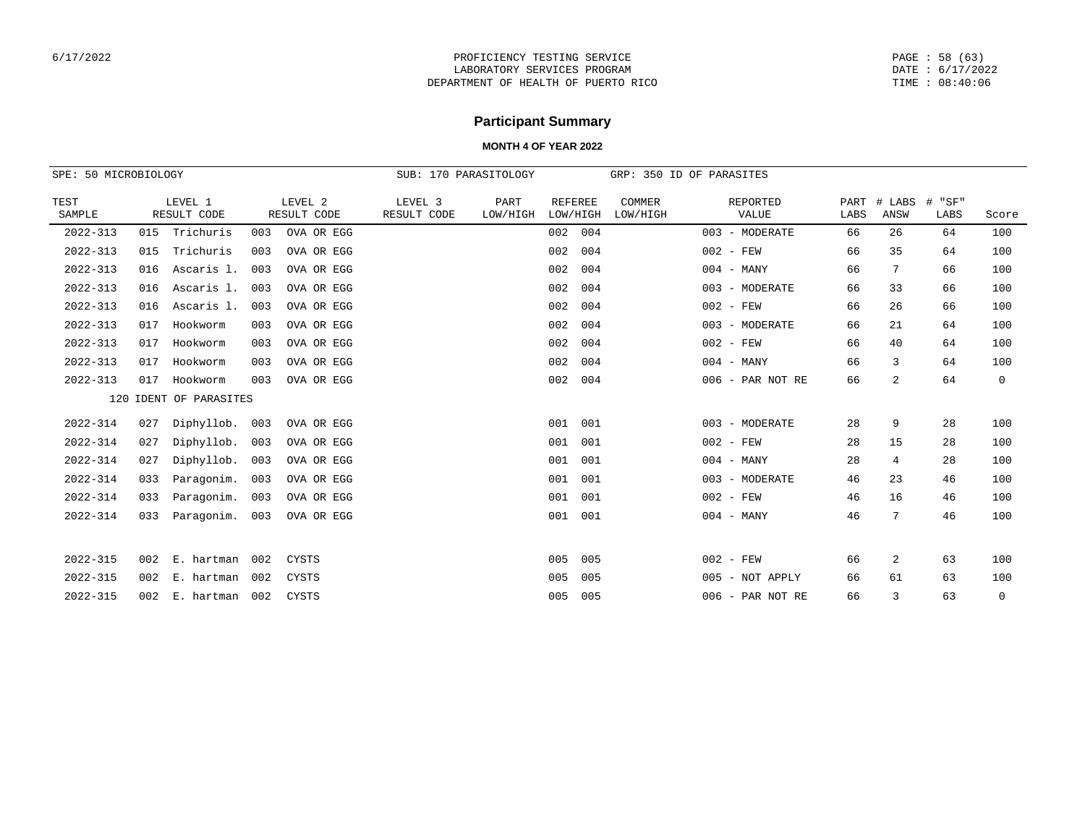PAGE : 58 (63) DATE : 6/17/2022 TIME : 08:40:06

# **Participant Summary**

| SPE: 50 MICROBIOLOGY |     |                        |     |                        | SUB: 170 PARASITOLOGY  |                  |                            |                    | GRP: 350 ID OF PARASITES |              |                |                   |       |
|----------------------|-----|------------------------|-----|------------------------|------------------------|------------------|----------------------------|--------------------|--------------------------|--------------|----------------|-------------------|-------|
| TEST<br>SAMPLE       |     | LEVEL 1<br>RESULT CODE |     | LEVEL 2<br>RESULT CODE | LEVEL 3<br>RESULT CODE | PART<br>LOW/HIGH | <b>REFEREE</b><br>LOW/HIGH | COMMER<br>LOW/HIGH | REPORTED<br>VALUE        | PART<br>LABS | # LABS<br>ANSW | "SF"<br>#<br>LABS | Score |
| $2022 - 313$         | 015 | Trichuris              | 003 | OVA OR EGG             |                        |                  | 002<br>004                 |                    | 003 - MODERATE           | 66           | 26             | 64                | 100   |
| $2022 - 313$         | 015 | Trichuris              | 003 | OVA OR EGG             |                        |                  | 004<br>002                 |                    | $002 - FEW$              | 66           | 35             | 64                | 100   |
| $2022 - 313$         | 016 | Ascaris 1.             | 003 | OVA OR EGG             |                        |                  | 002<br>004                 |                    | $004 - MANY$             | 66           | 7              | 66                | 100   |
| $2022 - 313$         | 016 | Ascaris 1.             | 003 | OVA OR EGG             |                        |                  | 002<br>004                 |                    | 003 - MODERATE           | 66           | 33             | 66                | 100   |
| $2022 - 313$         | 016 | Ascaris 1.             | 003 | OVA OR EGG             |                        |                  | 004<br>002                 |                    | $002 - FEW$              | 66           | 26             | 66                | 100   |
| $2022 - 313$         | 017 | Hookworm               | 003 | OVA OR EGG             |                        |                  | 004<br>002                 |                    | 003 - MODERATE           | 66           | 21             | 64                | 100   |
| $2022 - 313$         | 017 | Hookworm               | 003 | OVA OR EGG             |                        |                  | 004<br>002                 |                    | $002 - FEW$              | 66           | 40             | 64                | 100   |
| $2022 - 313$         | 017 | Hookworm               | 003 | OVA OR EGG             |                        |                  | 004<br>002                 |                    | $004 - MANY$             | 66           | 3              | 64                | 100   |
| $2022 - 313$         | 017 | Hookworm               | 003 | OVA OR EGG             |                        |                  | 004<br>002                 |                    | 006 - PAR NOT RE         | 66           | 2              | 64                | 0     |
|                      |     | 120 IDENT OF PARASITES |     |                        |                        |                  |                            |                    |                          |              |                |                   |       |
| $2022 - 314$         | 027 | Diphyllob. 003         |     | OVA OR EGG             |                        |                  | 001<br>001                 |                    | 003 - MODERATE           | 28           | 9              | 28                | 100   |
| $2022 - 314$         | 027 | Diphyllob.             | 003 | OVA OR EGG             |                        |                  | 001<br>001                 |                    | $002 - FEW$              | 28           | 15             | 28                | 100   |
| $2022 - 314$         | 027 | Diphyllob.             | 003 | OVA OR EGG             |                        |                  | 001<br>001                 |                    | $004 - MANY$             | 28           | $\overline{4}$ | 28                | 100   |
| $2022 - 314$         | 033 | Paragonim.             | 003 | OVA OR EGG             |                        |                  | 001<br>001                 |                    | 003 - MODERATE           | 46           | 23             | 46                | 100   |
| $2022 - 314$         | 033 | Paragonim.             | 003 | OVA OR EGG             |                        |                  | 001<br>001                 |                    | $002 - FEW$              | 46           | 16             | 46                | 100   |
| $2022 - 314$         | 033 | Paragonim.             | 003 | OVA OR EGG             |                        |                  | 001<br>001                 |                    | $004 - MANY$             | 46           | 7              | 46                | 100   |
|                      |     |                        |     |                        |                        |                  |                            |                    |                          |              |                |                   |       |
| $2022 - 315$         | 002 | E. hartman             | 002 | CYSTS                  |                        |                  | 005<br>005                 |                    | $002 - FEW$              | 66           | 2              | 63                | 100   |
| $2022 - 315$         | 002 | E. hartman             | 002 | CYSTS                  |                        |                  | 005<br>005                 |                    | 005 - NOT APPLY          | 66           | 61             | 63                | 100   |
| $2022 - 315$         | 002 | E. hartman             | 002 | CYSTS                  |                        |                  | 005<br>005                 |                    | 006 - PAR NOT RE         | 66           | 3              | 63                | 0     |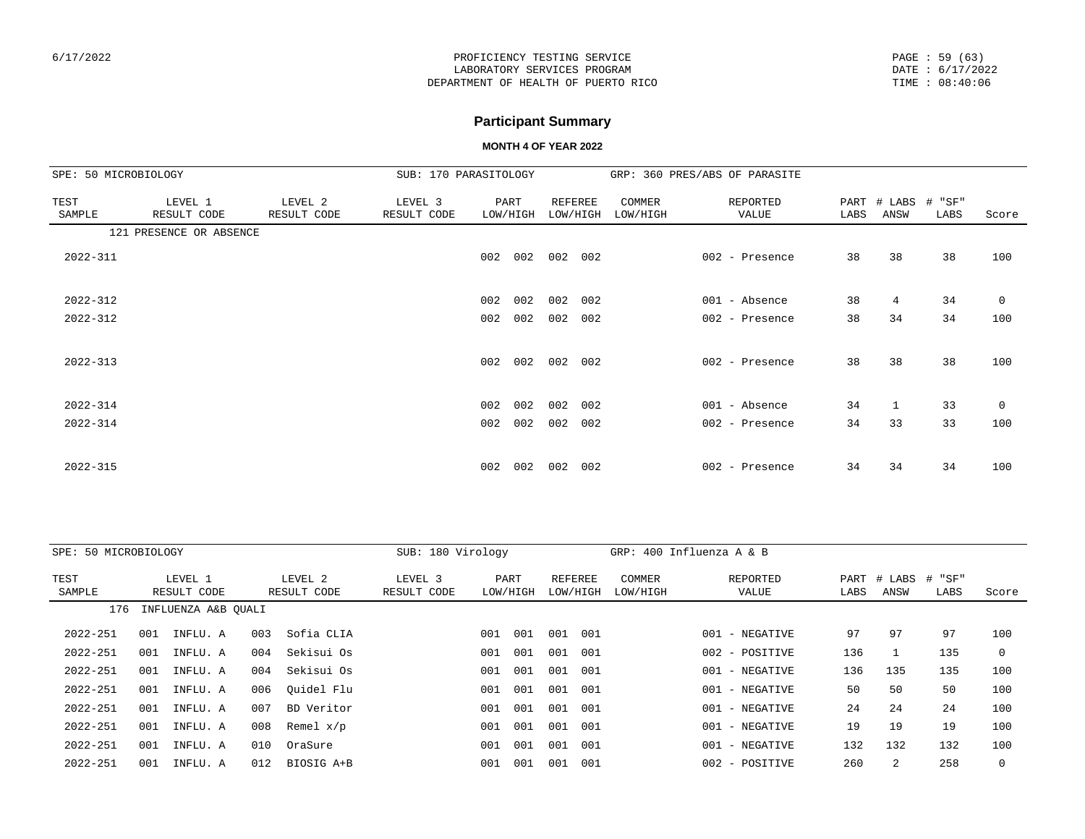PAGE : 59 (63) DATE : 6/17/2022 TIME : 08:40:06

# **Participant Summary**

| SPE: 50 MICROBIOLOGY |                         |                        | SUB: 170 PARASITOLOGY  |          |         |                     |     |                    | GRP: 360 PRES/ABS OF PARASITE |      |                            |      |       |
|----------------------|-------------------------|------------------------|------------------------|----------|---------|---------------------|-----|--------------------|-------------------------------|------|----------------------------|------|-------|
| TEST<br>SAMPLE       | LEVEL 1<br>RESULT CODE  | LEVEL 2<br>RESULT CODE | LEVEL 3<br>RESULT CODE | LOW/HIGH | PART    | REFEREE<br>LOW/HIGH |     | COMMER<br>LOW/HIGH | REPORTED<br>VALUE             | LABS | PART # LABS # "SF"<br>ANSW | LABS | Score |
|                      | 121 PRESENCE OR ABSENCE |                        |                        |          |         |                     |     |                    |                               |      |                            |      |       |
| 2022-311             |                         |                        |                        | 002      | 002 002 |                     | 002 |                    | 002 - Presence                | 38   | 38                         | 38   | 100   |
| $2022 - 312$         |                         |                        |                        | 002 002  |         | 002                 | 002 |                    | 001 - Absence                 | 38   | 4                          | 34   | 0     |
| $2022 - 312$         |                         |                        |                        | 002      | 002     | 002                 | 002 |                    | 002 - Presence                | 38   | 34                         | 34   | 100   |
| $2022 - 313$         |                         |                        |                        | 002      | 002     | 002                 | 002 |                    | 002 - Presence                | 38   | 38                         | 38   | 100   |
| $2022 - 314$         |                         |                        |                        | 002      | 002     | 002                 | 002 |                    | 001 - Absence                 | 34   | 1                          | 33   | 0     |
| $2022 - 314$         |                         |                        |                        | 002      | 002     | 002                 | 002 |                    | 002 - Presence                | 34   | 33                         | 33   | 100   |
| 2022-315             |                         |                        |                        | 002      | 002     | 002                 | 002 |                    | 002 - Presence                | 34   | 34                         | 34   | 100   |

| SPE: 50 MICROBIOLOGY |     |                        |     |                        | SUB: 180 Virology      |     |                  |                     |     | GRP: $400$ Influenza A & B |                |                   |      |                     |                |       |
|----------------------|-----|------------------------|-----|------------------------|------------------------|-----|------------------|---------------------|-----|----------------------------|----------------|-------------------|------|---------------------|----------------|-------|
| TEST<br>SAMPLE       |     | LEVEL 1<br>RESULT CODE |     | LEVEL 2<br>RESULT CODE | LEVEL 3<br>RESULT CODE |     | PART<br>LOW/HIGH | REFEREE<br>LOW/HIGH |     | <b>COMMER</b><br>LOW/HIGH  |                | REPORTED<br>VALUE | LABS | PART # LABS<br>ANSW | # "SF"<br>LABS | Score |
| 176                  |     | INFLUENZA A&B OUALI    |     |                        |                        |     |                  |                     |     |                            |                |                   |      |                     |                |       |
| 2022-251             | 001 | INFLU. A               | 003 | Sofia CLIA             |                        | 001 | 001              | 001                 | 001 |                            | 001            | - NEGATIVE        | 97   | 97                  | 97             | 100   |
| 2022-251             | 001 | INFLU. A               | 004 | Sekisui Os             |                        | 001 | 001              | 001                 | 001 |                            | 002 - POSITIVE |                   | 136  |                     | 135            | 0     |
| 2022-251             | 001 | INFLU. A               | 004 | Sekisui Os             |                        | 001 | 001              | 001                 | 001 |                            | 001 - NEGATIVE |                   | 136  | 135                 | 135            | 100   |
| 2022-251             | 001 | INFLU. A               | 006 | Ouidel Flu             |                        | 001 | 001              | 001                 | 001 |                            | 001 - NEGATIVE |                   | 50   | 50                  | 50             | 100   |
| 2022-251             | 001 | INFLU. A               | 007 | BD Veritor             |                        | 001 | 001              | 001                 | 001 |                            | 001 - NEGATIVE |                   | 24   | 24                  | 24             | 100   |
| 2022-251             | 001 | INFLU. A               | 008 | Remel $x/p$            |                        | 001 | 001              | 001                 | 001 |                            | 001 - NEGATIVE |                   | 19   | 19                  | 19             | 100   |
| 2022-251             | 001 | INFLU. A               | 010 | OraSure                |                        | 001 | 001              | 001                 | 001 |                            | 001 - NEGATIVE |                   | 132  | 132                 | 132            | 100   |
| $2022 - 251$         | 001 | INFLU. A               | 012 | BIOSIG A+B             |                        | 001 | 001              | 001                 | 001 |                            | 002 - POSITIVE |                   | 260  | 2                   | 258            |       |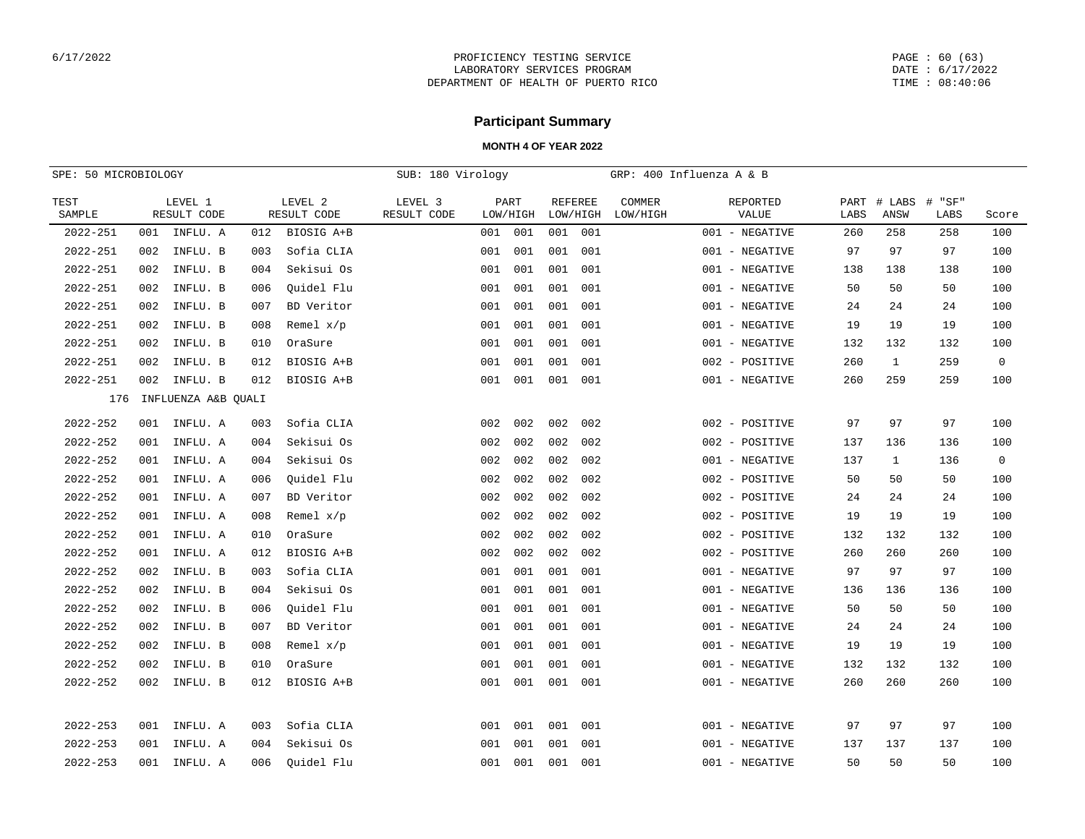PAGE : 60 (63) DATE : 6/17/2022 TIME : 08:40:06

# **Participant Summary**

| SPE: 50 MICROBIOLOGY |     |                        |     |                        | SUB: 180 Virology      |     |                  |          |                |                    | GRP: 400 Influenza A & B |      |                     |                |              |
|----------------------|-----|------------------------|-----|------------------------|------------------------|-----|------------------|----------|----------------|--------------------|--------------------------|------|---------------------|----------------|--------------|
| TEST<br>SAMPLE       |     | LEVEL 1<br>RESULT CODE |     | LEVEL 2<br>RESULT CODE | LEVEL 3<br>RESULT CODE |     | PART<br>LOW/HIGH | LOW/HIGH | <b>REFEREE</b> | COMMER<br>LOW/HIGH | REPORTED<br>VALUE        | LABS | PART # LABS<br>ANSW | # "SF"<br>LABS | Score        |
| 2022-251             | 001 | INFLU. A               | 012 | BIOSIG A+B             |                        | 001 | 001              | 001      | 001            |                    | 001 - NEGATIVE           | 260  | 258                 | 258            | 100          |
| 2022-251             | 002 | INFLU. B               | 003 | Sofia CLIA             |                        | 001 | 001              | 001      | 001            |                    | 001 - NEGATIVE           | 97   | 97                  | 97             | 100          |
| 2022-251             | 002 | INFLU. B               | 004 | Sekisui Os             |                        | 001 | 001              | 001      | 001            |                    | 001 - NEGATIVE           | 138  | 138                 | 138            | 100          |
| 2022-251             | 002 | INFLU. B               | 006 | Ouidel Flu             |                        | 001 | 001              | 001      | 001            |                    | 001 - NEGATIVE           | 50   | 50                  | 50             | 100          |
| 2022-251             | 002 | INFLU. B               | 007 | BD Veritor             |                        | 001 | 001              | 001      | 001            |                    | 001 - NEGATIVE           | 24   | 24                  | 24             | 100          |
| 2022-251             | 002 | INFLU. B               | 008 | Remel $x/p$            |                        | 001 | 001              | 001      | 001            |                    | 001 - NEGATIVE           | 19   | 19                  | 19             | 100          |
| 2022-251             | 002 | INFLU. B               | 010 | OraSure                |                        | 001 | 001              | 001      | 001            |                    | 001 - NEGATIVE           | 132  | 132                 | 132            | 100          |
| 2022-251             | 002 | INFLU. B               | 012 | BIOSIG A+B             |                        | 001 | 001              | 001      | 001            |                    | 002 - POSITIVE           | 260  | $\mathbf{1}$        | 259            | $\mathsf{O}$ |
| 2022-251             | 002 | INFLU. B               | 012 | BIOSIG A+B             |                        | 001 | 001              | 001      | 001            |                    | 001 - NEGATIVE           | 260  | 259                 | 259            | 100          |
| 176                  |     | INFLUENZA A&B OUALI    |     |                        |                        |     |                  |          |                |                    |                          |      |                     |                |              |
| 2022-252             | 001 | INFLU. A               | 003 | Sofia CLIA             |                        | 002 | 002              | 002      | 002            |                    | 002 - POSITIVE           | 97   | 97                  | 97             | 100          |
| 2022-252             | 001 | INFLU. A               | 004 | Sekisui Os             |                        | 002 | 002              | 002      | 002            |                    | 002 - POSITIVE           | 137  | 136                 | 136            | 100          |
| 2022-252             | 001 | INFLU. A               | 004 | Sekisui Os             |                        | 002 | 002              | 002      | 002            |                    | 001 - NEGATIVE           | 137  | $\mathbf{1}$        | 136            | $\mathsf{O}$ |
| 2022-252             | 001 | INFLU. A               | 006 | Quidel Flu             |                        | 002 | 002              | 002      | 002            |                    | 002 - POSITIVE           | 50   | 50                  | 50             | 100          |
| 2022-252             | 001 | INFLU. A               | 007 | BD Veritor             |                        | 002 | 002              | 002      | 002            |                    | 002 - POSITIVE           | 24   | 24                  | 24             | 100          |
| 2022-252             | 001 | INFLU. A               | 008 | Remel $x/p$            |                        | 002 | 002              | 002      | 002            |                    | 002 - POSITIVE           | 19   | 19                  | 19             | 100          |
| 2022-252             | 001 | INFLU. A               | 010 | OraSure                |                        | 002 | 002              | 002      | 002            |                    | 002 - POSITIVE           | 132  | 132                 | 132            | 100          |
| 2022-252             | 001 | INFLU. A               | 012 | BIOSIG A+B             |                        | 002 | 002              | 002      | 002            |                    | 002 - POSITIVE           | 260  | 260                 | 260            | 100          |
| 2022-252             | 002 | INFLU. B               | 003 | Sofia CLIA             |                        | 001 | 001              | 001      | 001            |                    | 001 - NEGATIVE           | 97   | 97                  | 97             | 100          |
| 2022-252             | 002 | INFLU. B               | 004 | Sekisui Os             |                        | 001 | 001              | 001      | 001            |                    | 001 - NEGATIVE           | 136  | 136                 | 136            | 100          |
| 2022-252             | 002 | INFLU. B               | 006 | Ouidel Flu             |                        | 001 | 001              | 001      | 001            |                    | 001 - NEGATIVE           | 50   | 50                  | 50             | 100          |
| 2022-252             | 002 | INFLU. B               | 007 | BD Veritor             |                        | 001 | 001              | 001      | 001            |                    | 001 - NEGATIVE           | 24   | 24                  | 24             | 100          |
| 2022-252             | 002 | INFLU. B               | 008 | Remel $x/p$            |                        | 001 | 001              | 001      | 001            |                    | 001 - NEGATIVE           | 19   | 19                  | 19             | 100          |
| 2022-252             | 002 | INFLU. B               | 010 | OraSure                |                        | 001 | 001              | 001      | 001            |                    | 001 - NEGATIVE           | 132  | 132                 | 132            | 100          |
| 2022-252             | 002 | INFLU. B               | 012 | BIOSIG A+B             |                        | 001 | 001              | 001      | 001            |                    | 001 - NEGATIVE           | 260  | 260                 | 260            | 100          |
|                      |     |                        |     |                        |                        |     |                  |          |                |                    |                          |      |                     |                |              |
| 2022-253             | 001 | INFLU. A               | 003 | Sofia CLIA             |                        | 001 | 001              | 001      | 001            |                    | 001 - NEGATIVE           | 97   | 97                  | 97             | 100          |
| 2022-253             | 001 | INFLU. A               | 004 | Sekisui Os             |                        | 001 | 001              | 001      | 001            |                    | 001 - NEGATIVE           | 137  | 137                 | 137            | 100          |
| 2022-253             | 001 | INFLU. A               | 006 | Ouidel Flu             |                        | 001 | 001              | 001      | 001            |                    | 001 - NEGATIVE           | 50   | 50                  | 50             | 100          |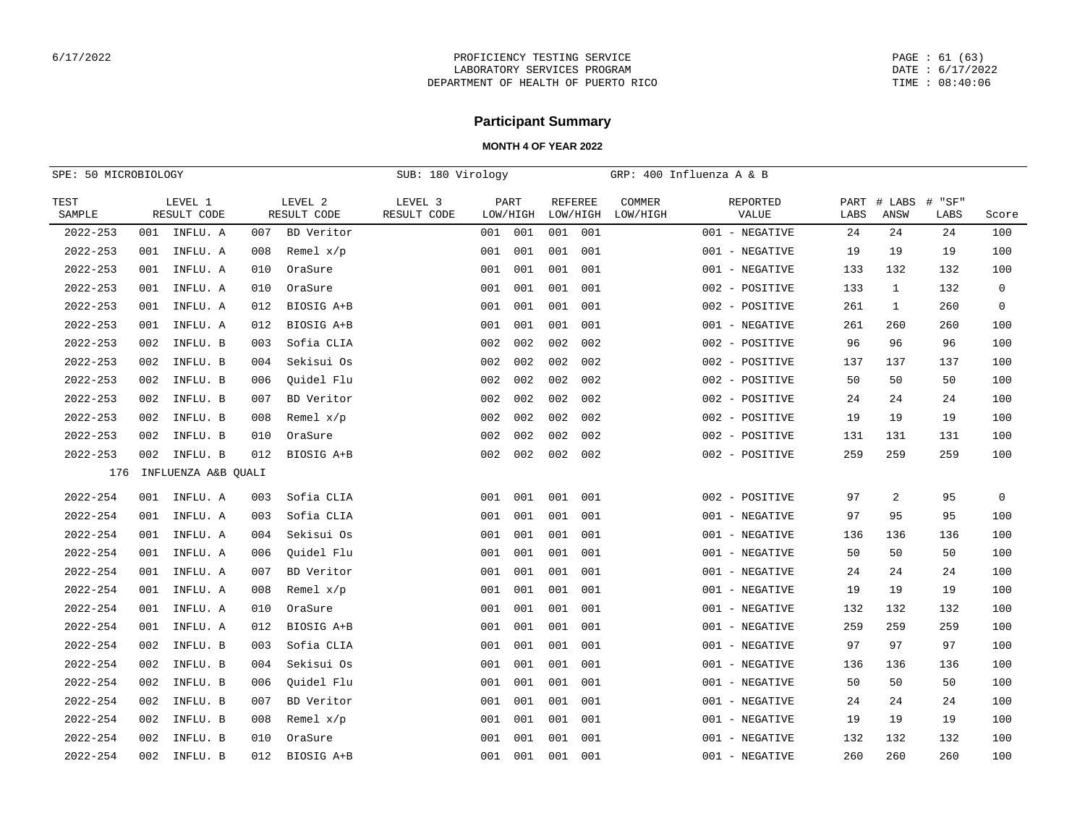PAGE : 61 (63) DATE : 6/17/2022 TIME : 08:40:06

# **Participant Summary**

| SPE: 50 MICROBIOLOGY |     |                        |     |                        | SUB: 180 Virology      |     |                  |                |          |                           | GRP: 400 Influenza A & B |      |                     |                |             |
|----------------------|-----|------------------------|-----|------------------------|------------------------|-----|------------------|----------------|----------|---------------------------|--------------------------|------|---------------------|----------------|-------------|
| TEST<br>SAMPLE       |     | LEVEL 1<br>RESULT CODE |     | LEVEL 2<br>RESULT CODE | LEVEL 3<br>RESULT CODE |     | PART<br>LOW/HIGH | <b>REFEREE</b> | LOW/HIGH | <b>COMMER</b><br>LOW/HIGH | REPORTED<br>VALUE        | LABS | PART # LABS<br>ANSW | # "SF"<br>LABS | Score       |
| $2022 - 253$         | 001 | INFLU. A               | 007 | BD Veritor             |                        | 001 | 001              | 001            | 001      |                           | 001 - NEGATIVE           | 24   | 24                  | 24             | 100         |
| $2022 - 253$         | 001 | INFLU. A               | 008 | Remel $x/p$            |                        | 001 | 001              | 001            | 001      |                           | 001 - NEGATIVE           | 19   | 19                  | 19             | 100         |
| $2022 - 253$         | 001 | INFLU. A               | 010 | OraSure                |                        | 001 | 001              | 001            | 001      |                           | 001 - NEGATIVE           | 133  | 132                 | 132            | 100         |
| $2022 - 253$         | 001 | INFLU. A               | 010 | OraSure                |                        | 001 | 001              | 001            | 001      |                           | 002 - POSITIVE           | 133  | 1                   | 132            | $\mathbf 0$ |
| $2022 - 253$         | 001 | INFLU. A               | 012 | BIOSIG A+B             |                        | 001 | 001              | 001            | 001      |                           | 002 - POSITIVE           | 261  | $\mathbf{1}$        | 260            | $\mathbf 0$ |
| $2022 - 253$         | 001 | INFLU. A               | 012 | BIOSIG A+B             |                        | 001 | 001              | 001            | 001      |                           | 001 - NEGATIVE           | 261  | 260                 | 260            | 100         |
| 2022-253             | 002 | INFLU. B               | 003 | Sofia CLIA             |                        | 002 | 002              | 002            | 002      |                           | 002 - POSITIVE           | 96   | 96                  | 96             | 100         |
| $2022 - 253$         | 002 | INFLU. B               | 004 | Sekisui Os             |                        | 002 | 002              | 002            | 002      |                           | 002 - POSITIVE           | 137  | 137                 | 137            | 100         |
| $2022 - 253$         | 002 | INFLU. B               | 006 | Ouidel Flu             |                        | 002 | 002              | 002            | 002      |                           | 002 - POSITIVE           | 50   | 50                  | 50             | 100         |
| $2022 - 253$         | 002 | INFLU. B               | 007 | BD Veritor             |                        | 002 | 002              | 002            | 002      |                           | 002 - POSITIVE           | 24   | 24                  | 24             | 100         |
| 2022-253             | 002 | INFLU. B               | 008 | Remel $x/p$            |                        | 002 | 002              | 002            | 002      |                           | 002 - POSITIVE           | 19   | 19                  | 19             | 100         |
| $2022 - 253$         | 002 | INFLU. B               | 010 | OraSure                |                        | 002 | 002              | 002            | 002      |                           | 002 - POSITIVE           | 131  | 131                 | 131            | 100         |
| $2022 - 253$         | 002 | INFLU. B               | 012 | BIOSIG A+B             |                        | 002 | 002              | 002            | 002      |                           | 002 - POSITIVE           | 259  | 259                 | 259            | 100         |
| 176                  |     | INFLUENZA A&B QUALI    |     |                        |                        |     |                  |                |          |                           |                          |      |                     |                |             |
| $2022 - 254$         |     | 001 INFLU. A           | 003 | Sofia CLIA             |                        | 001 | 001              | 001            | 001      |                           | 002 - POSITIVE           | 97   | 2                   | 95             | $\mathbf 0$ |
| $2022 - 254$         | 001 | INFLU. A               | 003 | Sofia CLIA             |                        | 001 | 001              | 001            | 001      |                           | 001 - NEGATIVE           | 97   | 95                  | 95             | 100         |
| $2022 - 254$         | 001 | INFLU. A               | 004 | Sekisui Os             |                        | 001 | 001              | 001            | 001      |                           | 001 - NEGATIVE           | 136  | 136                 | 136            | 100         |
| $2022 - 254$         | 001 | INFLU. A               | 006 | Ouidel Flu             |                        | 001 | 001              | 001            | 001      |                           | 001 - NEGATIVE           | 50   | 50                  | 50             | 100         |
| $2022 - 254$         | 001 | INFLU. A               | 007 | BD Veritor             |                        | 001 | 001              | 001            | 001      |                           | 001 - NEGATIVE           | 24   | 24                  | 24             | 100         |
| $2022 - 254$         | 001 | INFLU. A               | 008 | Remel $x/p$            |                        | 001 | 001              | 001            | 001      |                           | 001 - NEGATIVE           | 19   | 19                  | 19             | 100         |
| $2022 - 254$         | 001 | INFLU. A               | 010 | OraSure                |                        | 001 | 001              | 001            | 001      |                           | 001 - NEGATIVE           | 132  | 132                 | 132            | 100         |
| $2022 - 254$         | 001 | INFLU. A               | 012 | BIOSIG A+B             |                        | 001 | 001              | 001            | 001      |                           | 001 - NEGATIVE           | 259  | 259                 | 259            | 100         |
| $2022 - 254$         | 002 | INFLU. B               | 003 | Sofia CLIA             |                        | 001 | 001              | 001            | 001      |                           | 001 - NEGATIVE           | 97   | 97                  | 97             | 100         |
| $2022 - 254$         | 002 | INFLU. B               | 004 | Sekisui Os             |                        | 001 | 001              | 001            | 001      |                           | 001 - NEGATIVE           | 136  | 136                 | 136            | 100         |
| $2022 - 254$         | 002 | INFLU. B               | 006 | Ouidel Flu             |                        | 001 | 001              | 001            | 001      |                           | 001 - NEGATIVE           | 50   | 50                  | 50             | 100         |
| 2022-254             | 002 | INFLU. B               | 007 | BD Veritor             |                        | 001 | 001              | 001            | 001      |                           | 001 - NEGATIVE           | 24   | 24                  | 24             | 100         |
| $2022 - 254$         | 002 | INFLU. B               | 008 | Remel $x/p$            |                        | 001 | 001              | 001            | 001      |                           | 001 - NEGATIVE           | 19   | 19                  | 19             | 100         |
| $2022 - 254$         | 002 | INFLU. B               | 010 | OraSure                |                        | 001 | 001              | 001            | 001      |                           | 001 - NEGATIVE           | 132  | 132                 | 132            | 100         |
| $2022 - 254$         | 002 | INFLU. B               | 012 | BIOSIG A+B             |                        | 001 | 001              | 001            | 001      |                           | 001 - NEGATIVE           | 260  | 260                 | 260            | 100         |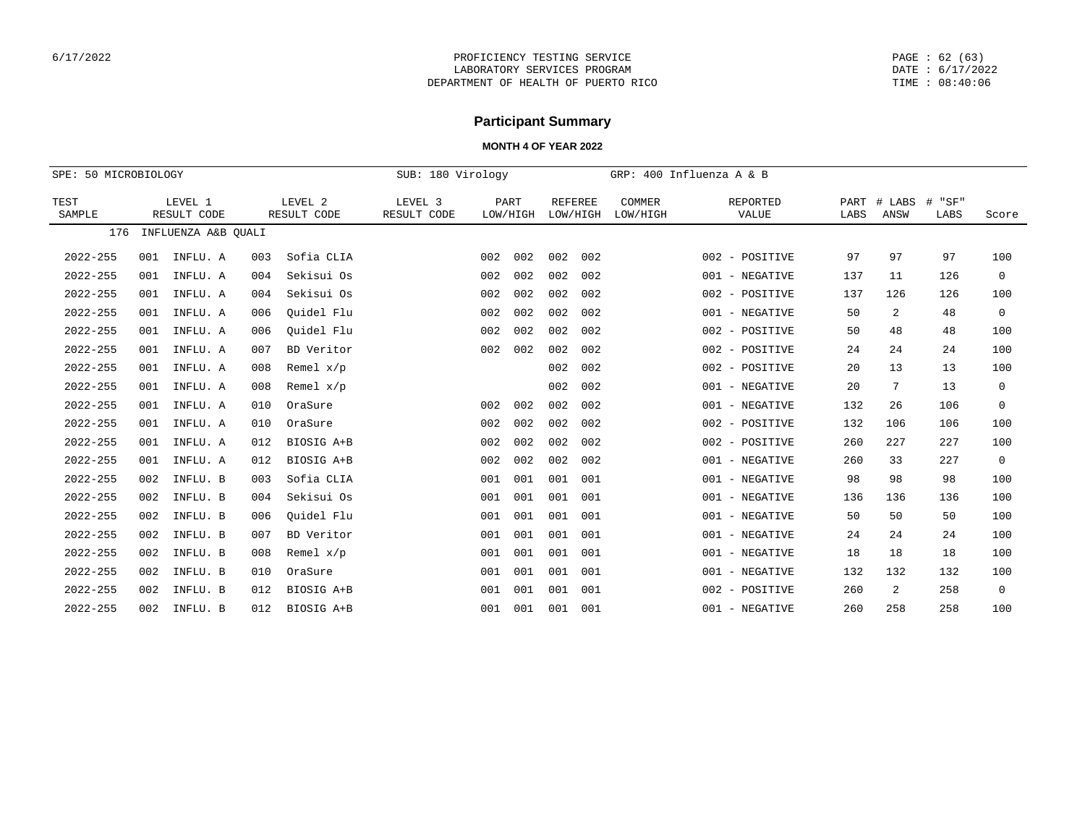PAGE : 62 (63) DATE : 6/17/2022 TIME : 08:40:06

## **Participant Summary**

| SPE: 50 MICROBIOLOGY |     |                        |     |                        | SUB: 180 Virology      |     |                  |                            |     |                    | GRP: 400 Influenza A & B |              |                |                   |             |
|----------------------|-----|------------------------|-----|------------------------|------------------------|-----|------------------|----------------------------|-----|--------------------|--------------------------|--------------|----------------|-------------------|-------------|
| TEST<br>SAMPLE       |     | LEVEL 1<br>RESULT CODE |     | LEVEL 2<br>RESULT CODE | LEVEL 3<br>RESULT CODE |     | PART<br>LOW/HIGH | <b>REFEREE</b><br>LOW/HIGH |     | COMMER<br>LOW/HIGH | REPORTED<br>VALUE        | PART<br>LABS | # LABS<br>ANSW | #<br>"SF"<br>LABS | Score       |
| 176                  |     | INFLUENZA A&B QUALI    |     |                        |                        |     |                  |                            |     |                    |                          |              |                |                   |             |
| $2022 - 255$         | 001 | INFLU. A               | 003 | Sofia CLIA             |                        | 002 | 002              | 002                        | 002 |                    | 002 - POSITIVE           | 97           | 97             | 97                | 100         |
| $2022 - 255$         | 001 | INFLU. A               | 004 | Sekisui Os             |                        | 002 | 002              | 002                        | 002 |                    | 001 - NEGATIVE           | 137          | 11             | 126               | $\mathbf 0$ |
| $2022 - 255$         | 001 | INFLU. A               | 004 | Sekisui Os             |                        | 002 | 002              | 002                        | 002 |                    | 002 - POSITIVE           | 137          | 126            | 126               | 100         |
| $2022 - 255$         | 001 | INFLU. A               | 006 | Ouidel Flu             |                        | 002 | 002              | 002                        | 002 |                    | 001 - NEGATIVE           | 50           | 2              | 48                | $\mathbf 0$ |
| $2022 - 255$         | 001 | INFLU. A               | 006 | Ouidel Flu             |                        | 002 | 002              | 002                        | 002 |                    | 002 - POSITIVE           | 50           | 48             | 48                | 100         |
| $2022 - 255$         | 001 | INFLU. A               | 007 | BD Veritor             |                        | 002 | 002              | 002                        | 002 |                    | 002 - POSITIVE           | 24           | 24             | 24                | 100         |
| $2022 - 255$         | 001 | INFLU. A               | 008 | Remel $x/p$            |                        |     |                  | 002                        | 002 |                    | 002 - POSITIVE           | 20           | 13             | 13                | 100         |
| $2022 - 255$         | 001 | INFLU. A               | 008 | Remel $x/p$            |                        |     |                  | 002                        | 002 |                    | 001 - NEGATIVE           | 20           | 7              | 13                | $\mathbf 0$ |
| $2022 - 255$         | 001 | INFLU. A               | 010 | OraSure                |                        | 002 | 002              | 002                        | 002 |                    | 001 - NEGATIVE           | 132          | 26             | 106               | $\mathbf 0$ |
| $2022 - 255$         | 001 | INFLU. A               | 010 | OraSure                |                        | 002 | 002              | 002                        | 002 |                    | 002 - POSITIVE           | 132          | 106            | 106               | 100         |
| $2022 - 255$         | 001 | INFLU. A               | 012 | BIOSIG A+B             |                        | 002 | 002              | 002                        | 002 |                    | 002 - POSITIVE           | 260          | 227            | 227               | 100         |
| $2022 - 255$         | 001 | INFLU. A               | 012 | BIOSIG A+B             |                        | 002 | 002              | 002                        | 002 |                    | 001 - NEGATIVE           | 260          | 33             | 227               | $\mathbf 0$ |
| $2022 - 255$         | 002 | INFLU. B               | 003 | Sofia CLIA             |                        | 001 | 001              | 001                        | 001 |                    | 001 - NEGATIVE           | 98           | 98             | 98                | 100         |
| $2022 - 255$         | 002 | INFLU. B               | 004 | Sekisui Os             |                        | 001 | 001              | 001                        | 001 |                    | 001 - NEGATIVE           | 136          | 136            | 136               | 100         |
| $2022 - 255$         | 002 | INFLU. B               | 006 | Ouidel Flu             |                        | 001 | 001              | 001                        | 001 |                    | 001 - NEGATIVE           | 50           | 50             | 50                | 100         |
| $2022 - 255$         | 002 | INFLU. B               | 007 | BD Veritor             |                        | 001 | 001              | 001                        | 001 |                    | 001 - NEGATIVE           | 24           | 24             | 24                | 100         |
| $2022 - 255$         | 002 | INFLU. B               | 008 | Remel $x/p$            |                        | 001 | 001              | 001                        | 001 |                    | - NEGATIVE<br>001        | 18           | 18             | 18                | 100         |
| $2022 - 255$         | 002 | INFLU. B               | 010 | OraSure                |                        | 001 | 001              | 001                        | 001 |                    | - NEGATIVE<br>001        | 132          | 132            | 132               | 100         |
| $2022 - 255$         | 002 | INFLU. B               | 012 | BIOSIG A+B             |                        | 001 | 001              | 001                        | 001 |                    | - POSITIVE<br>002        | 260          | 2              | 258               | $\mathbf 0$ |
| $2022 - 255$         | 002 | INFLU. B               | 012 | BIOSIG A+B             |                        | 001 | 001              | 001                        | 001 |                    | 001 - NEGATIVE           | 260          | 258            | 258               | 100         |